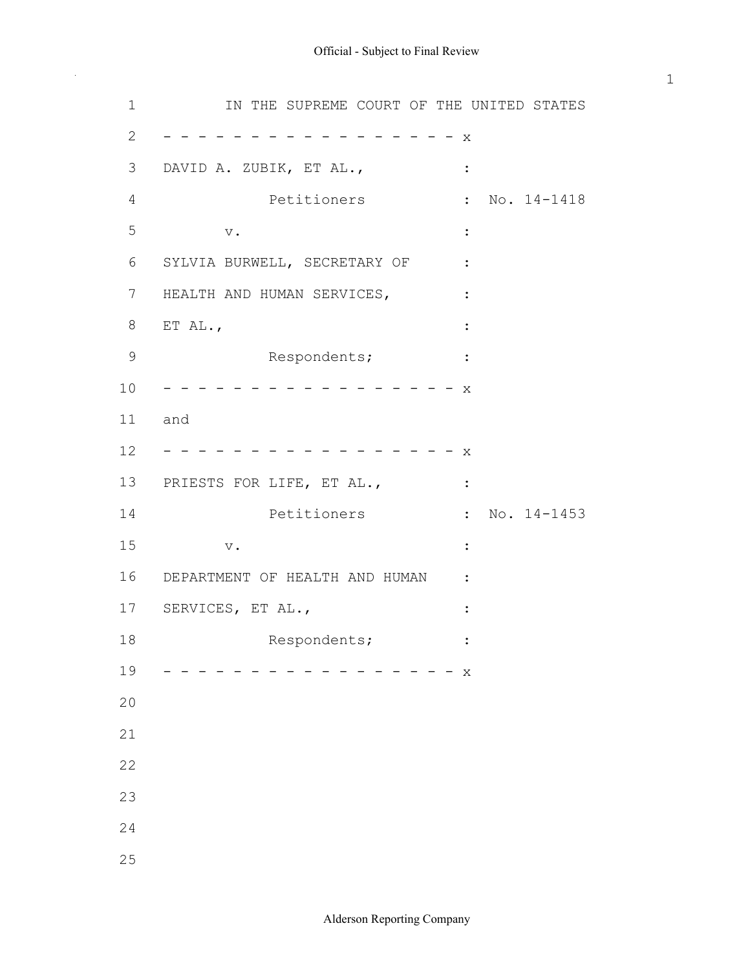1 **IN THE SUPREME COURT OF THE UNITED STATES**  2 x 3 DAVID A. ZUBIK, ET AL., : 4 Petitioners : No. 14-1418  $\mathbf{V}$  .  $\qquad \qquad \vdots$ 6 SYLVIA BURWELL, SECRETARY OF : 7 HEALTH AND HUMAN SERVICES, : 8 ET AL., : 9 Respondents; : 10 x 12 x 13 PRIESTS FOR LIFE, ET AL.,  $\cdot$ 14 **Petitioners** : No. 14-1453 15 v. : 16 DEPARTMENT OF HEALTH AND HUMAN : 17 SERVICES, ET AL., : 18 Respondents;  $\cdot$  : 19 x  $5 \qquad \qquad \mathbf{v}$ .  $\qquad \qquad \mathbf{:}$ 11 and 20 21 22 23 24 25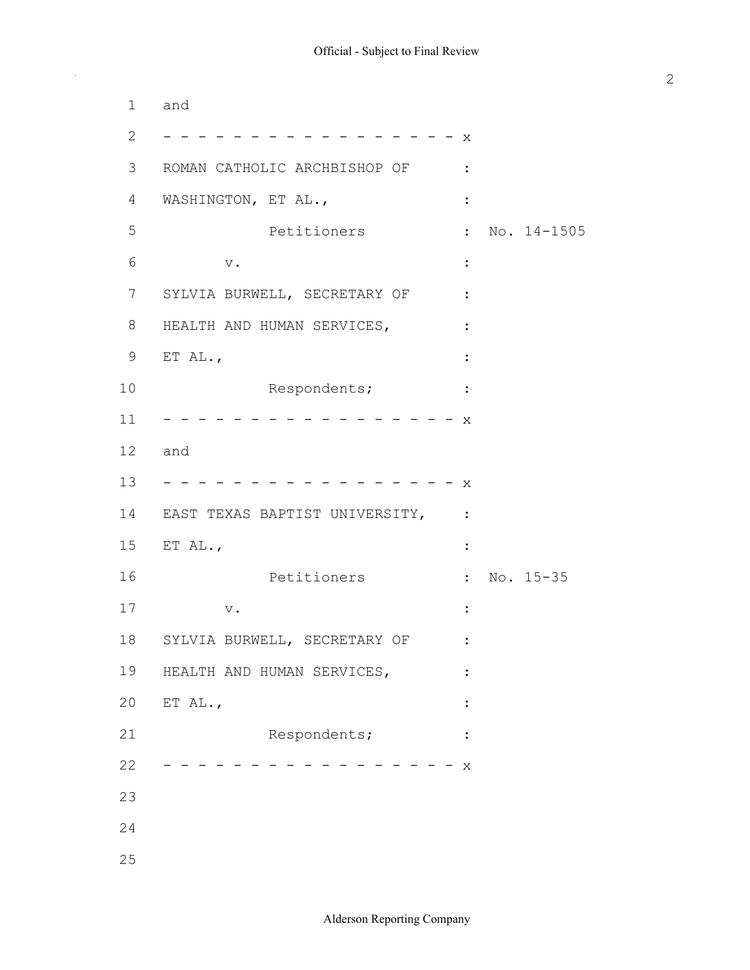2 x 3 ROMAN CATHOLIC ARCHBISHOP OF : 4 WASHINGTON, ET AL., : 5 **Petitioners** : No. 14-1505  $\begin{array}{ccccccc}\n6 & & & \text{v.} & & & \text{...} \\
\end{array}$ 7 SYLVIA BURWELL, SECRETARY OF : 8 HEALTH AND HUMAN SERVICES, : 9 ET AL., : 10 Respondents;  $\cdot$  : 11 x 13 x 14 EAST TEXAS BAPTIST UNIVERSITY, : 15 ET AL., : 16 **Petitioners** : No. 15-35 17 v. : 18 SYLVIA BURWELL, SECRETARY OF : 19 HEALTH AND HUMAN SERVICES,  $\,$ : 20 ET AL., : 21 Respondents;  $\cdot$  : 22 x 1 and 12 and 23 24 25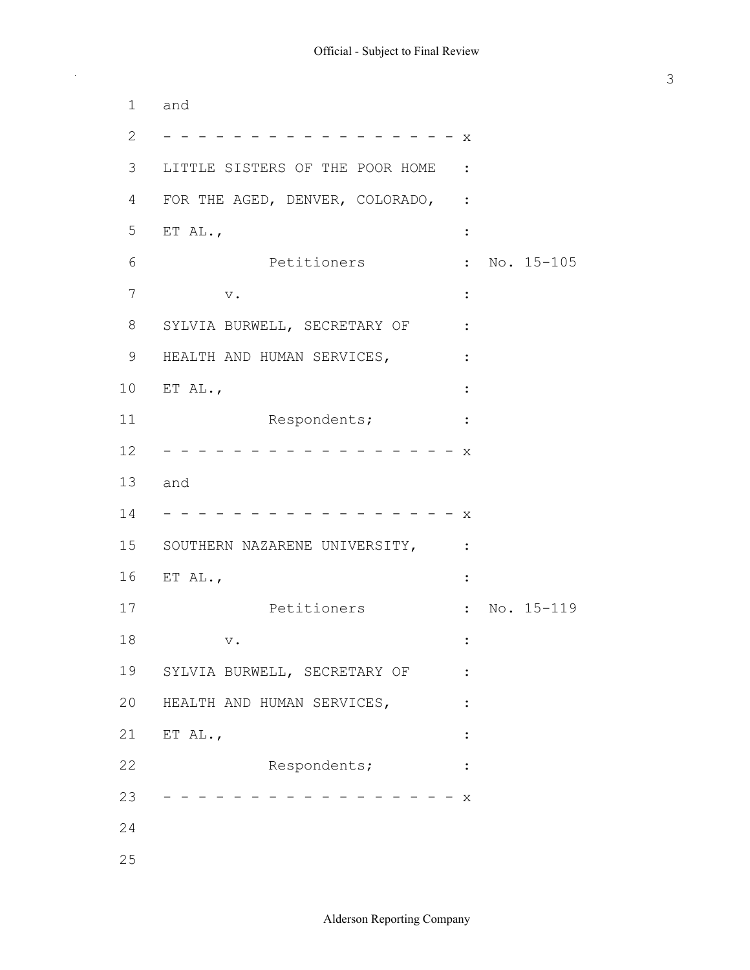2 x 3 LITTLE SISTERS OF THE POOR HOME : 4 FOR THE AGED, DENVER, COLORADO, : 5 ET AL., 6 **Petitioners** : No. 15-105  $7 \quad \text{v.}$  : 8 SYLVIA BURWELL, SECRETARY OF : 9 HEALTH AND HUMAN SERVICES,  $\,$  : 10 ET AL., : 11 Respondents;  $\cdot$  : 12 x 14 x 15 SOUTHERN NAZARENE UNIVERSITY, : 16 ET AL., : 17 **Petitioners** : No. 15-119 18 v. : 19 SYLVIA BURWELL, SECRETARY OF : 20 HEALTH AND HUMAN SERVICES,  $\,$  : 21 ET AL., : 22 Respondents;  $\cdot$  : 23 x 1 and 13 and 24 25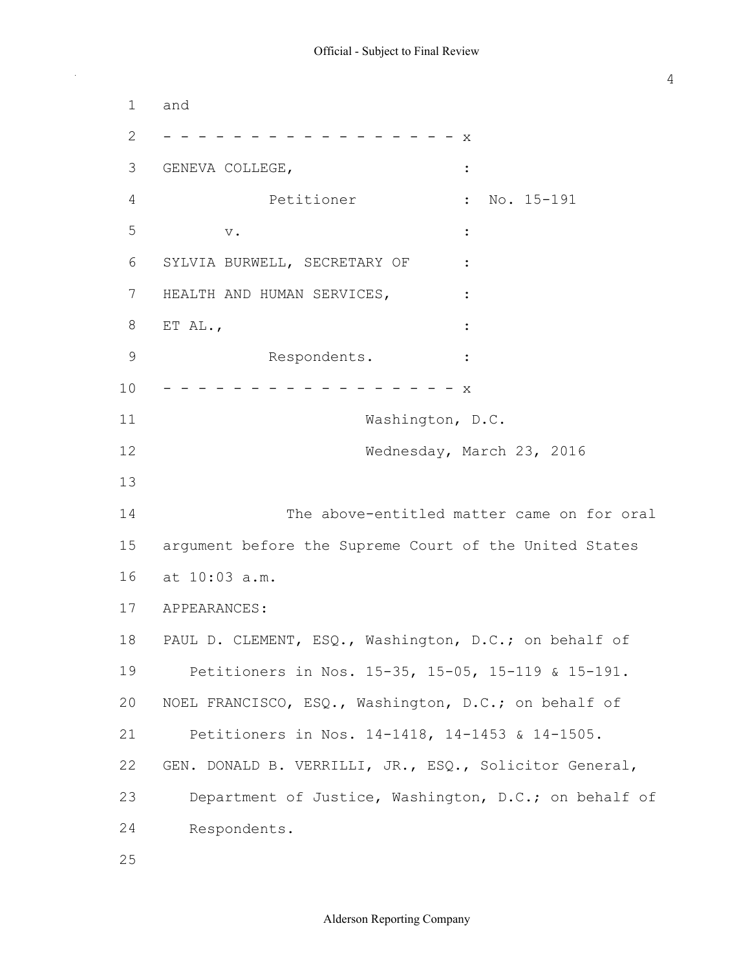2 x 3 GENEVA COLLEGE, 4 **Petitioner** : No. 15-191  $V$ . 6 SYLVIA BURWELL, SECRETARY OF : 7 HEALTH AND HUMAN SERVICES, : 8 ET AL., : 9 Respondents. : 10 x 12 Wednesday, March 23, 2016 14 The above-entitled matter came on for oral 15 argument before the Supreme Court of the United States 16 at 10:03 a.m. 18 PAUL D. CLEMENT, ESQ., Washington, D.C.; on behalf of 19 Petitioners in Nos. 15-35, 15-05, 15-119 & 15-191. 20 NOEL FRANCISCO, ESQ., Washington, D.C.; on behalf of 21 Petitioners in Nos. 14-1418, 14-1453 & 14-1505. 22 GEN. DONALD B. VERRILLI, JR., ESQ., Solicitor General, 23 Department of Justice, Washington, D.C.; on behalf of 24 Respondents. 1 and  $5 \qquad \qquad \mathbf{v}$ .  $\qquad \qquad \mathbf{:}$ 11 Washington, D.C. 13 17 APPEARANCES: 25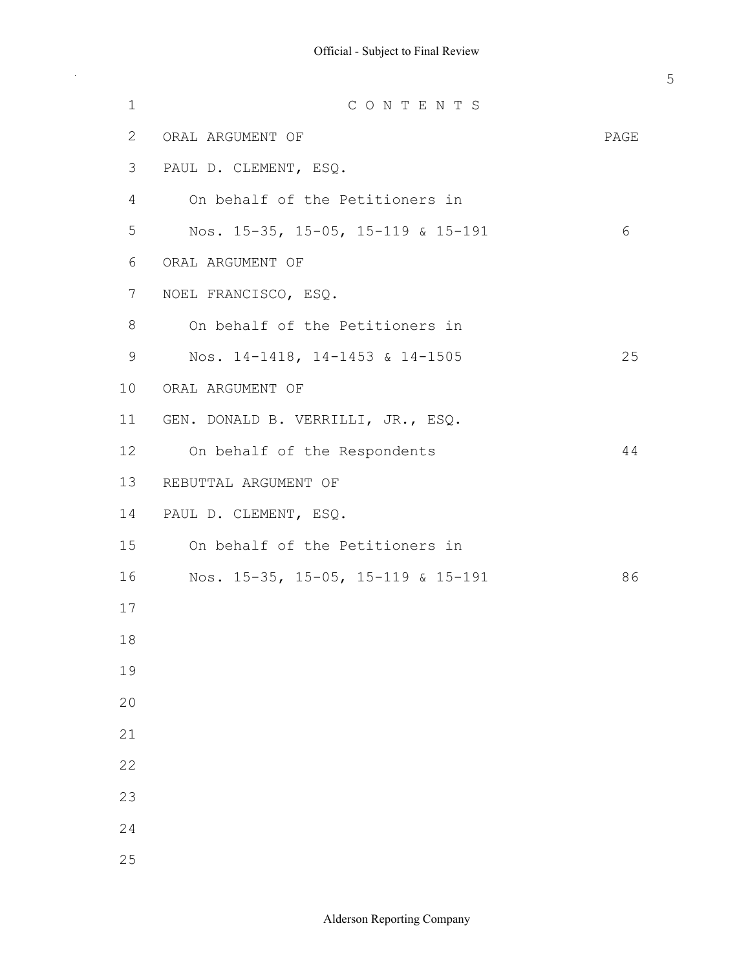| $\mathbf 1$  | CONTENTS                           |      |
|--------------|------------------------------------|------|
| $\mathbf{2}$ | ORAL ARGUMENT OF                   | PAGE |
| 3            | PAUL D. CLEMENT, ESQ.              |      |
| 4            | On behalf of the Petitioners in    |      |
| 5            | Nos. 15-35, 15-05, 15-119 & 15-191 | 6    |
| 6            | ORAL ARGUMENT OF                   |      |
| 7            | NOEL FRANCISCO, ESQ.               |      |
| 8            | On behalf of the Petitioners in    |      |
| $\mathsf 9$  | Nos. 14-1418, 14-1453 & 14-1505    | 25   |
| 10           | ORAL ARGUMENT OF                   |      |
| 11           | GEN. DONALD B. VERRILLI, JR., ESQ. |      |
| 12           | On behalf of the Respondents       | 44   |
| 13           | REBUTTAL ARGUMENT OF               |      |
| 14           | PAUL D. CLEMENT, ESQ.              |      |
| 15           | On behalf of the Petitioners in    |      |
| 16           | Nos. 15-35, 15-05, 15-119 & 15-191 | 86   |
| 17           |                                    |      |
| 18           |                                    |      |
| 19           |                                    |      |
| 20           |                                    |      |
| 21           |                                    |      |
| 22           |                                    |      |
| 23           |                                    |      |
| 24           |                                    |      |
| 25           |                                    |      |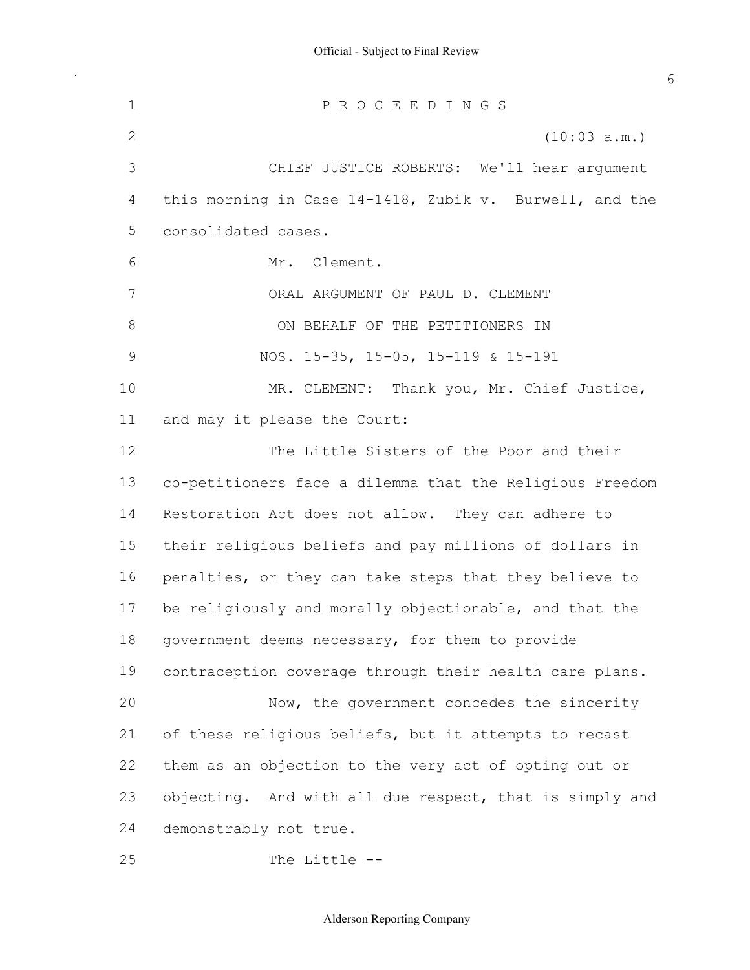P R O C E E D I N G S (10:03 a.m.) CHIEF JUSTICE ROBERTS: We'll hear argument 4 this morning in Case 14-1418, Zubik v. Burwell, and the Mr. Clement. ORAL ARGUMENT OF PAUL D. CLEMENT 9 NOS. 15-35, 15-05, 15-119 & 15-191 MR. CLEMENT: Thank you, Mr. Chief Justice, and may it please the Court: The Little Sisters of the Poor and their 13 co-petitioners face a dilemma that the Religious Freedom Restoration Act does not allow. They can adhere to their religious beliefs and pay millions of dollars in penalties, or they can take steps that they believe to be religiously and morally objectionable, and that the 18 government deems necessary, for them to provide contraception coverage through their health care plans. 20 Now, the government concedes the sincerity 21 of these religious beliefs, but it attempts to recast them as an objection to the very act of opting out or 23 objecting. And with all due respect, that is simply and demonstrably not true. consolidated cases. 8 ON BEHALF OF THE PETITIONERS IN

25 The Little --

#### Alderson Reporting Company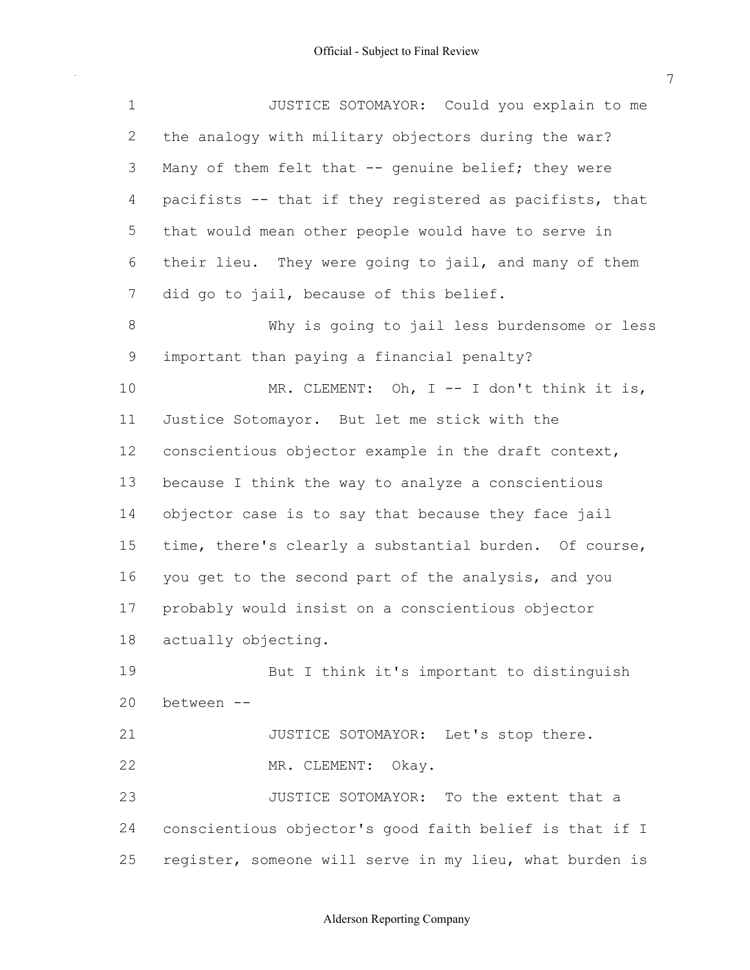1 JUSTICE SOTOMAYOR: Could you explain to me 2 the analogy with military objectors during the war? 3 Many of them felt that -- genuine belief; they were 4 pacifists -- that if they registered as pacifists, that 5 that would mean other people would have to serve in 6 their lieu. They were going to jail, and many of them 7 did go to jail, because of this belief. 8 Why is going to jail less burdensome or less 9 important than paying a financial penalty? 10 MR. CLEMENT: Oh, I -- I don't think it is, 11 Justice Sotomayor. But let me stick with the 12 conscientious objector example in the draft context, 13 because I think the way to analyze a conscientious 14 objector case is to say that because they face jail 15 time, there's clearly a substantial burden. Of course, 16 you get to the second part of the analysis, and you 17 probably would insist on a conscientious objector 19 But I think it's important to distinguish 21 JUSTICE SOTOMAYOR: Let's stop there. 22 MR. CLEMENT: Okay. 23 JUSTICE SOTOMAYOR: To the extent that a 24 conscientious objector's good faith belief is that if I 25 register, someone will serve in my lieu, what burden is 18 actually objecting. 20 between

### Alderson Reporting Company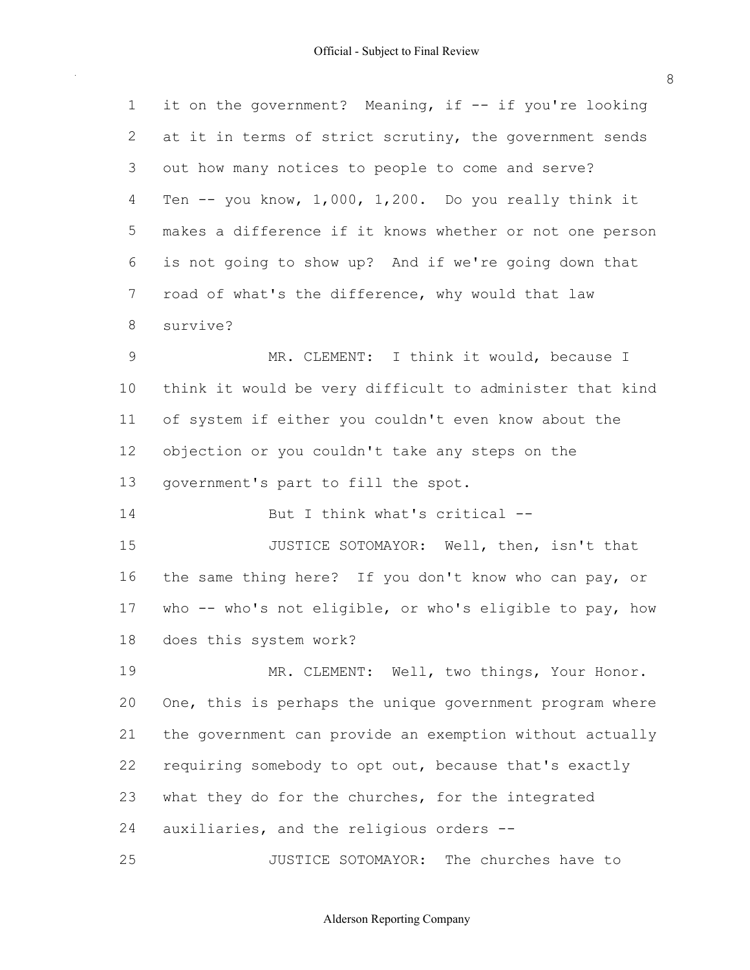| $\mathbf 1$    | it on the government? Meaning, if -- if you're looking   |
|----------------|----------------------------------------------------------|
| 2              | at it in terms of strict scrutiny, the government sends  |
| 3              | out how many notices to people to come and serve?        |
| 4              | Ten $-$ you know, 1,000, 1,200. Do you really think it   |
| 5              | makes a difference if it knows whether or not one person |
| 6              | is not going to show up? And if we're going down that    |
| $\overline{7}$ | road of what's the difference, why would that law        |
| 8              | survive?                                                 |
| $\mathsf 9$    | MR. CLEMENT: I think it would, because I                 |
| 10             | think it would be very difficult to administer that kind |
| 11             | of system if either you couldn't even know about the     |
| 12             | objection or you couldn't take any steps on the          |
| 13             | government's part to fill the spot.                      |
| 14             | But I think what's critical --                           |
| 15             | JUSTICE SOTOMAYOR: Well, then, isn't that                |
| 16             | the same thing here? If you don't know who can pay, or   |
| 17             | who -- who's not eligible, or who's eligible to pay, how |
| 18             | does this system work?                                   |
| 19             | MR. CLEMENT: Well, two things, Your Honor.               |
| 20             | One, this is perhaps the unique government program where |
| 21             | the government can provide an exemption without actually |
| 22             | requiring somebody to opt out, because that's exactly    |
| 23             | what they do for the churches, for the integrated        |
| 24             | auxiliaries, and the religious orders --                 |
| 25             | JUSTICE SOTOMAYOR: The churches have to                  |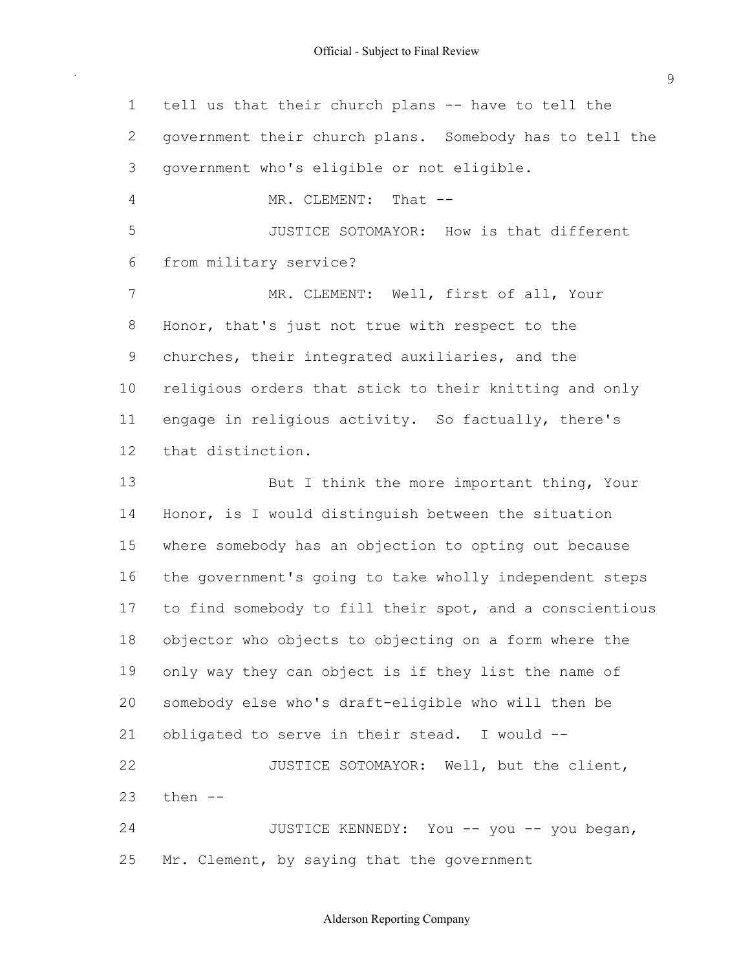1 tell us that their church plans -- have to tell the government their church plans. Somebody has to tell the government who's eligible or not eligible. 4 MR. CLEMENT: That -- JUSTICE SOTOMAYOR: How is that different from military service? 7 MR. CLEMENT: Well, first of all, Your Honor, that's just not true with respect to the churches, their integrated auxiliaries, and the religious orders that stick to their knitting and only engage in religious activity. So factually, there's 13 But I think the more important thing, Your Honor, is I would distinguish between the situation where somebody has an objection to opting out because the government's going to take wholly independent steps to find somebody to fill their spot, and a conscientious objector who objects to objecting on a form where the only way they can object is if they list the name of 20 somebody else who's draft-eligible who will then be 21 obligated to serve in their stead. I would --22 JUSTICE SOTOMAYOR: Well, but the client, 24 JUSTICE KENNEDY: You -- you -- you began, 25 Mr. Clement, by saying that the government that distinction. then  $-$ 

Alderson Reporting Company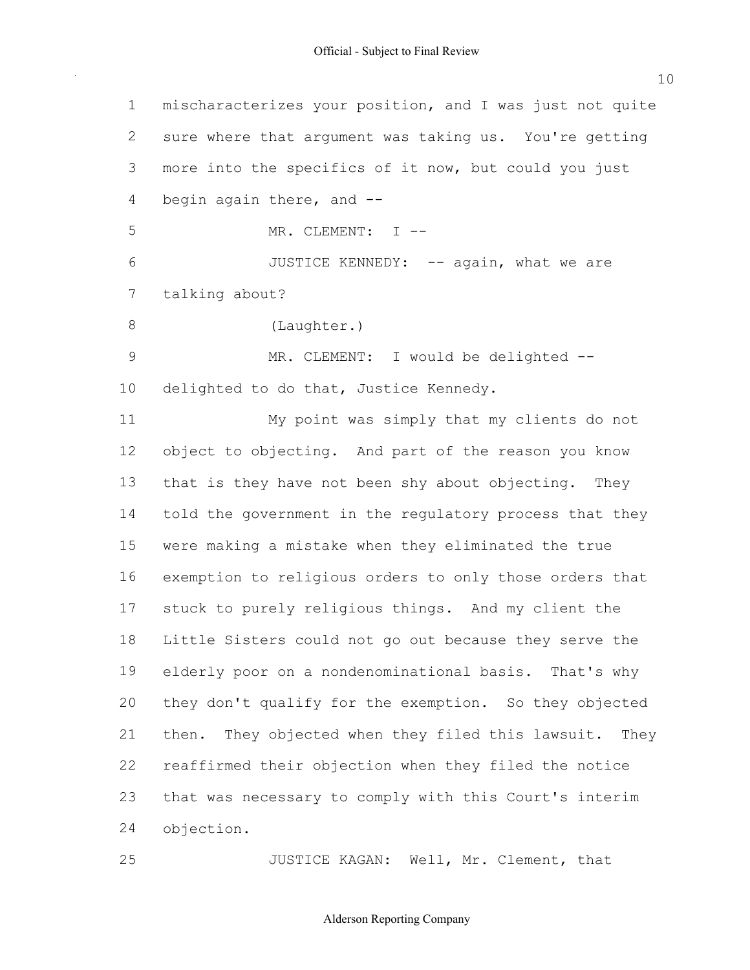mischaracterizes your position, and I was just not quite sure where that argument was taking us. You're getting more into the specifics of it now, but could you just 4 begin again there, and --5 MR. CLEMENT: I --6 JUSTICE KENNEDY: -- again, what we are 9 MR. CLEMENT: I would be delighted --10 delighted to do that, Justice Kennedy. My point was simply that my clients do not object to objecting. And part of the reason you know 13 that is they have not been shy about objecting. They told the government in the regulatory process that they were making a mistake when they eliminated the true exemption to religious orders to only those orders that stuck to purely religious things. And my client the Little Sisters could not go out because they serve the elderly poor on a nondenominational basis. That's why they don't qualify for the exemption. So they objected then. They objected when they filed this lawsuit. They reaffirmed their objection when they filed the notice that was necessary to comply with this Court's interim **JUSTICE KAGAN:** Well, Mr. Clement, that talking about? (Laughter.) objection.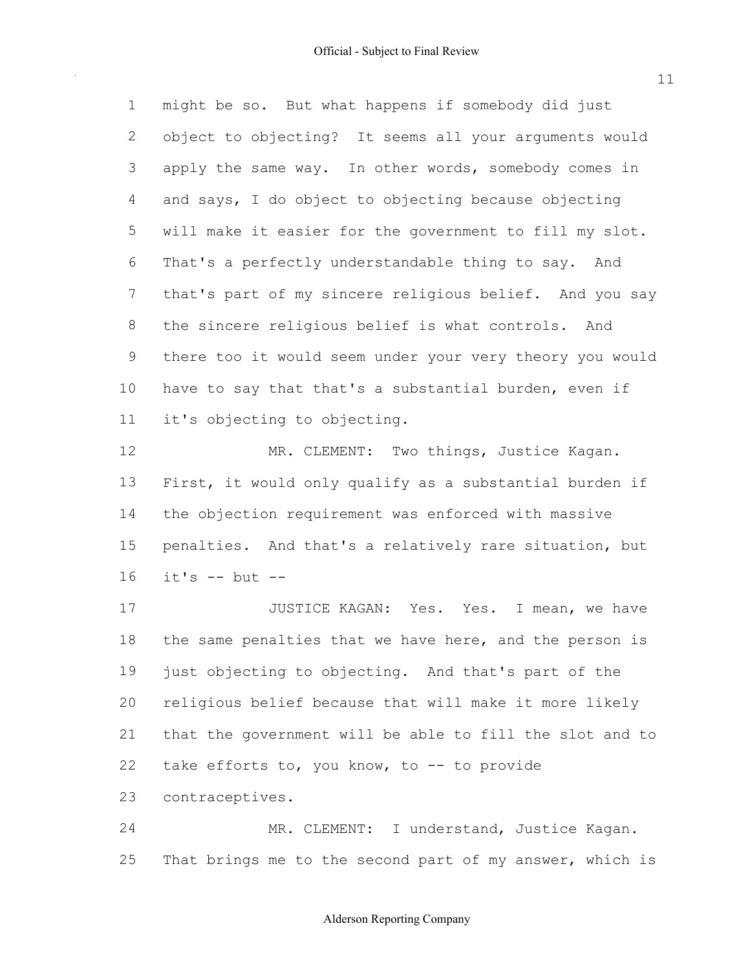might be so. But what happens if somebody did just object to objecting? It seems all your arguments would 3 apply the same way. In other words, somebody comes in and says, I do object to objecting because objecting will make it easier for the government to fill my slot. That's a perfectly understandable thing to say. And that's part of my sincere religious belief. And you say the sincere religious belief is what controls. And there too it would seem under your very theory you would have to say that that's a substantial burden, even if it's objecting to objecting.

12 MR. CLEMENT: Two things, Justice Kagan. First, it would only qualify as a substantial burden if the objection requirement was enforced with massive penalties. And that's a relatively rare situation, but it's  $--$  but  $--$ 

17 JUSTICE KAGAN: Yes. Yes. I mean, we have 18 the same penalties that we have here, and the person is just objecting to objecting. And that's part of the religious belief because that will make it more likely that the government will be able to fill the slot and to 22 take efforts to, you know, to -- to provide contraceptives.

24 MR. CLEMENT: I understand, Justice Kagan. 25 That brings me to the second part of my answer, which is

### Alderson Reporting Company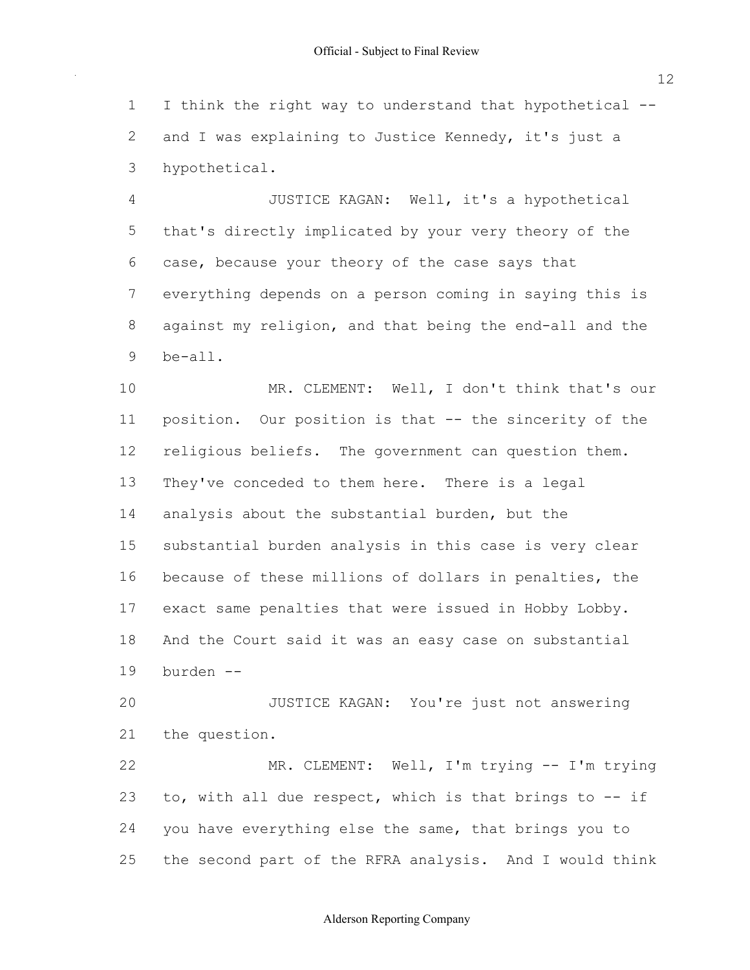1 I think the right way to understand that hypothetical --2 and I was explaining to Justice Kennedy, it's just a 3 hypothetical.

 4 JUSTICE KAGAN: Well, it's a hypothetical 5 that's directly implicated by your very theory of the 6 case, because your theory of the case says that 7 everything depends on a person coming in saying this is 8 against my religion, and that being the end-all and the 9 be-all.

10 MR. CLEMENT: Well, I don't think that's our 11 position. Our position is that -- the sincerity of the 12 religious beliefs. The government can question them. 13 They've conceded to them here. There is a legal 14 analysis about the substantial burden, but the 15 substantial burden analysis in this case is very clear 16 because of these millions of dollars in penalties, the 17 exact same penalties that were issued in Hobby Lobby. 18 And the Court said it was an easy case on substantial 19 burden

 20 JUSTICE KAGAN: You're just not answering 21 the question.

22 MR. CLEMENT: Well, I'm trying -- I'm trying 23 to, with all due respect, which is that brings to  $-$  if 24 you have everything else the same, that brings you to 25 the second part of the RFRA analysis. And I would think

12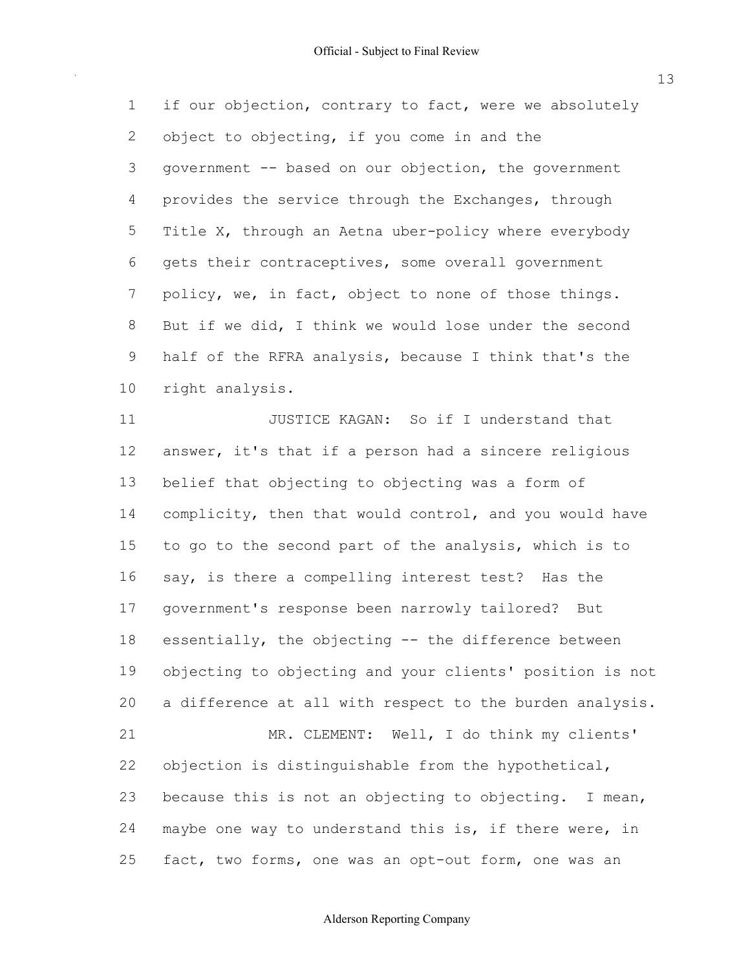1 if our objection, contrary to fact, were we absolutely 2 object to objecting, if you come in and the 3 government -- based on our objection, the government 4 provides the service through the Exchanges, through 5 Title X, through an Aetna uber-policy where everybody 6 gets their contraceptives, some overall government 7 policy, we, in fact, object to none of those things. 8 But if we did, I think we would lose under the second 9 half of the RFRA analysis, because I think that's the 10 right analysis.

11 **JUSTICE KAGAN:** So if I understand that 12 answer, it's that if a person had a sincere religious 13 belief that objecting to objecting was a form of 14 complicity, then that would control, and you would have 15 to go to the second part of the analysis, which is to 16 say, is there a compelling interest test? Has the 17 government's response been narrowly tailored? But 18 essentially, the objecting -- the difference between 19 objecting to objecting and your clients' position is not 20 a difference at all with respect to the burden analysis. 21 MR. CLEMENT: Well, I do think my clients' 22 objection is distinguishable from the hypothetical, 23 because this is not an objecting to objecting. I mean, 24 maybe one way to understand this is, if there were, in 25 fact, two forms, one was an opt-out form, one was an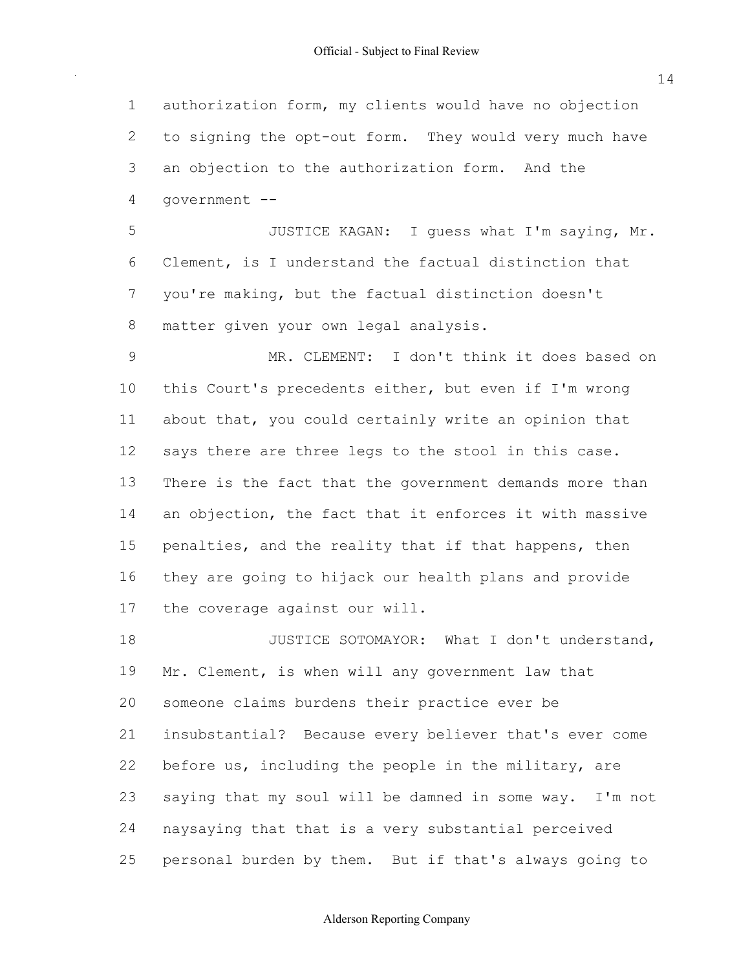authorization form, my clients would have no objection 2 to signing the opt-out form. They would very much have an objection to the authorization form. And the 5 JUSTICE KAGAN: I guess what I'm saying, Mr. Clement, is I understand the factual distinction that you're making, but the factual distinction doesn't matter given your own legal analysis. MR. CLEMENT: I don't think it does based on this Court's precedents either, but even if I'm wrong about that, you could certainly write an opinion that 12 says there are three legs to the stool in this case. There is the fact that the government demands more than 14 an objection, the fact that it enforces it with massive 15 penalties, and the reality that if that happens, then they are going to hijack our health plans and provide the coverage against our will. 18 JUSTICE SOTOMAYOR: What I don't understand, Mr. Clement, is when will any government law that someone claims burdens their practice ever be insubstantial? Because every believer that's ever come 22 before us, including the people in the military, are saying that my soul will be damned in some way. I'm not government

 naysaying that that is a very substantial perceived personal burden by them. But if that's always going to

Alderson Reporting Company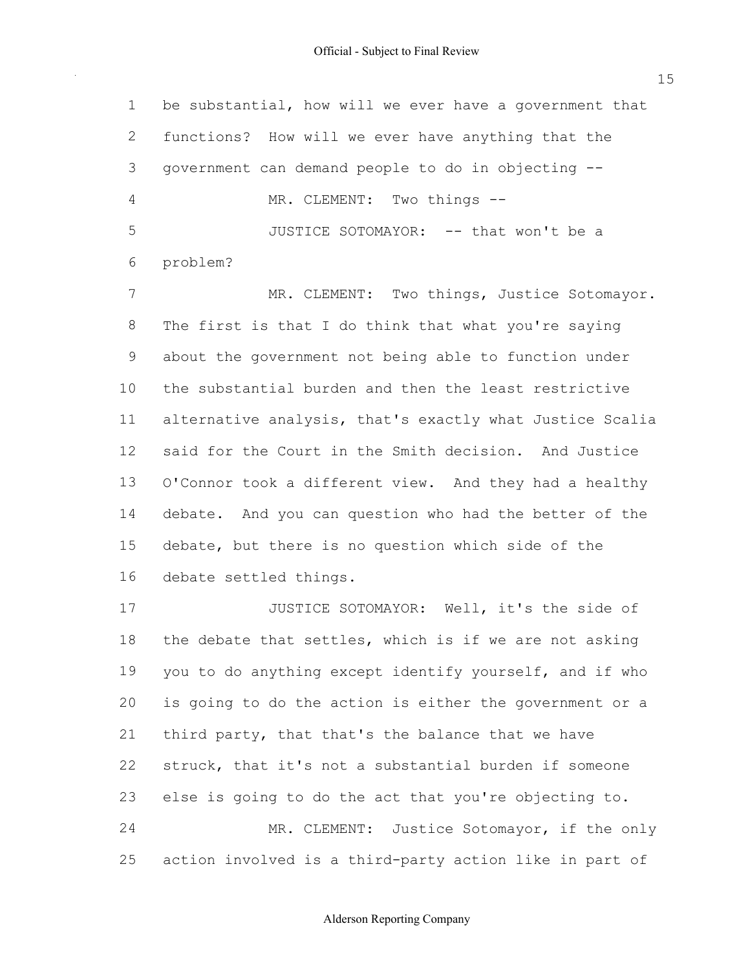| $\mathbf 1$    | be substantial, how will we ever have a government that  |
|----------------|----------------------------------------------------------|
| 2              | functions? How will we ever have anything that the       |
| 3              | government can demand people to do in objecting --       |
| $\overline{4}$ | MR. CLEMENT: Two things --                               |
| 5              | JUSTICE SOTOMAYOR: -- that won't be a                    |
| 6              | problem?                                                 |
| 7              | MR. CLEMENT: Two things, Justice Sotomayor.              |
| 8              | The first is that I do think that what you're saying     |
| 9              | about the government not being able to function under    |
| 10             | the substantial burden and then the least restrictive    |
| 11             | alternative analysis, that's exactly what Justice Scalia |
| 12             | said for the Court in the Smith decision. And Justice    |
| 13             | O'Connor took a different view. And they had a healthy   |
| 14             | debate. And you can question who had the better of the   |
| 15             | debate, but there is no question which side of the       |
| 16             | debate settled things.                                   |
| 17             | JUSTICE SOTOMAYOR: Well, it's the side of                |
| 18             | the debate that settles, which is if we are not asking   |
| 19             | you to do anything except identify yourself, and if who  |
| 20             | is going to do the action is either the government or a  |
| 21             | third party, that that's the balance that we have        |
| 22             | struck, that it's not a substantial burden if someone    |
| 23             | else is going to do the act that you're objecting to.    |
| 24             | MR. CLEMENT: Justice Sotomayor, if the only              |
| 25             | action involved is a third-party action like in part of  |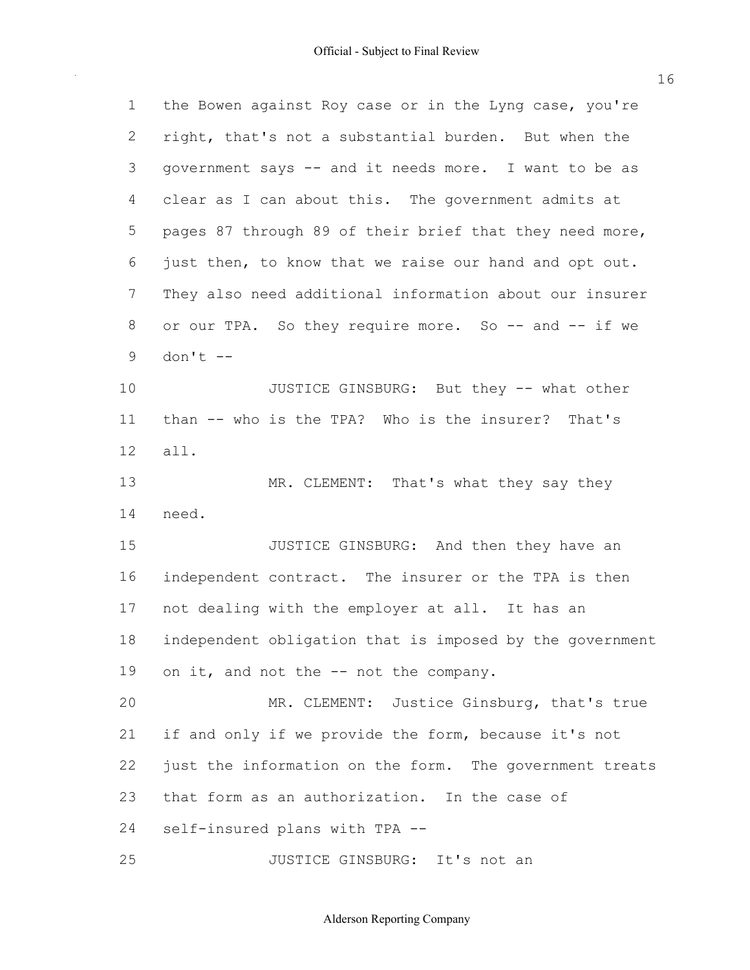| $\mathbf 1$ | the Bowen against Roy case or in the Lyng case, you're   |
|-------------|----------------------------------------------------------|
| 2           | right, that's not a substantial burden. But when the     |
| 3           | government says -- and it needs more. I want to be as    |
| 4           | clear as I can about this. The government admits at      |
| $\mathsf S$ | pages 87 through 89 of their brief that they need more,  |
| 6           | just then, to know that we raise our hand and opt out.   |
| 7           | They also need additional information about our insurer  |
| 8           | or our TPA. So they require more. So -- and -- if we     |
| 9           | $don't --$                                               |
| 10          | JUSTICE GINSBURG: But they -- what other                 |
| 11          | than -- who is the TPA? Who is the insurer? That's       |
| 12          | all.                                                     |
| 13          | MR. CLEMENT: That's what they say they                   |
| 14          | need.                                                    |
| 15          | JUSTICE GINSBURG: And then they have an                  |
| 16          | independent contract. The insurer or the TPA is then     |
| 17          | not dealing with the employer at all. It has an          |
| 18          | independent obligation that is imposed by the government |
| 19          | on it, and not the -- not the company.                   |
| 20          | MR. CLEMENT: Justice Ginsburg, that's true               |
| 21          | if and only if we provide the form, because it's not     |
| 22          | just the information on the form. The government treats  |
| 23          | that form as an authorization. In the case of            |
| 24          | self-insured plans with TPA --                           |
| 25          | JUSTICE GINSBURG: It's not an                            |

Alderson Reporting Company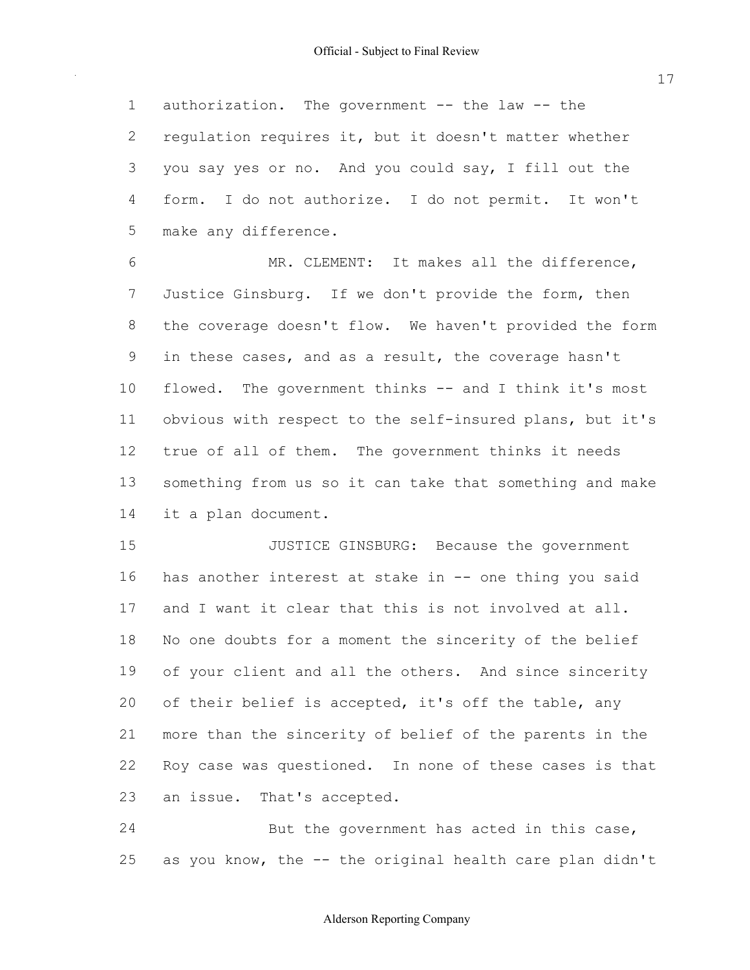1 authorization. The government -- the law -- the 2 regulation requires it, but it doesn't matter whether you say yes or no. And you could say, I fill out the form. I do not authorize. I do not permit. It won't make any difference.

6 MR. CLEMENT: It makes all the difference, Justice Ginsburg. If we don't provide the form, then the coverage doesn't flow. We haven't provided the form in these cases, and as a result, the coverage hasn't 10 flowed. The government thinks -- and I think it's most 11 obvious with respect to the self-insured plans, but it's true of all of them. The government thinks it needs something from us so it can take that something and make it a plan document.

**JUSTICE GINSBURG:** Because the government 16 has another interest at stake in -- one thing you said and I want it clear that this is not involved at all. No one doubts for a moment the sincerity of the belief of your client and all the others. And since sincerity 20 of their belief is accepted, it's off the table, any more than the sincerity of belief of the parents in the Roy case was questioned. In none of these cases is that an issue. That's accepted.

24 But the government has acted in this case, 25 as you know, the -- the original health care plan didn't

### Alderson Reporting Company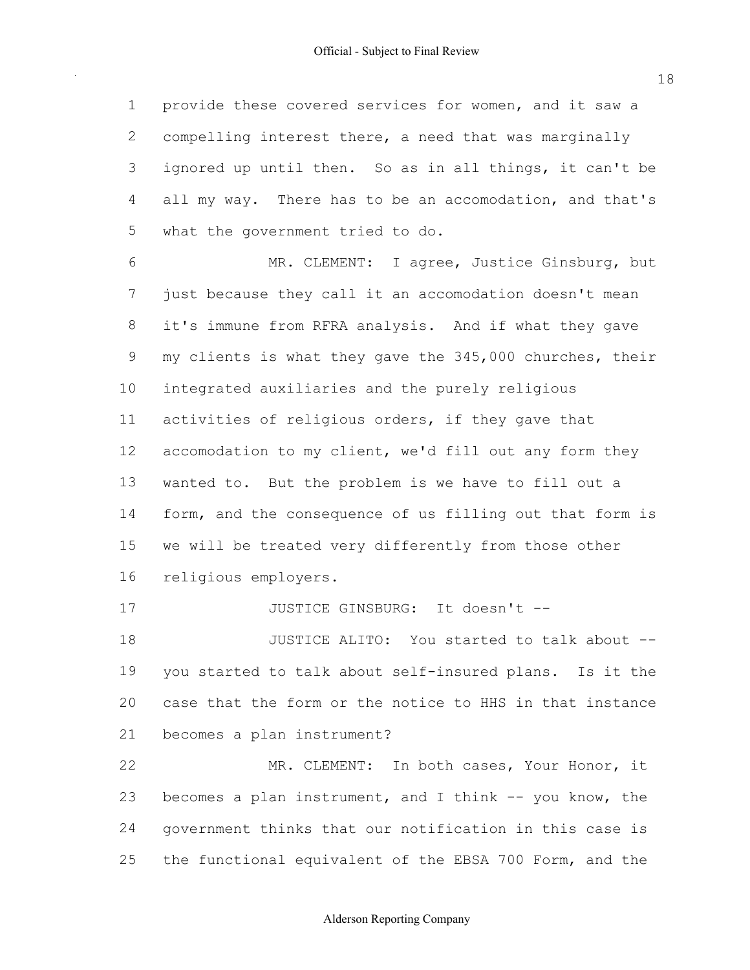1 provide these covered services for women, and it saw a 2 compelling interest there, a need that was marginally 3 ignored up until then. So as in all things, it can't be 4 all my way. There has to be an accomodation, and that's 5 what the government tried to do.

 6 MR. CLEMENT: I agree, Justice Ginsburg, but 7 just because they call it an accomodation doesn't mean 8 it's immune from RFRA analysis. And if what they gave 9 my clients is what they gave the 345,000 churches, their 10 integrated auxiliaries and the purely religious 11 activities of religious orders, if they gave that 12 accomodation to my client, we'd fill out any form they 13 wanted to. But the problem is we have to fill out a 14 form, and the consequence of us filling out that form is 15 we will be treated very differently from those other 16 religious employers.

17 JUSTICE GINSBURG: It doesn't --

18 JUSTICE ALITO: You started to talk about --19 you started to talk about self-insured plans. Is it the 20 case that the form or the notice to HHS in that instance 21 becomes a plan instrument?

22 MR. CLEMENT: In both cases, Your Honor, it 23 becomes a plan instrument, and I think -- you know, the 24 government thinks that our notification in this case is 25 the functional equivalent of the EBSA 700 Form, and the

18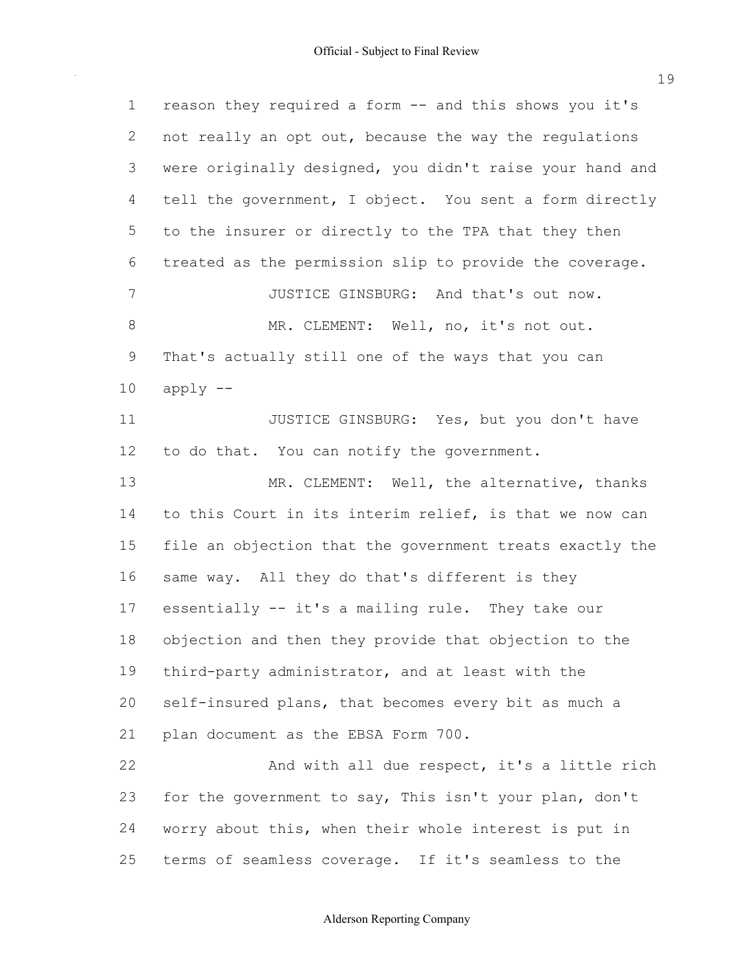| $\mathbf 1$ | reason they required a form -- and this shows you it's   |
|-------------|----------------------------------------------------------|
| 2           | not really an opt out, because the way the regulations   |
| 3           | were originally designed, you didn't raise your hand and |
| 4           | tell the government, I object. You sent a form directly  |
| 5           | to the insurer or directly to the TPA that they then     |
| 6           | treated as the permission slip to provide the coverage.  |
| 7           | JUSTICE GINSBURG: And that's out now.                    |
| $\,8\,$     | MR. CLEMENT: Well, no, it's not out.                     |
| 9           | That's actually still one of the ways that you can       |
| 10          | $apply$ --                                               |
| 11          | JUSTICE GINSBURG: Yes, but you don't have                |
| 12          | to do that. You can notify the government.               |
| 13          | MR. CLEMENT: Well, the alternative, thanks               |
| 14          | to this Court in its interim relief, is that we now can  |
| 15          | file an objection that the government treats exactly the |
| 16          | same way. All they do that's different is they           |
| 17          | essentially -- it's a mailing rule. They take our        |
| 18          | objection and then they provide that objection to the    |
| 19          | third-party administrator, and at least with the         |
| 20          | self-insured plans, that becomes every bit as much a     |
| 21          | plan document as the EBSA Form 700.                      |
| 22          | And with all due respect, it's a little rich             |
| 23          | for the government to say, This isn't your plan, don't   |
| 24          | worry about this, when their whole interest is put in    |
| 25          | terms of seamless coverage. If it's seamless to the      |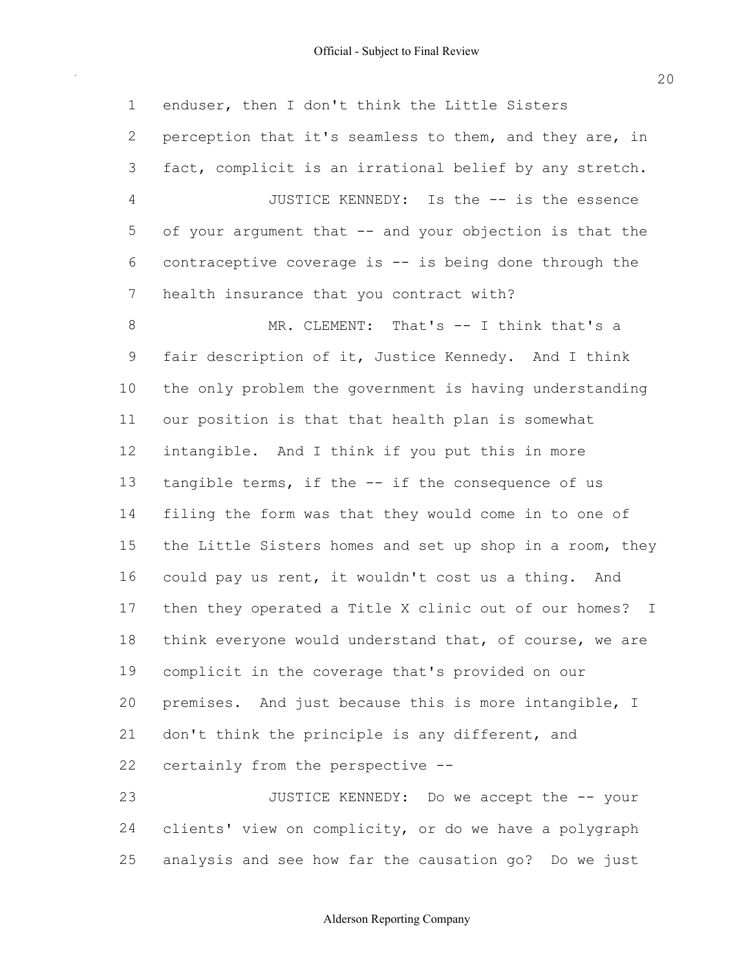1 enduser, then I don't think the Little Sisters 2 perception that it's seamless to them, and they are, in 3 fact, complicit is an irrational belief by any stretch. 4 JUSTICE KENNEDY: Is the -- is the essence 5 of your argument that -- and your objection is that the 6 contraceptive coverage is  $--$  is being done through the 7 health insurance that you contract with? 8 MR. CLEMENT: That's -- I think that's a 9 fair description of it, Justice Kennedy. And I think 10 the only problem the government is having understanding 11 our position is that that health plan is somewhat 12 intangible. And I think if you put this in more 13 tangible terms, if the -- if the consequence of us 14 filing the form was that they would come in to one of 15 the Little Sisters homes and set up shop in a room, they 16 could pay us rent, it wouldn't cost us a thing. And 17 then they operated a Title X clinic out of our homes? I 18 think everyone would understand that, of course, we are 19 complicit in the coverage that's provided on our 20 premises. And just because this is more intangible, I 21 don't think the principle is any different, and 22 certainly from the perspective --23 JUSTICE KENNEDY: Do we accept the -- your 24 clients' view on complicity, or do we have a polygraph

25 analysis and see how far the causation go? Do we just

Alderson Reporting Company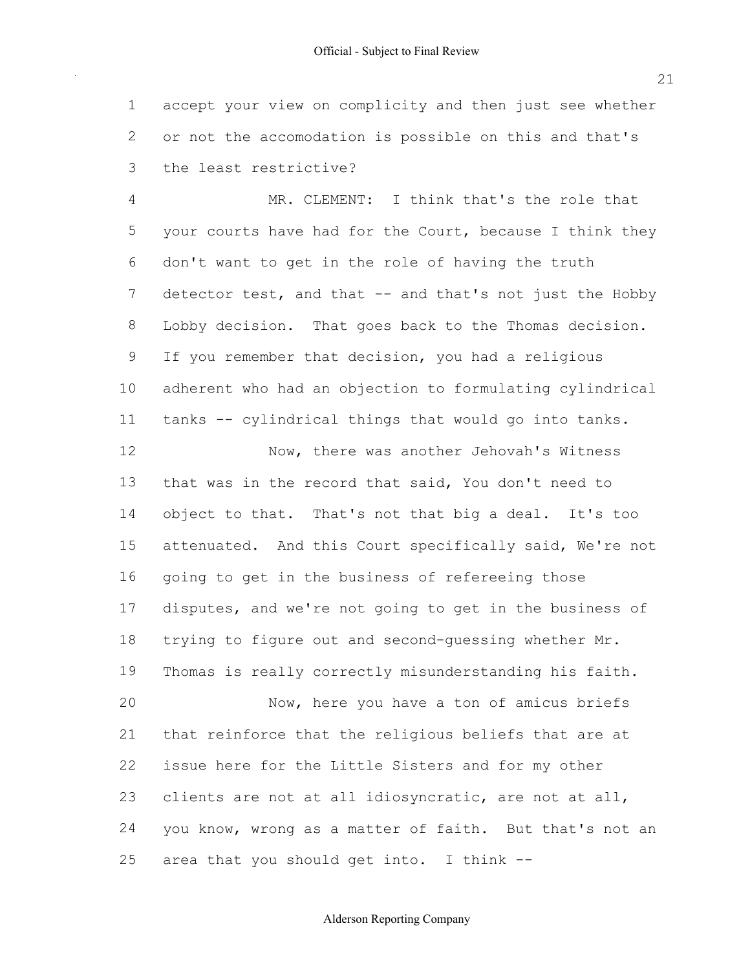accept your view on complicity and then just see whether or not the accomodation is possible on this and that's the least restrictive?

 MR. CLEMENT: I think that's the role that 5 your courts have had for the Court, because I think they don't want to get in the role of having the truth 7 detector test, and that -- and that's not just the Hobby Lobby decision. That goes back to the Thomas decision. If you remember that decision, you had a religious adherent who had an objection to formulating cylindrical 11 tanks -- cylindrical things that would go into tanks. 12 Now, there was another Jehovah's Witness that was in the record that said, You don't need to 14 object to that. That's not that big a deal. It's too attenuated. And this Court specifically said, We're not going to get in the business of refereeing those disputes, and we're not going to get in the business of 18 trying to figure out and second-guessing whether Mr. Thomas is really correctly misunderstanding his faith. 20 Now, here you have a ton of amicus briefs that reinforce that the religious beliefs that are at issue here for the Little Sisters and for my other clients are not at all idiosyncratic, are not at all, 24 you know, wrong as a matter of faith. But that's not an 25 area that you should get into. I think --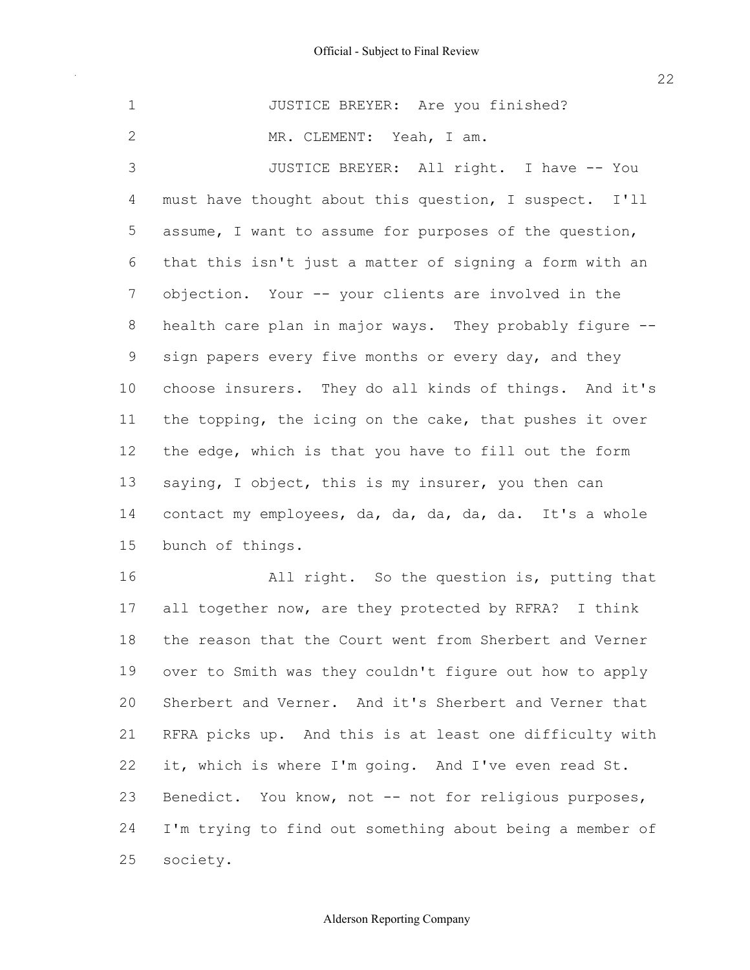1 JUSTICE BREYER: Are you finished? 3 JUSTICE BREYER: All right. I have -- You 4 must have thought about this question, I suspect. I'll 5 assume, I want to assume for purposes of the question, 6 that this isn't just a matter of signing a form with an 7 objection. Your -- your clients are involved in the 8 health care plan in major ways. They probably figure --9 sign papers every five months or every day, and they 10 choose insurers. They do all kinds of things. And it's 11 the topping, the icing on the cake, that pushes it over 12 the edge, which is that you have to fill out the form 13 saying, I object, this is my insurer, you then can 14 contact my employees, da, da, da, da, da. It's a whole 15 bunch of things. 16 All right. So the question is, putting that 17 all together now, are they protected by RFRA? I think 18 the reason that the Court went from Sherbert and Verner 19 over to Smith was they couldn't figure out how to apply 20 Sherbert and Verner. And it's Sherbert and Verner that 2 MR. CLEMENT: Yeah, I am.

 21 RFRA picks up. And this is at least one difficulty with 22 it, which is where I'm going. And I've even read St. 23 Benedict. You know, not -- not for religious purposes, 24 I'm trying to find out something about being a member of 25 society.

22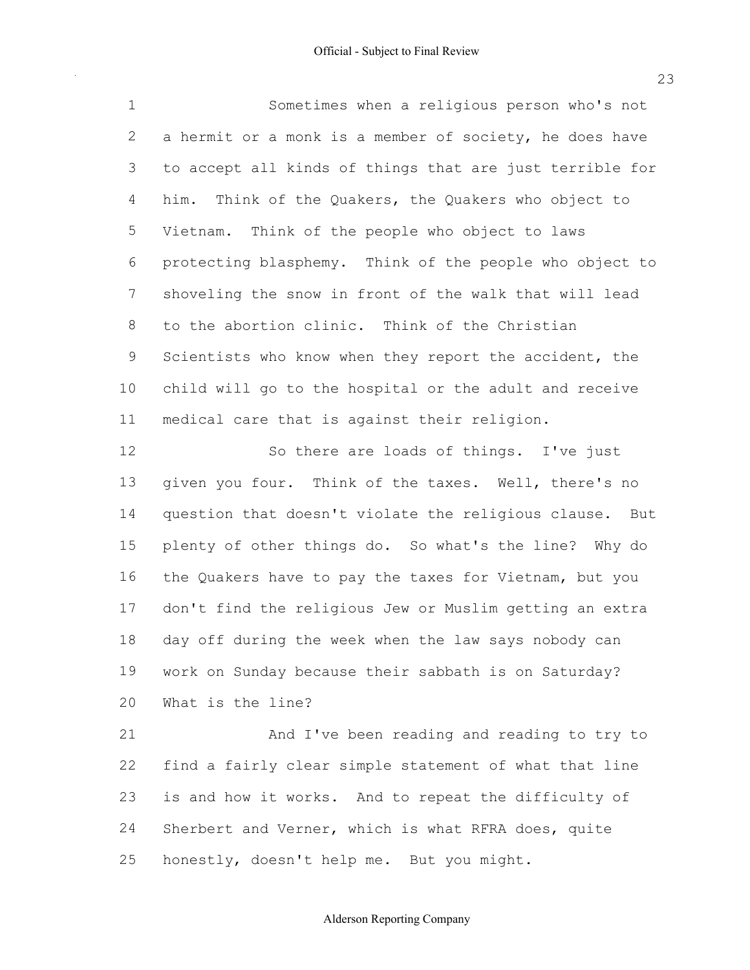Sometimes when a religious person who's not 2 a hermit or a monk is a member of society, he does have to accept all kinds of things that are just terrible for him. Think of the Quakers, the Quakers who object to Vietnam. Think of the people who object to laws protecting blasphemy. Think of the people who object to shoveling the snow in front of the walk that will lead to the abortion clinic. Think of the Christian 9 Scientists who know when they report the accident, the child will go to the hospital or the adult and receive medical care that is against their religion.

12 So there are loads of things. I've just 13 given you four. Think of the taxes. Well, there's no question that doesn't violate the religious clause. But plenty of other things do. So what's the line? Why do 16 the Quakers have to pay the taxes for Vietnam, but you don't find the religious Jew or Muslim getting an extra day off during the week when the law says nobody can work on Sunday because their sabbath is on Saturday? What is the line?

 And I've been reading and reading to try to find a fairly clear simple statement of what that line is and how it works. And to repeat the difficulty of 24 Sherbert and Verner, which is what RFRA does, quite honestly, doesn't help me. But you might.

Alderson Reporting Company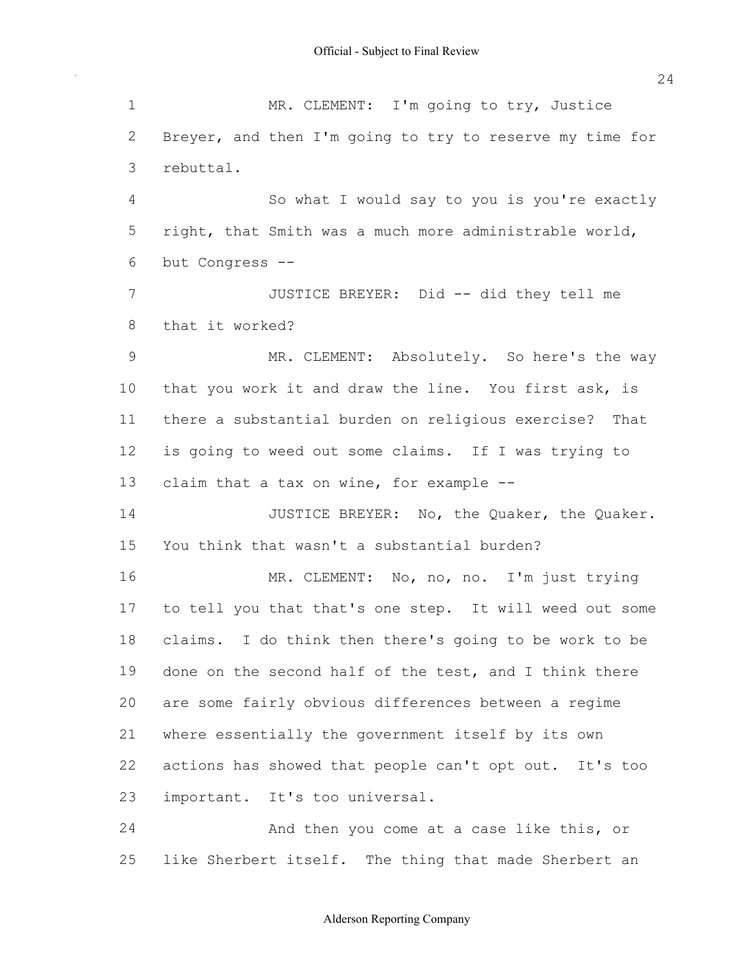1 MR. CLEMENT: I'm going to try, Justice 2 Breyer, and then I'm going to try to reserve my time for 4 So what I would say to you is you're exactly 5 right, that Smith was a much more administrable world, 6 but Congress 7 JUSTICE BREYER: Did -- did they tell me 8 that it worked? 9 MR. CLEMENT: Absolutely. So here's the way 10 that you work it and draw the line. You first ask, is 11 there a substantial burden on religious exercise? That 12 is going to weed out some claims. If I was trying to 13 claim that a tax on wine, for example --14 JUSTICE BREYER: No, the Quaker, the Quaker. 15 You think that wasn't a substantial burden? 16 MR. CLEMENT: No, no, no. I'm just trying 17 to tell you that that's one step. It will weed out some 18 claims. I do think then there's going to be work to be 19 done on the second half of the test, and I think there 20 are some fairly obvious differences between a regime 21 where essentially the government itself by its own 22 actions has showed that people can't opt out. It's too 23 important. It's too universal. 24 And then you come at a case like this, or 25 like Sherbert itself. The thing that made Sherbert an 3 rebuttal.

24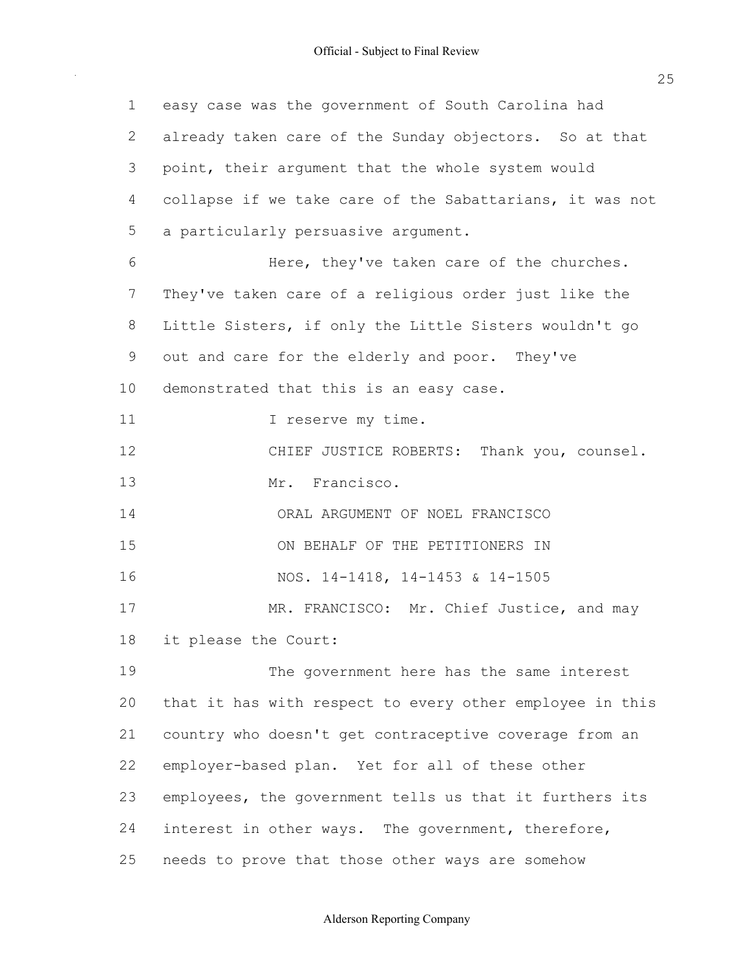| $\mathbf 1$ | easy case was the government of South Carolina had       |
|-------------|----------------------------------------------------------|
| 2           | already taken care of the Sunday objectors. So at that   |
| 3           | point, their argument that the whole system would        |
| 4           | collapse if we take care of the Sabattarians, it was not |
| 5           | a particularly persuasive argument.                      |
| 6           | Here, they've taken care of the churches.                |
| 7           | They've taken care of a religious order just like the    |
| 8           | Little Sisters, if only the Little Sisters wouldn't go   |
| 9           | out and care for the elderly and poor. They've           |
| 10          | demonstrated that this is an easy case.                  |
| 11          | I reserve my time.                                       |
| 12          | CHIEF JUSTICE ROBERTS: Thank you, counsel.               |
| 13          | Mr. Francisco.                                           |
| 14          | ORAL ARGUMENT OF NOEL FRANCISCO                          |
| 15          | ON BEHALF OF THE PETITIONERS IN                          |
| 16          | NOS. 14-1418, 14-1453 & 14-1505                          |
| 17          | MR. FRANCISCO: Mr. Chief Justice, and may                |
| 18          | it please the Court:                                     |
| 19          | The government here has the same interest                |
| 20          | that it has with respect to every other employee in this |
| 21          | country who doesn't get contraceptive coverage from an   |
| 22          | employer-based plan. Yet for all of these other          |
| 23          | employees, the government tells us that it furthers its  |
| 24          | interest in other ways. The government, therefore,       |
| 25          | needs to prove that those other ways are somehow         |

25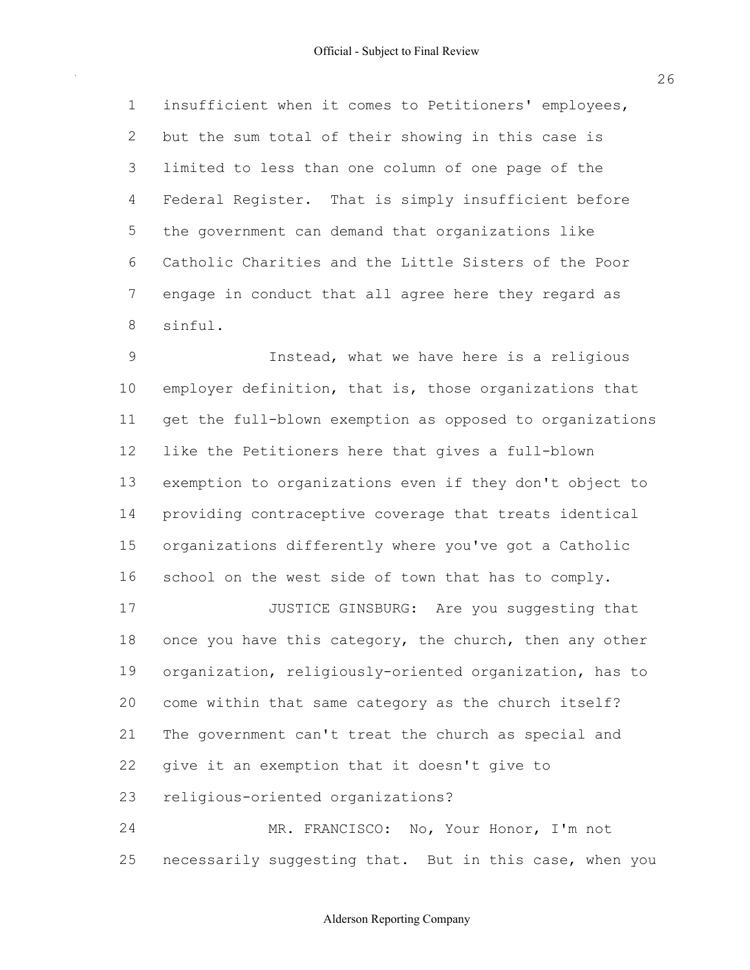insufficient when it comes to Petitioners' employees, but the sum total of their showing in this case is limited to less than one column of one page of the Federal Register. That is simply insufficient before the government can demand that organizations like Catholic Charities and the Little Sisters of the Poor engage in conduct that all agree here they regard as sinful.

**Instead, what we have here is a religious**  employer definition, that is, those organizations that 11 get the full-blown exemption as opposed to organizations 12 like the Petitioners here that gives a full-blown exemption to organizations even if they don't object to providing contraceptive coverage that treats identical organizations differently where you've got a Catholic 16 school on the west side of town that has to comply. **JUSTICE GINSBURG:** Are you suggesting that

18 once you have this category, the church, then any other 19 organization, religiously-oriented organization, has to come within that same category as the church itself? The government can't treat the church as special and give it an exemption that it doesn't give to 23 religious-oriented organizations?

 MR. FRANCISCO: No, Your Honor, I'm not 25 necessarily suggesting that. But in this case, when you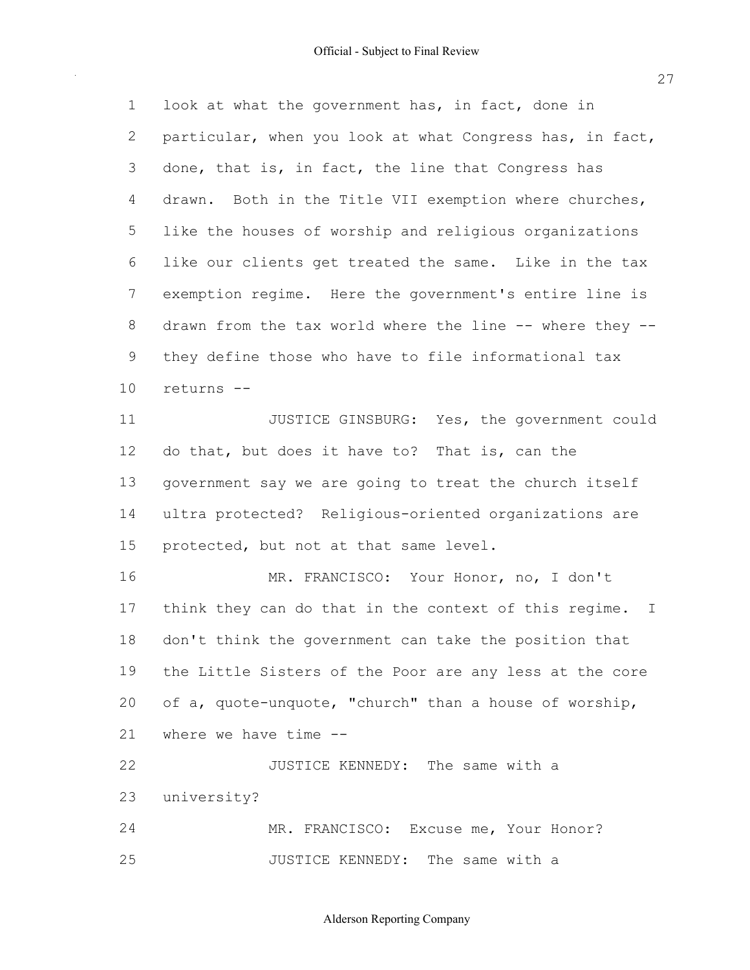1 look at what the government has, in fact, done in particular, when you look at what Congress has, in fact, done, that is, in fact, the line that Congress has drawn. Both in the Title VII exemption where churches, like the houses of worship and religious organizations like our clients get treated the same. Like in the tax exemption regime. Here the government's entire line is 8 drawn from the tax world where the line -- where they -- they define those who have to file informational tax **JUSTICE GINSBURG:** Yes, the government could 12 do that, but does it have to? That is, can the government say we are going to treat the church itself 14 ultra protected? Religious-oriented organizations are 15 protected, but not at that same level. MR. FRANCISCO: Your Honor, no, I don't 17 think they can do that in the context of this regime. I don't think the government can take the position that the Little Sisters of the Poor are any less at the core 20 of a, quote-unquote, "church" than a house of worship, where we have time 22 JUSTICE KENNEDY: The same with a 24 MR. FRANCISCO: Excuse me, Your Honor? **JUSTICE KENNEDY:** The same with a returns university?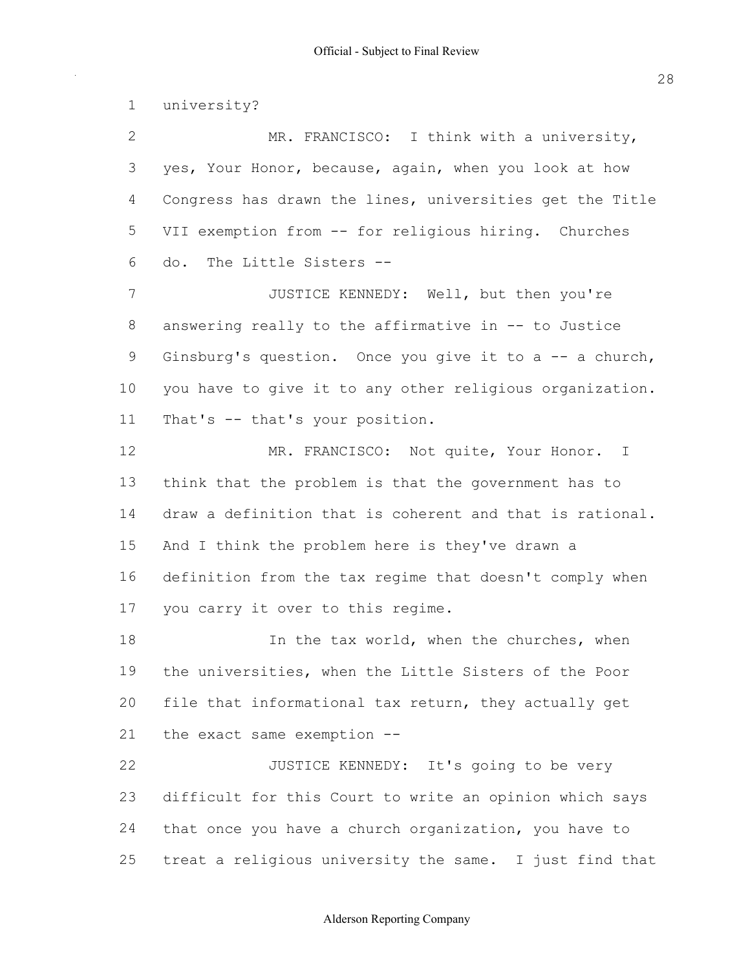2 MR. FRANCISCO: I think with a university, yes, Your Honor, because, again, when you look at how Congress has drawn the lines, universities get the Title 5 VII exemption from -- for religious hiring. Churches do. The Little Sisters JUSTICE KENNEDY: Well, but then you're 8 answering really to the affirmative in -- to Justice 9 Ginsburg's question. Once you give it to  $a$  -- a church, you have to give it to any other religious organization. 11 That's -- that's your position. 12 MR. FRANCISCO: Not quite, Your Honor. I think that the problem is that the government has to draw a definition that is coherent and that is rational. And I think the problem here is they've drawn a definition from the tax regime that doesn't comply when 17 you carry it over to this regime. 18 18 In the tax world, when the churches, when the universities, when the Little Sisters of the Poor file that informational tax return, they actually get the exact same exemption **JUSTICE KENNEDY:** It's going to be very difficult for this Court to write an opinion which says 24 that once you have a church organization, you have to treat a religious university the same. I just find that university?

### Alderson Reporting Company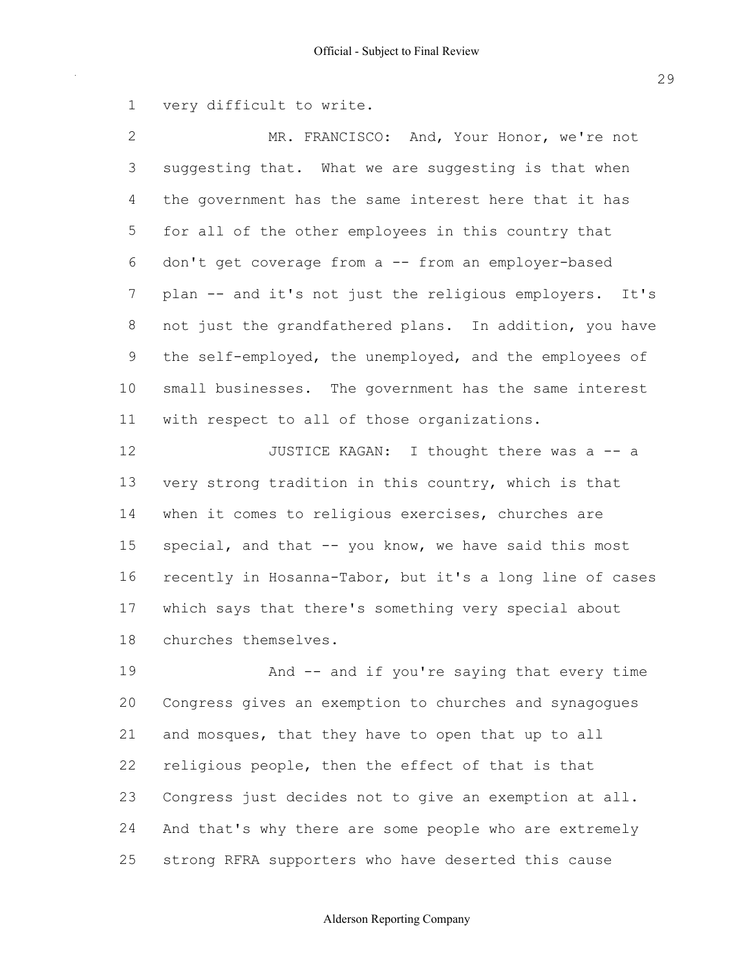1 very difficult to write.

2 MR. FRANCISCO: And, Your Honor, we're not 3 suggesting that. What we are suggesting is that when 4 the government has the same interest here that it has 5 for all of the other employees in this country that 6 don't get coverage from a -- from an employer-based 7 plan -- and it's not just the religious employers. It's 8 not just the grandfathered plans. In addition, you have 9 the self-employed, the unemployed, and the employees of 10 small businesses. The government has the same interest 11 with respect to all of those organizations.

12 JUSTICE KAGAN: I thought there was a -- a 13 very strong tradition in this country, which is that 14 when it comes to religious exercises, churches are 15 special, and that -- you know, we have said this most 16 recently in Hosanna-Tabor, but it's a long line of cases 17 which says that there's something very special about 18 churches themselves.

19 And -- and if you're saying that every time 20 Congress gives an exemption to churches and synagogues 21 and mosques, that they have to open that up to all 22 religious people, then the effect of that is that 23 Congress just decides not to give an exemption at all. 24 And that's why there are some people who are extremely 25 strong RFRA supporters who have deserted this cause

### Alderson Reporting Company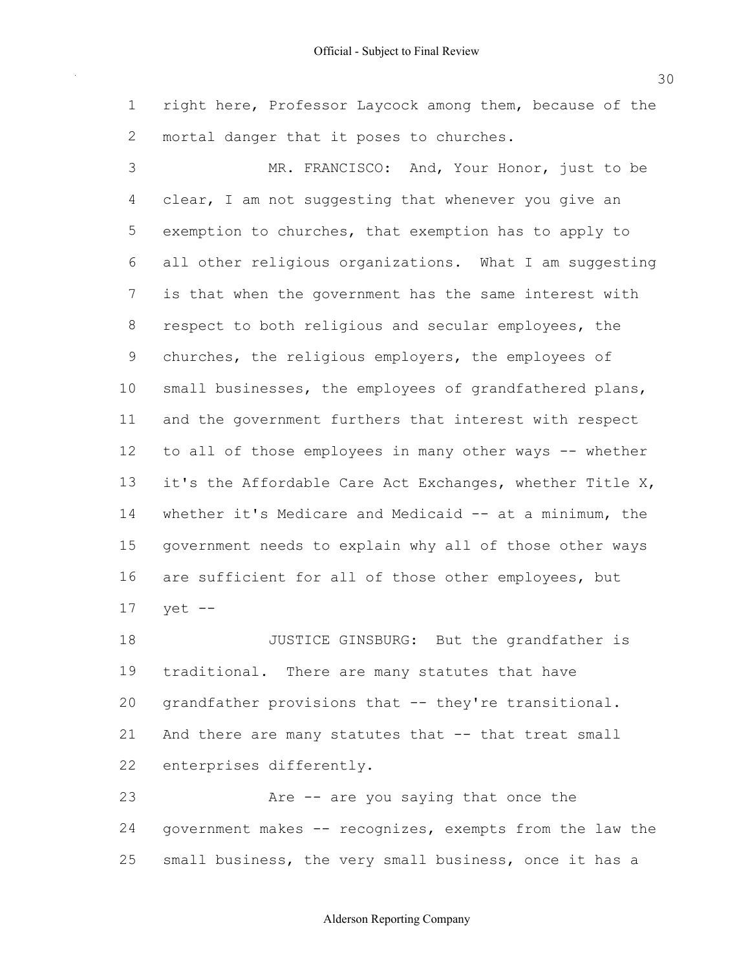1 right here, Professor Laycock among them, because of the 2 mortal danger that it poses to churches.

 3 MR. FRANCISCO: And, Your Honor, just to be 4 clear, I am not suggesting that whenever you give an 5 exemption to churches, that exemption has to apply to 6 all other religious organizations. What I am suggesting 7 is that when the government has the same interest with 8 respect to both religious and secular employees, the 9 churches, the religious employers, the employees of 10 small businesses, the employees of grandfathered plans, 11 and the government furthers that interest with respect 12 to all of those employees in many other ways -- whether 13 it's the Affordable Care Act Exchanges, whether Title X, 14 whether it's Medicare and Medicaid -- at a minimum, the 15 government needs to explain why all of those other ways 16 are sufficient for all of those other employees, but 17 yet

18 JUSTICE GINSBURG: But the grandfather is 19 traditional. There are many statutes that have 20 grandfather provisions that -- they're transitional. 21 And there are many statutes that -- that treat small 22 enterprises differently.

23 Are -- are you saying that once the 24 government makes -- recognizes, exempts from the law the 25 small business, the very small business, once it has a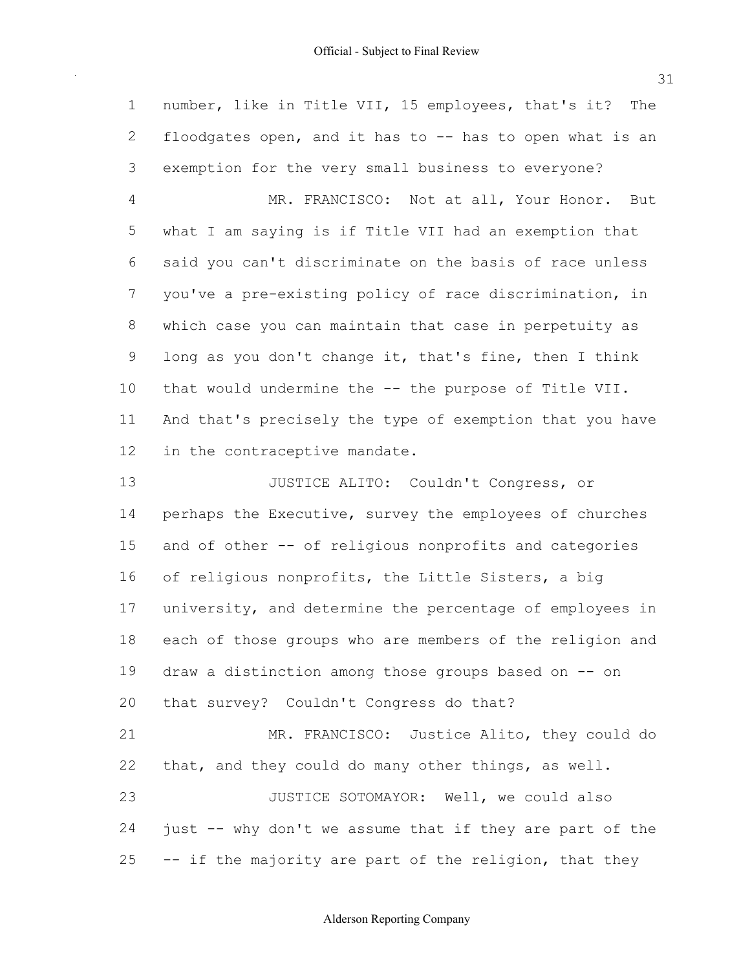1 number, like in Title VII, 15 employees, that's it? The 2 floodgates open, and it has to -- has to open what is an 3 exemption for the very small business to everyone? 4 MR. FRANCISCO: Not at all, Your Honor. But 5 what I am saying is if Title VII had an exemption that 6 said you can't discriminate on the basis of race unless 7 you've a pre-existing policy of race discrimination, in 8 which case you can maintain that case in perpetuity as 9 long as you don't change it, that's fine, then I think 10 that would undermine the -- the purpose of Title VII. 11 And that's precisely the type of exemption that you have 12 in the contraceptive mandate. 13 JUSTICE ALITO: Couldn't Congress, or 14 perhaps the Executive, survey the employees of churches 15 and of other -- of religious nonprofits and categories 16 of religious nonprofits, the Little Sisters, a big 17 university, and determine the percentage of employees in 18 each of those groups who are members of the religion and 19 draw a distinction among those groups based on -- on 20 that survey? Couldn't Congress do that? 21 MR. FRANCISCO: Justice Alito, they could do 22 that, and they could do many other things, as well. 23 JUSTICE SOTOMAYOR: Well, we could also 24 just -- why don't we assume that if they are part of the 25 -- if the majority are part of the religion, that they

31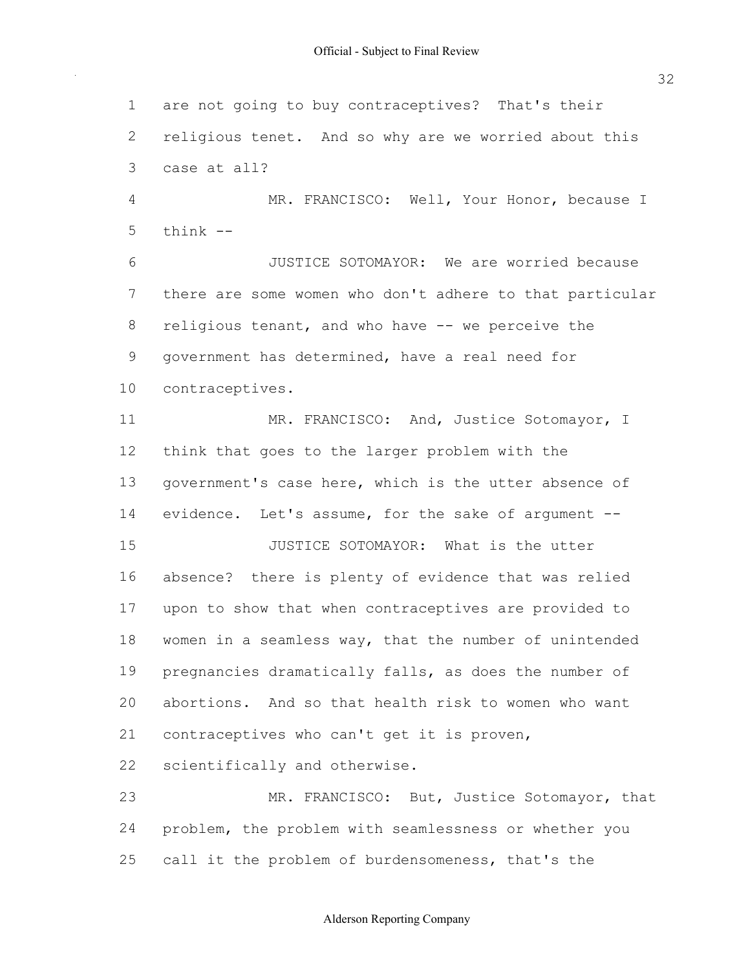are not going to buy contraceptives? That's their religious tenet. And so why are we worried about this case at all? 4 MR. FRANCISCO: Well, Your Honor, because I JUSTICE SOTOMAYOR: We are worried because there are some women who don't adhere to that particular 8 religious tenant, and who have -- we perceive the government has determined, have a real need for 11 MR. FRANCISCO: And, Justice Sotomayor, I think that goes to the larger problem with the 13 government's case here, which is the utter absence of 14 evidence. Let's assume, for the sake of argument --**JUSTICE SOTOMAYOR:** What is the utter absence? there is plenty of evidence that was relied upon to show that when contraceptives are provided to 18 women in a seamless way, that the number of unintended pregnancies dramatically falls, as does the number of abortions. And so that health risk to women who want contraceptives who can't get it is proven, scientifically and otherwise. 23 MR. FRANCISCO: But, Justice Sotomayor, that problem, the problem with seamlessness or whether you think  $-$ contraceptives.

25 call it the problem of burdensomeness, that's the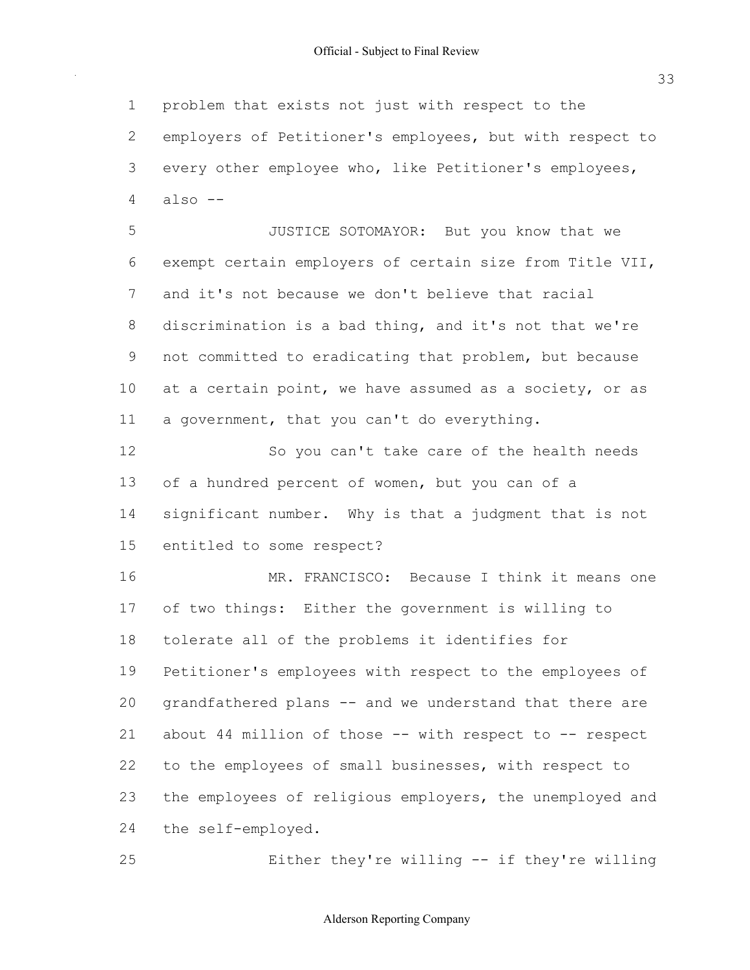problem that exists not just with respect to the employers of Petitioner's employees, but with respect to every other employee who, like Petitioner's employees, also  $-$ 

 JUSTICE SOTOMAYOR: But you know that we exempt certain employers of certain size from Title VII, and it's not because we don't believe that racial discrimination is a bad thing, and it's not that we're 9 not committed to eradicating that problem, but because at a certain point, we have assumed as a society, or as 11 a government, that you can't do everything.

 So you can't take care of the health needs 13 of a hundred percent of women, but you can of a significant number. Why is that a judgment that is not entitled to some respect?

 MR. FRANCISCO: Because I think it means one of two things: Either the government is willing to tolerate all of the problems it identifies for Petitioner's employees with respect to the employees of 20 grandfathered plans -- and we understand that there are 21 about 44 million of those -- with respect to -- respect 22 to the employees of small businesses, with respect to 23 the employees of religious employers, the unemployed and 24 the self-employed.

**Either they're willing -- if they're willing**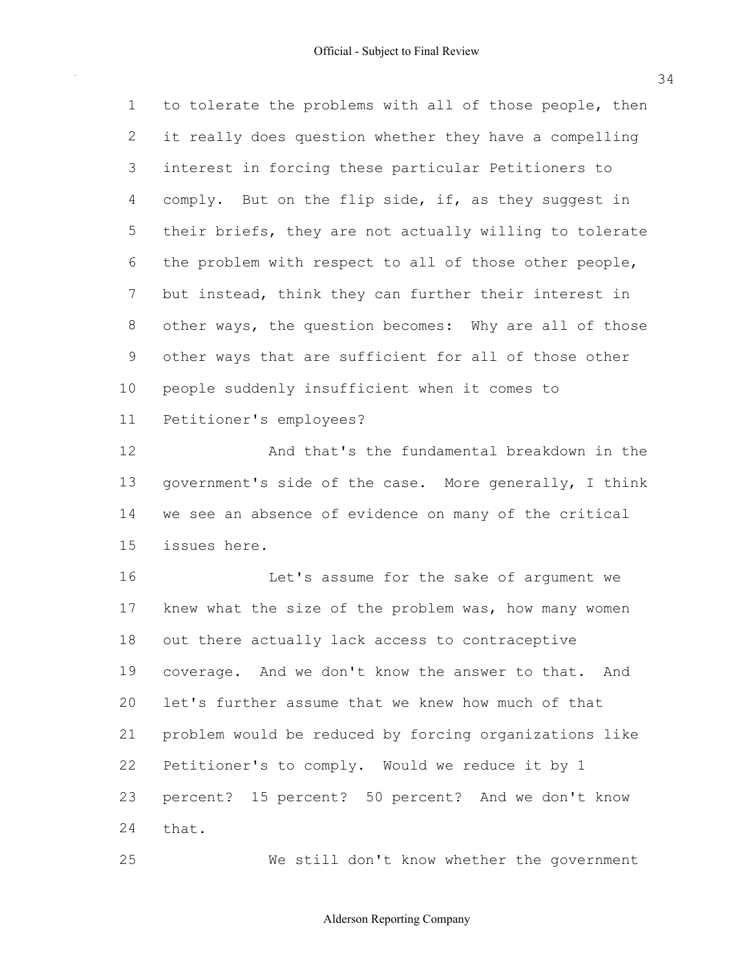1 to tolerate the problems with all of those people, then it really does question whether they have a compelling interest in forcing these particular Petitioners to 4 comply. But on the flip side, if, as they suggest in their briefs, they are not actually willing to tolerate the problem with respect to all of those other people, but instead, think they can further their interest in 8 other ways, the question becomes: Why are all of those other ways that are sufficient for all of those other people suddenly insufficient when it comes to Petitioner's employees?

 And that's the fundamental breakdown in the 13 government's side of the case. More generally, I think we see an absence of evidence on many of the critical issues here.

 Let's assume for the sake of argument we 17 knew what the size of the problem was, how many women out there actually lack access to contraceptive coverage. And we don't know the answer to that. And let's further assume that we knew how much of that problem would be reduced by forcing organizations like Petitioner's to comply. Would we reduce it by 1 percent? 15 percent? 50 percent? And we don't know that.

We still don't know whether the government

Alderson Reporting Company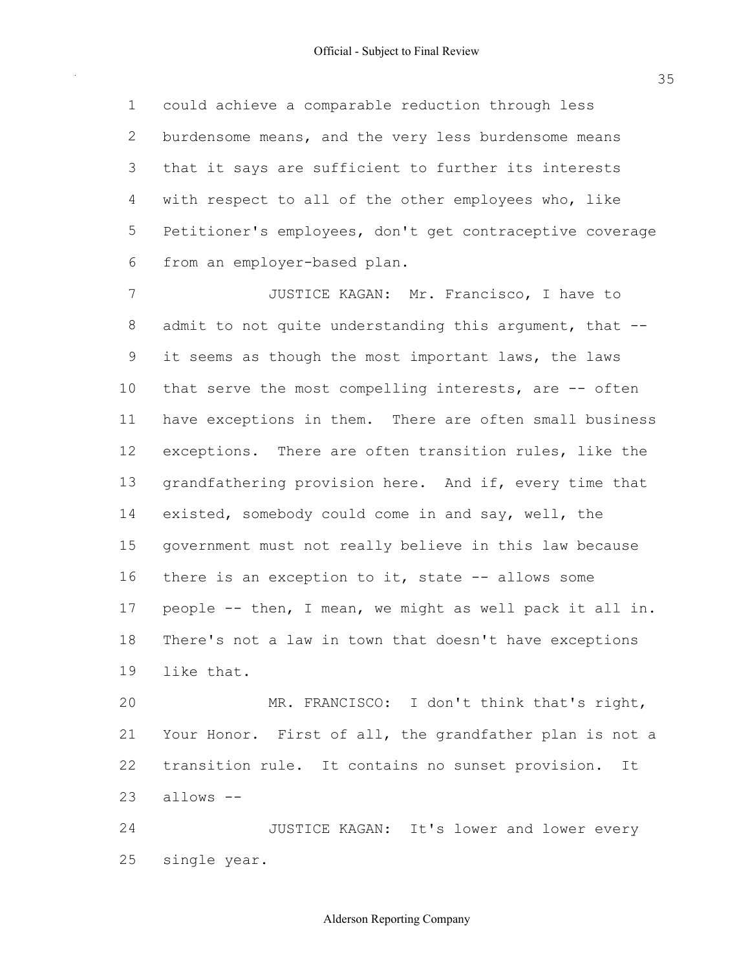1 could achieve a comparable reduction through less 2 burdensome means, and the very less burdensome means 3 that it says are sufficient to further its interests 4 with respect to all of the other employees who, like 5 Petitioner's employees, don't get contraceptive coverage 6 from an employer-based plan.

 7 JUSTICE KAGAN: Mr. Francisco, I have to 8 admit to not quite understanding this argument, that --9 it seems as though the most important laws, the laws 10 that serve the most compelling interests, are -- often 11 have exceptions in them. There are often small business 12 exceptions. There are often transition rules, like the 13 grandfathering provision here. And if, every time that 14 existed, somebody could come in and say, well, the 15 government must not really believe in this law because 16 there is an exception to it, state -- allows some 17 people -- then, I mean, we might as well pack it all in. 18 There's not a law in town that doesn't have exceptions 19 like that.

 20 MR. FRANCISCO: I don't think that's right, 21 Your Honor. First of all, the grandfather plan is not a 22 transition rule. It contains no sunset provision. It  $23$  allows  $--$ 

24 JUSTICE KAGAN: It's lower and lower every 25 single year.

Alderson Reporting Company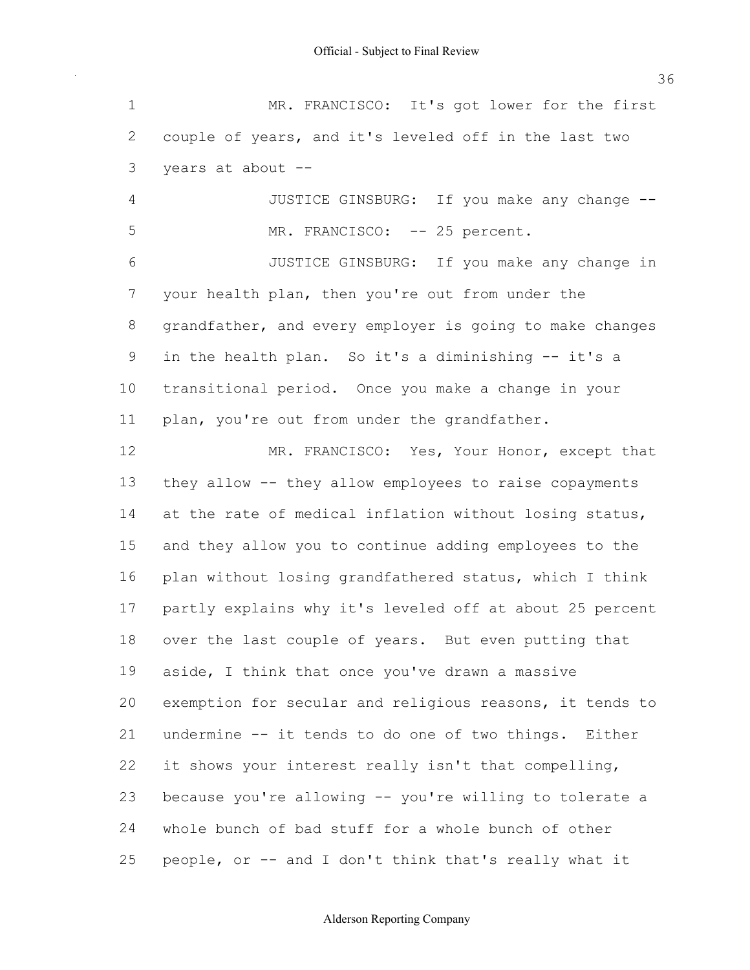1 MR. FRANCISCO: It's got lower for the first 2 couple of years, and it's leveled off in the last two 3 years at about 4 JUSTICE GINSBURG: If you make any change --5 MR. FRANCISCO: -- 25 percent. 6 JUSTICE GINSBURG: If you make any change in 7 your health plan, then you're out from under the 8 grandfather, and every employer is going to make changes 9 in the health plan. So it's a diminishing -- it's a 10 transitional period. Once you make a change in your 11 plan, you're out from under the grandfather. 12 MR. FRANCISCO: Yes, Your Honor, except that 13 they allow -- they allow employees to raise copayments 14 at the rate of medical inflation without losing status, 15 and they allow you to continue adding employees to the 16 plan without losing grandfathered status, which I think 17 partly explains why it's leveled off at about 25 percent 18 over the last couple of years. But even putting that 19 aside, I think that once you've drawn a massive 20 exemption for secular and religious reasons, it tends to 36

21 undermine -- it tends to do one of two things. Either 22 it shows your interest really isn't that compelling, 23 because you're allowing -- you're willing to tolerate a 24 whole bunch of bad stuff for a whole bunch of other

25 people, or -- and I don't think that's really what it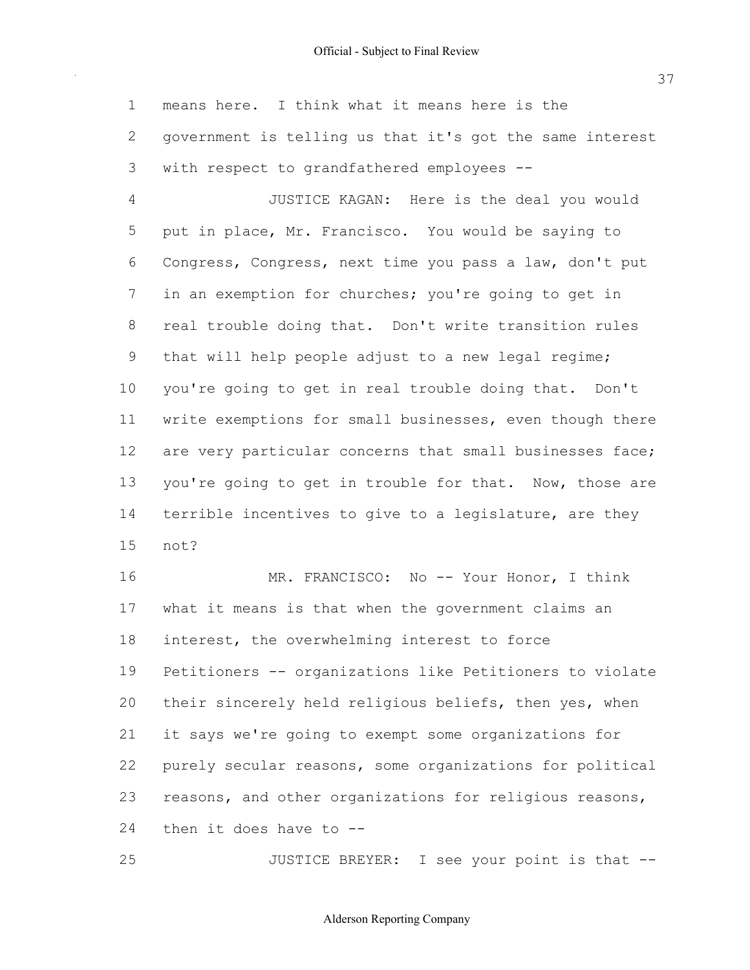1 means here. I think what it means here is the 2 government is telling us that it's got the same interest 3 with respect to grandfathered employees --

 4 JUSTICE KAGAN: Here is the deal you would 5 put in place, Mr. Francisco. You would be saying to 6 Congress, Congress, next time you pass a law, don't put 7 in an exemption for churches; you're going to get in 8 real trouble doing that. Don't write transition rules 9 that will help people adjust to a new legal regime; 10 you're going to get in real trouble doing that. Don't 11 write exemptions for small businesses, even though there 12 are very particular concerns that small businesses face; 13 you're going to get in trouble for that. Now, those are 14 terrible incentives to give to a legislature, are they 15 not?

16 MR. FRANCISCO: No -- Your Honor, I think 17 what it means is that when the government claims an 18 interest, the overwhelming interest to force 19 Petitioners -- organizations like Petitioners to violate 20 their sincerely held religious beliefs, then yes, when 21 it says we're going to exempt some organizations for 22 purely secular reasons, some organizations for political 23 reasons, and other organizations for religious reasons, 24 then it does have to --

25 JUSTICE BREYER: I see your point is that --

Alderson Reporting Company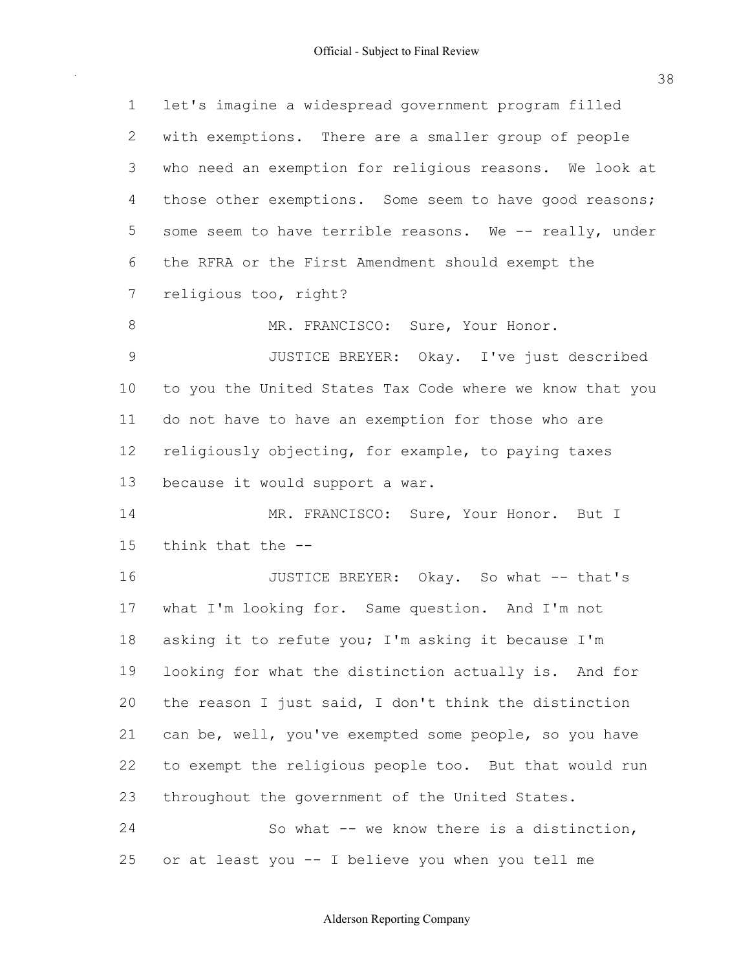| $\mathbf 1$  | let's imagine a widespread government program filled     |
|--------------|----------------------------------------------------------|
| $\mathbf{2}$ | with exemptions. There are a smaller group of people     |
| 3            | who need an exemption for religious reasons. We look at  |
| 4            | those other exemptions. Some seem to have good reasons;  |
| 5            | some seem to have terrible reasons. We -- really, under  |
| 6            | the RFRA or the First Amendment should exempt the        |
| 7            | religious too, right?                                    |
| 8            | MR. FRANCISCO: Sure, Your Honor.                         |
| $\mathsf 9$  | JUSTICE BREYER: Okay. I've just described                |
| 10           | to you the United States Tax Code where we know that you |
| 11           | do not have to have an exemption for those who are       |
| 12           | religiously objecting, for example, to paying taxes      |
| 13           | because it would support a war.                          |
| 14           | MR. FRANCISCO: Sure, Your Honor. But I                   |
| 15           | think that the --                                        |
| 16           | JUSTICE BREYER: Okay. So what -- that's                  |
| 17           | what I'm looking for. Same question. And I'm not         |
| 18           | asking it to refute you; I'm asking it because I'm       |
| 19           | looking for what the distinction actually is. And for    |
| 20           | the reason I just said, I don't think the distinction    |
| 21           | can be, well, you've exempted some people, so you have   |
| 22           | to exempt the religious people too. But that would run   |
| 23           | throughout the government of the United States.          |
| 24           | So what -- we know there is a distinction,               |
| 25           | or at least you -- I believe you when you tell me        |

38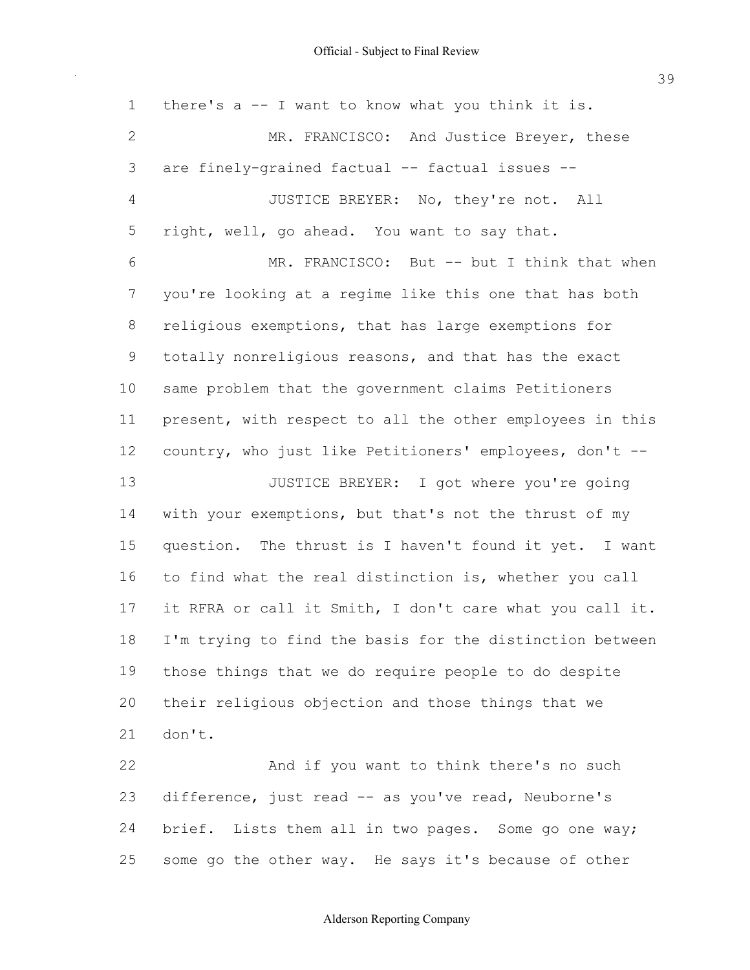1 there's a -- I want to know what you think it is. 2 MR. FRANCISCO: And Justice Breyer, these 3 are finely-grained factual -- factual issues -- 4 JUSTICE BREYER: No, they're not. All 5 right, well, go ahead. You want to say that. 6 MR. FRANCISCO: But -- but I think that when 7 you're looking at a regime like this one that has both 8 religious exemptions, that has large exemptions for 9 totally nonreligious reasons, and that has the exact 10 same problem that the government claims Petitioners 11 present, with respect to all the other employees in this 12 country, who just like Petitioners' employees, don't --13 **JUSTICE BREYER:** I got where you're going 14 with your exemptions, but that's not the thrust of my 15 question. The thrust is I haven't found it yet. I want 16 to find what the real distinction is, whether you call 17 it RFRA or call it Smith, I don't care what you call it. 18 I'm trying to find the basis for the distinction between 19 those things that we do require people to do despite 20 their religious objection and those things that we 22 And if you want to think there's no such 21 don't.

23 difference, just read -- as you've read, Neuborne's 24 brief. Lists them all in two pages. Some go one way; 25 some go the other way. He says it's because of other

#### Alderson Reporting Company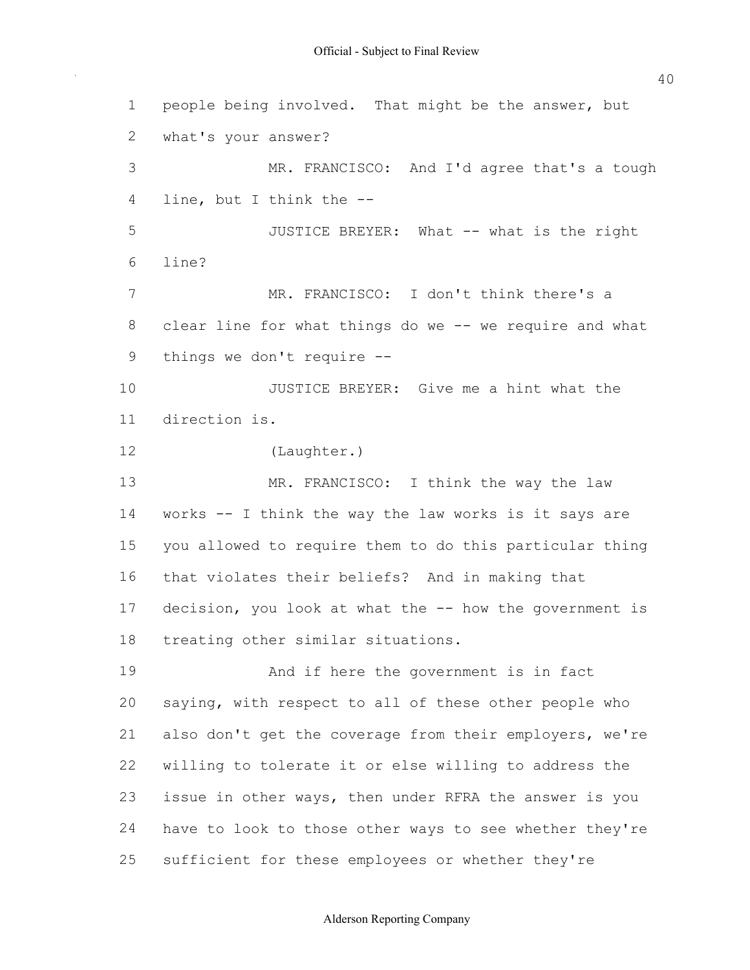1 people being involved. That might be the answer, but 2 what's your answer? 3 MR. FRANCISCO: And I'd agree that's a tough 4 line, but I think the 5 JUSTICE BREYER: What -- what is the right 7 MR. FRANCISCO: I don't think there's a 8 clear line for what things do we -- we require and what 9 things we don't require -- 10 JUSTICE BREYER: Give me a hint what the 13 MR. FRANCISCO: I think the way the law 14 works -- I think the way the law works is it says are 15 you allowed to require them to do this particular thing 16 that violates their beliefs? And in making that 17 decision, you look at what the -- how the government is 18 treating other similar situations. 19 And if here the government is in fact 20 saying, with respect to all of these other people who 21 also don't get the coverage from their employers, we're 22 willing to tolerate it or else willing to address the 23 issue in other ways, then under RFRA the answer is you 24 have to look to those other ways to see whether they're 25 sufficient for these employees or whether they're 6 line? 11 direction is. 12 (Laughter.)

40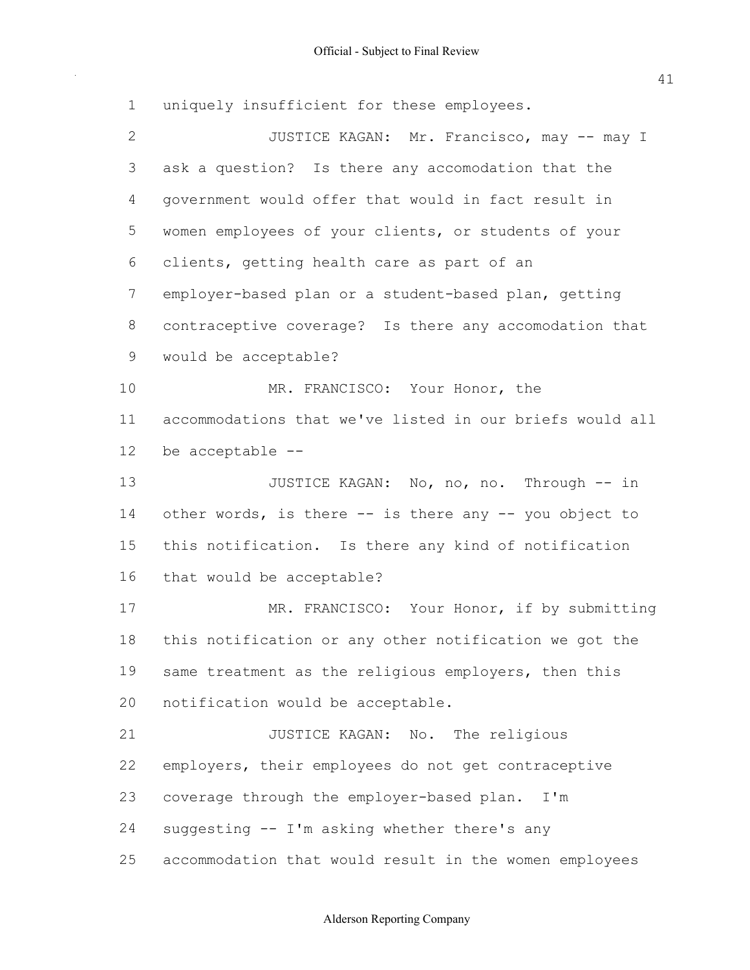uniquely insufficient for these employees. 2 JUSTICE KAGAN: Mr. Francisco, may -- may I ask a question? Is there any accomodation that the government would offer that would in fact result in women employees of your clients, or students of your clients, getting health care as part of an 7 employer-based plan or a student-based plan, getting contraceptive coverage? Is there any accomodation that would be acceptable? 10 MR. FRANCISCO: Your Honor, the accommodations that we've listed in our briefs would all 13 JUSTICE KAGAN: No, no, no. Through -- in 14 other words, is there -- is there any -- you object to this notification. Is there any kind of notification that would be acceptable? 17 MR. FRANCISCO: Your Honor, if by submitting this notification or any other notification we got the 19 same treatment as the religious employers, then this notification would be acceptable. **JUSTICE KAGAN:** No. The religious employers, their employees do not get contraceptive 23 coverage through the employer-based plan. I'm 24 suggesting -- I'm asking whether there's any accommodation that would result in the women employees be acceptable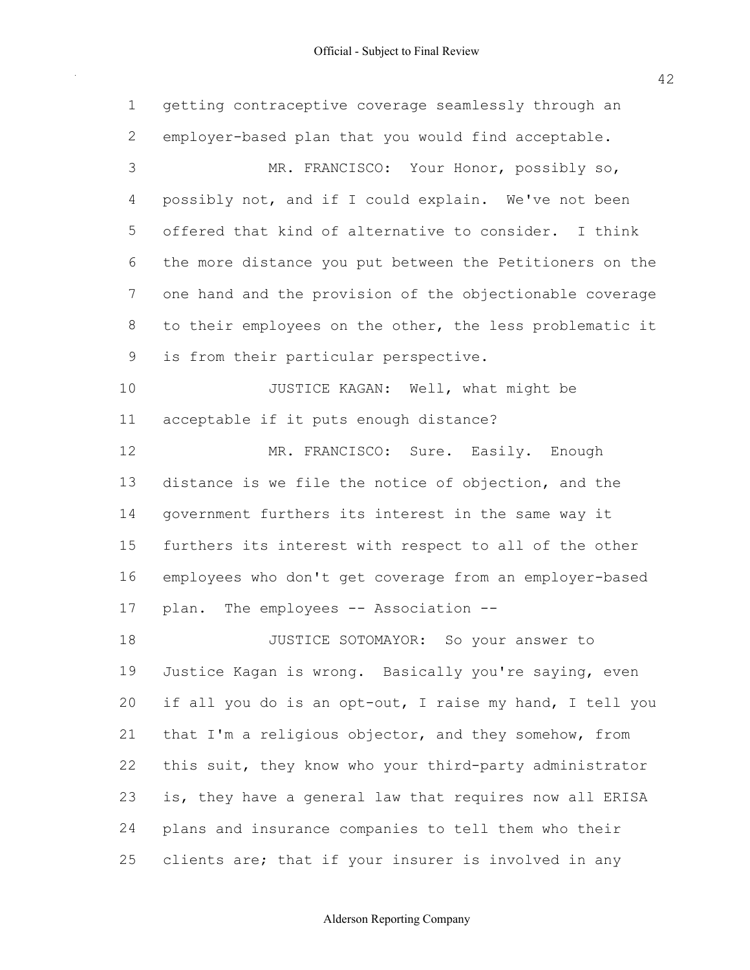Official - Subject to Final Review

 1 getting contraceptive coverage seamlessly through an 2 employer-based plan that you would find acceptable. 3 MR. FRANCISCO: Your Honor, possibly so, 4 possibly not, and if I could explain. We've not been 5 offered that kind of alternative to consider. I think 6 the more distance you put between the Petitioners on the 7 one hand and the provision of the objectionable coverage 8 to their employees on the other, the less problematic it 9 is from their particular perspective. 10 JUSTICE KAGAN: Well, what might be 11 acceptable if it puts enough distance? 12 MR. FRANCISCO: Sure. Easily. Enough 13 distance is we file the notice of objection, and the 14 government furthers its interest in the same way it 15 furthers its interest with respect to all of the other 16 employees who don't get coverage from an employer-based 17 plan. The employees -- Association --18 JUSTICE SOTOMAYOR: So your answer to 19 Justice Kagan is wrong. Basically you're saying, even 20 if all you do is an opt-out, I raise my hand, I tell you 21 that I'm a religious objector, and they somehow, from 22 this suit, they know who your third-party administrator 23 is, they have a general law that requires now all ERISA 24 plans and insurance companies to tell them who their 25 clients are; that if your insurer is involved in any

### Alderson Reporting Company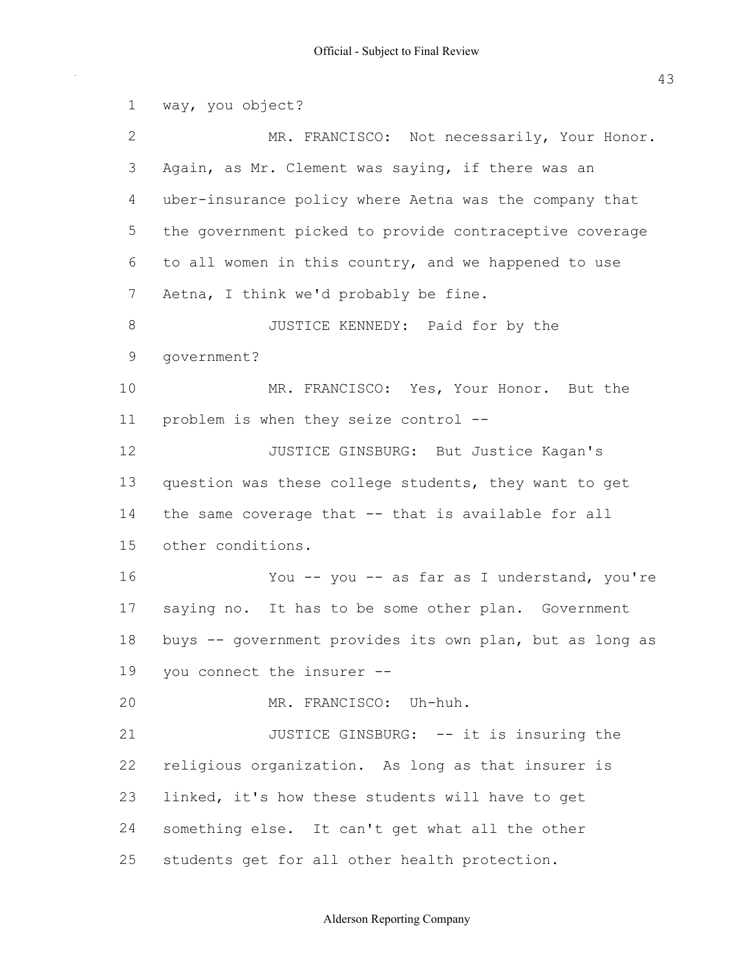1 way, you object? 2 MR. FRANCISCO: Not necessarily, Your Honor. 3 Again, as Mr. Clement was saying, if there was an 4 uber-insurance policy where Aetna was the company that 5 the government picked to provide contraceptive coverage 6 to all women in this country, and we happened to use 7 Aetna, I think we'd probably be fine. 8 JUSTICE KENNEDY: Paid for by the 10 MR. FRANCISCO: Yes, Your Honor. But the 11 problem is when they seize control --12 **JUSTICE GINSBURG:** But Justice Kagan's 13 question was these college students, they want to get 14 the same coverage that -- that is available for all 16 You -- you -- as far as I understand, you're 17 saying no. It has to be some other plan. Government 18 buys -- government provides its own plan, but as long as 19 you connect the insurer 20 MR. FRANCISCO: Uh-huh. 21 JUSTICE GINSBURG: -- it is insuring the 22 religious organization. As long as that insurer is 23 linked, it's how these students will have to get 24 something else. It can't get what all the other 25 students get for all other health protection. 9 government? 15 other conditions.

Alderson Reporting Company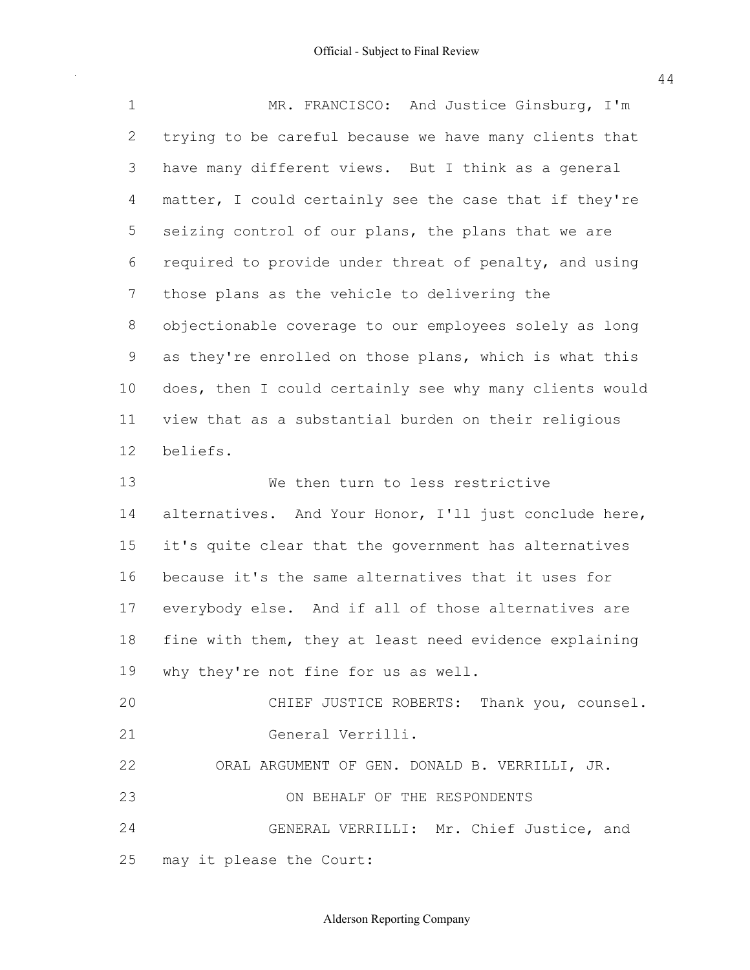| $\mathbf 1$    | MR. FRANCISCO: And Justice Ginsburg, I'm                |
|----------------|---------------------------------------------------------|
| $\mathbf{2}$   | trying to be careful because we have many clients that  |
| 3              | have many different views. But I think as a general     |
| 4              | matter, I could certainly see the case that if they're  |
| 5              | seizing control of our plans, the plans that we are     |
| 6              | required to provide under threat of penalty, and using  |
| $\overline{7}$ | those plans as the vehicle to delivering the            |
| 8              | objectionable coverage to our employees solely as long  |
| 9              | as they're enrolled on those plans, which is what this  |
| 10             | does, then I could certainly see why many clients would |
| 11             | view that as a substantial burden on their religious    |
| 12             | beliefs.                                                |
| 13             | We then turn to less restrictive                        |
| 14             | alternatives. And Your Honor, I'll just conclude here,  |
| 15             | it's quite clear that the government has alternatives   |
| 16             | because it's the same alternatives that it uses for     |
| 17             | everybody else. And if all of those alternatives are    |
| 18             | fine with them, they at least need evidence explaining  |
|                | 19 why they're not fine for us as well.                 |
| 20             | CHIEF JUSTICE ROBERTS: Thank you, counsel.              |
| 21             | General Verrilli.                                       |
| 22             | ORAL ARGUMENT OF GEN. DONALD B. VERRILLI, JR.           |
| 23             | ON BEHALF OF THE RESPONDENTS                            |
| 24             | GENERAL VERRILLI: Mr. Chief Justice, and                |
| 25             | may it please the Court:                                |

44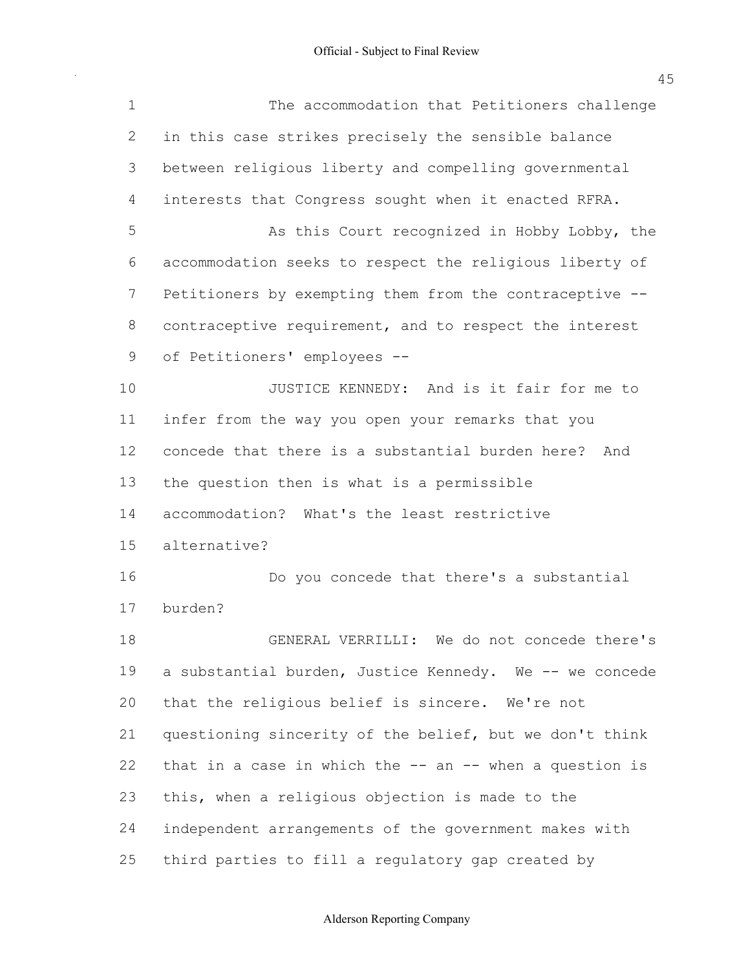Official - Subject to Final Review

| $\mathbf 1$ | The accommodation that Petitioners challenge                |
|-------------|-------------------------------------------------------------|
| 2           | in this case strikes precisely the sensible balance         |
| 3           | between religious liberty and compelling governmental       |
| 4           | interests that Congress sought when it enacted RFRA.        |
| 5           | As this Court recognized in Hobby Lobby, the                |
| 6           | accommodation seeks to respect the religious liberty of     |
| 7           | Petitioners by exempting them from the contraceptive --     |
| 8           | contraceptive requirement, and to respect the interest      |
| 9           | of Petitioners' employees --                                |
| 10          | JUSTICE KENNEDY: And is it fair for me to                   |
| 11          | infer from the way you open your remarks that you           |
| 12          | concede that there is a substantial burden here?<br>And     |
| 13          | the question then is what is a permissible                  |
| 14          | accommodation? What's the least restrictive                 |
| 15          | alternative?                                                |
| 16          | Do you concede that there's a substantial                   |
| 17          | burden?                                                     |
| 18          | GENERAL VERRILLI: We do not concede there's                 |
| 19          | a substantial burden, Justice Kennedy. We -- we concede     |
| 20          | that the religious belief is sincere. We're not             |
| 21          | questioning sincerity of the belief, but we don't think     |
| 22          | that in a case in which the $--$ an $--$ when a question is |
| 23          | this, when a religious objection is made to the             |
| 24          | independent arrangements of the government makes with       |
| 25          | third parties to fill a regulatory gap created by           |

Alderson Reporting Company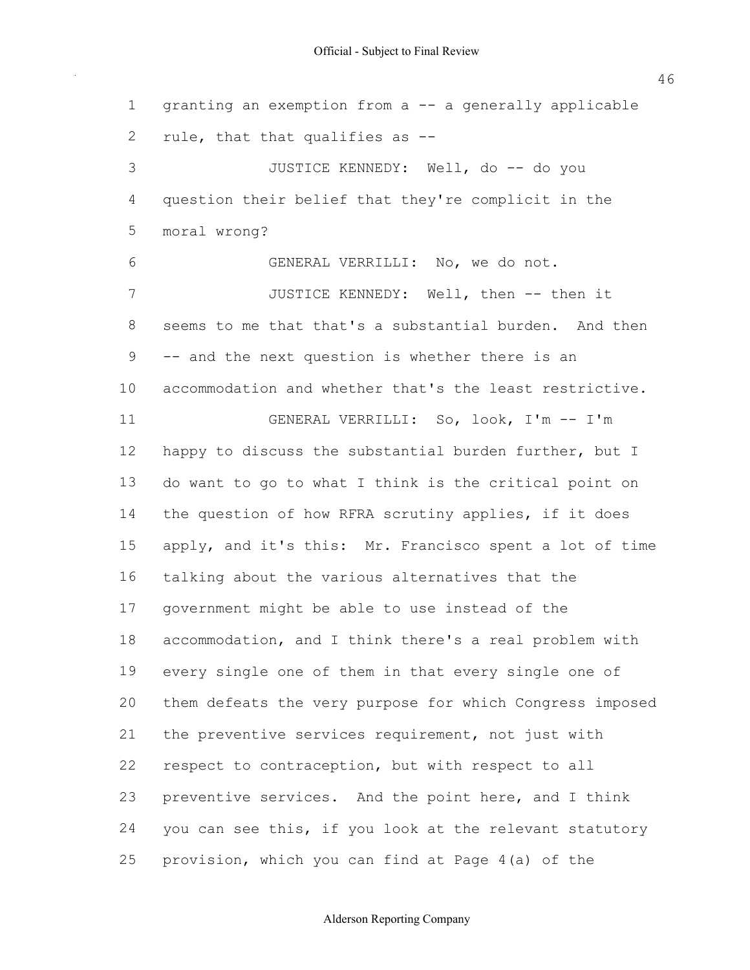1 granting an exemption from a -- a generally applicable 2 rule, that that qualifies as --3 JUSTICE KENNEDY: Well, do -- do you 4 question their belief that they're complicit in the 6 GENERAL VERRILLI: No, we do not. 7 JUSTICE KENNEDY: Well, then -- then it 8 seems to me that that's a substantial burden. And then 9 -- and the next question is whether there is an 10 accommodation and whether that's the least restrictive. 11 GENERAL VERRILLI: So, look, I'm -- I'm 12 happy to discuss the substantial burden further, but I 13 do want to go to what I think is the critical point on 14 the question of how RFRA scrutiny applies, if it does 15 apply, and it's this: Mr. Francisco spent a lot of time 16 talking about the various alternatives that the 17 government might be able to use instead of the 18 accommodation, and I think there's a real problem with 19 every single one of them in that every single one of 20 them defeats the very purpose for which Congress imposed 21 the preventive services requirement, not just with 22 respect to contraception, but with respect to all 23 preventive services. And the point here, and I think 24 you can see this, if you look at the relevant statutory 25 provision, which you can find at Page 4(a) of the 5 moral wrong?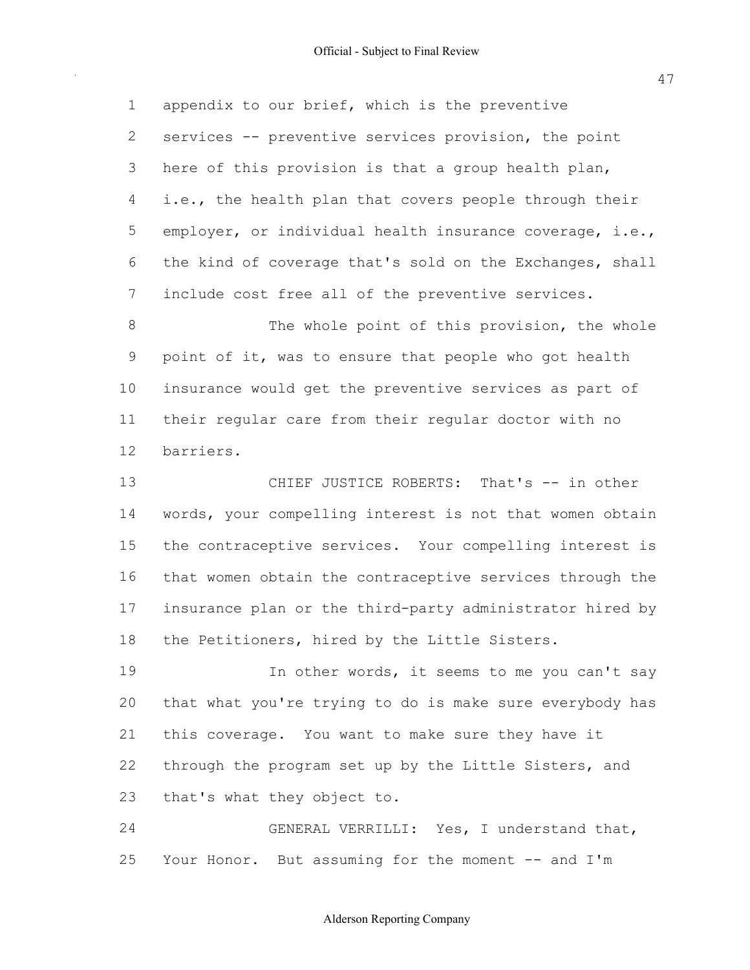1 appendix to our brief, which is the preventive 2 services -- preventive services provision, the point 3 here of this provision is that a group health plan, 4 i.e., the health plan that covers people through their 5 employer, or individual health insurance coverage, i.e., 6 the kind of coverage that's sold on the Exchanges, shall 7 include cost free all of the preventive services.

8 The whole point of this provision, the whole 9 point of it, was to ensure that people who got health 10 insurance would get the preventive services as part of 11 their regular care from their regular doctor with no 12 barriers.

13 CHIEF JUSTICE ROBERTS: That's -- in other 14 words, your compelling interest is not that women obtain 15 the contraceptive services. Your compelling interest is 16 that women obtain the contraceptive services through the 17 insurance plan or the third-party administrator hired by 18 the Petitioners, hired by the Little Sisters.

19 19 In other words, it seems to me you can't say 20 that what you're trying to do is make sure everybody has 21 this coverage. You want to make sure they have it 22 through the program set up by the Little Sisters, and 23 that's what they object to.

 24 GENERAL VERRILLI: Yes, I understand that, 25 Your Honor. But assuming for the moment -- and I'm

47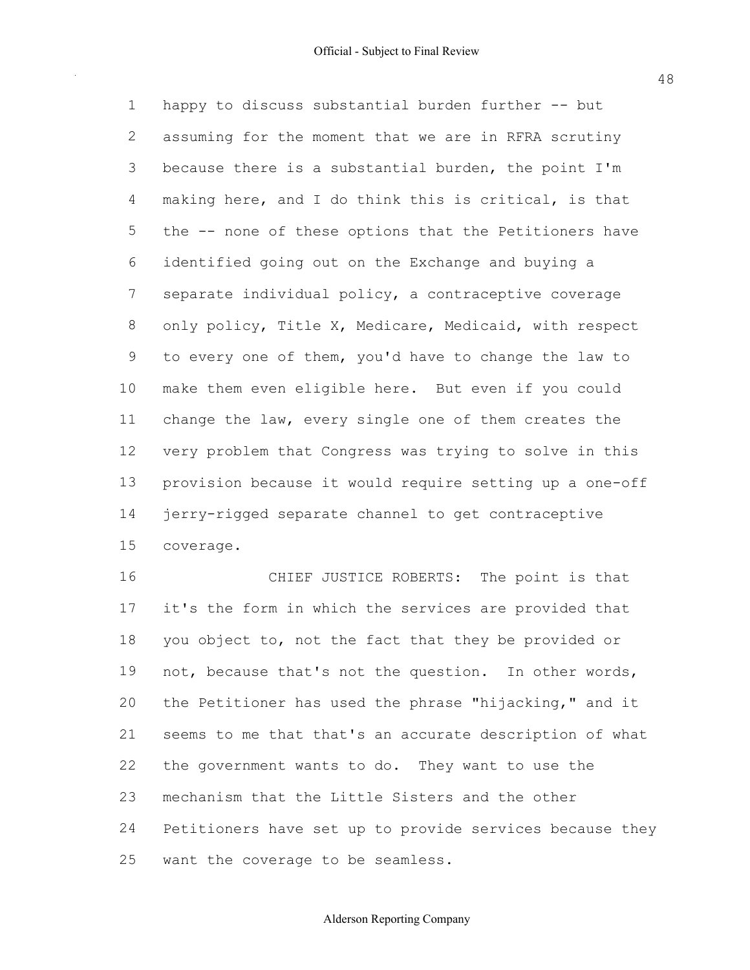1 happy to discuss substantial burden further -- but 2 assuming for the moment that we are in RFRA scrutiny 3 because there is a substantial burden, the point I'm 4 making here, and I do think this is critical, is that 5 the -- none of these options that the Petitioners have 6 identified going out on the Exchange and buying a 7 separate individual policy, a contraceptive coverage 8 only policy, Title X, Medicare, Medicaid, with respect 9 to every one of them, you'd have to change the law to 10 make them even eligible here. But even if you could 11 change the law, every single one of them creates the 12 very problem that Congress was trying to solve in this 13 provision because it would require setting up a one-off 14 jerry-rigged separate channel to get contraceptive 15 coverage.

 16 CHIEF JUSTICE ROBERTS: The point is that 17 it's the form in which the services are provided that 18 you object to, not the fact that they be provided or 19 not, because that's not the question. In other words, 20 the Petitioner has used the phrase "hijacking," and it 21 seems to me that that's an accurate description of what 22 the government wants to do. They want to use the 23 mechanism that the Little Sisters and the other 24 Petitioners have set up to provide services because they 25 want the coverage to be seamless.

48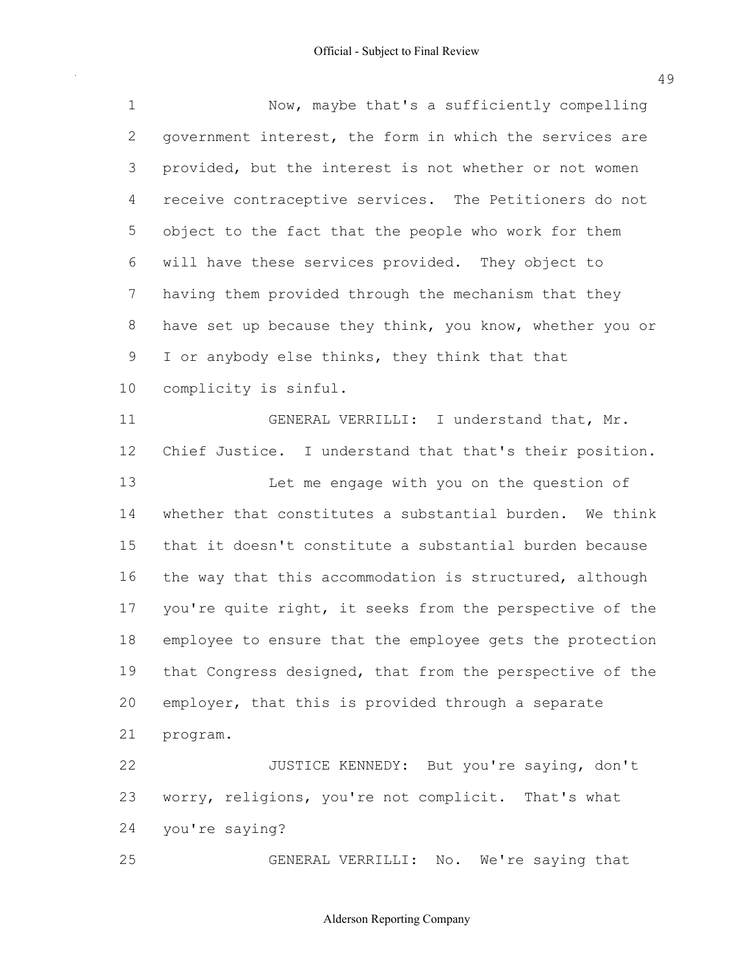Now, maybe that's a sufficiently compelling 2 government interest, the form in which the services are provided, but the interest is not whether or not women receive contraceptive services. The Petitioners do not object to the fact that the people who work for them will have these services provided. They object to having them provided through the mechanism that they 8 have set up because they think, you know, whether you or 9 I or anybody else thinks, they think that that complicity is sinful. 11 GENERAL VERRILLI: I understand that, Mr. Chief Justice. I understand that that's their position. Let me engage with you on the question of whether that constitutes a substantial burden. We think that it doesn't constitute a substantial burden because 16 the way that this accommodation is structured, although 17 you're quite right, it seeks from the perspective of the employee to ensure that the employee gets the protection 19 that Congress designed, that from the perspective of the employer, that this is provided through a separate 22 JUSTICE KENNEDY: But you're saying, don't worry, religions, you're not complicit. That's what program. you're saying?

GENERAL VERRILLI: No. We're saying that

Alderson Reporting Company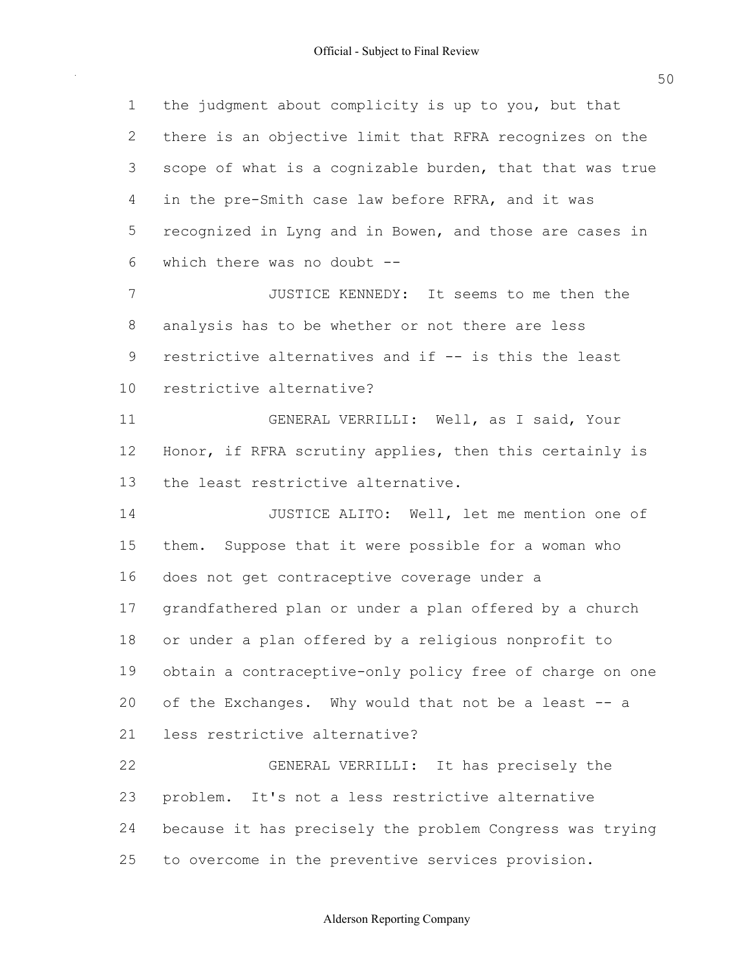| $\mathbf 1$  | the judgment about complicity is up to you, but that     |
|--------------|----------------------------------------------------------|
| $\mathbf{2}$ | there is an objective limit that RFRA recognizes on the  |
| 3            | scope of what is a cognizable burden, that that was true |
| 4            | in the pre-Smith case law before RFRA, and it was        |
| 5            | recognized in Lyng and in Bowen, and those are cases in  |
| 6            | which there was no doubt --                              |
| 7            | JUSTICE KENNEDY: It seems to me then the                 |
| 8            | analysis has to be whether or not there are less         |
| 9            | restrictive alternatives and if -- is this the least     |
| 10           | restrictive alternative?                                 |
| 11           | GENERAL VERRILLI: Well, as I said, Your                  |
| 12           | Honor, if RFRA scrutiny applies, then this certainly is  |
| 13           | the least restrictive alternative.                       |
| 14           | JUSTICE ALITO: Well, let me mention one of               |
| 15           | them. Suppose that it were possible for a woman who      |
| 16           | does not get contraceptive coverage under a              |
| 17           | grandfathered plan or under a plan offered by a church   |
| 18           | or under a plan offered by a religious nonprofit to      |
| 19           | obtain a contraceptive-only policy free of charge on one |
| 20           | of the Exchanges. Why would that not be a least -- a     |
| 21           | less restrictive alternative?                            |
| 22           | GENERAL VERRILLI: It has precisely the                   |
| 23           | problem. It's not a less restrictive alternative         |
| 24           | because it has precisely the problem Congress was trying |
| 25           | to overcome in the preventive services provision.        |

50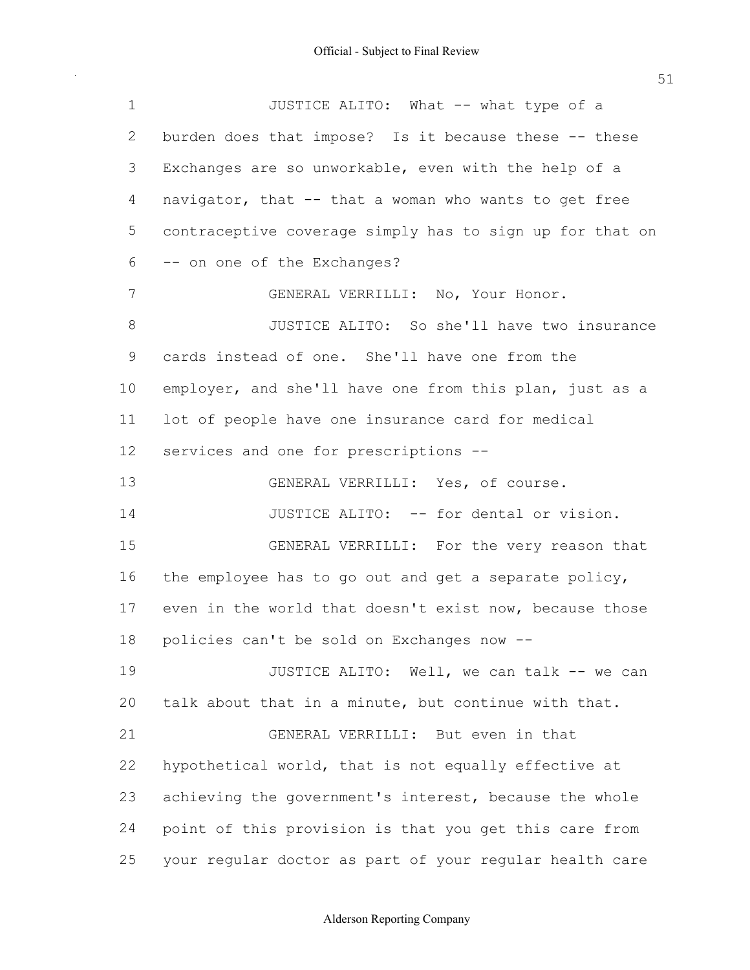| $\mathbf 1$ | JUSTICE ALITO: What -- what type of a                    |
|-------------|----------------------------------------------------------|
| 2           | burden does that impose? Is it because these -- these    |
| 3           | Exchanges are so unworkable, even with the help of a     |
| 4           | navigator, that -- that a woman who wants to get free    |
| 5           | contraceptive coverage simply has to sign up for that on |
| 6           | -- on one of the Exchanges?                              |
| 7           | GENERAL VERRILLI: No, Your Honor.                        |
| 8           | JUSTICE ALITO: So she'll have two insurance              |
| 9           | cards instead of one. She'll have one from the           |
| 10          | employer, and she'll have one from this plan, just as a  |
| 11          | lot of people have one insurance card for medical        |
| 12          | services and one for prescriptions --                    |
| 13          | GENERAL VERRILLI: Yes, of course.                        |
| 14          | JUSTICE ALITO: -- for dental or vision.                  |
| 15          | GENERAL VERRILLI: For the very reason that               |
| 16          | the employee has to go out and get a separate policy,    |
| 17          | even in the world that doesn't exist now, because those  |
| 18          | policies can't be sold on Exchanges now --               |
| 19          | JUSTICE ALITO: Well, we can talk -- we can               |
| 20          | talk about that in a minute, but continue with that.     |
| 21          | GENERAL VERRILLI: But even in that                       |
| 22          | hypothetical world, that is not equally effective at     |
| 23          | achieving the government's interest, because the whole   |
| 24          | point of this provision is that you get this care from   |
| 25          | your regular doctor as part of your regular health care  |

51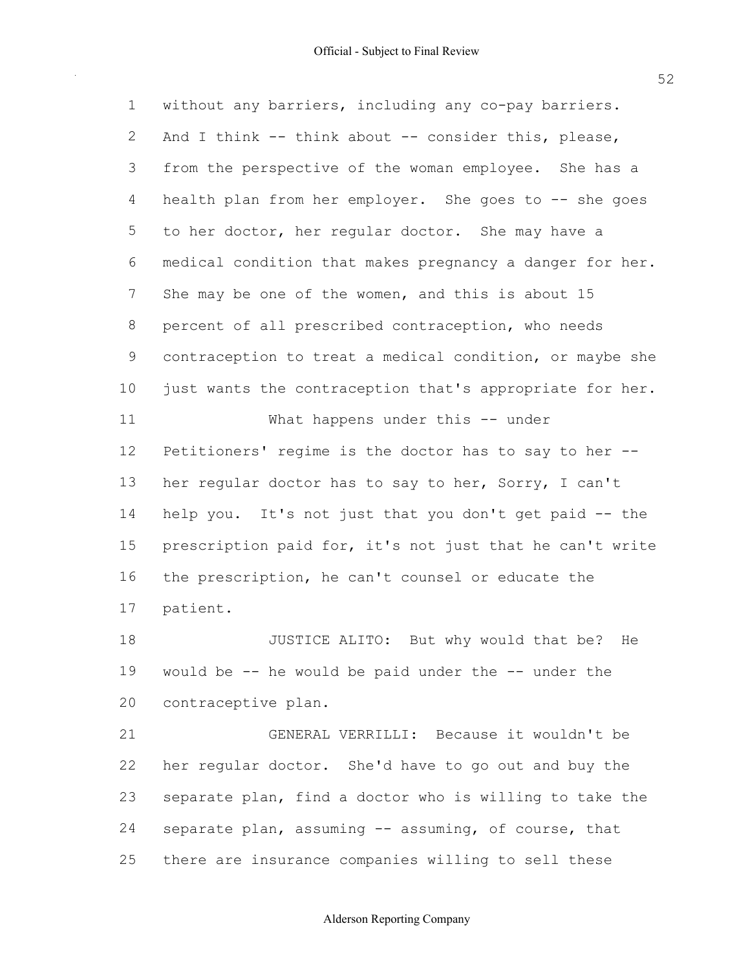1 without any barriers, including any co-pay barriers. 2 And I think  $--$  think about  $--$  consider this, please, 3 from the perspective of the woman employee. She has a 4 health plan from her employer. She goes to -- she goes 5 to her doctor, her regular doctor. She may have a 6 medical condition that makes pregnancy a danger for her. 7 She may be one of the women, and this is about 15 8 percent of all prescribed contraception, who needs 9 contraception to treat a medical condition, or maybe she 10 just wants the contraception that's appropriate for her. 11 What happens under this -- under 12 Petitioners' regime is the doctor has to say to her --13 her regular doctor has to say to her, Sorry, I can't 14 help you. It's not just that you don't get paid -- the 15 prescription paid for, it's not just that he can't write 16 the prescription, he can't counsel or educate the 18 JUSTICE ALITO: But why would that be? He 19 would be -- he would be paid under the -- under the 17 patient.

 21 GENERAL VERRILLI: Because it wouldn't be 22 her regular doctor. She'd have to go out and buy the 23 separate plan, find a doctor who is willing to take the 24 separate plan, assuming -- assuming, of course, that 25 there are insurance companies willing to sell these

20 contraceptive plan.

#### Alderson Reporting Company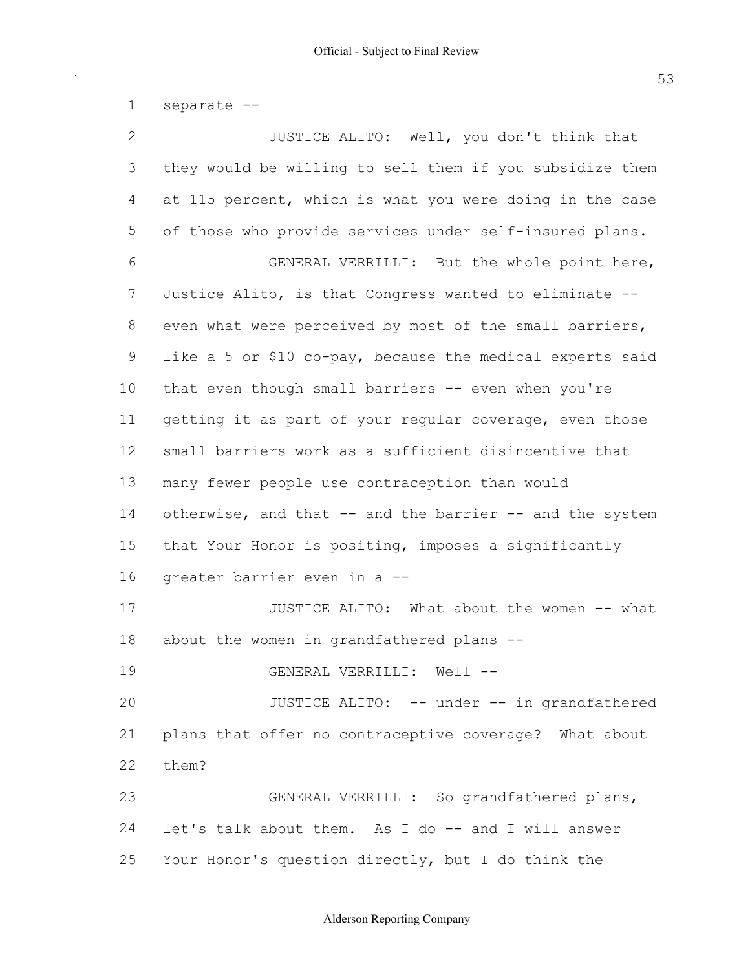1 separate

| $\mathbf{2}$ | JUSTICE ALITO: Well, you don't think that                 |
|--------------|-----------------------------------------------------------|
| 3            | they would be willing to sell them if you subsidize them  |
| 4            | at 115 percent, which is what you were doing in the case  |
| 5            | of those who provide services under self-insured plans.   |
| 6            | GENERAL VERRILLI: But the whole point here,               |
| 7            | Justice Alito, is that Congress wanted to eliminate --    |
| 8            | even what were perceived by most of the small barriers,   |
| 9            | like a 5 or \$10 co-pay, because the medical experts said |
| 10           | that even though small barriers -- even when you're       |
| 11           | getting it as part of your regular coverage, even those   |
| 12           | small barriers work as a sufficient disincentive that     |
| 13           | many fewer people use contraception than would            |
| 14           | otherwise, and that -- and the barrier -- and the system  |
| 15           | that Your Honor is positing, imposes a significantly      |
| 16           | greater barrier even in a --                              |
| 17           | JUSTICE ALITO: What about the women -- what               |
| 18           | about the women in grandfathered plans --                 |
| 19           | GENERAL VERRILLI: Well --                                 |
| 20           | JUSTICE ALITO: -- under -- in grandfathered               |
| 21           | plans that offer no contraceptive coverage? What about    |
| 22           | them?                                                     |
| 23           | GENERAL VERRILLI: So grandfathered plans,                 |
| 24           | let's talk about them. As I do -- and I will answer       |
| 25           | Your Honor's question directly, but I do think the        |

Alderson Reporting Company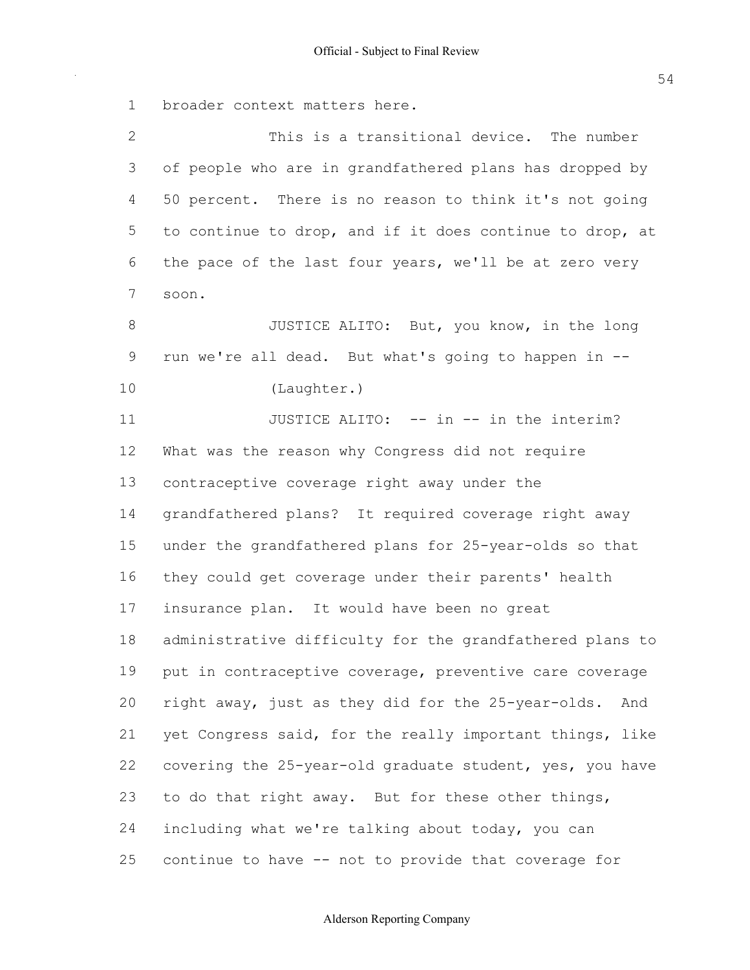1 broader context matters here.

| 2           | This is a transitional device. The number                 |
|-------------|-----------------------------------------------------------|
| 3           | of people who are in grandfathered plans has dropped by   |
| 4           | 50 percent. There is no reason to think it's not going    |
| 5           | to continue to drop, and if it does continue to drop, at  |
| 6           | the pace of the last four years, we'll be at zero very    |
| 7           | soon.                                                     |
| $8\,$       | JUSTICE ALITO: But, you know, in the long                 |
| $\mathsf 9$ | run we're all dead. But what's going to happen in --      |
| 10          | (Laughter.)                                               |
| 11          | JUSTICE ALITO: -- in -- in the interim?                   |
| 12          | What was the reason why Congress did not require          |
| 13          | contraceptive coverage right away under the               |
| 14          | grandfathered plans? It required coverage right away      |
| 15          | under the grandfathered plans for 25-year-olds so that    |
| 16          | they could get coverage under their parents' health       |
| 17          | insurance plan. It would have been no great               |
| 18          | administrative difficulty for the grandfathered plans to  |
| 19          | put in contraceptive coverage, preventive care coverage   |
| 20          | right away, just as they did for the 25-year-olds.<br>And |
| 21          | yet Congress said, for the really important things, like  |
| 22          | covering the 25-year-old graduate student, yes, you have  |
| 23          | to do that right away. But for these other things,        |
| 24          | including what we're talking about today, you can         |
| 25          | continue to have -- not to provide that coverage for      |

54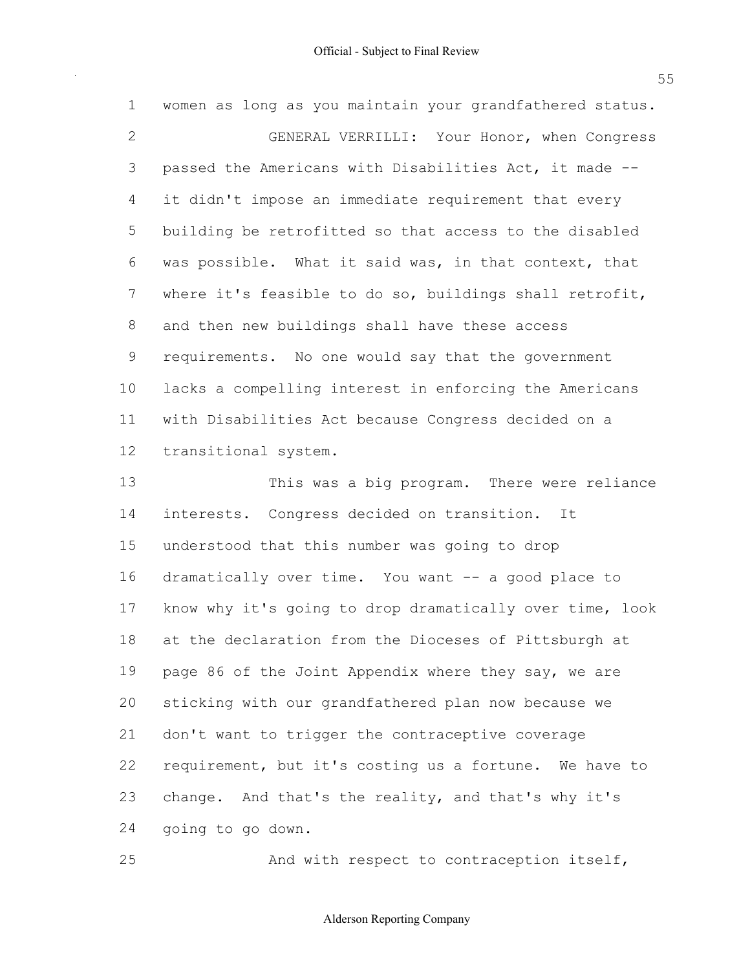| 1              | women as long as you maintain your grandfathered status. |
|----------------|----------------------------------------------------------|
| $\overline{2}$ | GENERAL VERRILLI: Your Honor, when Congress              |
| 3              | passed the Americans with Disabilities Act, it made --   |
| $\overline{4}$ | it didn't impose an immediate requirement that every     |
| 5              | building be retrofitted so that access to the disabled   |
| 6              | was possible. What it said was, in that context, that    |
| 7              | where it's feasible to do so, buildings shall retrofit,  |
| 8              | and then new buildings shall have these access           |
| 9              | requirements. No one would say that the government       |
| 10             | lacks a compelling interest in enforcing the Americans   |
| 11             | with Disabilities Act because Congress decided on a      |
| 12             | transitional system.                                     |
| 13             | This was a big program. There were reliance              |
| 14             | interests. Congress decided on transition. It            |
| 15             | understood that this number was going to drop            |
| 16             | dramatically over time. You want -- a good place to      |
| 17             | know why it's going to drop dramatically over time, look |
| 18             | at the declaration from the Dioceses of Pittsburgh at    |
| 19             | page 86 of the Joint Appendix where they say, we are     |
| 20             | sticking with our grandfathered plan now because we      |
| 21             | don't want to trigger the contraceptive coverage         |
| 22             | requirement, but it's costing us a fortune. We have to   |
| 23             | change. And that's the reality, and that's why it's      |
| 24             | going to go down.                                        |
|                |                                                          |

25 And with respect to contraception itself,

55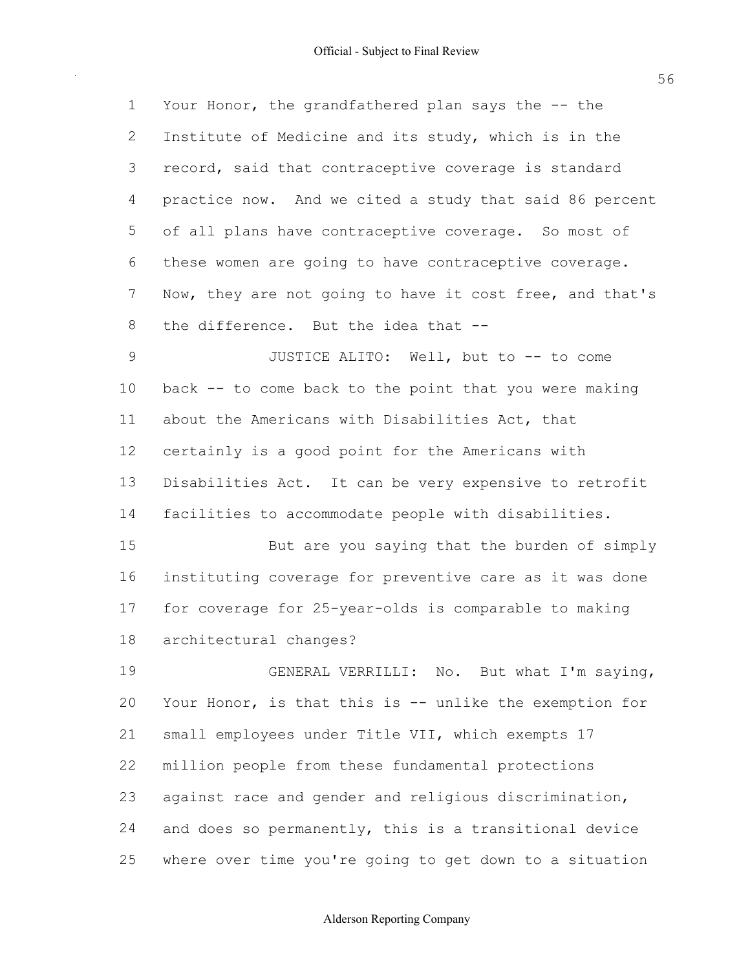| $\mathbf 1$ | Your Honor, the grandfathered plan says the -- the       |
|-------------|----------------------------------------------------------|
| 2           | Institute of Medicine and its study, which is in the     |
| 3           | record, said that contraceptive coverage is standard     |
| 4           | practice now. And we cited a study that said 86 percent  |
| 5           | of all plans have contraceptive coverage. So most of     |
| 6           | these women are going to have contraceptive coverage.    |
| 7           | Now, they are not going to have it cost free, and that's |
| 8           | the difference. But the idea that --                     |
| 9           | JUSTICE ALITO: Well, but to -- to come                   |
| 10          | back -- to come back to the point that you were making   |
| 11          | about the Americans with Disabilities Act, that          |
| 12          | certainly is a good point for the Americans with         |
| 13          | Disabilities Act. It can be very expensive to retrofit   |
| 14          | facilities to accommodate people with disabilities.      |
| 15          | But are you saying that the burden of simply             |
| 16          | instituting coverage for preventive care as it was done  |
| 17          | for coverage for 25-year-olds is comparable to making    |
| 18          | architectural changes?                                   |
| 19          | GENERAL VERRILLI: No. But what I'm saying,               |
| 20          | Your Honor, is that this is -- unlike the exemption for  |
| 21          | small employees under Title VII, which exempts 17        |
| 22          | million people from these fundamental protections        |
| 23          | against race and gender and religious discrimination,    |
| 24          | and does so permanently, this is a transitional device   |
| 25          | where over time you're going to get down to a situation  |

# Alderson Reporting Company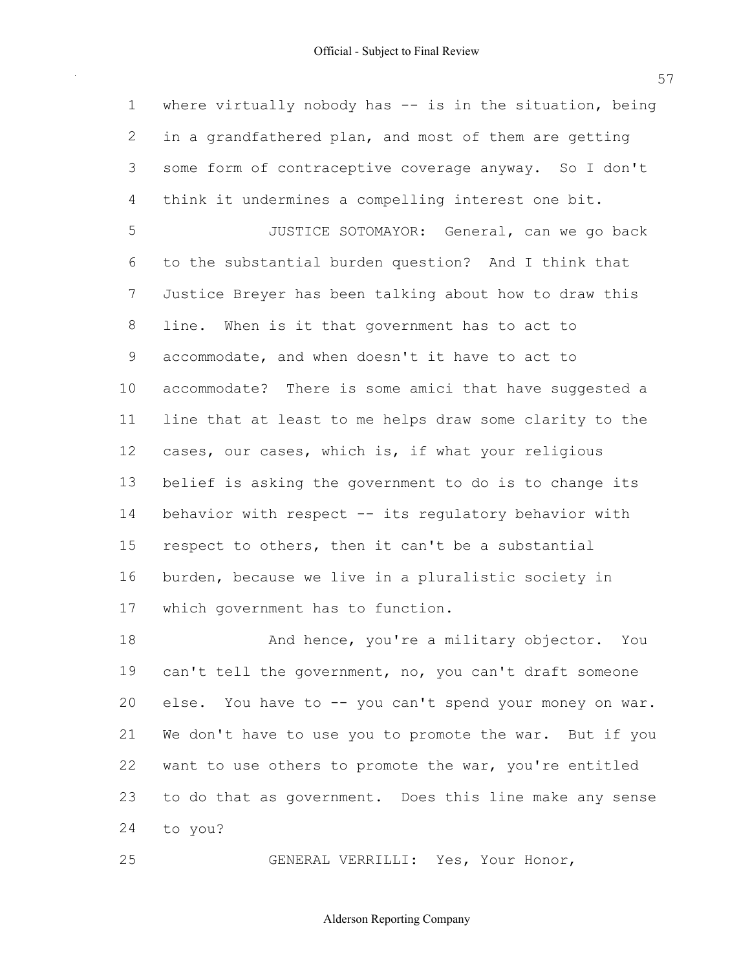1 where virtually nobody has -- is in the situation, being in a grandfathered plan, and most of them are getting some form of contraceptive coverage anyway. So I don't think it undermines a compelling interest one bit. 5 JUSTICE SOTOMAYOR: General, can we go back to the substantial burden question? And I think that Justice Breyer has been talking about how to draw this line. When is it that government has to act to accommodate, and when doesn't it have to act to line that at least to me helps draw some clarity to the cases, our cases, which is, if what your religious belief is asking the government to do is to change its 14 behavior with respect -- its regulatory behavior with 15 respect to others, then it can't be a substantial burden, because we live in a pluralistic society in which government has to function. accommodate? There is some amici that have suggested a

18 And hence, you're a military objector. You 19 can't tell the government, no, you can't draft someone 20 else. You have to -- you can't spend your money on war. We don't have to use you to promote the war. But if you 22 want to use others to promote the war, you're entitled 23 to do that as government. Does this line make any sense to you?

GENERAL VERRILLI: Yes, Your Honor,

Alderson Reporting Company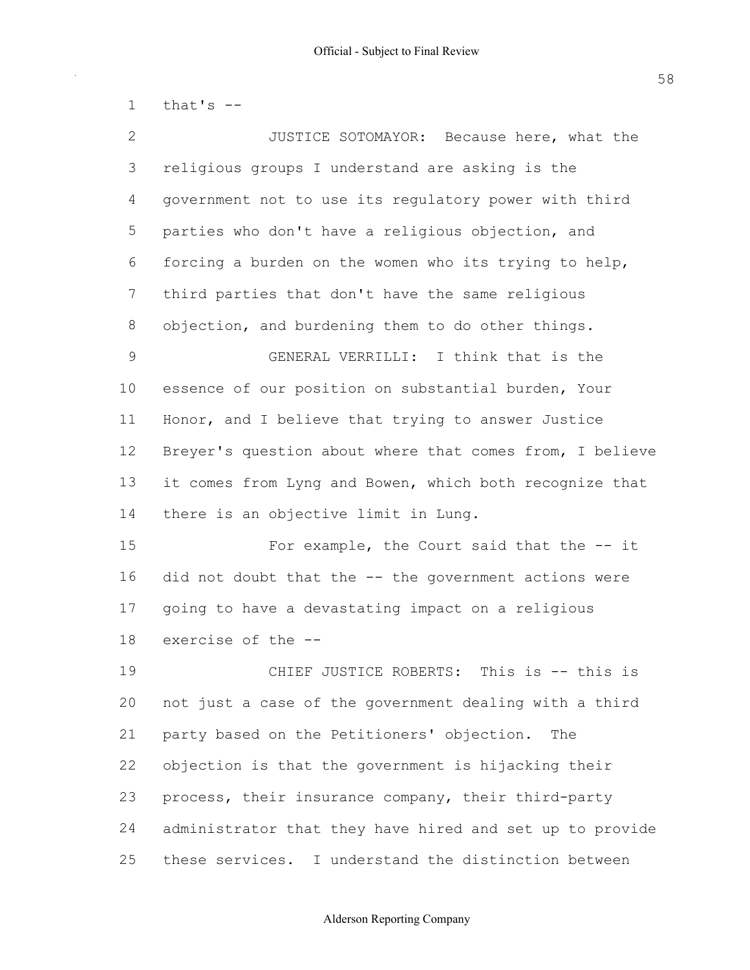1 that's  $-$ 

| 2           | JUSTICE SOTOMAYOR: Because here, what the                |
|-------------|----------------------------------------------------------|
| 3           | religious groups I understand are asking is the          |
| 4           | government not to use its regulatory power with third    |
| 5           | parties who don't have a religious objection, and        |
| 6           | forcing a burden on the women who its trying to help,    |
| 7           | third parties that don't have the same religious         |
| 8           | objection, and burdening them to do other things.        |
| $\mathsf 9$ | GENERAL VERRILLI: I think that is the                    |
| 10          | essence of our position on substantial burden, Your      |
| 11          | Honor, and I believe that trying to answer Justice       |
| 12          | Breyer's question about where that comes from, I believe |
| 13          | it comes from Lyng and Bowen, which both recognize that  |
| 14          | there is an objective limit in Lung.                     |
| 15          | For example, the Court said that the -- it               |
| 16          | did not doubt that the -- the government actions were    |
| 17          | going to have a devastating impact on a religious        |
| 18          | exercise of the --                                       |
| 19          | This is $--$ this is<br>CHIEF JUSTICE ROBERTS:           |
| 20          | not just a case of the government dealing with a third   |
| 21          | party based on the Petitioners' objection.<br>The        |
| 22          | objection is that the government is hijacking their      |
| 23          | process, their insurance company, their third-party      |
| 24          | administrator that they have hired and set up to provide |
| 25          | these services. I understand the distinction between     |

# Alderson Reporting Company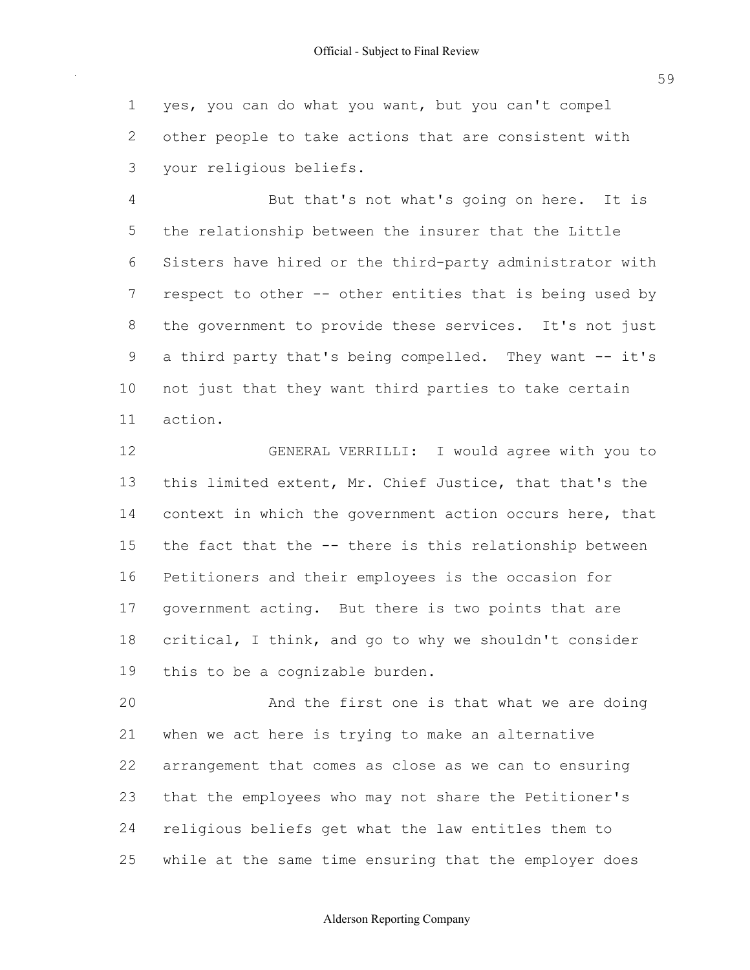yes, you can do what you want, but you can't compel other people to take actions that are consistent with your religious beliefs.

 But that's not what's going on here. It is the relationship between the insurer that the Little 6 Sisters have hired or the third-party administrator with 7 respect to other -- other entities that is being used by the government to provide these services. It's not just 9 a third party that's being compelled. They want -- it's not just that they want third parties to take certain action.

 GENERAL VERRILLI: I would agree with you to this limited extent, Mr. Chief Justice, that that's the 14 context in which the government action occurs here, that 15 the fact that the -- there is this relationship between Petitioners and their employees is the occasion for government acting. But there is two points that are 18 critical, I think, and go to why we shouldn't consider this to be a cognizable burden.

 And the first one is that what we are doing when we act here is trying to make an alternative arrangement that comes as close as we can to ensuring that the employees who may not share the Petitioner's religious beliefs get what the law entitles them to while at the same time ensuring that the employer does

### Alderson Reporting Company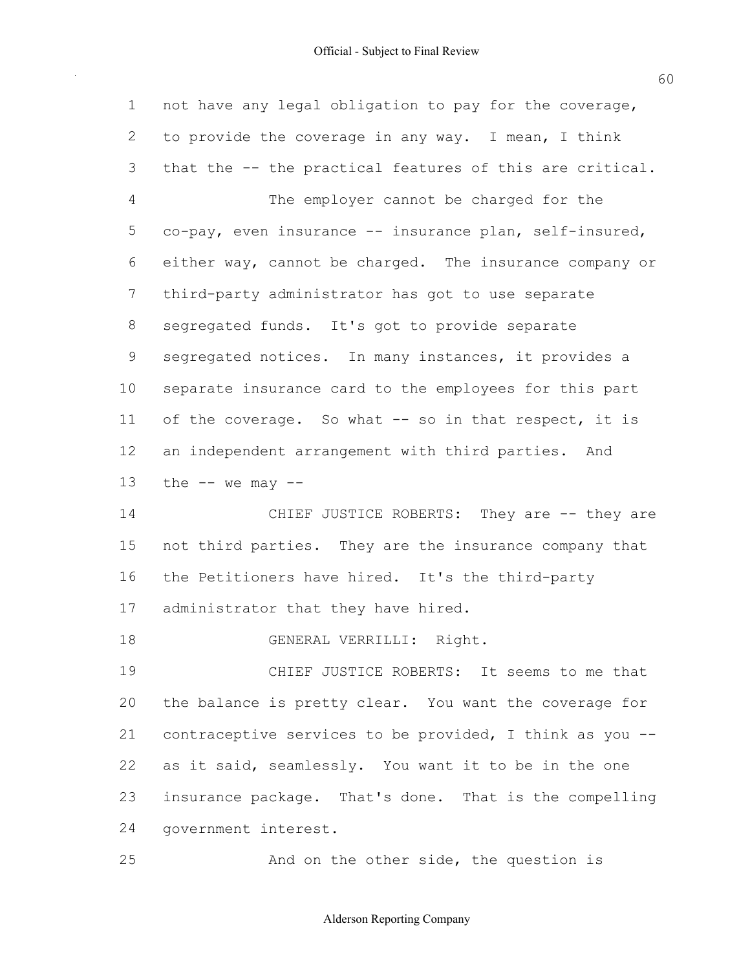| $\mathbf 1$  | not have any legal obligation to pay for the coverage,   |
|--------------|----------------------------------------------------------|
| $\mathbf{2}$ | to provide the coverage in any way. I mean, I think      |
| 3            | that the -- the practical features of this are critical. |
| 4            | The employer cannot be charged for the                   |
| 5            | co-pay, even insurance -- insurance plan, self-insured,  |
| 6            | either way, cannot be charged. The insurance company or  |
| 7            | third-party administrator has got to use separate        |
| 8            | segregated funds. It's got to provide separate           |
| 9            | segregated notices. In many instances, it provides a     |
| 10           | separate insurance card to the employees for this part   |
| 11           | of the coverage. So what -- so in that respect, it is    |
| 12           | an independent arrangement with third parties. And       |
| 13           | the $--$ we may $--$                                     |
| 14           | CHIEF JUSTICE ROBERTS: They are -- they are              |
| 15           | not third parties. They are the insurance company that   |
| 16           | the Petitioners have hired. It's the third-party         |
| 17           | administrator that they have hired.                      |
| 18           | GENERAL VERRILLI: Right.                                 |
| 19           | CHIEF JUSTICE ROBERTS: It seems to me that               |
| 20           | the balance is pretty clear. You want the coverage for   |
| 21           | contraceptive services to be provided, I think as you -- |
| 22           | as it said, seamlessly. You want it to be in the one     |
| 23           | insurance package. That's done. That is the compelling   |
| 24           | government interest.                                     |
| 25           | And on the other side, the question is                   |

Alderson Reporting Company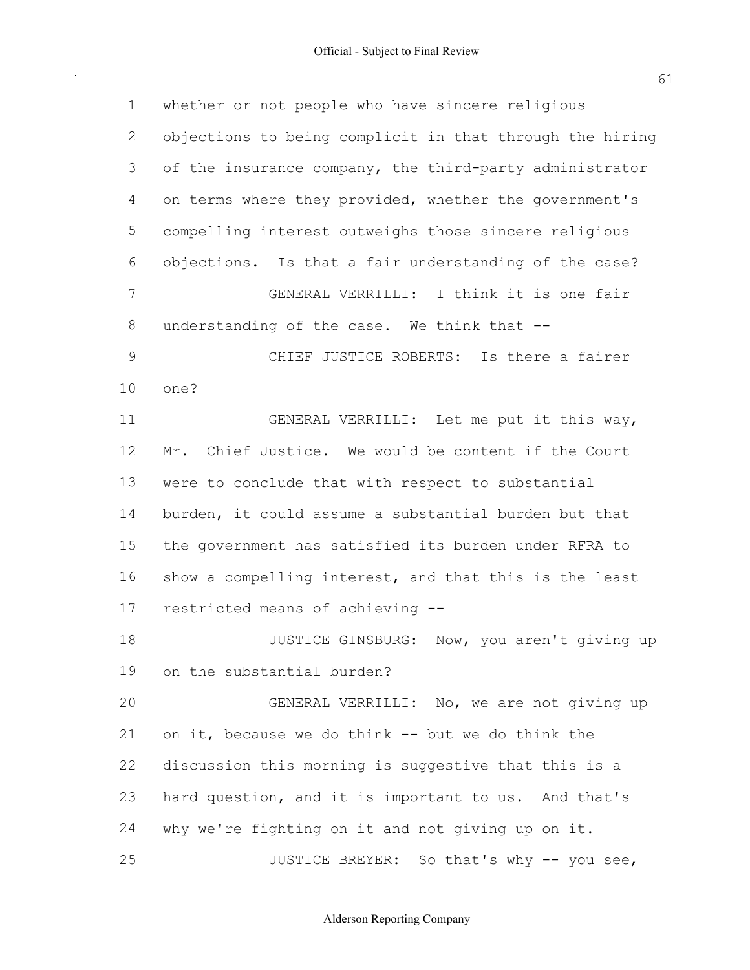| $\mathbf 1$  | whether or not people who have sincere religious         |
|--------------|----------------------------------------------------------|
| $\mathbf{2}$ | objections to being complicit in that through the hiring |
| 3            | of the insurance company, the third-party administrator  |
| 4            | on terms where they provided, whether the government's   |
| 5            | compelling interest outweighs those sincere religious    |
| 6            | objections. Is that a fair understanding of the case?    |
| 7            | GENERAL VERRILLI: I think it is one fair                 |
| 8            | understanding of the case. We think that --              |
| $\mathsf 9$  | CHIEF JUSTICE ROBERTS: Is there a fairer                 |
| 10           | one?                                                     |
| 11           | GENERAL VERRILLI: Let me put it this way,                |
| 12           | Mr. Chief Justice. We would be content if the Court      |
| 13           | were to conclude that with respect to substantial        |
| 14           | burden, it could assume a substantial burden but that    |
| 15           | the government has satisfied its burden under RFRA to    |
| 16           | show a compelling interest, and that this is the least   |
| 17           | restricted means of achieving --                         |
| 18           | JUSTICE GINSBURG: Now, you aren't giving up              |
| 19           | on the substantial burden?                               |
| 20           | GENERAL VERRILLI: No, we are not giving up               |
| 21           | on it, because we do think -- but we do think the        |
| 22           | discussion this morning is suggestive that this is a     |
| 23           | hard question, and it is important to us. And that's     |
| 24           | why we're fighting on it and not giving up on it.        |
| 25           | JUSTICE BREYER: So that's why -- you see,                |

Alderson Reporting Company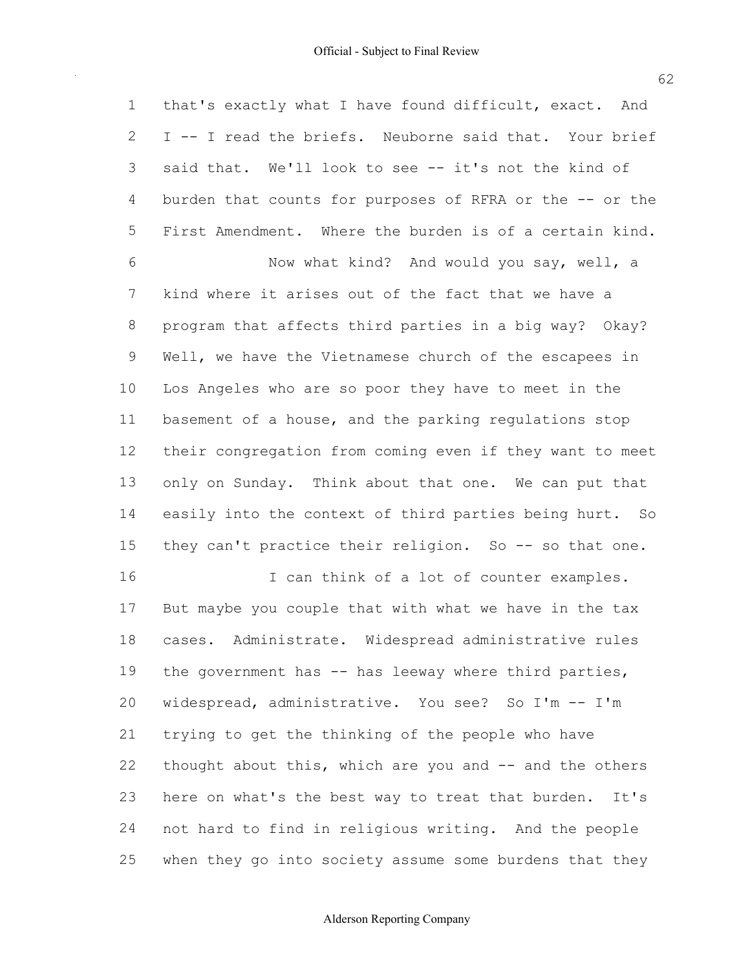1 that's exactly what I have found difficult, exact. And 2 I -- I read the briefs. Neuborne said that. Your brief 3 said that. We'll look to see -- it's not the kind of 4 burden that counts for purposes of RFRA or the -- or the 5 First Amendment. Where the burden is of a certain kind. 6 Now what kind? And would you say, well, a 7 kind where it arises out of the fact that we have a 8 program that affects third parties in a big way? Okay? 9 Well, we have the Vietnamese church of the escapees in 10 Los Angeles who are so poor they have to meet in the 11 basement of a house, and the parking regulations stop 12 their congregation from coming even if they want to meet 13 only on Sunday. Think about that one. We can put that 14 easily into the context of third parties being hurt. So 15 they can't practice their religion. So -- so that one. 16 10 I can think of a lot of counter examples. 17 But maybe you couple that with what we have in the tax 18 cases. Administrate. Widespread administrative rules 19 the government has  $-$  has leeway where third parties, 20 widespread, administrative. You see? So I'm -- I'm

 21 trying to get the thinking of the people who have 22 thought about this, which are you and  $-$  and the others 23 here on what's the best way to treat that burden. It's 24 not hard to find in religious writing. And the people 25 when they go into society assume some burdens that they

#### Alderson Reporting Company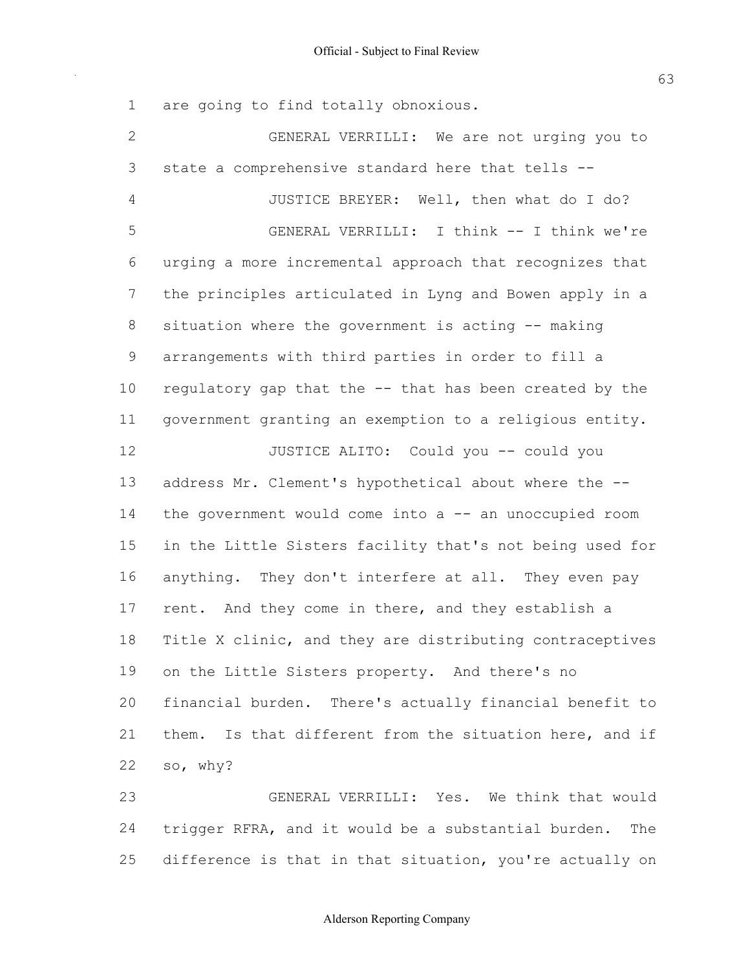1 are going to find totally obnoxious.

| $\mathbf{2}$   | GENERAL VERRILLI: We are not urging you to               |
|----------------|----------------------------------------------------------|
| $\mathfrak{Z}$ | state a comprehensive standard here that tells --        |
| $\overline{4}$ | JUSTICE BREYER: Well, then what do I do?                 |
| 5              | GENERAL VERRILLI: I think -- I think we're               |
| 6              | urging a more incremental approach that recognizes that  |
| 7              | the principles articulated in Lyng and Bowen apply in a  |
| 8              | situation where the government is acting -- making       |
| 9              | arrangements with third parties in order to fill a       |
| 10             | regulatory gap that the -- that has been created by the  |
| 11             | government granting an exemption to a religious entity.  |
| 12             | JUSTICE ALITO: Could you -- could you                    |
| 13             | address Mr. Clement's hypothetical about where the --    |
| 14             | the government would come into a -- an unoccupied room   |
| 15             | in the Little Sisters facility that's not being used for |
| 16             | anything. They don't interfere at all. They even pay     |
| 17             | rent. And they come in there, and they establish a       |
| 18             | Title X clinic, and they are distributing contraceptives |
| 19             | on the Little Sisters property. And there's no           |
| 20             | financial burden. There's actually financial benefit to  |
| 21             | them. Is that different from the situation here, and if  |
| 22             | so, why?                                                 |
| つこ             | CENERAL VERRILLI . Yos Wo think that would               |

 23 GENERAL VERRILLI: Yes. We think that would 24 trigger RFRA, and it would be a substantial burden. The 25 difference is that in that situation, you're actually on

### Alderson Reporting Company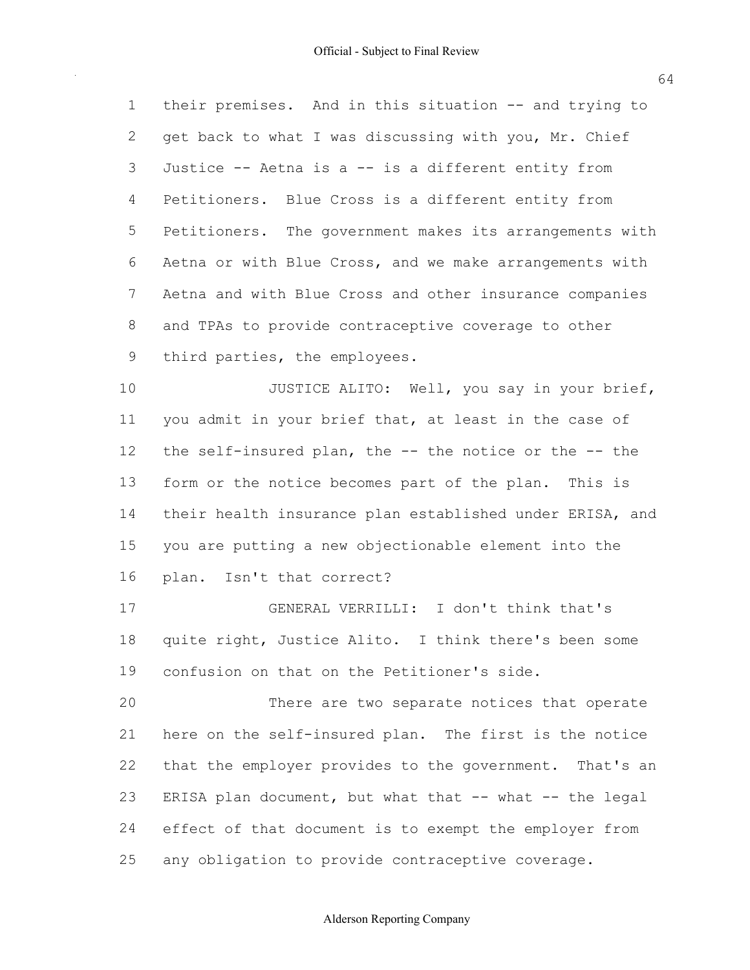1 their premises. And in this situation -- and trying to 2 get back to what I was discussing with you, Mr. Chief 3 Justice -- Aetna is a -- is a different entity from 4 Petitioners. Blue Cross is a different entity from 5 Petitioners. The government makes its arrangements with 6 Aetna or with Blue Cross, and we make arrangements with 7 Aetna and with Blue Cross and other insurance companies 8 and TPAs to provide contraceptive coverage to other 9 third parties, the employees.

10 JUSTICE ALITO: Well, you say in your brief, 11 you admit in your brief that, at least in the case of 12 the self-insured plan, the  $-$ - the notice or the  $-$ - the 13 form or the notice becomes part of the plan. This is 14 their health insurance plan established under ERISA, and 15 you are putting a new objectionable element into the 16 plan. Isn't that correct?

 17 GENERAL VERRILLI: I don't think that's 18 quite right, Justice Alito. I think there's been some 19 confusion on that on the Petitioner's side.

 20 There are two separate notices that operate 21 here on the self-insured plan. The first is the notice 22 that the employer provides to the government. That's an 23 ERISA plan document, but what that -- what -- the legal 24 effect of that document is to exempt the employer from 25 any obligation to provide contraceptive coverage.

### Alderson Reporting Company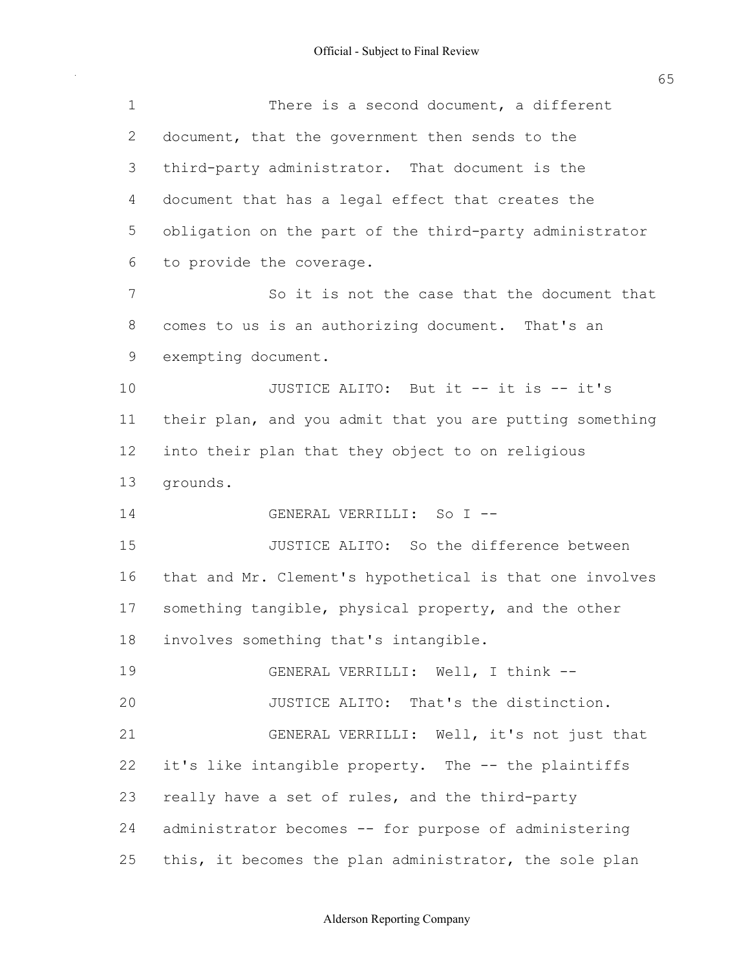| $\mathbf 1$ | There is a second document, a different                  |
|-------------|----------------------------------------------------------|
| 2           | document, that the government then sends to the          |
| 3           | third-party administrator. That document is the          |
| 4           | document that has a legal effect that creates the        |
| 5           | obligation on the part of the third-party administrator  |
| 6           | to provide the coverage.                                 |
| 7           | So it is not the case that the document that             |
| 8           | comes to us is an authorizing document. That's an        |
| 9           | exempting document.                                      |
| 10          | JUSTICE ALITO: But it -- it is -- it's                   |
| 11          | their plan, and you admit that you are putting something |
| 12          | into their plan that they object to on religious         |
| 13          | grounds.                                                 |
| 14          | GENERAL VERRILLI: So I --                                |
| 15          | JUSTICE ALITO: So the difference between                 |
| 16          | that and Mr. Clement's hypothetical is that one involves |
| 17          | something tangible, physical property, and the other     |
| 18          | involves something that's intangible.                    |
| 19          | GENERAL VERRILLI: Well, I think --                       |
| 20          | JUSTICE ALITO: That's the distinction.                   |
| 21          | GENERAL VERRILLI: Well, it's not just that               |
| 22          | it's like intangible property. The -- the plaintiffs     |
| 23          |                                                          |
|             | really have a set of rules, and the third-party          |
| 24          | administrator becomes -- for purpose of administering    |

Alderson Reporting Company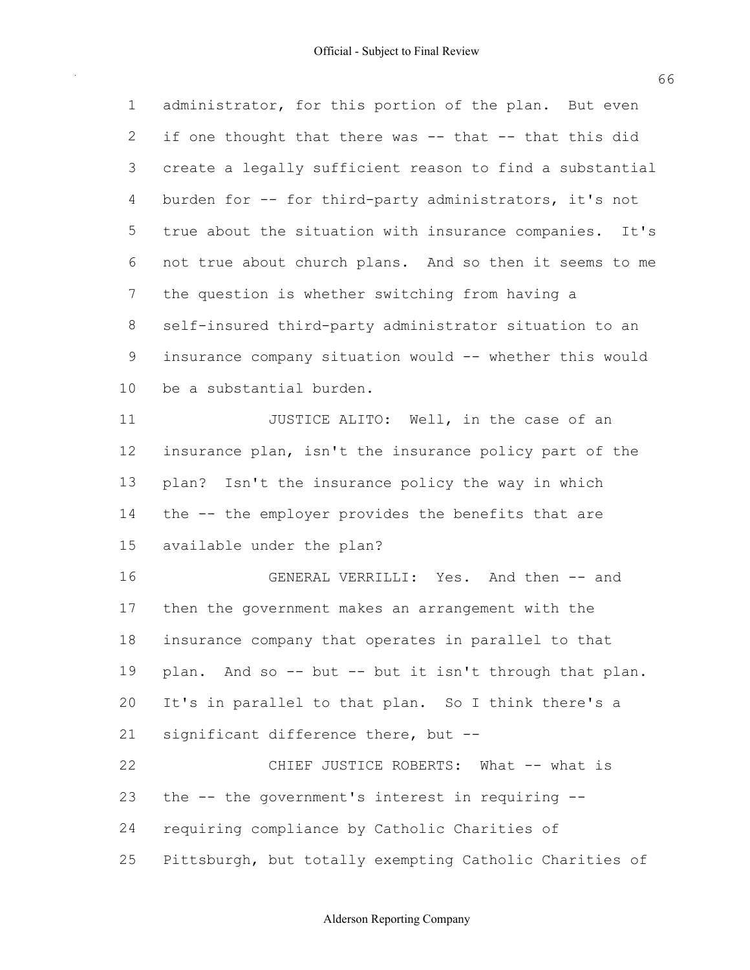| $\mathbf 1$ | administrator, for this portion of the plan. But even    |
|-------------|----------------------------------------------------------|
| 2           | if one thought that there was -- that -- that this did   |
| 3           | create a legally sufficient reason to find a substantial |
| 4           | burden for -- for third-party administrators, it's not   |
| 5           | true about the situation with insurance companies. It's  |
| 6           | not true about church plans. And so then it seems to me  |
| 7           | the question is whether switching from having a          |
| 8           | self-insured third-party administrator situation to an   |
| 9           | insurance company situation would -- whether this would  |
| 10          | be a substantial burden.                                 |
| 11          | JUSTICE ALITO: Well, in the case of an                   |
| 12          | insurance plan, isn't the insurance policy part of the   |
| 13          | plan? Isn't the insurance policy the way in which        |
| 14          | the -- the employer provides the benefits that are       |
| 15          | available under the plan?                                |
| 16          | GENERAL VERRILLI: Yes. And then -- and                   |
| 17          | then the government makes an arrangement with the        |
| 18          | insurance company that operates in parallel to that      |
| 19          | plan. And so -- but -- but it isn't through that plan.   |
| 20          | It's in parallel to that plan. So I think there's a      |
| 21          | significant difference there, but --                     |
| 22          | CHIEF JUSTICE ROBERTS: What -- what is                   |
| 23          | the -- the government's interest in requiring --         |
| 24          | requiring compliance by Catholic Charities of            |
| 25          | Pittsburgh, but totally exempting Catholic Charities of  |

Alderson Reporting Company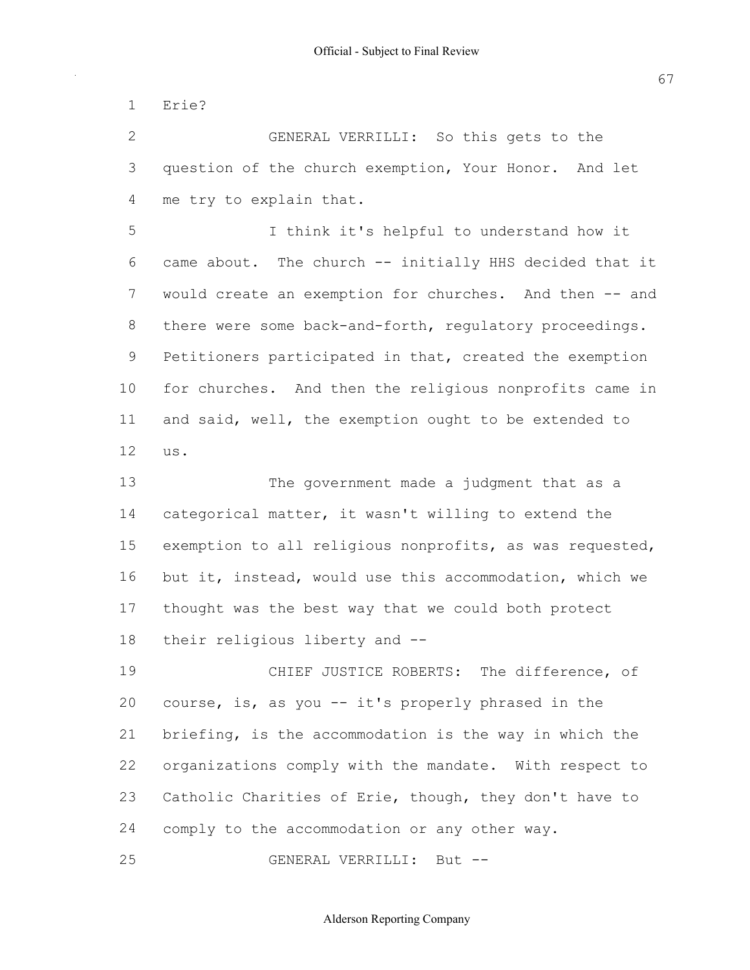1 Erie?

 2 GENERAL VERRILLI: So this gets to the 3 question of the church exemption, Your Honor. And let 4 me try to explain that.

 5 I think it's helpful to understand how it 6 came about. The church -- initially HHS decided that it 7 would create an exemption for churches. And then -- and 8 there were some back-and-forth, regulatory proceedings. 9 Petitioners participated in that, created the exemption 10 for churches. And then the religious nonprofits came in 11 and said, well, the exemption ought to be extended to 12 us.

 13 The government made a judgment that as a 14 categorical matter, it wasn't willing to extend the 15 exemption to all religious nonprofits, as was requested, 16 but it, instead, would use this accommodation, which we 17 thought was the best way that we could both protect 18 their religious liberty and --

 19 CHIEF JUSTICE ROBERTS: The difference, of 20 course, is, as you -- it's properly phrased in the 21 briefing, is the accommodation is the way in which the 22 organizations comply with the mandate. With respect to 23 Catholic Charities of Erie, though, they don't have to 24 comply to the accommodation or any other way.

25 GENERAL VERRILLI: But --

Alderson Reporting Company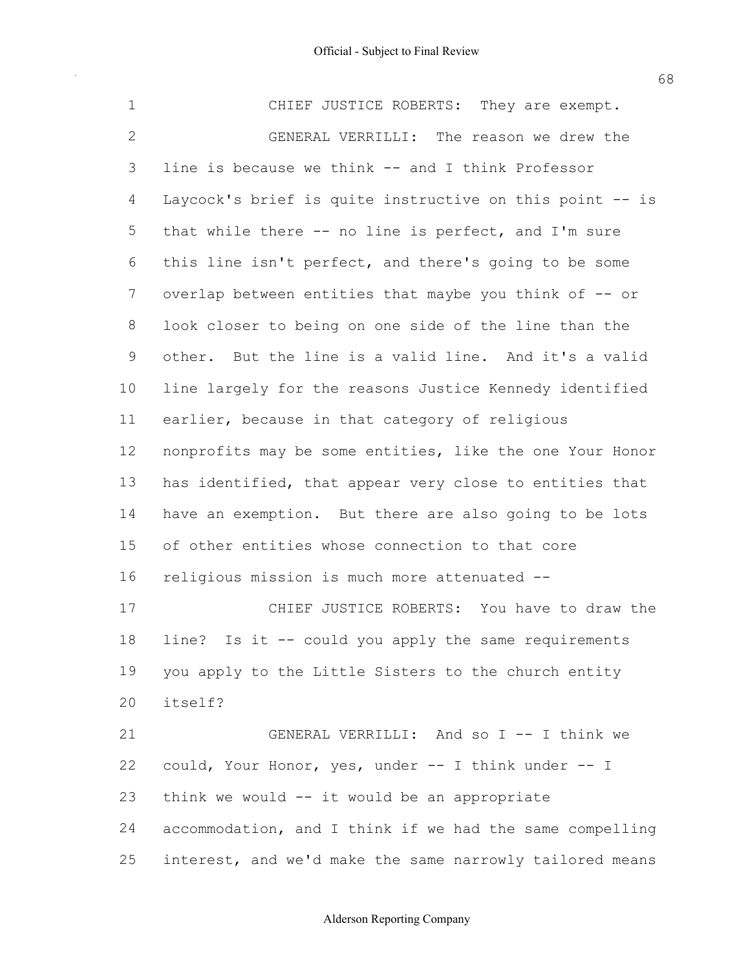1 CHIEF JUSTICE ROBERTS: They are exempt. 2 GENERAL VERRILLI: The reason we drew the 3 line is because we think -- and I think Professor 4 Laycock's brief is quite instructive on this point -- is 5 that while there -- no line is perfect, and I'm sure 6 this line isn't perfect, and there's going to be some 7 overlap between entities that maybe you think of -- or 8 look closer to being on one side of the line than the 9 other. But the line is a valid line. And it's a valid 10 line largely for the reasons Justice Kennedy identified 11 earlier, because in that category of religious 12 nonprofits may be some entities, like the one Your Honor 13 has identified, that appear very close to entities that 14 have an exemption. But there are also going to be lots 15 of other entities whose connection to that core 16 religious mission is much more attenuated -- 17 CHIEF JUSTICE ROBERTS: You have to draw the 18 line? Is it -- could you apply the same requirements 19 you apply to the Little Sisters to the church entity 21 GENERAL VERRILLI: And so I -- I think we 22 could, Your Honor, yes, under -- I think under -- I 23 think we would -- it would be an appropriate 24 accommodation, and I think if we had the same compelling 20 itself?

Alderson Reporting Company

25 interest, and we'd make the same narrowly tailored means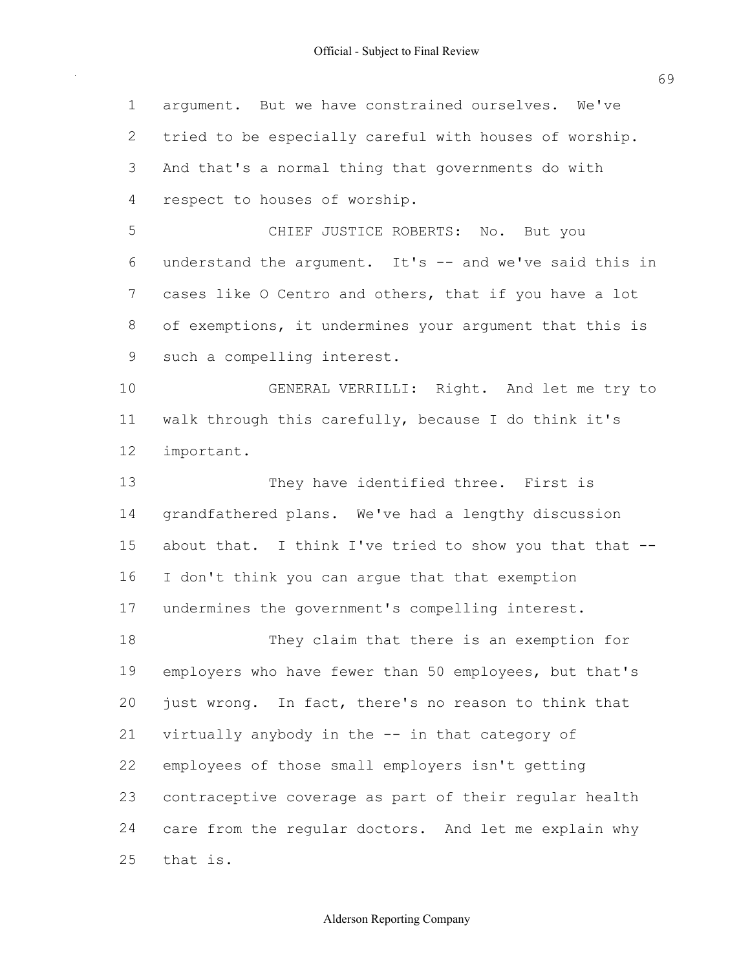argument. But we have constrained ourselves. We've tried to be especially careful with houses of worship. And that's a normal thing that governments do with respect to houses of worship. CHIEF JUSTICE ROBERTS: No. But you 6 understand the argument. It's  $--$  and we've said this in 7 cases like O Centro and others, that if you have a lot of exemptions, it undermines your argument that this is such a compelling interest. GENERAL VERRILLI: Right. And let me try to walk through this carefully, because I do think it's 13 They have identified three. First is grandfathered plans. We've had a lengthy discussion 15 about that. I think I've tried to show you that that -- I don't think you can argue that that exemption undermines the government's compelling interest. They claim that there is an exemption for 19 employers who have fewer than 50 employees, but that's just wrong. In fact, there's no reason to think that 21 virtually anybody in the -- in that category of employees of those small employers isn't getting contraceptive coverage as part of their regular health care from the regular doctors. And let me explain why important. that is.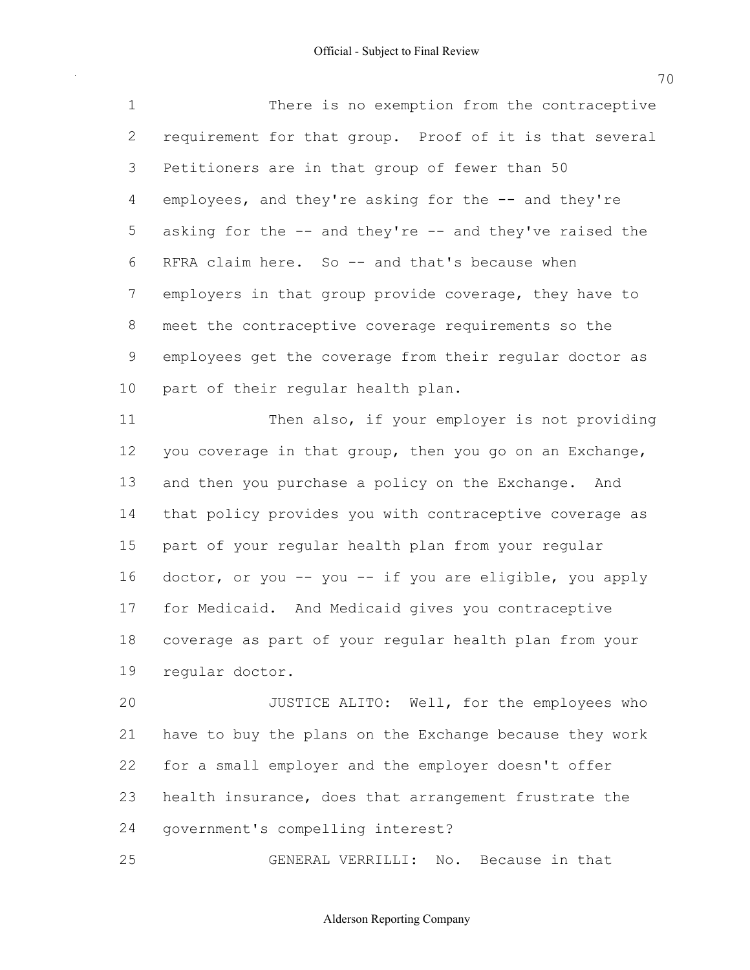There is no exemption from the contraceptive requirement for that group. Proof of it is that several Petitioners are in that group of fewer than 50 4 employees, and they're asking for the -- and they're 5 asking for the -- and they're -- and they've raised the RFRA claim here. So  $-$  and that's because when employers in that group provide coverage, they have to meet the contraceptive coverage requirements so the employees get the coverage from their regular doctor as part of their regular health plan.

11 Then also, if your employer is not providing 12 you coverage in that group, then you go on an Exchange, 13 and then you purchase a policy on the Exchange. And that policy provides you with contraceptive coverage as part of your regular health plan from your regular 16 doctor, or you -- you -- if you are eligible, you apply for Medicaid. And Medicaid gives you contraceptive coverage as part of your regular health plan from your regular doctor.

**JUSTICE ALITO:** Well, for the employees who have to buy the plans on the Exchange because they work for a small employer and the employer doesn't offer health insurance, does that arrangement frustrate the government's compelling interest?

GENERAL VERRILLI: No. Because in that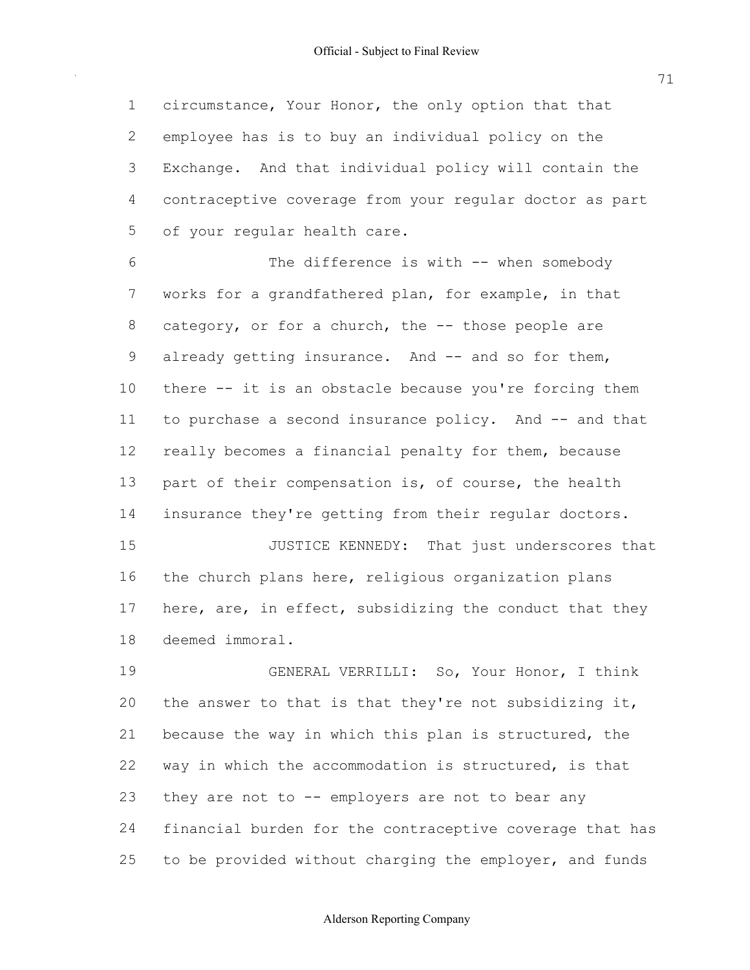1 circumstance, Your Honor, the only option that that 2 employee has is to buy an individual policy on the 3 Exchange. And that individual policy will contain the 4 contraceptive coverage from your regular doctor as part 5 of your regular health care.

6 The difference is with -- when somebody 7 works for a grandfathered plan, for example, in that 8 category, or for a church, the -- those people are 9 already getting insurance. And -- and so for them, 10 there it is an obstacle because you're forcing them 11 to purchase a second insurance policy. And -- and that 12 really becomes a financial penalty for them, because 13 part of their compensation is, of course, the health 14 insurance they're getting from their regular doctors. 15 JUSTICE KENNEDY: That just underscores that

16 the church plans here, religious organization plans 17 here, are, in effect, subsidizing the conduct that they 18 deemed immoral.

 19 GENERAL VERRILLI: So, Your Honor, I think 20 the answer to that is that they're not subsidizing it, 21 because the way in which this plan is structured, the 22 way in which the accommodation is structured, is that 23 they are not to -- employers are not to bear any 24 financial burden for the contraceptive coverage that has 25 to be provided without charging the employer, and funds

### Alderson Reporting Company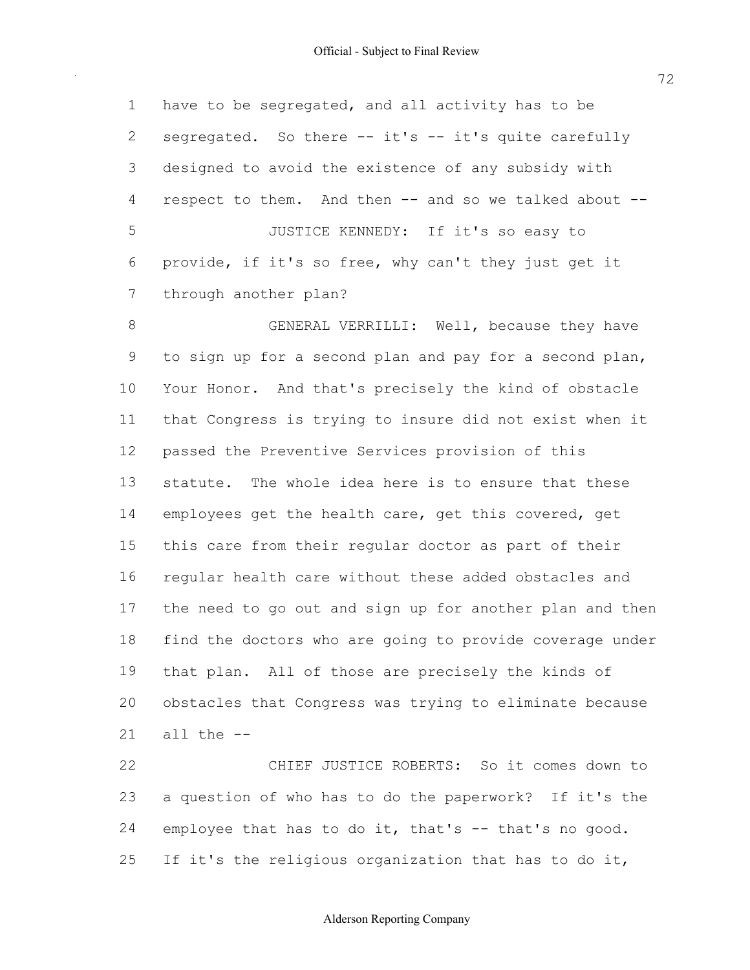have to be segregated, and all activity has to be 2 segregated. So there -- it's -- it's quite carefully designed to avoid the existence of any subsidy with 4 respect to them. And then -- and so we talked about -- JUSTICE KENNEDY: If it's so easy to provide, if it's so free, why can't they just get it through another plan?

8 GENERAL VERRILLI: Well, because they have to sign up for a second plan and pay for a second plan, Your Honor. And that's precisely the kind of obstacle that Congress is trying to insure did not exist when it passed the Preventive Services provision of this statute. The whole idea here is to ensure that these 14 employees get the health care, get this covered, get this care from their regular doctor as part of their regular health care without these added obstacles and the need to go out and sign up for another plan and then find the doctors who are going to provide coverage under that plan. All of those are precisely the kinds of obstacles that Congress was trying to eliminate because all the

 CHIEF JUSTICE ROBERTS: So it comes down to a question of who has to do the paperwork? If it's the 24 employee that has to do it, that's  $-$  that's no good. 25 If it's the religious organization that has to do it,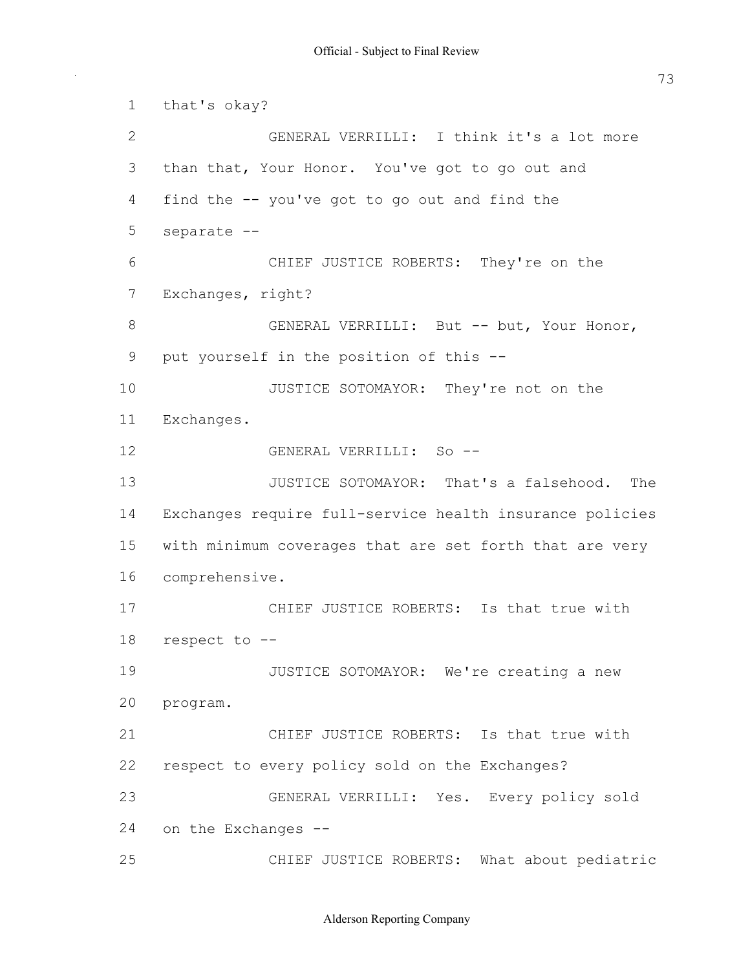GENERAL VERRILLI: I think it's a lot more than that, Your Honor. You've got to go out and CHIEF JUSTICE ROBERTS: They're on the 8 GENERAL VERRILLI: But -- but, Your Honor, put yourself in the position of this 10 JUSTICE SOTOMAYOR: They're not on the 12 GENERAL VERRILLI: So -- JUSTICE SOTOMAYOR: That's a falsehood. The 14 Exchanges require full-service health insurance policies with minimum coverages that are set forth that are very 17 CHIEF JUSTICE ROBERTS: Is that true with 18 respect to -- JUSTICE SOTOMAYOR: We're creating a new 21 CHIEF JUSTICE ROBERTS: Is that true with respect to every policy sold on the Exchanges? GENERAL VERRILLI: Yes. Every policy sold 24 on the Exchanges -- CHIEF JUSTICE ROBERTS: What about pediatric that's okay? 4 find the -- you've got to go out and find the separate Exchanges, right? Exchanges. comprehensive. program.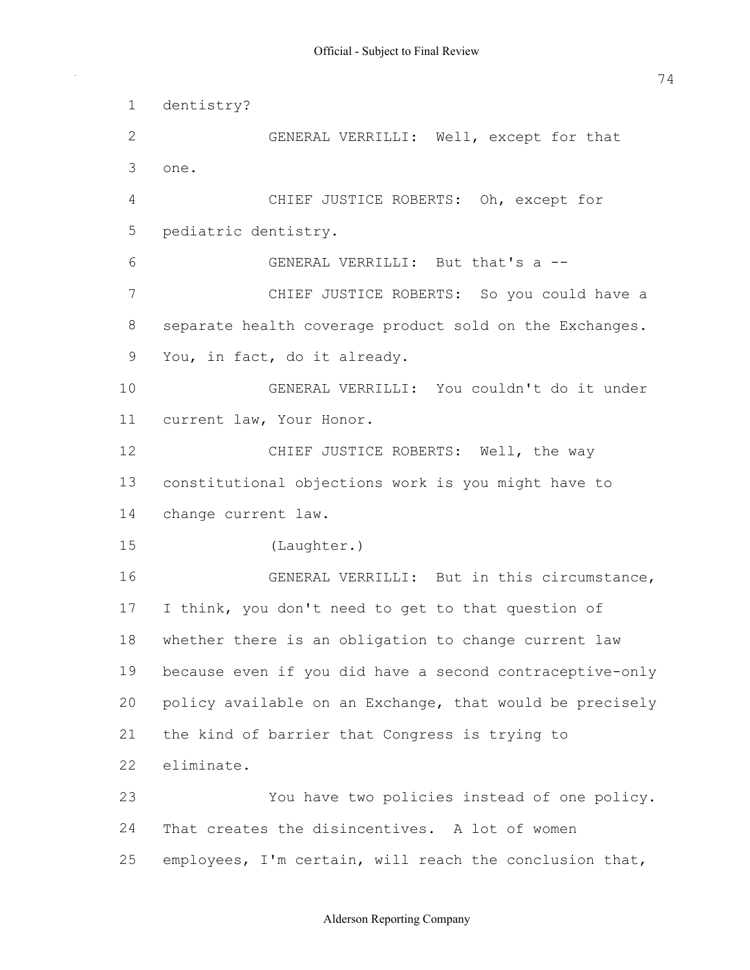GENERAL VERRILLI: Well, except for that CHIEF JUSTICE ROBERTS: Oh, except for GENERAL VERRILLI: But that's a CHIEF JUSTICE ROBERTS: So you could have a separate health coverage product sold on the Exchanges. You, in fact, do it already. GENERAL VERRILLI: You couldn't do it under current law, Your Honor. 12 CHIEF JUSTICE ROBERTS: Well, the way constitutional objections work is you might have to change current law. GENERAL VERRILLI: But in this circumstance, I think, you don't need to get to that question of whether there is an obligation to change current law 19 because even if you did have a second contraceptive-only policy available on an Exchange, that would be precisely the kind of barrier that Congress is trying to You have two policies instead of one policy. That creates the disincentives. A lot of women 25 employees, I'm certain, will reach the conclusion that, dentistry? one. pediatric dentistry. (Laughter.) eliminate.

#### Alderson Reporting Company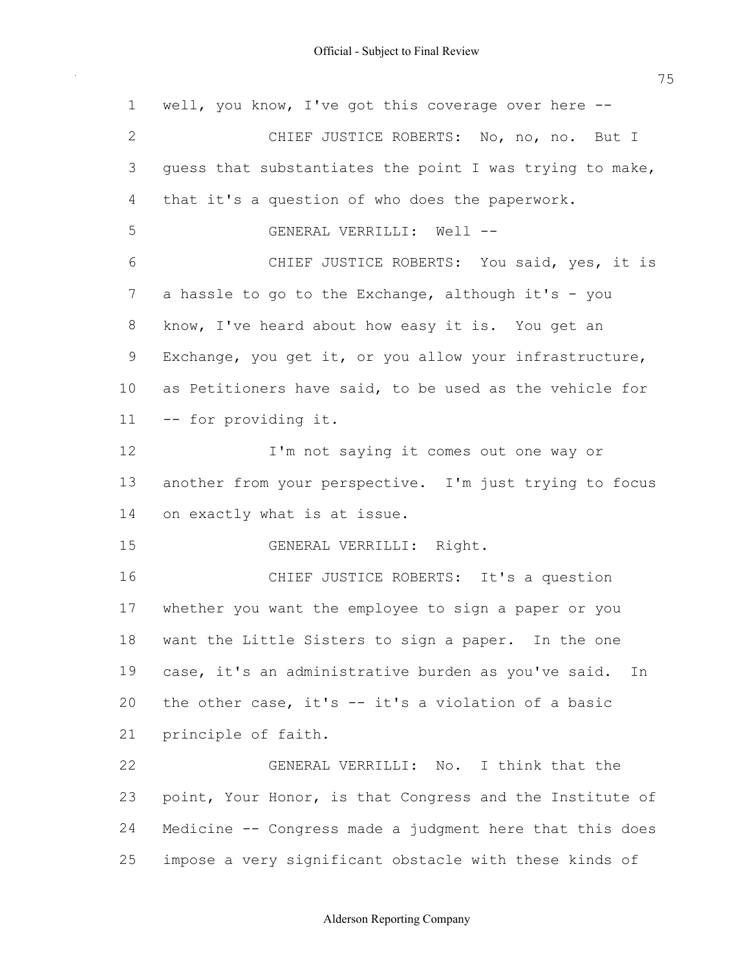1 well, you know, I've got this coverage over here --2 CHIEF JUSTICE ROBERTS: No, no, no. But I 3 guess that substantiates the point I was trying to make, that it's a question of who does the paperwork. 5 GENERAL VERRILLI: Well -- CHIEF JUSTICE ROBERTS: You said, yes, it is 7 a hassle to go to the Exchange, although it's - you know, I've heard about how easy it is. You get an Exchange, you get it, or you allow your infrastructure, as Petitioners have said, to be used as the vehicle for 11 -- for providing it. **I'm not saying it comes out one way or**  another from your perspective. I'm just trying to focus on exactly what is at issue. GENERAL VERRILLI: Right. CHIEF JUSTICE ROBERTS: It's a question whether you want the employee to sign a paper or you want the Little Sisters to sign a paper. In the one case, it's an administrative burden as you've said. In 20 the other case, it's -- it's a violation of a basic principle of faith. GENERAL VERRILLI: No. I think that the 23 point, Your Honor, is that Congress and the Institute of 24 Medicine -- Congress made a judgment here that this does impose a very significant obstacle with these kinds of

# Alderson Reporting Company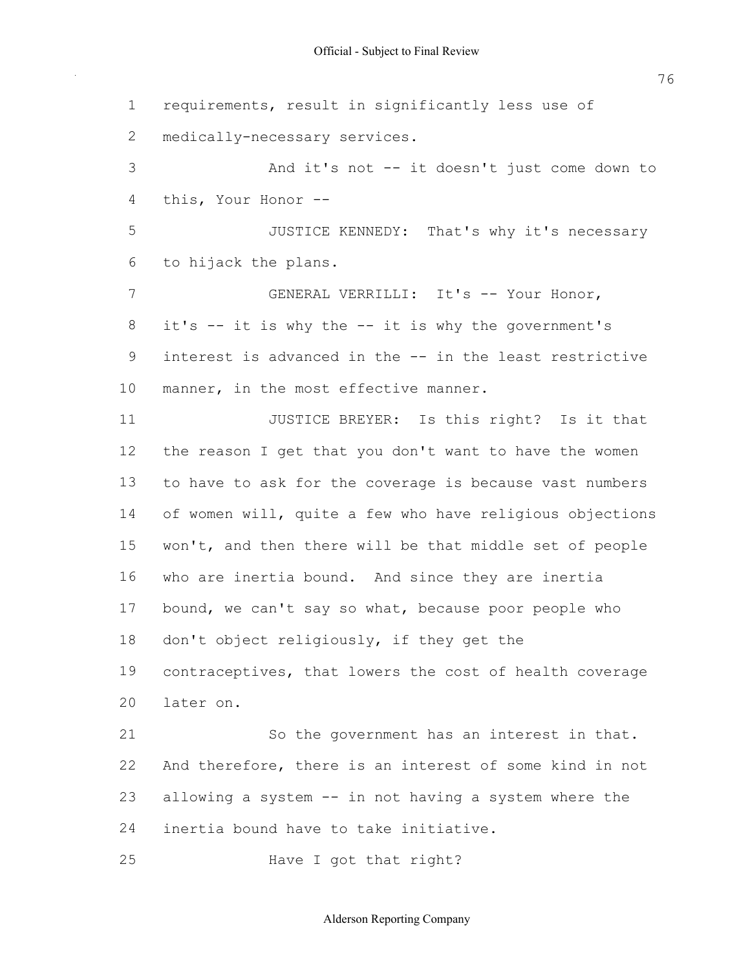1 requirements, result in significantly less use of 3 And it's not -- it doesn't just come down to 4 this, Your Honor 5 JUSTICE KENNEDY: That's why it's necessary 6 to hijack the plans. 7 GENERAL VERRILLI: It's -- Your Honor, 8 it's -- it is why the -- it is why the government's 9 interest is advanced in the -- in the least restrictive 10 manner, in the most effective manner. 11 **JUSTICE BREYER:** Is this right? Is it that 12 the reason I get that you don't want to have the women 13 to have to ask for the coverage is because vast numbers 14 of women will, quite a few who have religious objections 15 won't, and then there will be that middle set of people 16 who are inertia bound. And since they are inertia 17 bound, we can't say so what, because poor people who 18 don't object religiously, if they get the 19 contraceptives, that lowers the cost of health coverage 21 So the government has an interest in that. 22 And therefore, there is an interest of some kind in not 23 allowing a system -- in not having a system where the 24 inertia bound have to take initiative. 25 Have I got that right? 2 medically-necessary services. 20 later on.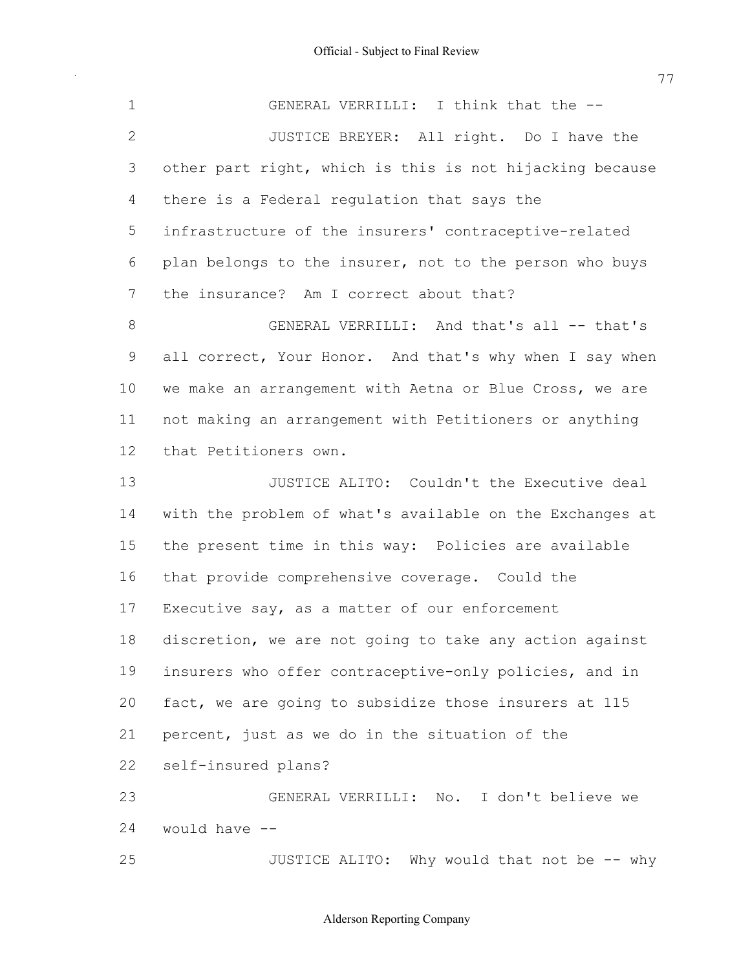1 GENERAL VERRILLI: I think that the --2 JUSTICE BREYER: All right. Do I have the other part right, which is this is not hijacking because there is a Federal regulation that says the 5 infrastructure of the insurers' contraceptive-related plan belongs to the insurer, not to the person who buys the insurance? Am I correct about that? 8 GENERAL VERRILLI: And that's all -- that's 9 all correct, Your Honor. And that's why when I say when we make an arrangement with Aetna or Blue Cross, we are not making an arrangement with Petitioners or anything **JUSTICE ALITO:** Couldn't the Executive deal with the problem of what's available on the Exchanges at the present time in this way: Policies are available that provide comprehensive coverage. Could the 17 Executive say, as a matter of our enforcement discretion, we are not going to take any action against 19 insurers who offer contraceptive-only policies, and in fact, we are going to subsidize those insurers at 115 percent, just as we do in the situation of the GENERAL VERRILLI: No. I don't believe we would have 25 JUSTICE ALITO: Why would that not be -- why that Petitioners own. 22 self-insured plans?

#### Alderson Reporting Company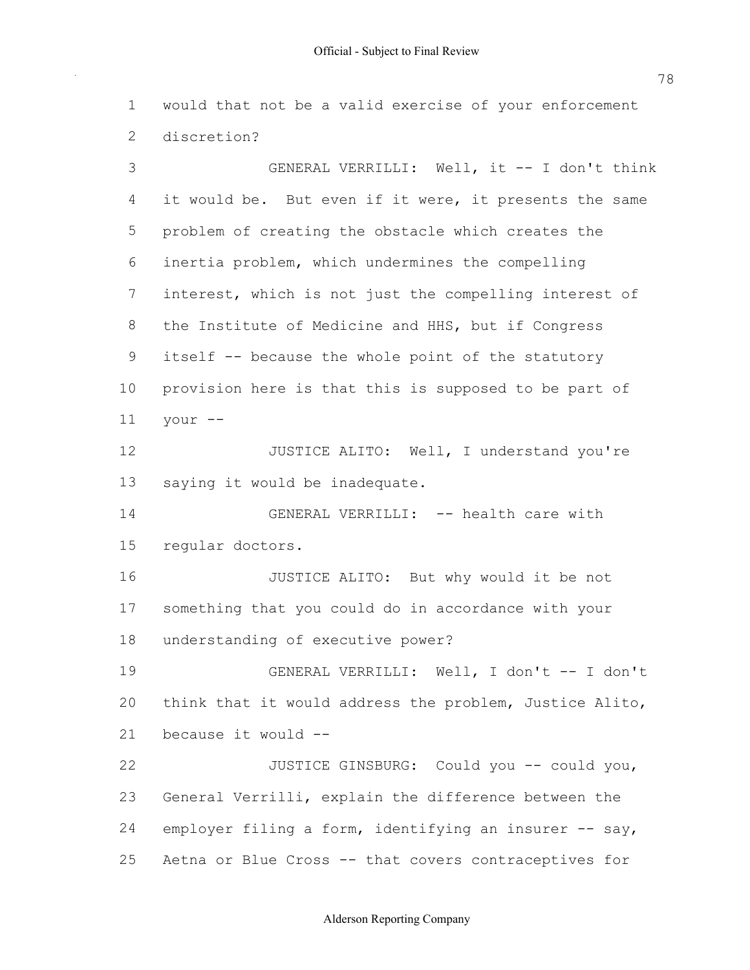would that not be a valid exercise of your enforcement discretion?

3 GENERAL VERRILLI: Well, it -- I don't think 4 it would be. But even if it were, it presents the same problem of creating the obstacle which creates the inertia problem, which undermines the compelling interest, which is not just the compelling interest of the Institute of Medicine and HHS, but if Congress 9 itself -- because the whole point of the statutory provision here is that this is supposed to be part of **JUSTICE ALITO:** Well, I understand you're saying it would be inadequate. 14 GENERAL VERRILLI: -- health care with JUSTICE ALITO: But why would it be not something that you could do in accordance with your understanding of executive power? 19 GENERAL VERRILLI: Well, I don't -- I don't think that it would address the problem, Justice Alito, because it would 22 JUSTICE GINSBURG: Could you -- could you, General Verrilli, explain the difference between the 24 employer filing a form, identifying an insurer -- say, 25 Aetna or Blue Cross -- that covers contraceptives for your  $-$ regular doctors.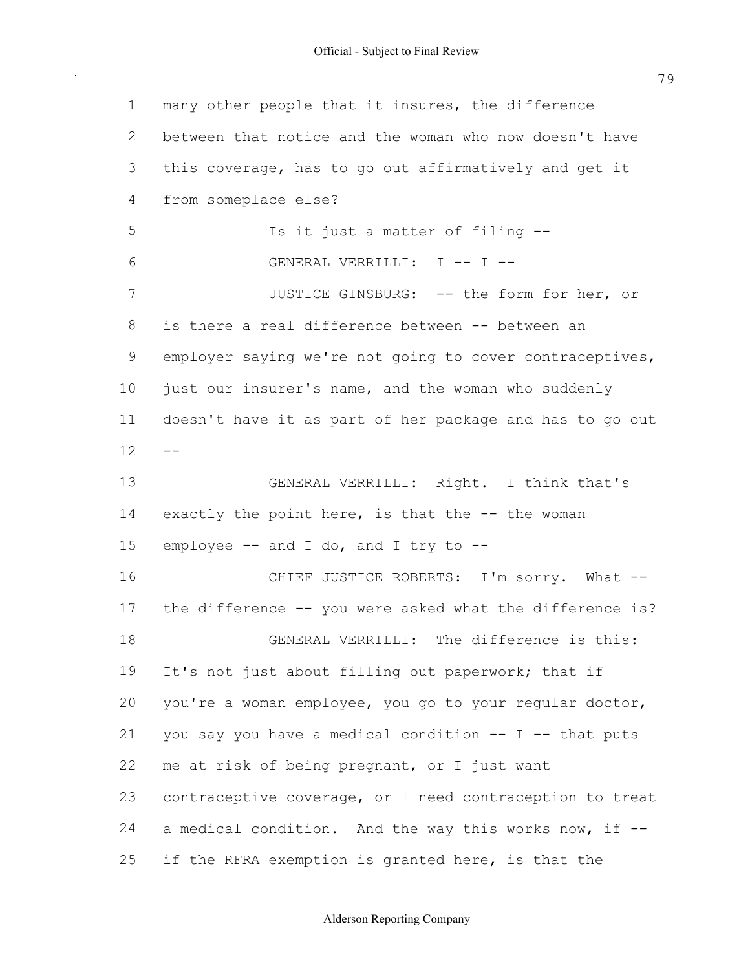1 many other people that it insures, the difference 2 between that notice and the woman who now doesn't have 3 this coverage, has to go out affirmatively and get it 5 Is it just a matter of filing --6 GENERAL VERRILLI: I -- I --7 JUSTICE GINSBURG: -- the form for her, or 8 is there a real difference between -- between an 9 employer saying we're not going to cover contraceptives, 10 just our insurer's name, and the woman who suddenly 11 doesn't have it as part of her package and has to go out 13 GENERAL VERRILLI: Right. I think that's 14 exactly the point here, is that the -- the woman 15 employee -- and I do, and I try to --16 CHIEF JUSTICE ROBERTS: I'm sorry. What --17 the difference -- you were asked what the difference is? 18 GENERAL VERRILLI: The difference is this: 19 It's not just about filling out paperwork; that if 20 you're a woman employee, you go to your regular doctor, 21 you say you have a medical condition  $-$ - I  $-$ - that puts 22 me at risk of being pregnant, or I just want 23 contraceptive coverage, or I need contraception to treat 24 a medical condition. And the way this works now, if --25 if the RFRA exemption is granted here, is that the 4 from someplace else?  $12 - -$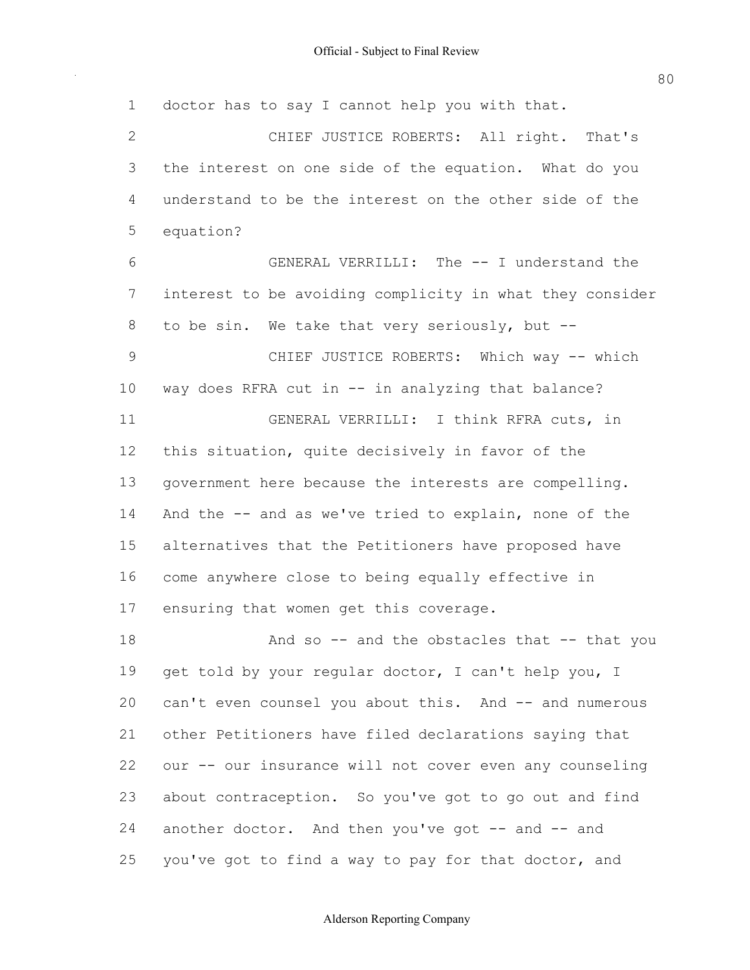1 doctor has to say I cannot help you with that. 2 CHIEF JUSTICE ROBERTS: All right. That's 3 the interest on one side of the equation. What do you 4 understand to be the interest on the other side of the 6 GENERAL VERRILLI: The -- I understand the 7 interest to be avoiding complicity in what they consider 8 to be sin. We take that very seriously, but --9 CHIEF JUSTICE ROBERTS: Which way -- which 10 way does RFRA cut in -- in analyzing that balance? 11 GENERAL VERRILLI: I think RFRA cuts, in 12 this situation, quite decisively in favor of the 13 government here because the interests are compelling. 14 And the -- and as we've tried to explain, none of the 15 alternatives that the Petitioners have proposed have 16 come anywhere close to being equally effective in 17 ensuring that women get this coverage. 18 And so -- and the obstacles that -- that you 19 get told by your regular doctor, I can't help you, I 20 can't even counsel you about this. And -- and numerous 21 other Petitioners have filed declarations saying that 22 our -- our insurance will not cover even any counseling 23 about contraception. So you've got to go out and find 24 another doctor. And then you've got -- and -- and 25 you've got to find a way to pay for that doctor, and 5 equation?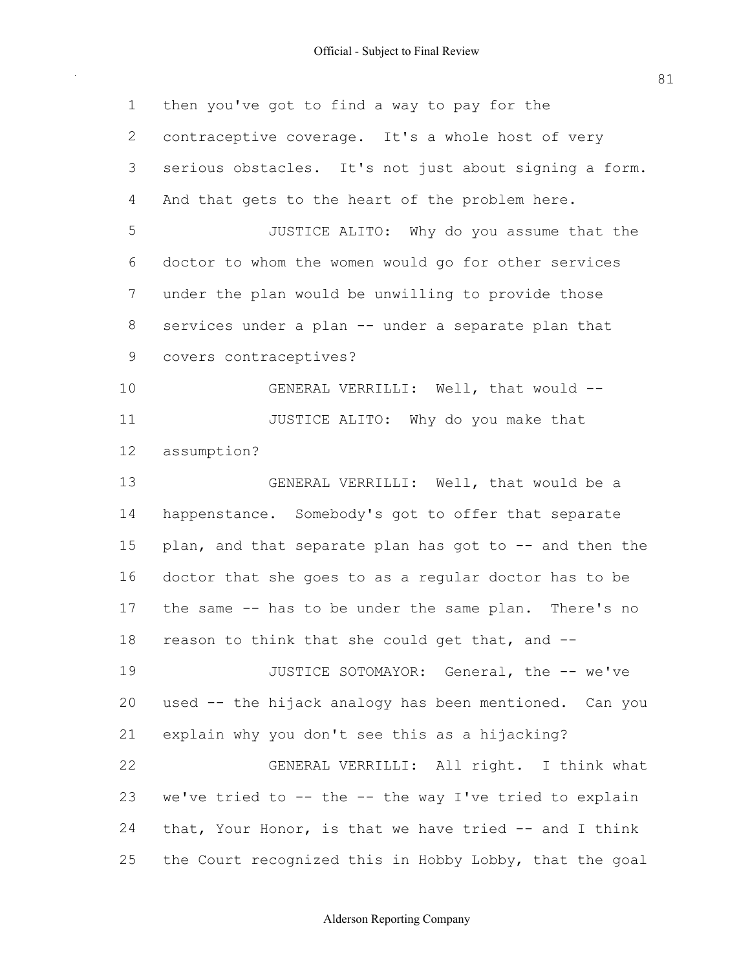| $\mathbf 1$  | then you've got to find a way to pay for the            |
|--------------|---------------------------------------------------------|
| $\mathbf{2}$ | contraceptive coverage. It's a whole host of very       |
| 3            | serious obstacles. It's not just about signing a form.  |
| 4            | And that gets to the heart of the problem here.         |
| 5            | JUSTICE ALITO: Why do you assume that the               |
| 6            | doctor to whom the women would go for other services    |
| 7            | under the plan would be unwilling to provide those      |
| 8            | services under a plan -- under a separate plan that     |
| 9            | covers contraceptives?                                  |
| 10           | GENERAL VERRILLI: Well, that would --                   |
| 11           | JUSTICE ALITO: Why do you make that                     |
| 12           | assumption?                                             |
| 13           | GENERAL VERRILLI: Well, that would be a                 |
| 14           | happenstance. Somebody's got to offer that separate     |
| 15           | plan, and that separate plan has got to -- and then the |
| 16           | doctor that she goes to as a regular doctor has to be   |
| 17           | the same -- has to be under the same plan. There's no   |
| 18           | reason to think that she could get that, and --         |
| 19           | JUSTICE SOTOMAYOR: General, the -- we've                |
| 20           | used -- the hijack analogy has been mentioned. Can you  |
| 21           | explain why you don't see this as a hijacking?          |
| 22           | GENERAL VERRILLI: All right. I think what               |
| 23           | we've tried to -- the -- the way I've tried to explain  |
| 24           | that, Your Honor, is that we have tried -- and I think  |
| 25           | the Court recognized this in Hobby Lobby, that the goal |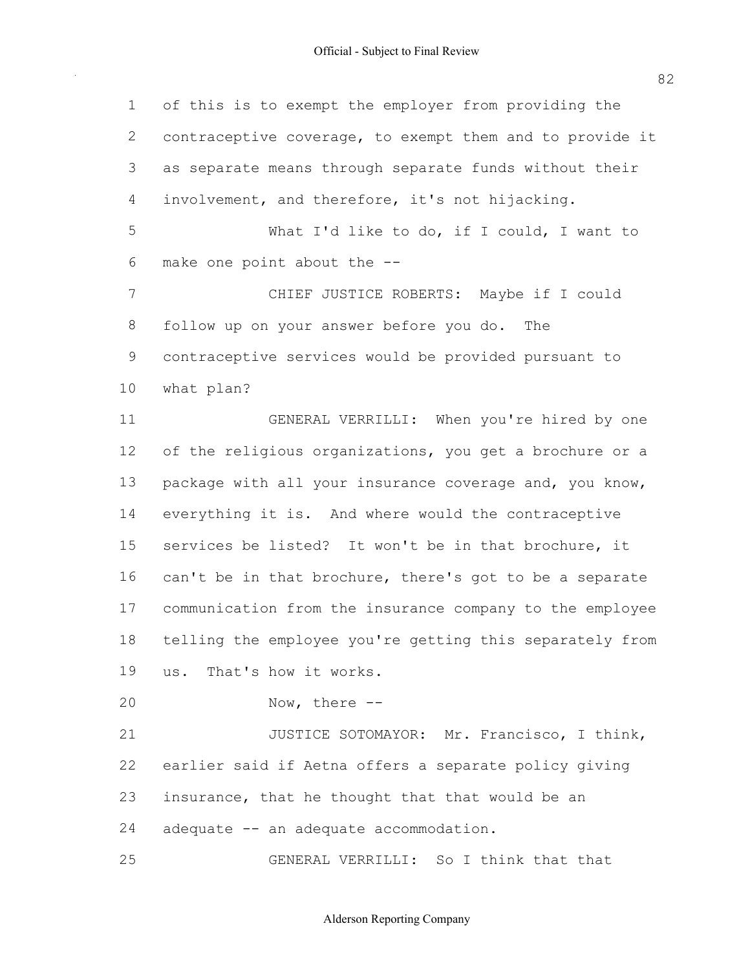of this is to exempt the employer from providing the contraceptive coverage, to exempt them and to provide it as separate means through separate funds without their involvement, and therefore, it's not hijacking. What I'd like to do, if I could, I want to make one point about the CHIEF JUSTICE ROBERTS: Maybe if I could follow up on your answer before you do. The contraceptive services would be provided pursuant to GENERAL VERRILLI: When you're hired by one of the religious organizations, you get a brochure or a 13 package with all your insurance coverage and, you know, everything it is. And where would the contraceptive services be listed? It won't be in that brochure, it 16 can't be in that brochure, there's got to be a separate communication from the insurance company to the employee telling the employee you're getting this separately from us. That's how it works. 20 Now, there --21 JUSTICE SOTOMAYOR: Mr. Francisco, I think, earlier said if Aetna offers a separate policy giving 23 insurance, that he thought that that would be an 24 adequate -- an adequate accommodation. GENERAL VERRILLI: So I think that that what plan?

Alderson Reporting Company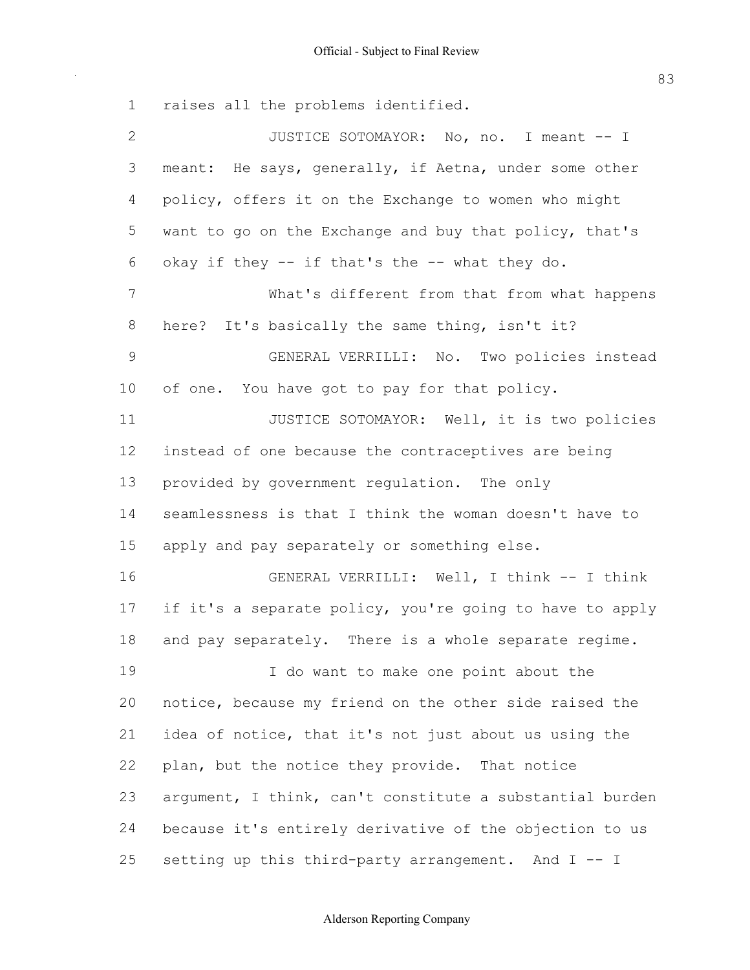raises all the problems identified. 2 JUSTICE SOTOMAYOR: No, no. I meant -- I 3 meant: He says, generally, if Aetna, under some other policy, offers it on the Exchange to women who might want to go on the Exchange and buy that policy, that's What's different from that from what happens here? It's basically the same thing, isn't it? GENERAL VERRILLI: No. Two policies instead of one. You have got to pay for that policy. **JUSTICE SOTOMAYOR:** Well, it is two policies instead of one because the contraceptives are being provided by government regulation. The only seamlessness is that I think the woman doesn't have to apply and pay separately or something else. 16 GENERAL VERRILLI: Well, I think -- I think 17 if it's a separate policy, you're going to have to apply 18 and pay separately. There is a whole separate regime. I do want to make one point about the 6 okay if they  $-$  if that's the  $-$  what they do.

 notice, because my friend on the other side raised the idea of notice, that it's not just about us using the 22 plan, but the notice they provide. That notice argument, I think, can't constitute a substantial burden because it's entirely derivative of the objection to us 25 setting up this third-party arrangement. And  $I$  -- I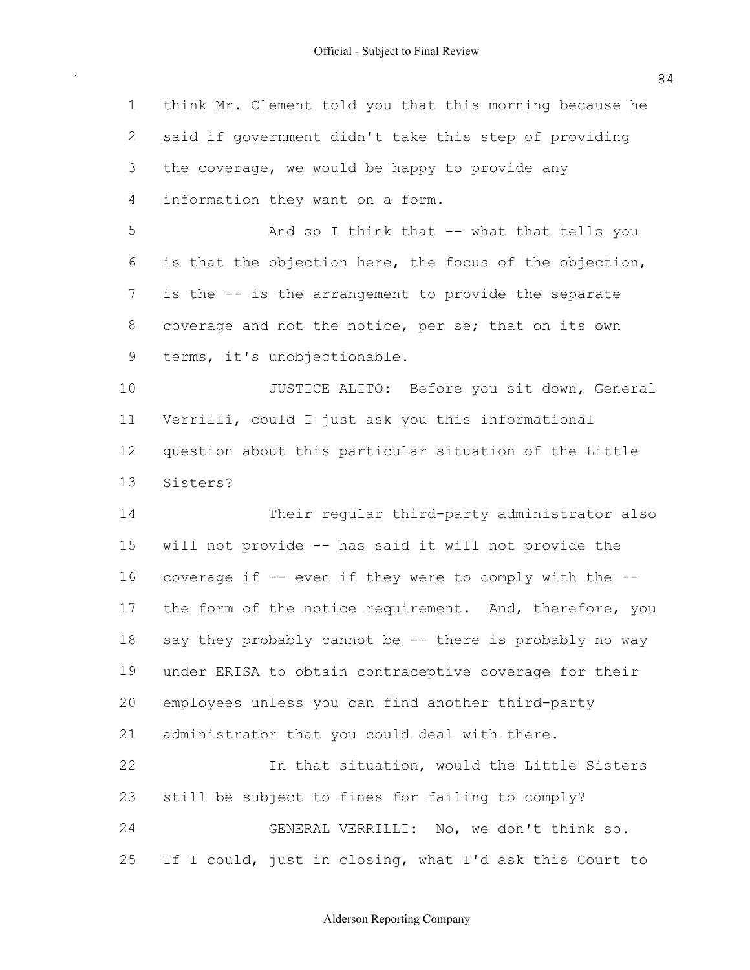1 think Mr. Clement told you that this morning because he 2 said if government didn't take this step of providing 3 the coverage, we would be happy to provide any 4 information they want on a form. 5 And so I think that -- what that tells you 6 is that the objection here, the focus of the objection, 7 is the -- is the arrangement to provide the separate 8 coverage and not the notice, per se; that on its own 9 terms, it's unobjectionable. 10 JUSTICE ALITO: Before you sit down, General 11 Verrilli, could I just ask you this informational 12 question about this particular situation of the Little 14 Their regular third-party administrator also 15 will not provide -- has said it will not provide the 16 coverage if -- even if they were to comply with the --17 the form of the notice requirement. And, therefore, you 18 say they probably cannot be -- there is probably no way 19 under ERISA to obtain contraceptive coverage for their 20 employees unless you can find another third-party 21 administrator that you could deal with there. 22 10 In that situation, would the Little Sisters 23 still be subject to fines for failing to comply? 24 GENERAL VERRILLI: No, we don't think so. 25 If I could, just in closing, what I'd ask this Court to 13 Sisters?

84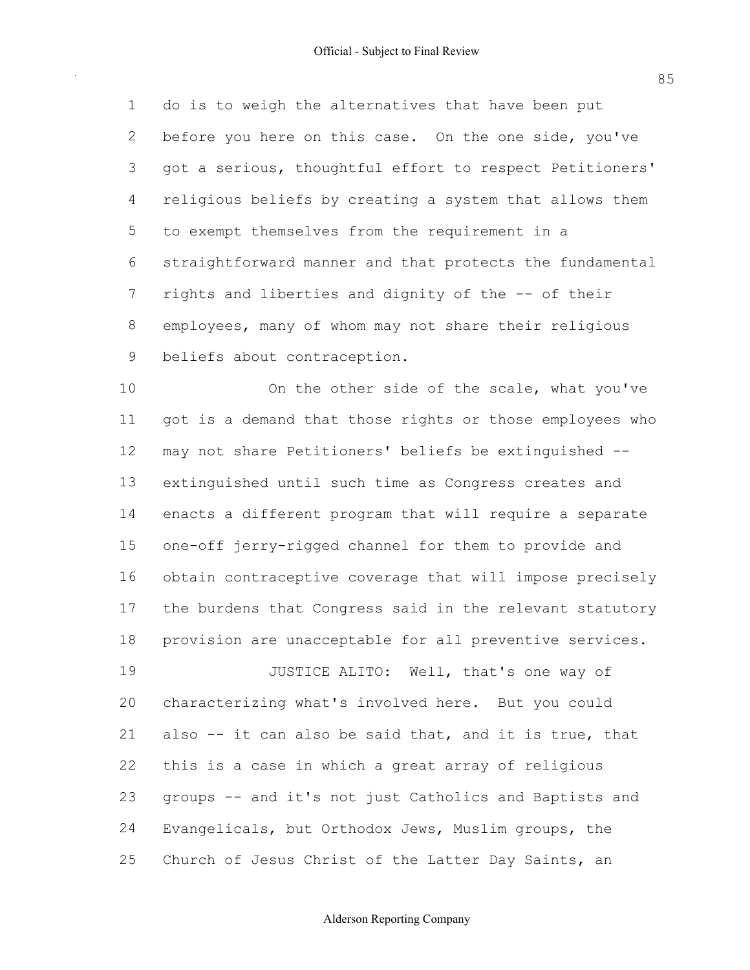do is to weigh the alternatives that have been put 2 before you here on this case. On the one side, you've got a serious, thoughtful effort to respect Petitioners' religious beliefs by creating a system that allows them to exempt themselves from the requirement in a straightforward manner and that protects the fundamental 7 rights and liberties and dignity of the -- of their employees, many of whom may not share their religious 9 beliefs about contraception.

10 On the other side of the scale, what you've got is a demand that those rights or those employees who may not share Petitioners' beliefs be extinguished extinguished until such time as Congress creates and enacts a different program that will require a separate 15 one-off jerry-rigged channel for them to provide and obtain contraceptive coverage that will impose precisely the burdens that Congress said in the relevant statutory provision are unacceptable for all preventive services.

**JUSTICE ALITO:** Well, that's one way of characterizing what's involved here. But you could 21 also -- it can also be said that, and it is true, that this is a case in which a great array of religious 23 groups -- and it's not just Catholics and Baptists and Evangelicals, but Orthodox Jews, Muslim groups, the 25 Church of Jesus Christ of the Latter Day Saints, an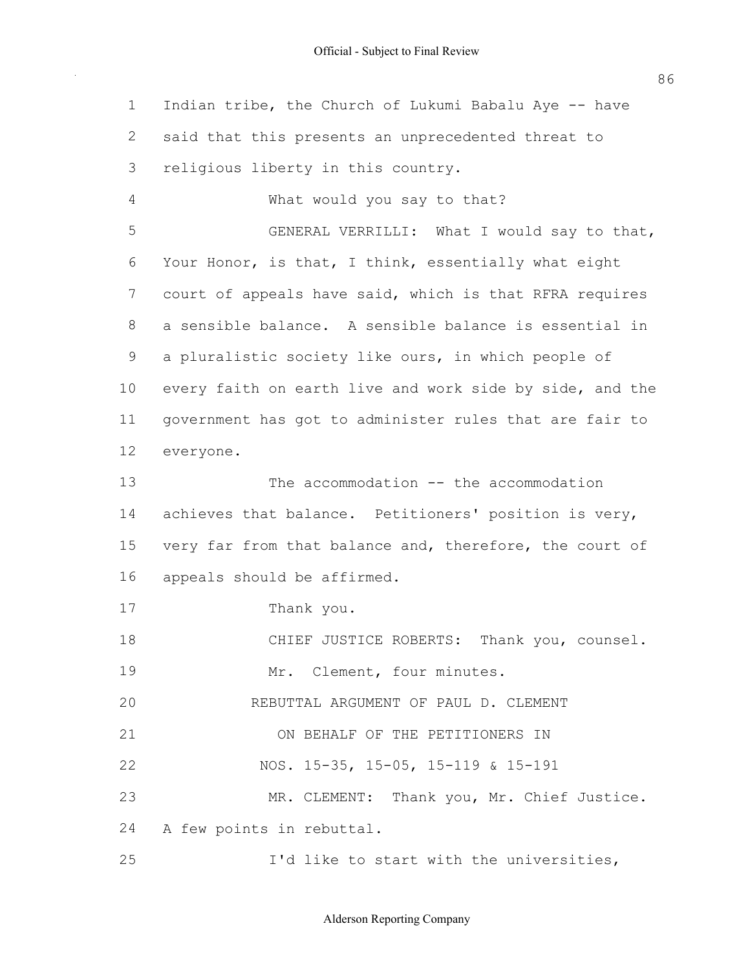| $\mathbf 1$ | Indian tribe, the Church of Lukumi Babalu Aye -- have    |
|-------------|----------------------------------------------------------|
| 2           | said that this presents an unprecedented threat to       |
| 3           | religious liberty in this country.                       |
| 4           | What would you say to that?                              |
| 5           | GENERAL VERRILLI: What I would say to that,              |
| 6           | Your Honor, is that, I think, essentially what eight     |
| 7           | court of appeals have said, which is that RFRA requires  |
| 8           | a sensible balance. A sensible balance is essential in   |
| 9           | a pluralistic society like ours, in which people of      |
| 10          | every faith on earth live and work side by side, and the |
| 11          | government has got to administer rules that are fair to  |
| 12          | everyone.                                                |
| 13          | The $accommodation$ -- the $accommodation$               |
| 14          | achieves that balance. Petitioners' position is very,    |
| 15          | very far from that balance and, therefore, the court of  |
| 16          | appeals should be affirmed.                              |
| 17          | Thank you.                                               |
| 18          | CHIEF JUSTICE ROBERTS: Thank you, counsel.               |
| 19          | Mr. Clement, four minutes.                               |
| 20          | REBUTTAL ARGUMENT OF PAUL D. CLEMENT                     |
| 21          | ON BEHALF OF THE PETITIONERS IN                          |
| 22          | NOS. 15-35, 15-05, 15-119 & 15-191                       |
| 23          | MR. CLEMENT: Thank you, Mr. Chief Justice.               |
| 24          | A few points in rebuttal.                                |
| 25          | I'd like to start with the universities,                 |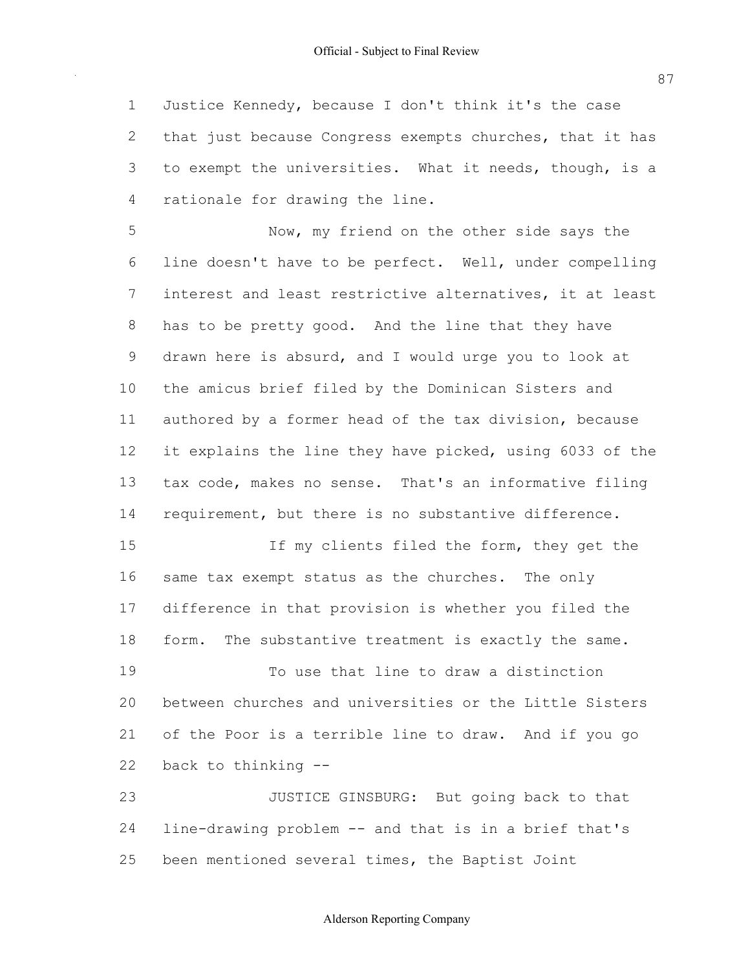Justice Kennedy, because I don't think it's the case 2 that just because Congress exempts churches, that it has 3 to exempt the universities. What it needs, though, is a rationale for drawing the line.

 Now, my friend on the other side says the line doesn't have to be perfect. Well, under compelling interest and least restrictive alternatives, it at least has to be pretty good. And the line that they have drawn here is absurd, and I would urge you to look at the amicus brief filed by the Dominican Sisters and 11 authored by a former head of the tax division, because 12 it explains the line they have picked, using 6033 of the tax code, makes no sense. That's an informative filing 14 requirement, but there is no substantive difference.

15 15 If my clients filed the form, they get the same tax exempt status as the churches. The only difference in that provision is whether you filed the 18 form. The substantive treatment is exactly the same.

 To use that line to draw a distinction between churches and universities or the Little Sisters of the Poor is a terrible line to draw. And if you go back to thinking

23 JUSTICE GINSBURG: But going back to that 24 line-drawing problem -- and that is in a brief that's been mentioned several times, the Baptist Joint

## Alderson Reporting Company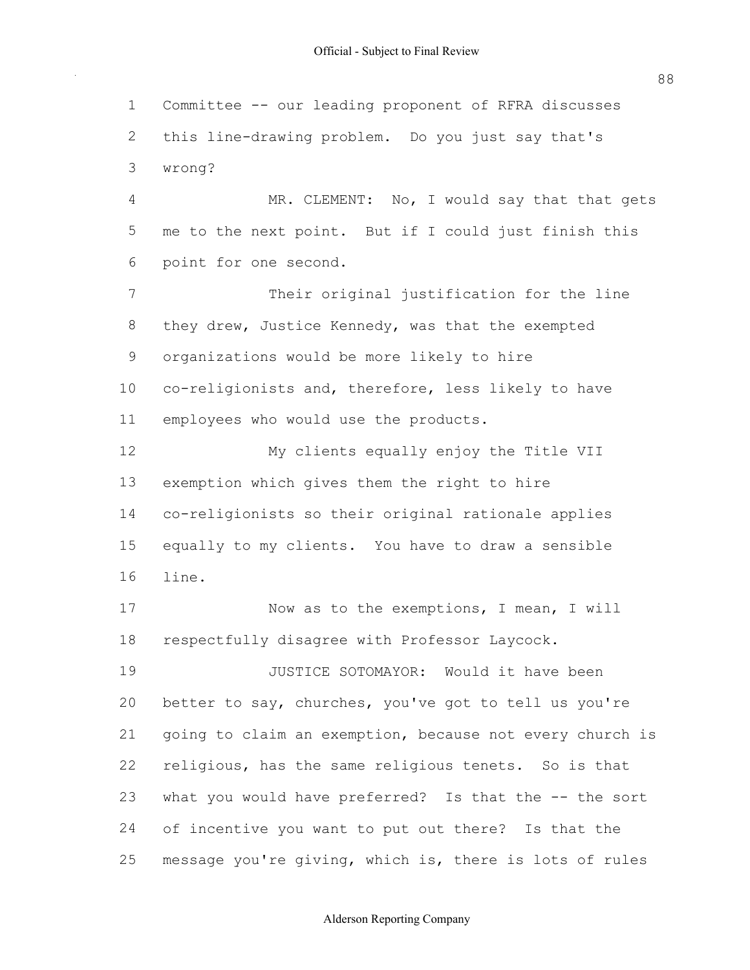1 Committee -- our leading proponent of RFRA discusses 2 this line-drawing problem. Do you just say that's 4 MR. CLEMENT: No, I would say that that gets 5 me to the next point. But if I could just finish this 6 point for one second. 7 Their original justification for the line 8 they drew, Justice Kennedy, was that the exempted 9 organizations would be more likely to hire 10 co-religionists and, therefore, less likely to have 11 employees who would use the products. 12 My clients equally enjoy the Title VII 13 exemption which gives them the right to hire 14 co-religionists so their original rationale applies 15 equally to my clients. You have to draw a sensible 17 Now as to the exemptions, I mean, I will 18 respectfully disagree with Professor Laycock. 19 JUSTICE SOTOMAYOR: Would it have been 20 better to say, churches, you've got to tell us you're 21 going to claim an exemption, because not every church is 22 religious, has the same religious tenets. So is that 23 what you would have preferred? Is that the -- the sort 24 of incentive you want to put out there? Is that the 25 message you're giving, which is, there is lots of rules 3 wrong? 16 line.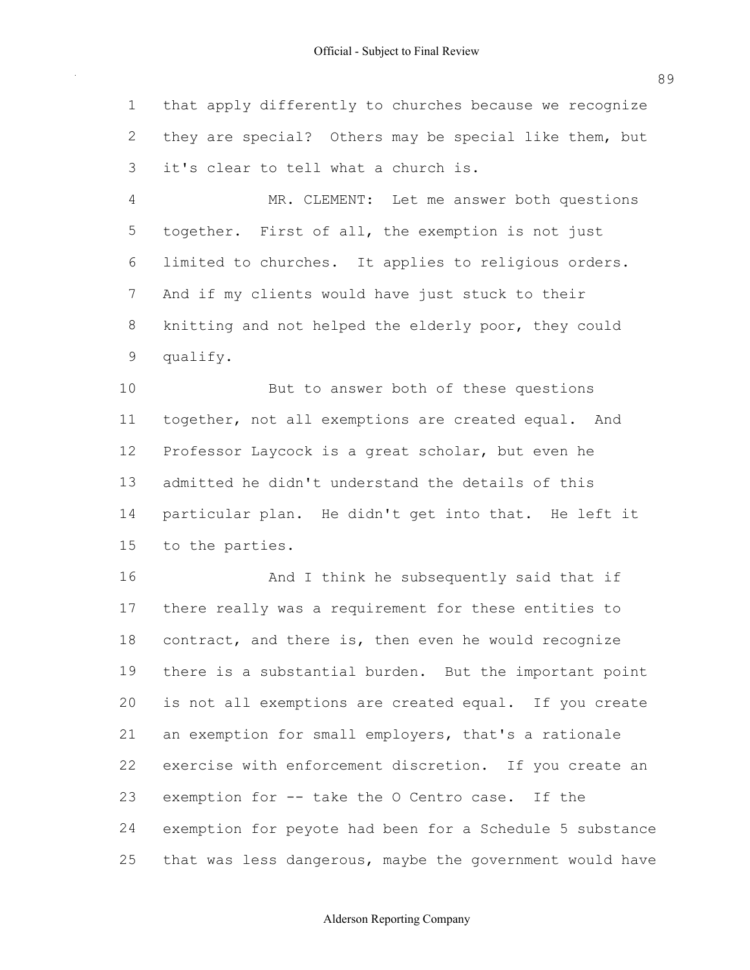that apply differently to churches because we recognize they are special? Others may be special like them, but it's clear to tell what a church is.

 MR. CLEMENT: Let me answer both questions together. First of all, the exemption is not just limited to churches. It applies to religious orders. And if my clients would have just stuck to their knitting and not helped the elderly poor, they could qualify.

 But to answer both of these questions 11 together, not all exemptions are created equal. And Professor Laycock is a great scholar, but even he admitted he didn't understand the details of this particular plan. He didn't get into that. He left it to the parties.

16 And I think he subsequently said that if there really was a requirement for these entities to 18 contract, and there is, then even he would recognize there is a substantial burden. But the important point is not all exemptions are created equal. If you create 21 an exemption for small employers, that's a rationale exercise with enforcement discretion. If you create an 23 exemption for -- take the O Centro case. If the exemption for peyote had been for a Schedule 5 substance 25 that was less dangerous, maybe the government would have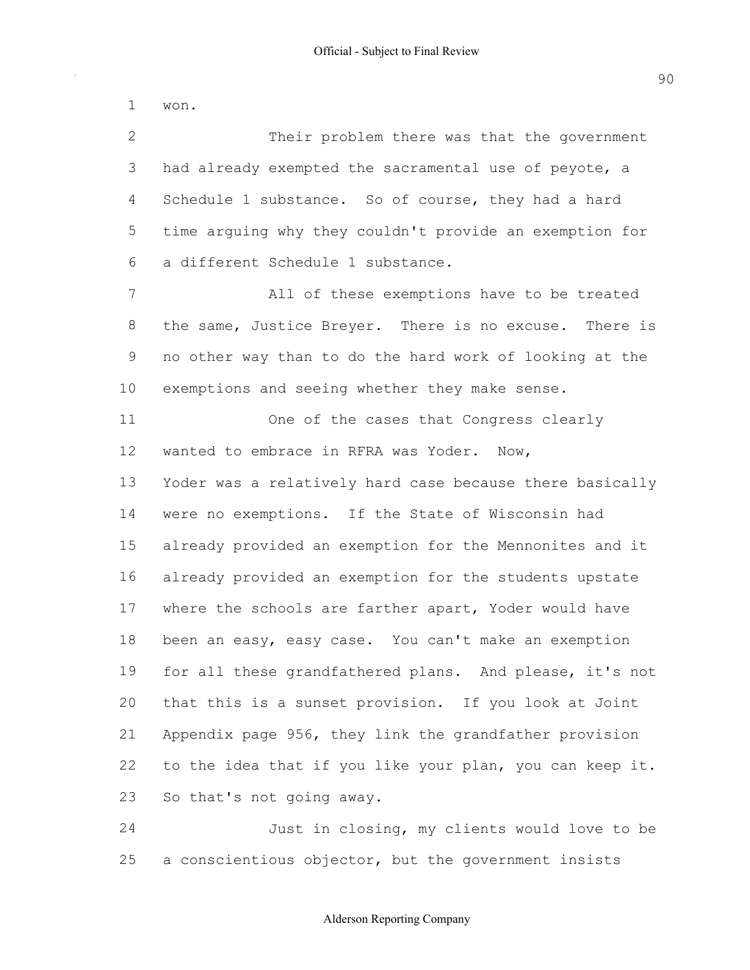Their problem there was that the government had already exempted the sacramental use of peyote, a 4 Schedule 1 substance. So of course, they had a hard time arguing why they couldn't provide an exemption for a different Schedule 1 substance. All of these exemptions have to be treated 8 the same, Justice Breyer. There is no excuse. There is no other way than to do the hard work of looking at the exemptions and seeing whether they make sense. One of the cases that Congress clearly wanted to embrace in RFRA was Yoder. Now, Yoder was a relatively hard case because there basically were no exemptions. If the State of Wisconsin had already provided an exemption for the Mennonites and it already provided an exemption for the students upstate 17 where the schools are farther apart, Yoder would have 18 been an easy, easy case. You can't make an exemption 19 for all these grandfathered plans. And please, it's not that this is a sunset provision. If you look at Joint Appendix page 956, they link the grandfather provision 22 to the idea that if you like your plan, you can keep it. So that's not going away. Just in closing, my clients would love to be won.

25 a conscientious objector, but the government insists

#### Alderson Reporting Company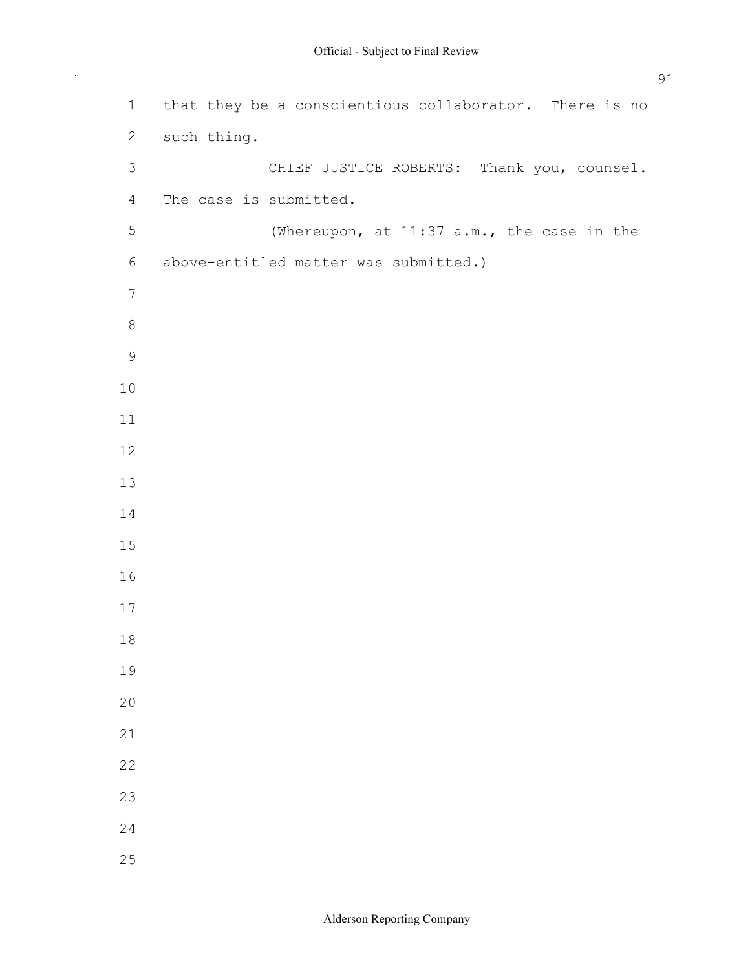| $\mathbf 1$     | that they be a conscientious collaborator. There is no |
|-----------------|--------------------------------------------------------|
| $\mathbf{2}$    | such thing.                                            |
| $\mathfrak{Z}$  | CHIEF JUSTICE ROBERTS: Thank you, counsel.             |
| $\overline{4}$  | The case is submitted.                                 |
| 5               | (Whereupon, at 11:37 a.m., the case in the             |
| $\sqrt{6}$      | above-entitled matter was submitted.)                  |
| $7\phantom{.0}$ |                                                        |
| $\,8\,$         |                                                        |
| $\mathsf 9$     |                                                        |
| 10              |                                                        |
| 11              |                                                        |
| 12              |                                                        |
| 13              |                                                        |
| 14              |                                                        |
| 15              |                                                        |
| 16              |                                                        |
| 17              |                                                        |
| 18              |                                                        |
| 19              |                                                        |
| 20              |                                                        |
| 21              |                                                        |
| 22              |                                                        |
| 23              |                                                        |
| 24              |                                                        |
| 25              |                                                        |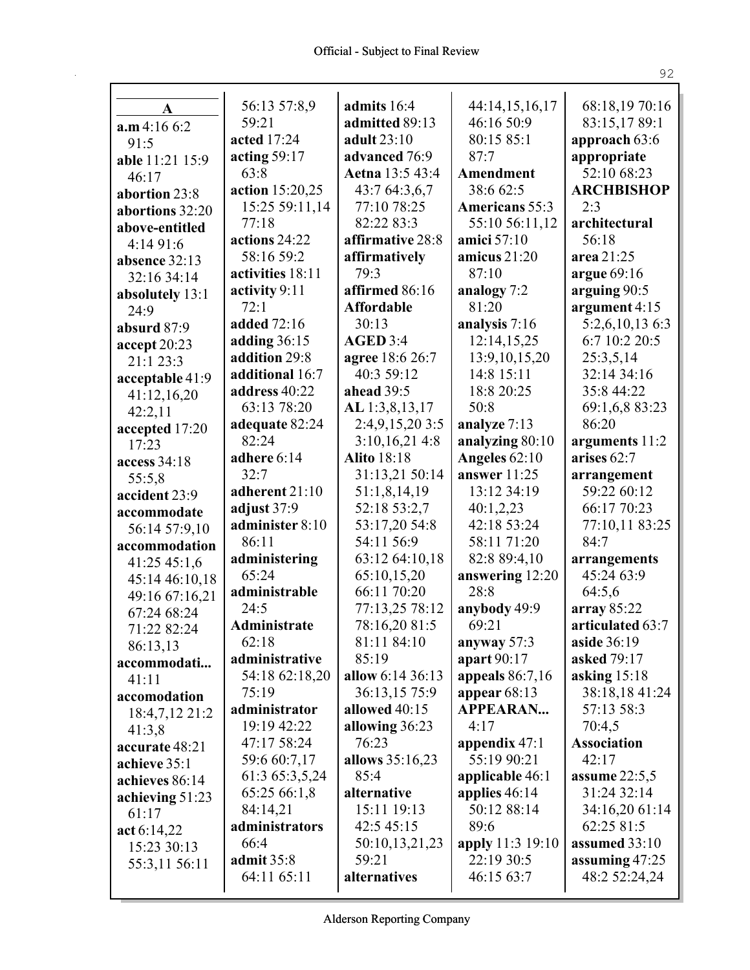$\mathbf{r}$ 

| A               | 56:13 57:8,9       | admits 16:4        | 44:14,15,16,17    | 68:18,19 70:16     |
|-----------------|--------------------|--------------------|-------------------|--------------------|
| a.m 4:166:2     | 59:21              | admitted 89:13     | 46:16 50:9        | 83:15,1789:1       |
| 91:5            | acted 17:24        | adult 23:10        | 80:15 85:1        | approach 63:6      |
| able 11:21 15:9 | acting $59:17$     | advanced 76:9      | 87:7              | appropriate        |
| 46:17           | 63:8               | Aetna 13:5 43:4    | Amendment         | 52:10 68:23        |
| abortion 23:8   | action 15:20,25    | 43:7 64:3,6,7      | 38:6 62:5         | <b>ARCHBISHOP</b>  |
| abortions 32:20 | 15:25 59:11,14     | 77:10 78:25        | Americans 55:3    | 2:3                |
| above-entitled  | 77:18              | 82:22 83:3         | 55:10 56:11,12    | architectural      |
| 4:1491:6        | actions 24:22      | affirmative 28:8   | amici 57:10       | 56:18              |
| absence 32:13   | 58:16 59:2         | affirmatively      | amicus $21:20$    | area 21:25         |
| 32:16 34:14     | activities 18:11   | 79:3               | 87:10             | argue 69:16        |
| absolutely 13:1 | activity 9:11      | affirmed 86:16     | analogy 7:2       | arguing 90:5       |
| 24:9            | 72:1               | <b>Affordable</b>  | 81:20             | argument 4:15      |
| absurd 87:9     | <b>added</b> 72:16 | 30:13              | analysis 7:16     | 5:2,6,10,13 6:3    |
| accept 20:23    | adding $36:15$     | AGED 3:4           | 12:14,15,25       | 6:7 10:2 20:5      |
| 21:1 23:3       | addition 29:8      | agree 18:6 26:7    | 13:9, 10, 15, 20  | 25:3,5,14          |
| acceptable 41:9 | additional 16:7    | 40:3 59:12         | 14:8 15:11        | 32:14 34:16        |
| 41:12,16,20     | address 40:22      | ahead 39:5         | 18:8 20:25        | 35:8 44:22         |
| 42:2,11         | 63:13 78:20        | AL 1:3,8,13,17     | 50:8              | 69:1,6,8 83:23     |
| accepted 17:20  | adequate 82:24     | 2:4,9,15,20 3:5    | analyze 7:13      | 86:20              |
| 17:23           | 82:24              | 3:10,16,214:8      | analyzing 80:10   | arguments 11:2     |
| access 34:18    | adhere 6:14        | <b>Alito</b> 18:18 | Angeles 62:10     | arises 62:7        |
| 55:5,8          | 32:7               | 31:13,21 50:14     | answer 11:25      | arrangement        |
| accident 23:9   | adherent 21:10     | 51:1,8,14,19       | 13:12 34:19       | 59:22 60:12        |
| accommodate     | adjust 37:9        | 52:18 53:2,7       | 40:1,2,23         | 66:17 70:23        |
| 56:14 57:9,10   | administer 8:10    | 53:17,20 54:8      | 42:18 53:24       | 77:10,11 83:25     |
| accommodation   | 86:11              | 54:11 56:9         | 58:11 71:20       | 84:7               |
| 41:25 45:1,6    | administering      | 63:12 64:10,18     | 82:8 89:4,10      | arrangements       |
| 45:14 46:10,18  | 65:24              | 65:10,15,20        | answering 12:20   | 45:24 63:9         |
| 49:16 67:16,21  | administrable      | 66:11 70:20        | 28:8              | 64:5,6             |
| 67:24 68:24     | 24:5               | 77:13,25 78:12     | anybody 49:9      | array $85:22$      |
| 71:22 82:24     | Administrate       | 78:16,20 81:5      | 69:21             | articulated 63:7   |
| 86:13,13        | 62:18              | 81:11 84:10        | anyway 57:3       | aside 36:19        |
| accommodati     | administrative     | 85:19              | apart 90:17       | asked 79:17        |
| 41:11           | 54:18 62:18,20     | allow 6:14 36:13   | appeals $86:7,16$ | asking $15:18$     |
| accomodation    | 75:19              | 36:13,15 75:9      | appear $68:13$    | 38:18,18 41:24     |
| 18:4,7,12 21:2  | administrator      | allowed 40:15      | <b>APPEARAN</b>   | 57:13 58:3         |
| 41:3,8          | 19:19 42:22        | allowing 36:23     | 4:17              | 70:4,5             |
| accurate 48:21  | 47:17 58:24        | 76:23              | appendix $47:1$   | <b>Association</b> |
| achieve 35:1    | 59:6 60:7,17       | allows 35:16,23    | 55:19 90:21       | 42:17              |
| achieves 86:14  | 61:3 65:3,5,24     | 85:4               | applicable 46:1   | assume $22:5,5$    |
| achieving 51:23 | 65:25 66:1,8       | alternative        | applies $46:14$   | 31:24 32:14        |
| 61:17           | 84:14,21           | 15:11 19:13        | 50:12 88:14       | 34:16,20 61:14     |
| act 6:14,22     | administrators     | 42:545:15          | 89:6              | 62:25 81:5         |
| 15:23 30:13     | 66:4               | 50:10,13,21,23     | apply 11:3 19:10  | assumed 33:10      |
| 55:3,11 56:11   | admit $35:8$       | 59:21              | 22:19 30:5        | assuming $47:25$   |
|                 | 64:11 65:11        | alternatives       | 46:15 63:7        | 48:2 52:24,24      |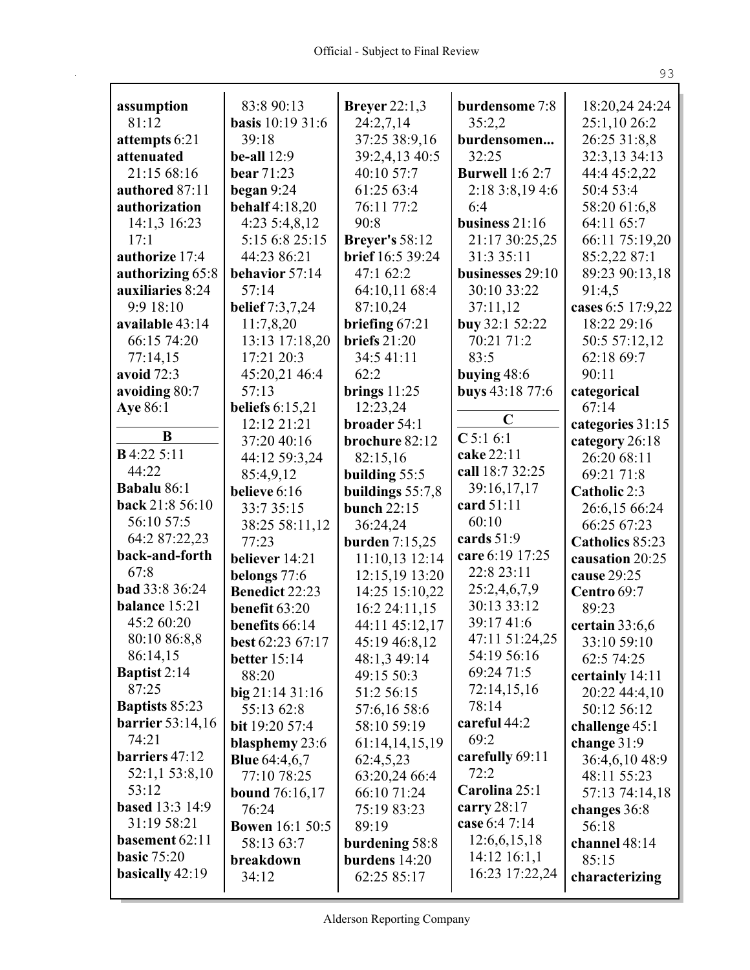| assumption                       | 83:8 90:13              | <b>Breyer</b> 22:1,3           | burdensome 7:8         | 18:20,24 24:24         |
|----------------------------------|-------------------------|--------------------------------|------------------------|------------------------|
| 81:12                            | <b>basis</b> 10:19 31:6 | 24:2,7,14                      | 35:2,2                 | 25:1,10 26:2           |
| attempts 6:21                    | 39:18                   | 37:25 38:9,16                  | burdensomen            | 26:25 31:8,8           |
| attenuated                       | be-all $12:9$           | 39:2,4,13 40:5                 | 32:25                  | 32:3,13 34:13          |
| 21:15 68:16                      | <b>bear</b> 71:23       | 40:10 57:7                     | <b>Burwell</b> 1:6 2:7 | 44:4 45:2,22           |
| authored 87:11                   | began $9:24$            | 61:25 63:4                     | 2:18 3:8,19 4:6        | 50:4 53:4              |
| authorization                    | <b>behalf</b> 4:18,20   | 76:11 77:2                     | 6:4                    | 58:20 61:6,8           |
| 14:1,3 16:23                     | 4:23 5:4,8,12           | 90:8                           | business $21:16$       | 64:11 65:7             |
| 17:1                             | 5:15 6:8 25:15          | <b>Breyer's</b> 58:12          | 21:17 30:25,25         | 66:11 75:19,20         |
| authorize 17:4                   | 44:23 86:21             | <b>brief</b> 16:5 39:24        | 31:3 35:11             | 85:2,22 87:1           |
| authorizing 65:8                 | behavior 57:14          | 47:1 62:2                      | businesses 29:10       | 89:23 90:13,18         |
| auxiliaries 8:24                 | 57:14                   | 64:10,11 68:4                  | 30:10 33:22            | 91:4,5                 |
| 9:9 18:10                        | belief 7:3,7,24         | 87:10,24                       | 37:11,12               | cases 6:5 17:9,22      |
| available 43:14                  | 11:7,8,20               | briefing 67:21                 | buy 32:1 52:22         | 18:22 29:16            |
| 66:15 74:20                      | 13:13 17:18,20          | briefs $21:20$                 | 70:21 71:2             | 50:5 57:12,12          |
| 77:14,15                         | 17:21 20:3              | 34:5 41:11                     | 83:5                   | 62:18 69:7             |
| avoid 72:3                       | 45:20,21 46:4           | 62:2                           | buying 48:6            | 90:11                  |
| avoiding 80:7                    | 57:13                   | brings $11:25$                 | buys 43:18 77:6        | categorical            |
| <b>Aye</b> 86:1                  | beliefs $6:15,21$       | 12:23,24                       |                        | 67:14                  |
|                                  | 12:12 21:21             | broader 54:1                   | $\mathbf C$            | categories 31:15       |
| B                                | 37:20 40:16             | brochure 82:12                 | $C$ 5:16:1             | category 26:18         |
| <b>B</b> 4:22 5:11               | 44:12 59:3,24           | 82:15,16                       | cake 22:11             | 26:20 68:11            |
| 44:22                            | 85:4,9,12               | building 55:5                  | call 18:7 32:25        | 69:21 71:8             |
| Babalu 86:1                      | believe 6:16            | buildings $55:7,8$             | 39:16,17,17            | Catholic 2:3           |
| back 21:8 56:10                  | 33:7 35:15              | <b>bunch 22:15</b>             | card 51:11             | 26:6,15 66:24          |
| 56:10 57:5                       | 38:25 58:11,12          | 36:24,24                       | 60:10                  | 66:25 67:23            |
| 64:2 87:22,23                    | 77:23                   | <b>burden</b> 7:15,25          | cards $51:9$           | Catholics 85:23        |
| back-and-forth                   | believer 14:21          | 11:10,13 12:14                 | care 6:19 17:25        | causation 20:25        |
| 67:8                             | belongs 77:6            | 12:15,19 13:20                 | 22:8 23:11             | cause 29:25            |
| <b>bad</b> 33:8 36:24            | Benedict 22:23          | 14:25 15:10,22                 | 25:2,4,6,7,9           | Centro 69:7            |
| balance 15:21                    | benefit $63:20$         | 16:2 24:11,15                  | 30:13 33:12            | 89:23                  |
| 45:2 60:20                       | benefits 66:14          | 44:11 45:12,17                 | 39:17 41:6             | certain $33:6,6$       |
| 80:10 86:8,8                     | best 62:23 67:17        | 45:19 46:8,12                  | 47:11 51:24,25         | 33:10 59:10            |
| 86:14,15                         | <b>better</b> 15:14     | 48:1,3 49:14                   | 54:19 56:16            | 62:5 74:25             |
| <b>Baptist</b> 2:14              | 88:20                   | 49:15 50:3                     | 69:24 71:5             | certainly 14:11        |
| 87:25                            | big 21:1431:16          | 51:2 56:15                     | 72:14,15,16<br>78:14   | 20:22 44:4,10          |
| <b>Baptists 85:23</b>            | 55:13 62:8              | 57:6,16 58:6                   |                        | 50:12 56:12            |
| <b>barrier</b> 53:14,16<br>74:21 | bit 19:20 57:4          | 58:10 59:19                    | careful 44:2<br>69:2   | challenge 45:1         |
| barriers 47:12                   | blasphemy 23:6          | 61:14,14,15,19                 | carefully 69:11        | change $31:9$          |
|                                  | <b>Blue</b> $64:4,6,7$  | 62:4,5,23                      | 72:2                   | 36:4,6,10 48:9         |
| 52:1,1 53:8,10<br>53:12          | 77:10 78:25             | 63:20,24 66:4                  | Carolina 25:1          | 48:11 55:23            |
| <b>based</b> 13:3 14:9           | <b>bound</b> $76:16,17$ | 66:10 71:24                    | carry $28:17$          | 57:13 74:14,18         |
| 31:19 58:21                      | 76:24                   | 75:19 83:23                    | case 6:4 7:14          | changes 36:8           |
| basement 62:11                   | <b>Bowen</b> 16:1 50:5  | 89:19                          | 12:6,6,15,18           | 56:18                  |
| <b>basic 75:20</b>               | 58:13 63:7              | burdening 58:8                 | $14:12$ 16:1,1         | channel 48:14<br>85:15 |
| basically 42:19                  | breakdown<br>34:12      | burdens $14:20$<br>62:25 85:17 | 16:23 17:22,24         |                        |
|                                  |                         |                                |                        | characterizing         |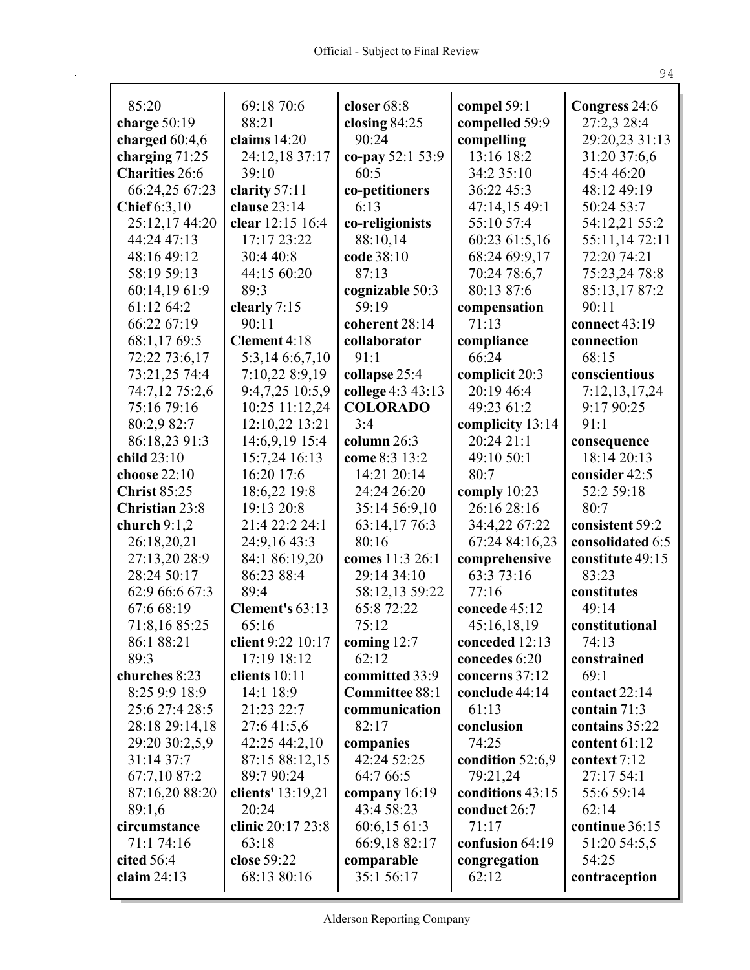| 85:20                  | 69:18 70:6                 | closer 68:8                | compel 59:1           | Congress 24:6           |
|------------------------|----------------------------|----------------------------|-----------------------|-------------------------|
| charge $50:19$         | 88:21                      | closing $84:25$            | compelled 59:9        | 27:2,3 28:4             |
| charged 60:4,6         | claims $14:20$             | 90:24                      | compelling            | 29:20,23 31:13          |
| charging 71:25         | 24:12,18 37:17             | co-pay 52:1 53:9           | 13:16 18:2            | 31:20 37:6,6            |
| <b>Charities</b> 26:6  | 39:10                      | 60:5                       | 34:2 35:10            | 45:4 46:20              |
| 66:24,25 67:23         | clarity 57:11              | co-petitioners             | 36:22 45:3            | 48:12 49:19             |
| Chief $6:3,10$         | clause 23:14               | 6:13                       | 47:14,15 49:1         | 50:24 53:7              |
| 25:12,17 44:20         | clear 12:15 16:4           | co-religionists            | 55:10 57:4            | 54:12,21 55:2           |
| 44:24 47:13            | 17:17 23:22                | 88:10,14                   | 60:23 61:5,16         | 55:11,14 72:11          |
| 48:16 49:12            | 30:4 40:8                  | code 38:10                 | 68:24 69:9,17         | 72:20 74:21             |
| 58:19 59:13            | 44:15 60:20                | 87:13                      | 70:24 78:6,7          | 75:23,24 78:8           |
| 60:14,19 61:9          | 89:3                       | cognizable 50:3            | 80:13 87:6            | 85:13,17 87:2           |
| 61:12 64:2             | clearly 7:15               | 59:19                      | compensation          | 90:11                   |
| 66:22 67:19            | 90:11                      | coherent 28:14             | 71:13                 | connect $43:19$         |
| 68:1,17 69:5           | Clement 4:18               | collaborator               | compliance            | connection              |
| 72:22 73:6,17          | 5:3,14 6:6,7,10            | 91:1                       | 66:24                 | 68:15                   |
| 73:21,25 74:4          | 7:10,22 8:9,19             | collapse 25:4              | complicit 20:3        | conscientious           |
| 74:7,12 75:2,6         | 9:4,7,25 10:5,9            | college 4:3 43:13          | 20:19 46:4            | 7:12,13,17,24           |
| 75:16 79:16            | 10:25 11:12,24             | <b>COLORADO</b>            | 49:23 61:2            | 9:17 90:25              |
| 80:2,9 82:7            | 12:10,22 13:21             | 3:4                        | complicity 13:14      | 91:1                    |
| 86:18,23 91:3          | 14:6,9,19 15:4             | column $26:3$              | 20:24 21:1            | consequence             |
| child 23:10            | 15:7,24 16:13              | come 8:3 13:2              | 49:10 50:1            | 18:14 20:13             |
| choose 22:10           | 16:20 17:6                 | 14:21 20:14                | 80:7                  | consider 42:5           |
| <b>Christ 85:25</b>    | 18:6,22 19:8               | 24:24 26:20                | comply $10:23$        | 52:2 59:18              |
| <b>Christian 23:8</b>  | 19:13 20:8                 | 35:14 56:9,10              | 26:16 28:16           | 80:7                    |
| church $9:1,2$         | 21:4 22:2 24:1             | 63:14,17 76:3              | 34:4,22 67:22         | consistent 59:2         |
| 26:18,20,21            | 24:9,16 43:3               | 80:16                      | 67:24 84:16,23        | consolidated 6:5        |
| 27:13,20 28:9          | 84:1 86:19,20              | comes 11:3 26:1            | comprehensive         | constitute 49:15        |
| 28:24 50:17            | 86:23 88:4                 | 29:14 34:10                | 63:3 73:16            | 83:23                   |
| 62:9 66:6 67:3         | 89:4                       | 58:12,13 59:22             | 77:16                 | constitutes             |
| 67:6 68:19             | Clement's 63:13            | 65:8 72:22                 | concede 45:12         | 49:14                   |
| 71:8,16 85:25          | 65:16                      | 75:12                      | 45:16,18,19           | constitutional          |
| 86:1 88:21             | client 9:22 10:17          | coming $12:7$              | conceded 12:13        | 74:13                   |
| 89:3                   | 17:19 18:12                | 62:12                      | concedes 6:20         | constrained             |
| churches 8:23          | clients 10:11              | committed 33:9             | concerns 37:12        | 69:1                    |
| 8:25 9:9 18:9          | 14:1 18:9                  | Committee 88:1             | conclude 44:14        | contact 22:14           |
| 25:6 27:4 28:5         | 21:23 22:7                 | communication              | 61:13                 | contain 71:3            |
| 28:18 29:14,18         | 27:6 41:5,6                | 82:17                      | conclusion            | contains 35:22          |
| 29:20 30:2,5,9         | 42:25 44:2,10              | companies                  | 74:25                 | content $61:12$         |
| 31:14 37:7             | 87:15 88:12,15             | 42:24 52:25                | condition 52:6,9      | context 7:12            |
| 67:7,10 87:2           | 89:7 90:24                 | 64:7 66:5                  | 79:21,24              | 27:17 54:1              |
| 87:16,20 88:20         | clients' 13:19,21          | company 16:19              | conditions 43:15      | 55:6 59:14              |
| 89:1,6<br>circumstance | 20:24<br>clinic 20:17 23:8 | 43:4 58:23<br>60:6,15 61:3 | conduct 26:7<br>71:17 | 62:14<br>continue 36:15 |
| 71:1 74:16             | 63:18                      | 66:9,18 82:17              | confusion 64:19       | 51:20 54:5,5            |
| cited 56:4             | close 59:22                | comparable                 | congregation          | 54:25                   |
| claim $24:13$          | 68:13 80:16                | 35:1 56:17                 | 62:12                 | contraception           |
|                        |                            |                            |                       |                         |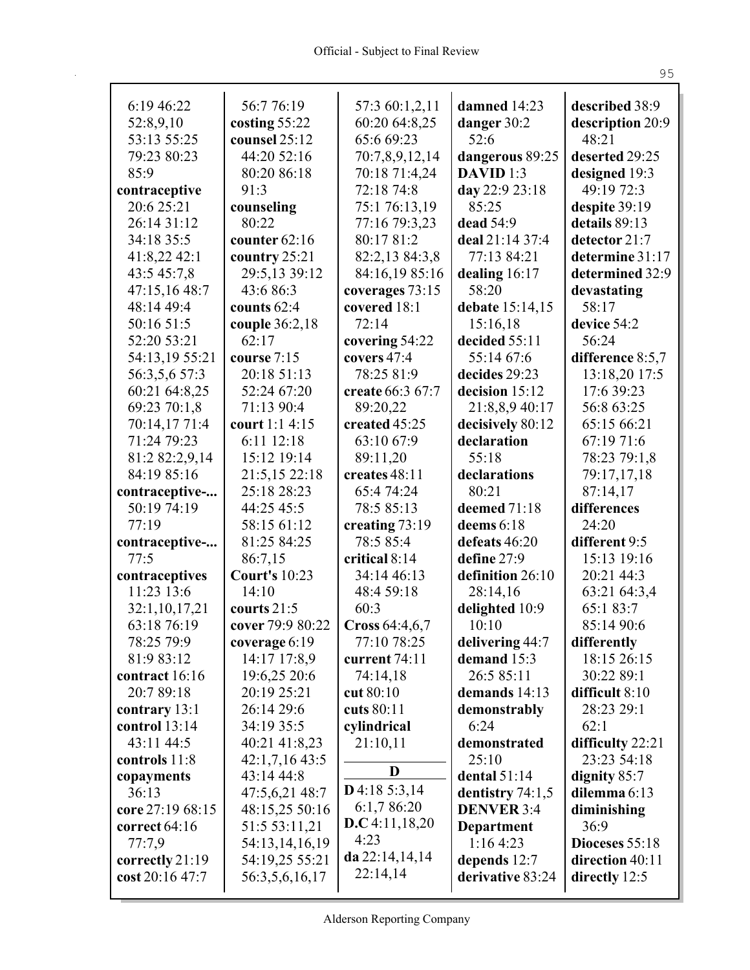| 6:19 46:22       | 56:776:19            | 57:3 60:1,2,11   | damned 14:23       | described 38:9   |
|------------------|----------------------|------------------|--------------------|------------------|
| 52:8,9,10        | costing 55:22        | 60:20 64:8,25    | danger 30:2        | description 20:9 |
| 53:13 55:25      | counsel 25:12        | 65:6 69:23       | 52:6               | 48:21            |
| 79:23 80:23      | 44:20 52:16          | 70:7,8,9,12,14   | dangerous 89:25    | deserted 29:25   |
| 85:9             | 80:20 86:18          | 70:18 71:4,24    | DAVID 1:3          | designed 19:3    |
| contraceptive    | 91:3                 | 72:18 74:8       | day 22:9 23:18     | 49:19 72:3       |
| 20:6 25:21       | counseling           | 75:1 76:13,19    | 85:25              | despite 39:19    |
| 26:14 31:12      | 80:22                | 77:16 79:3,23    | dead 54:9          | details 89:13    |
| 34:18 35:5       | counter $62:16$      | 80:17 81:2       | deal 21:14 37:4    | detector 21:7    |
| 41:8,22 42:1     | country 25:21        | 82:2,13 84:3,8   | 77:13 84:21        | determine 31:17  |
| 43:5 45:7,8      | 29:5,13 39:12        | 84:16,19 85:16   | dealing $16:17$    | determined 32:9  |
| 47:15,16 48:7    | 43:6 86:3            | coverages 73:15  | 58:20              | devastating      |
| 48:14 49:4       | counts $62:4$        | covered 18:1     | debate 15:14,15    | 58:17            |
| 50:16 51:5       | couple 36:2,18       | 72:14            | 15:16,18           | device 54:2      |
| 52:20 53:21      | 62:17                | covering 54:22   | decided 55:11      | 56:24            |
| 54:13,19 55:21   | course 7:15          | covers 47:4      | 55:14 67:6         | difference 8:5,7 |
| 56:3,5,6 57:3    | 20:18 51:13          | 78:25 81:9       | decides 29:23      | 13:18,20 17:5    |
| 60:21 64:8,25    | 52:24 67:20          | create 66:3 67:7 | decision 15:12     | 17:6 39:23       |
| 69:23 70:1,8     | 71:13 90:4           | 89:20,22         | 21:8,8,9 40:17     | 56:8 63:25       |
| 70:14,17 71:4    | court 1:1 4:15       | created 45:25    | decisively 80:12   | 65:15 66:21      |
| 71:24 79:23      | 6:11 12:18           | 63:10 67:9       | declaration        | 67:19 71:6       |
| 81:2 82:2,9,14   | 15:12 19:14          | 89:11,20         | 55:18              | 78:23 79:1,8     |
| 84:19 85:16      | 21:5,15 22:18        | creates 48:11    | declarations       | 79:17,17,18      |
| contraceptive-   | 25:18 28:23          | 65:474:24        | 80:21              | 87:14,17         |
| 50:19 74:19      | 44:25 45:5           | 78:5 85:13       | deemed 71:18       | differences      |
| 77:19            | 58:15 61:12          | creating 73:19   | deems 6:18         | 24:20            |
| contraceptive-   | 81:25 84:25          | 78:5 85:4        | defeats 46:20      | different 9:5    |
| 77:5             | 86:7,15              | critical 8:14    | define 27:9        | 15:13 19:16      |
| contraceptives   | <b>Court's 10:23</b> | 34:14 46:13      | definition 26:10   | 20:21 44:3       |
| 11:23 13:6       | 14:10                | 48:4 59:18       | 28:14,16           | 63:21 64:3,4     |
| 32:1,10,17,21    | courts $21:5$        | 60:3             | delighted 10:9     | 65:1 83:7        |
| 63:18 76:19      | cover 79:9 80:22     | Cross 64:4,6,7   | 10:10              | 85:14 90:6       |
| 78:25 79:9       | coverage 6:19        | 77:10 78:25      | delivering 44:7    | differently      |
| 81:9 83:12       | 14:17 17:8,9         | current 74:11    | demand $15:3$      | 18:15 26:15      |
| contract 16:16   | 19:6,25 20:6         | 74:14,18         | 26:5 85:11         | 30:22 89:1       |
| 20:7 89:18       | 20:19 25:21          | cut $80:10$      | demands 14:13      | difficult 8:10   |
| contrary 13:1    | 26:14 29:6           | cuts 80:11       | demonstrably       | 28:23 29:1       |
| control $13:14$  | 34:19 35:5           | cylindrical      | 6:24               | 62:1             |
| 43:11 44:5       | 40:21 41:8,23        | 21:10,11         | demonstrated       | difficulty 22:21 |
| controls 11:8    | 42:1,7,16 43:5       |                  | 25:10              | 23:23 54:18      |
| copayments       | 43:14 44:8           | D                | dental $51:14$     | dignity 85:7     |
| 36:13            | 47:5,6,21 48:7       | $D$ 4:18 5:3,14  | dentistry $74:1,5$ | dilemma 6:13     |
| core 27:19 68:15 | 48:15,25 50:16       | 6:1,7 86:20      | <b>DENVER 3:4</b>  | diminishing      |
| correct 64:16    | 51:5 53:11,21        | D.C.4:11,18,20   | <b>Department</b>  | 36:9             |
| 77:7,9           | 54:13,14,16,19       | 4:23             | 1:164:23           | Dioceses 55:18   |
| correctly 21:19  | 54:19,25 55:21       | da $22:14,14,14$ | depends 12:7       | direction 40:11  |
| cost 20:16 47:7  | 56:3,5,6,16,17       | 22:14,14         | derivative 83:24   | directly 12:5    |
|                  |                      |                  |                    |                  |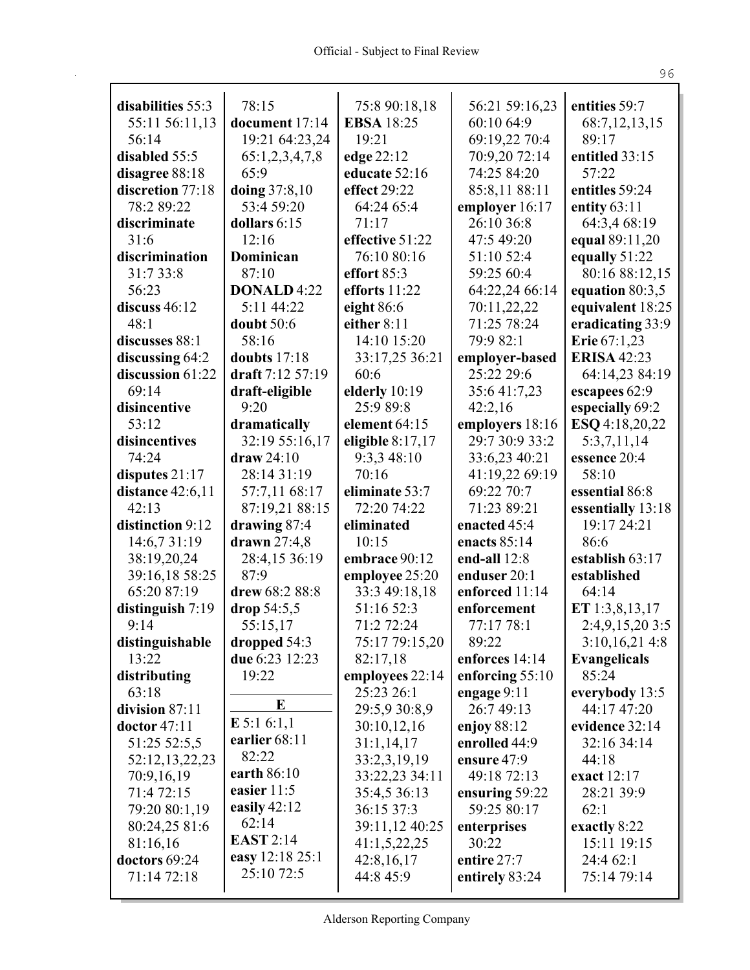| disabilities 55:3 | 78:15              | 75:8 90:18,18      | 56:21 59:16,23    | entities 59:7         |
|-------------------|--------------------|--------------------|-------------------|-----------------------|
| 55:11 56:11,13    | document 17:14     | <b>EBSA</b> 18:25  | 60:10 64:9        | 68:7, 12, 13, 15      |
| 56:14             | 19:21 64:23,24     | 19:21              | 69:19,22 70:4     | 89:17                 |
| disabled 55:5     | 65:1,2,3,4,7,8     | edge 22:12         | 70:9,20 72:14     | entitled 33:15        |
| disagree 88:18    | 65:9               | educate 52:16      | 74:25 84:20       | 57:22                 |
| discretion 77:18  | doing 37:8,10      | effect 29:22       | 85:8,11 88:11     | entitles 59:24        |
| 78:2 89:22        | 53:4 59:20         | 64:24 65:4         | employer 16:17    | entity $63:11$        |
| discriminate      | dollars 6:15       | 71:17              | 26:10 36:8        | 64:3,4 68:19          |
| 31:6              | 12:16              | effective 51:22    | 47:5 49:20        | equal 89:11,20        |
| discrimination    | Dominican          | 76:10 80:16        | 51:10 52:4        | equally 51:22         |
| 31:7 33:8         | 87:10              | effort $85:3$      | 59:25 60:4        | 80:16 88:12,15        |
| 56:23             | <b>DONALD 4:22</b> | efforts $11:22$    | 64:22,24 66:14    | equation $80:3,5$     |
| discuss $46:12$   | 5:11 44:22         | eight $86:6$       | 70:11,22,22       | equivalent 18:25      |
| 48:1              | doubt 50:6         | either 8:11        | 71:25 78:24       | eradicating 33:9      |
| discusses 88:1    | 58:16              | 14:10 15:20        | 79:9 82:1         | <b>Erie</b> $67:1,23$ |
| discussing 64:2   | doubts 17:18       | 33:17,25 36:21     | employer-based    | <b>ERISA 42:23</b>    |
| discussion 61:22  | draft 7:12 57:19   | 60:6               | 25:22 29:6        | 64:14,23 84:19        |
| 69:14             | draft-eligible     | elderly 10:19      | 35:641:7,23       | escapees 62:9         |
| disincentive      | 9:20               | 25:9 89:8          | 42:2,16           | especially 69:2       |
| 53:12             | dramatically       | element 64:15      | employers 18:16   | ESQ 4:18,20,22        |
| disincentives     | 32:19 55:16,17     | eligible $8:17,17$ | 29:7 30:9 33:2    | 5:3,7,11,14           |
| 74:24             | $draw 24:10$       | 9:3,3 48:10        | 33:6,23 40:21     | essence 20:4          |
| disputes $21:17$  | 28:14 31:19        | 70:16              | 41:19,22 69:19    | 58:10                 |
| distance 42:6,11  | 57:7,11 68:17      | eliminate 53:7     | 69:22 70:7        | essential 86:8        |
| 42:13             | 87:19,21 88:15     | 72:20 74:22        | 71:23 89:21       | essentially 13:18     |
| distinction 9:12  | drawing 87:4       | eliminated         | enacted 45:4      | 19:17 24:21           |
| 14:6,7 31:19      | drawn $27:4,8$     | 10:15              | enacts $85:14$    | 86:6                  |
| 38:19,20,24       | 28:4,15 36:19      | embrace 90:12      | end-all $12:8$    | establish 63:17       |
| 39:16,18 58:25    | 87:9               | employee 25:20     | enduser 20:1      | established           |
| 65:20 87:19       | drew 68:2 88:8     | 33:3 49:18,18      | enforced 11:14    | 64:14                 |
| distinguish 7:19  | drop $54:5,5$      | 51:16 52:3         | enforcement       | ET 1:3,8,13,17        |
| 9:14              | 55:15,17           | 71:2 72:24         | 77:17 78:1        | 2:4,9,15,203:5        |
| distinguishable   | dropped 54:3       | 75:17 79:15,20     | 89:22             | 3:10,16,214:8         |
| 13:22             | due 6:23 12:23     | 82:17,18           | enforces 14:14    | <b>Evangelicals</b>   |
| distributing      | 19:22              | employees 22:14    | enforcing $55:10$ | 85:24                 |
| 63:18             |                    | 25:23 26:1         | engage $9:11$     | everybody 13:5        |
| division 87:11    | E                  | 29:5,9 30:8,9      | 26:749:13         | 44:17 47:20           |
| doctor 47:11      | $E$ 5:1 6:1,1      | 30:10,12,16        | enjoy 88:12       | evidence 32:14        |
| 51:25 52:5,5      | earlier 68:11      | 31:1,14,17         | enrolled 44:9     | 32:16 34:14           |
| 52:12,13,22,23    | 82:22              | 33:2,3,19,19       | ensure $47:9$     | 44:18                 |
| 70:9,16,19        | earth 86:10        | 33:22,23 34:11     | 49:18 72:13       | exact 12:17           |
| 71:4 72:15        | easier 11:5        | 35:4,5 36:13       | ensuring 59:22    | 28:21 39:9            |
| 79:20 80:1,19     | easily $42:12$     | 36:15 37:3         | 59:25 80:17       | 62:1                  |
| 80:24,25 81:6     | 62:14              | 39:11,12 40:25     | enterprises       | exactly 8:22          |
| 81:16,16          | <b>EAST</b> 2:14   | 41:1,5,22,25       | 30:22             | 15:11 19:15           |
| doctors 69:24     | easy 12:18 25:1    | 42:8,16,17         | entire 27:7       | 24:4 62:1             |
| 71:14 72:18       | 25:10 72:5         | 44:8 45:9          | entirely 83:24    | 75:14 79:14           |
|                   |                    |                    |                   |                       |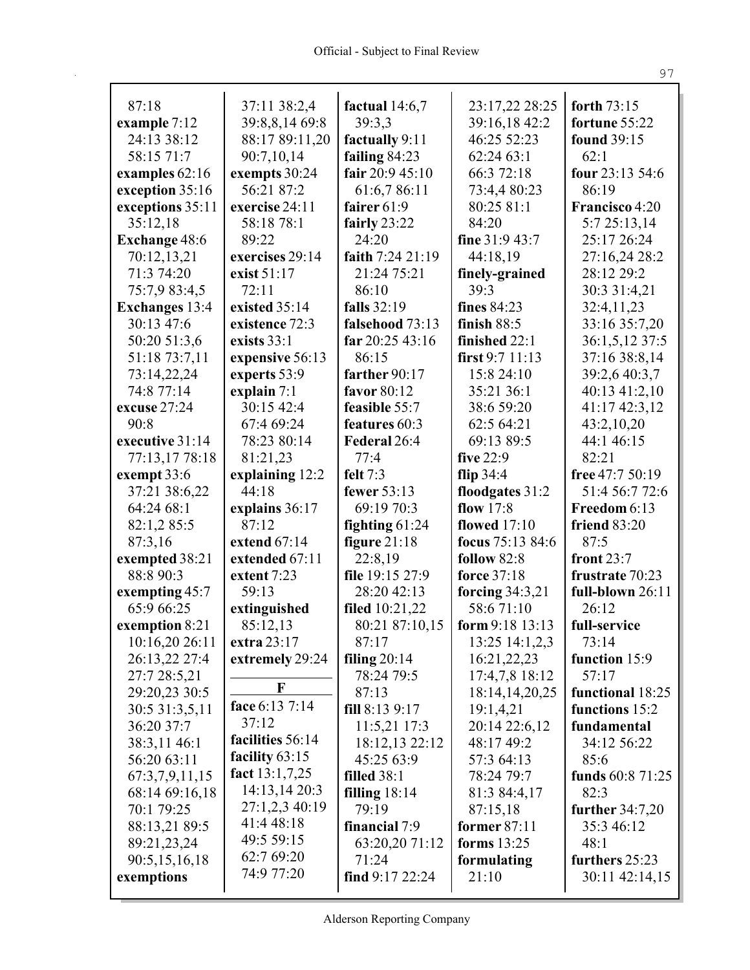| 87:18                         | 37:11 38:2,4                 | factual $14:6,7$                    | 23:17,22 28:25      | forth 73:15                    |
|-------------------------------|------------------------------|-------------------------------------|---------------------|--------------------------------|
|                               | 39:8,8,14 69:8               | 39:3,3                              | 39:16,18 42:2       | fortune 55:22                  |
| example $7:12$<br>24:13 38:12 |                              |                                     | 46:25 52:23         |                                |
|                               | 88:17 89:11,20               | factually 9:11                      |                     | found 39:15<br>62:1            |
| 58:15 71:7                    | 90:7,10,14                   | failing $84:23$<br>fair $20:945:10$ | 62:24 63:1          |                                |
| examples 62:16                | exempts 30:24                |                                     | 66:3 72:18          | four 23:13 54:6                |
| exception 35:16               | 56:21 87:2<br>exercise 24:11 | 61:6,786:11<br>fairer $61:9$        | 73:4,4 80:23        | 86:19<br><b>Francisco</b> 4:20 |
| exceptions 35:11              |                              |                                     | 80:25 81:1<br>84:20 |                                |
| 35:12,18                      | 58:18 78:1<br>89:22          | fairly 23:22<br>24:20               | fine 31:9 43:7      | 5:7 25:13,14<br>25:17 26:24    |
| Exchange 48:6                 | exercises 29:14              | faith 7:24 21:19                    | 44:18,19            | 27:16,24 28:2                  |
| 70:12,13,21<br>71:3 74:20     | exist 51:17                  | 21:24 75:21                         | finely-grained      | 28:12 29:2                     |
| 75:7,9 83:4,5                 | 72:11                        | 86:10                               | 39:3                | 30:3 31:4,21                   |
| <b>Exchanges</b> 13:4         | existed 35:14                | falls 32:19                         | fines 84:23         | 32:4,11,23                     |
| 30:13 47:6                    | existence 72:3               | falsehood 73:13                     | finish $88:5$       | 33:16 35:7,20                  |
| 50:20 51:3,6                  | exists 33:1                  | far $20:2543:16$                    | finished 22:1       | 36:1,5,12 37:5                 |
| 51:18 73:7,11                 | expensive 56:13              | 86:15                               | first $9:711:13$    | 37:16 38:8,14                  |
| 73:14,22,24                   | experts 53:9                 | farther 90:17                       | 15:8 24:10          | 39:2,6 40:3,7                  |
| 74:8 77:14                    | explain $7:1$                | favor 80:12                         | 35:21 36:1          | 40:13 41:2,10                  |
| excuse 27:24                  | 30:15 42:4                   | feasible 55:7                       | 38:6 59:20          | 41:17 42:3,12                  |
| 90:8                          | 67:4 69:24                   | features 60:3                       | 62:5 64:21          | 43:2,10,20                     |
| executive 31:14               | 78:23 80:14                  | Federal 26:4                        | 69:13 89:5          | 44:1 46:15                     |
| 77:13,17 78:18                | 81:21,23                     | 77:4                                | five $22:9$         | 82:21                          |
| exempt 33:6                   | explaining 12:2              | felt $7:3$                          | flip $34:4$         | free 47:7 50:19                |
| 37:21 38:6,22                 | 44:18                        | fewer 53:13                         | floodgates 31:2     | 51:4 56:7 72:6                 |
| 64:24 68:1                    | explains 36:17               | 69:19 70:3                          | flow $17:8$         | Freedom 6:13                   |
| 82:1,2 85:5                   | 87:12                        | fighting $61:24$                    | flowed $17:10$      | friend 83:20                   |
| 87:3,16                       | extend 67:14                 | figure $21:18$                      | focus 75:13 84:6    | 87:5                           |
| exempted 38:21                | extended 67:11               | 22:8,19                             | follow 82:8         | front $23:7$                   |
| 88:8 90:3                     | extent 7:23                  | file 19:15 27:9                     | force 37:18         | frustrate 70:23                |
| exempting $45:7$              | 59:13                        | 28:20 42:13                         | forcing $34:3,21$   | full-blown 26:11               |
| 65:9 66:25                    | extinguished                 | filed $10:21,22$                    | 58:671:10           | 26:12                          |
| exemption 8:21                | 85:12,13                     | 80:21 87:10,15                      | form $9:18$ 13:13   | full-service                   |
| 10:16,20 26:11                | extra 23:17                  | 87:17                               | 13:25 14:1,2,3      | 73:14                          |
| 26:13,22 27:4                 | extremely 29:24              | filing $20:14$                      | 16:21,22,23         | function 15:9                  |
| 27:7 28:5,21                  |                              | 78:24 79:5                          | 17:4,7,8 18:12      | 57:17                          |
| 29:20,23 30:5                 | F                            | 87:13                               | 18:14,14,20,25      | functional 18:25               |
| 30:5 31:3,5,11                | face 6:13 7:14               | fill $8:139:17$                     | 19:1,4,21           | functions 15:2                 |
| 36:20 37:7                    | 37:12                        | 11:5,2117:3                         | 20:14 22:6,12       | fundamental                    |
| 38:3,11 46:1                  | facilities 56:14             | 18:12,13 22:12                      | 48:17 49:2          | 34:12 56:22                    |
| 56:20 63:11                   | facility $63:15$             | 45:25 63:9                          | 57:3 64:13          | 85:6                           |
| 67:3,7,9,11,15                | fact $13:1,7,25$             | <b>filled</b> 38:1                  | 78:24 79:7          | funds 60:8 71:25               |
| 68:14 69:16,18                | 14:13,14 20:3                | filling $18:14$                     | 81:3 84:4,17        | 82:3                           |
| 70:1 79:25                    | 27:1,2,3 40:19               | 79:19                               | 87:15,18            | further $34:7,20$              |
| 88:13,21 89:5                 | 41:4 48:18                   | financial 7:9                       | former 87:11        | 35:3 46:12                     |
| 89:21,23,24                   | 49:5 59:15                   | 63:20,20 71:12                      | forms $13:25$       | 48:1                           |
| 90:5,15,16,18                 | 62:7 69:20                   | 71:24                               | formulating         | furthers 25:23                 |
| exemptions                    | 74:9 77:20                   | find $9:17\,22:24$                  | 21:10               | 30:11 42:14,15                 |
|                               |                              |                                     |                     |                                |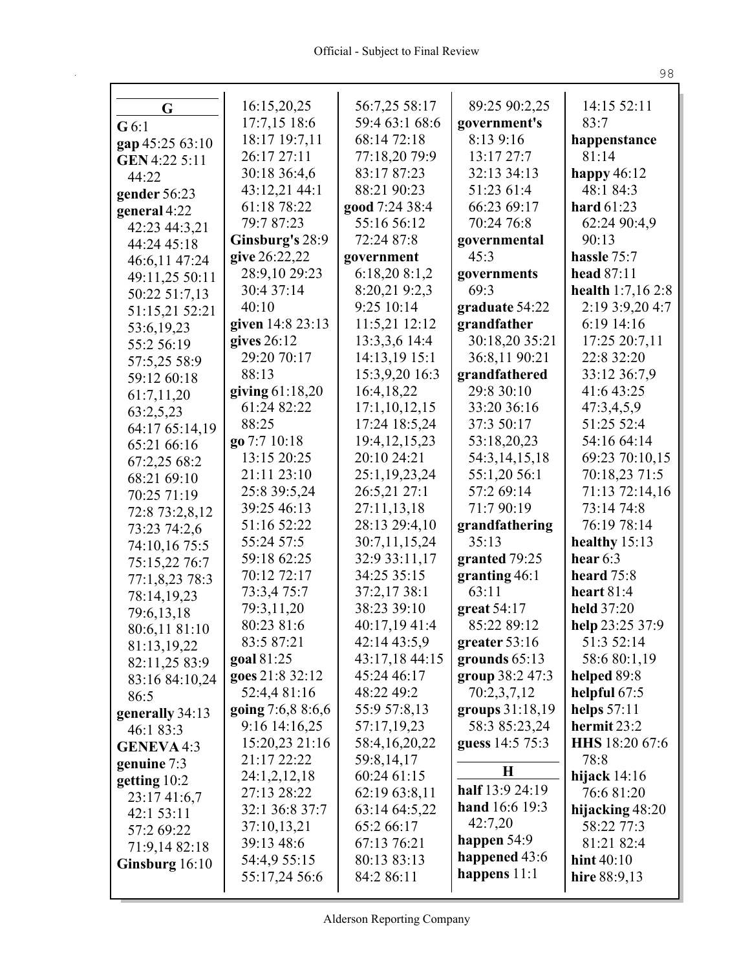| G                 | 16:15,20,25       | 56:7,25 58:17<br>59:4 63:1 68:6 | 89:25 90:2,25   | 14:15 52:11       |
|-------------------|-------------------|---------------------------------|-----------------|-------------------|
| G6:1              | 17:7,15 18:6      |                                 | government's    | 83:7              |
| gap 45:25 63:10   | 18:17 19:7,11     | 68:14 72:18                     | 8:13 9:16       | happenstance      |
| GEN 4:22 5:11     | 26:17 27:11       | 77:18,20 79:9                   | 13:17 27:7      | 81:14             |
| 44:22             | 30:18 36:4,6      | 83:17 87:23                     | 32:13 34:13     | happy $46:12$     |
| gender 56:23      | 43:12,21 44:1     | 88:21 90:23                     | 51:23 61:4      | 48:1 84:3         |
| general 4:22      | 61:18 78:22       | good 7:24 38:4                  | 66:23 69:17     | hard $61:23$      |
| 42:23 44:3,21     | 79:7 87:23        | 55:16 56:12                     | 70:24 76:8      | 62:24 90:4,9      |
| 44:24 45:18       | Ginsburg's 28:9   | 72:24 87:8                      | governmental    | 90:13             |
| 46:6,11 47:24     | give 26:22,22     | government                      | 45:3            | hassle 75:7       |
| 49:11,25 50:11    | 28:9,10 29:23     | 6:18,208:1,2                    | governments     | head 87:11        |
| 50:22 51:7,13     | 30:4 37:14        | 8:20,219:2,3                    | 69:3            | health 1:7,16 2:8 |
| 51:15,21 52:21    | 40:10             | 9:25 10:14                      | graduate 54:22  | 2:19 3:9,20 4:7   |
| 53:6,19,23        | given 14:8 23:13  | 11:5,21 12:12                   | grandfather     | 6:19 14:16        |
| 55:2 56:19        | gives $26:12$     | 13:3,3,6 14:4                   | 30:18,20 35:21  | 17:25 20:7,11     |
| 57:5,25 58:9      | 29:20 70:17       | 14:13,19 15:1                   | 36:8,11 90:21   | 22:8 32:20        |
| 59:12 60:18       | 88:13             | 15:3,9,20 16:3                  | grandfathered   | 33:12 36:7,9      |
| 61:7,11,20        | giving $61:18,20$ | 16:4,18,22                      | 29:8 30:10      | 41:6 43:25        |
| 63:2,5,23         | 61:24 82:22       | 17:1,10,12,15                   | 33:20 36:16     | 47:3,4,5,9        |
| 64:17 65:14,19    | 88:25             | 17:24 18:5,24                   | 37:3 50:17      | 51:25 52:4        |
| 65:21 66:16       | go 7:7 10:18      | 19:4, 12, 15, 23                | 53:18,20,23     | 54:16 64:14       |
| 67:2,25 68:2      | 13:15 20:25       | 20:10 24:21                     | 54:3,14,15,18   | 69:23 70:10,15    |
| 68:21 69:10       | 21:11 23:10       | 25:1,19,23,24                   | 55:1,20 56:1    | 70:18,23 71:5     |
| 70:25 71:19       | 25:8 39:5,24      | 26:5,21 27:1                    | 57:2 69:14      | 71:13 72:14,16    |
| 72:8 73:2,8,12    | 39:25 46:13       | 27:11,13,18                     | 71:7 90:19      | 73:14 74:8        |
| 73:23 74:2,6      | 51:16 52:22       | 28:13 29:4,10                   | grandfathering  | 76:19 78:14       |
| 74:10,16 75:5     | 55:24 57:5        | 30:7,11,15,24                   | 35:13           | healthy $15:13$   |
| 75:15,22 76:7     | 59:18 62:25       | 32:9 33:11,17                   | granted 79:25   | hear $6:3$        |
| 77:1,8,23 78:3    | 70:12 72:17       | 34:25 35:15                     | granting 46:1   | heard 75:8        |
| 78:14,19,23       | 73:3,4 75:7       | 37:2,17 38:1                    | 63:11           | heart $81:4$      |
| 79:6,13,18        | 79:3,11,20        | 38:23 39:10                     | great $54:17$   | held 37:20        |
| 80:6,11 81:10     | 80:23 81:6        | 40:17,19 41:4                   | 85:22 89:12     | help 23:25 37:9   |
| 81:13,19,22       | 83:5 87:21        | 42:14 43:5,9                    | greater 53:16   | 51:3 52:14        |
| 82:11,25 83:9     | goal 81:25        | 43:17,18 44:15                  | grounds $65:13$ | 58:6 80:1,19      |
| 83:16 84:10,24    | goes 21:8 32:12   | 45:24 46:17                     | group 38:2 47:3 | helped 89:8       |
| 86:5              | 52:4,4 81:16      | 48:22 49:2                      | 70:2,3,7,12     | helpful $67:5$    |
| generally 34:13   | going 7:6,8 8:6,6 | 55:9 57:8,13                    | groups 31:18,19 | helps $57:11$     |
| 46:1 83:3         | 9:16 14:16,25     | 57:17,19,23                     | 58:3 85:23,24   | hermit 23:2       |
| <b>GENEVA 4:3</b> | 15:20,23 21:16    | 58:4,16,20,22                   | guess 14:5 75:3 | HHS 18:20 67:6    |
| genuine 7:3       | 21:17 22:22       | 59:8,14,17                      | $\bf H$         | 78:8              |
| getting 10:2      | 24:1,2,12,18      | 60:24 61:15                     |                 | hijack $14:16$    |
| 23:17 41:6,7      | 27:13 28:22       | 62:19 63:8,11                   | half 13:9 24:19 | 76:6 81:20        |
| 42:153:11         | 32:1 36:8 37:7    | 63:14 64:5,22                   | hand 16:6 19:3  | hijacking 48:20   |
| 57:2 69:22        | 37:10,13,21       | 65:2 66:17                      | 42:7,20         | 58:22 77:3        |
| 71:9,14 82:18     | 39:13 48:6        | 67:13 76:21                     | happen $54:9$   | 81:21 82:4        |
| Ginsburg 16:10    | 54:4,9 55:15      | 80:13 83:13                     | happened 43:6   | hint $40:10$      |
|                   | 55:17,24 56:6     | 84:2 86:11                      | happens 11:1    | hire $88:9,13$    |
|                   |                   |                                 |                 |                   |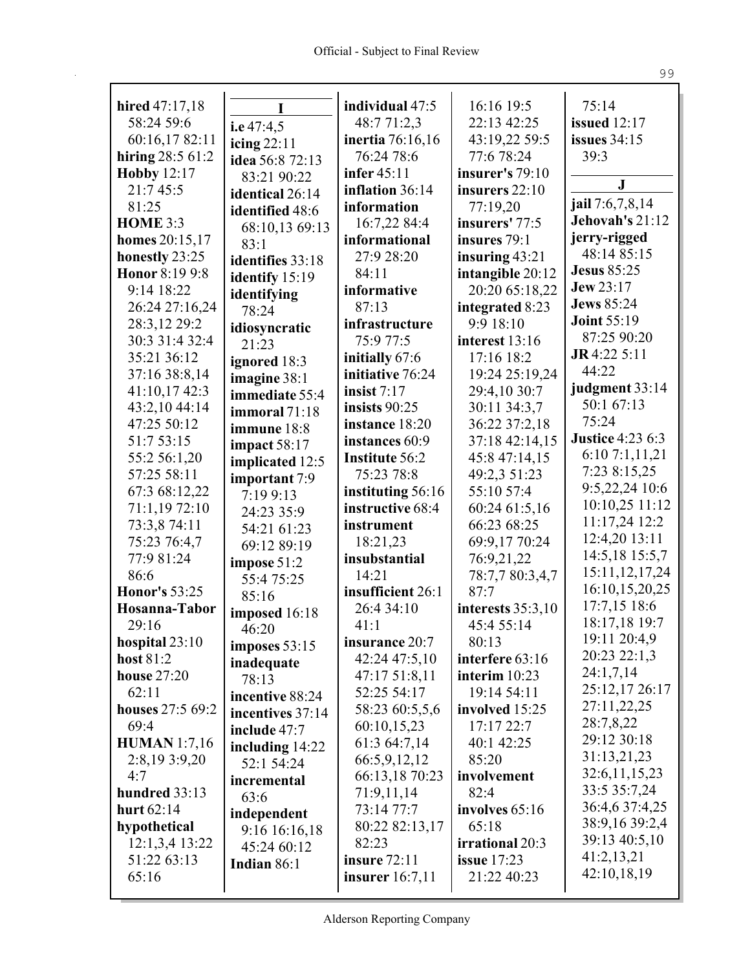| hired 47:17,18       | Ī                                  | individual 47:5    | 16:16 19:5          | 75:14                   |
|----------------------|------------------------------------|--------------------|---------------------|-------------------------|
| 58:24 59:6           |                                    | 48:7 71:2,3        | 22:13 42:25         | issued $12:17$          |
| 60:16,1782:11        | i.e $47:4,5$                       | inertia 76:16,16   | 43:19,22 59:5       | <b>issues</b> 34:15     |
| hiring $28:561:2$    | icing $22:11$<br>idea 56:8 72:13   | 76:24 78:6         | 77:6 78:24          | 39:3                    |
| <b>Hobby 12:17</b>   |                                    | <b>infer</b> 45:11 | insurer's 79:10     |                         |
| 21:7 45:5            | 83:21 90:22                        | inflation 36:14    | insurers 22:10      | ${\bf J}$               |
| 81:25                | identical 26:14<br>identified 48:6 | information        | 77:19,20            | jail 7:6,7,8,14         |
| <b>HOME 3:3</b>      |                                    | 16:7,22 84:4       | insurers' 77:5      | Jehovah's 21:12         |
| homes 20:15,17       | 68:10,13 69:13<br>83:1             | informational      | insures 79:1        | jerry-rigged            |
| honestly 23:25       | identifies 33:18                   | 27:9 28:20         | insuring $43:21$    | 48:14 85:15             |
| Honor 8:19 9:8       |                                    | 84:11              | intangible 20:12    | <b>Jesus 85:25</b>      |
| 9:14 18:22           | identify 15:19                     | informative        | 20:20 65:18,22      | <b>Jew 23:17</b>        |
| 26:24 27:16,24       | identifying<br>78:24               | 87:13              | integrated 8:23     | <b>Jews</b> 85:24       |
| 28:3,12 29:2         |                                    | infrastructure     | 9:9 18:10           | <b>Joint 55:19</b>      |
| 30:3 31:4 32:4       | idiosyncratic<br>21:23             | 75:9 77:5          | interest 13:16      | 87:25 90:20             |
| 35:21 36:12          |                                    | initially 67:6     | 17:16 18:2          | $J\mathbf{R}4:225:11$   |
| 37:16 38:8,14        | ignored 18:3<br>imagine 38:1       | initiative 76:24   | 19:24 25:19,24      | 44:22                   |
| 41:10,17 42:3        | immediate 55:4                     | insist $7:17$      | 29:4,10 30:7        | judgment 33:14          |
| 43:2,10 44:14        | immoral 71:18                      | insists $90:25$    | 30:11 34:3,7        | 50:1 67:13              |
| 47:25 50:12          | immune 18:8                        | instance 18:20     | 36:22 37:2,18       | 75:24                   |
| 51:7 53:15           |                                    | instances 60:9     | 37:18 42:14,15      | <b>Justice 4:23 6:3</b> |
| 55:2 56:1,20         | impact $58:17$<br>implicated 12:5  | Institute 56:2     | 45:8 47:14,15       | 6:107:1,11,21           |
| 57:25 58:11          | important 7:9                      | 75:23 78:8         | 49:2,3 51:23        | 7:23 8:15,25            |
| 67:3 68:12,22        | 7:19 9:13                          | instituting 56:16  | 55:10 57:4          | 9:5,22,24 10:6          |
| 71:1,1972:10         | 24:23 35:9                         | instructive 68:4   | 60:24 61:5,16       | 10:10,25 11:12          |
| 73:3,8 74:11         | 54:21 61:23                        | instrument         | 66:23 68:25         | 11:17,24 12:2           |
| 75:23 76:4,7         | 69:12 89:19                        | 18:21,23           | 69:9,17 70:24       | 12:4,20 13:11           |
| 77:9 81:24           | impose 51:2                        | insubstantial      | 76:9,21,22          | 14:5,18 15:5,7          |
| 86:6                 | 55:4 75:25                         | 14:21              | 78:7,7 80:3,4,7     | 15:11, 12, 17, 24       |
| <b>Honor's 53:25</b> | 85:16                              | insufficient 26:1  | 87:7                | 16:10,15,20,25          |
| Hosanna-Tabor        | imposed 16:18                      | 26:4 34:10         | interests $35:3,10$ | 17:7,15 18:6            |
| 29:16                | 46:20                              | 41:1               | 45:4 55:14          | 18:17,18 19:7           |
| hospital 23:10       | imposes $53:15$                    | insurance 20:7     | 80:13               | 19:11 20:4,9            |
| host 81:2            | inadequate                         | 42:24 47:5,10      | interfere 63:16     | 20:23 22:1,3            |
| <b>house</b> 27:20   | 78:13                              | 47:17 51:8,11      | interim 10:23       | 24:1,7,14               |
| 62:11                | incentive 88:24                    | 52:25 54:17        | 19:14 54:11         | 25:12,17 26:17          |
| houses 27:5 69:2     | incentives 37:14                   | 58:23 60:5,5,6     | involved 15:25      | 27:11,22,25             |
| 69:4                 | include 47:7                       | 60:10,15,23        | 17:17 22:7          | 28:7,8,22               |
| <b>HUMAN</b> 1:7,16  | including $14:22$                  | 61:3 64:7,14       | 40:1 42:25          | 29:12 30:18             |
| 2:8,19 3:9,20        | 52:1 54:24                         | 66:5,9,12,12       | 85:20               | 31:13,21,23             |
| 4:7                  | incremental                        | 66:13,18 70:23     | involvement         | 32:6,11,15,23           |
| hundred 33:13        | 63:6                               | 71:9,11,14         | 82:4                | 33:5 35:7,24            |
| hurt 62:14           | independent                        | 73:14 77:7         | involves 65:16      | 36:4,6 37:4,25          |
| hypothetical         | 9:16 16:16,18                      | 80:22 82:13,17     | 65:18               | 38:9,16 39:2,4          |
| 12:1,3,4 13:22       | 45:24 60:12                        | 82:23              | irrational 20:3     | 39:13 40:5,10           |
| 51:22 63:13          | Indian 86:1                        | insure 72:11       | <b>issue</b> 17:23  | 41:2,13,21              |
| 65:16                |                                    | insurer $16:7,11$  | 21:22 40:23         | 42:10,18,19             |
|                      |                                    |                    |                     |                         |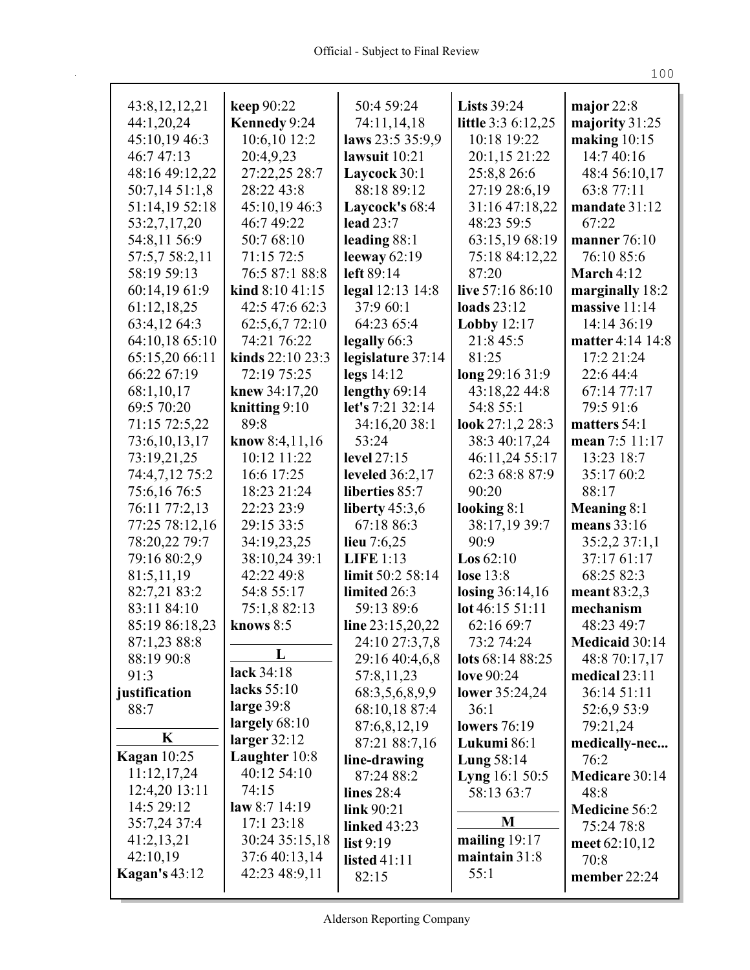| 43:8, 12, 12, 21     | keep 90:22       | 50:4 59:24                    | <b>Lists</b> 39:24          | major $22:8$            |
|----------------------|------------------|-------------------------------|-----------------------------|-------------------------|
| 44:1,20,24           | Kennedy 9:24     | 74:11,14,18                   | <b>little</b> 3:3 6:12,25   | majority 31:25          |
| 45:10,19 46:3        | 10:6,10 12:2     | laws 23:5 35:9,9              | 10:18 19:22                 | making $10:15$          |
| 46:7 47:13           | 20:4,9,23        | lawsuit $10:21$               | 20:1,15 21:22               | 14:7 40:16              |
| 48:16 49:12,22       | 27:22,25 28:7    | Laycock 30:1                  | 25:8,8 26:6                 | 48:4 56:10,17           |
| 50:7,14 51:1,8       | 28:22 43:8       | 88:18 89:12                   | 27:19 28:6,19               | 63:8 77:11              |
| 51:14,19 52:18       | 45:10,19 46:3    | Laycock's 68:4                | 31:16 47:18,22              | mandate 31:12           |
| 53:2,7,17,20         | 46:749:22        | lead 23:7                     | 48:23 59:5                  | 67:22                   |
| 54:8,11 56:9         | 50:7 68:10       | leading 88:1                  | 63:15,19 68:19              | manner 76:10            |
| 57:5,7 58:2,11       | 71:15 72:5       | leeway $62:19$                | 75:18 84:12,22              | 76:10 85:6              |
| 58:19 59:13          | 76:5 87:1 88:8   | left 89:14                    | 87:20                       | March $4:12$            |
| 60:14,19 61:9        | kind $8:1041:15$ | legal 12:13 14:8              | live 57:16 86:10            | marginally 18:2         |
| 61:12,18,25          | 42:5 47:6 62:3   | 37:9 60:1                     | loads 23:12                 | massive 11:14           |
| 63:4,12 64:3         | 62:5,6,7 72:10   | 64:23 65:4                    | Lobby $12:17$               | 14:14 36:19             |
| 64:10,18 65:10       | 74:21 76:22      | legally 66:3                  | 21:8 45:5                   | <b>matter</b> 4:14 14:8 |
| 65:15,20 66:11       | kinds 22:10 23:3 | legislature 37:14             | 81:25                       | 17:2 21:24              |
| 66:22 67:19          | 72:19 75:25      | legs $14:12$                  | long 29:16 31:9             | 22:6 44:4               |
| 68:1,10,17           | knew 34:17,20    | lengthy 69:14                 | 43:18,22 44:8               | 67:14 77:17             |
| 69:5 70:20           | knitting $9:10$  | let's 7:21 32:14              | 54:8 55:1                   | 79:5 91:6               |
| 71:15 72:5,22        | 89:8             | 34:16,20 38:1                 | look 27:1,2 28:3            | matters 54:1            |
| 73:6, 10, 13, 17     | know $8:4,11,16$ | 53:24                         | 38:3 40:17,24               | mean 7:5 11:17          |
| 73:19,21,25          | 10:12 11:22      | level 27:15                   | 46:11,24 55:17              | 13:23 18:7              |
| 74:4,7,12 75:2       | 16:6 17:25       | leveled $36:2,17$             | 62:3 68:8 87:9              | 35:17 60:2              |
| 75:6,16 76:5         | 18:23 21:24      | liberties 85:7                | 90:20                       | 88:17                   |
| 76:11 77:2,13        | 22:23 23:9       | liberty $45:3,6$              | looking $8:1$               | Meaning 8:1             |
| 77:25 78:12,16       | 29:15 33:5       | 67:18 86:3                    | 38:17,19 39:7               | means 33:16             |
| 78:20,22 79:7        | 34:19,23,25      | lieu $7:6,25$                 | 90:9                        | 35:2,2 37:1,1           |
| 79:16 80:2,9         | 38:10,24 39:1    | <b>LIFE 1:13</b>              | Los $62:10$                 | 37:17 61:17             |
| 81:5,11,19           | 42:22 49:8       | limit 50:2 58:14              | <b>lose</b> 13:8            | 68:25 82:3              |
| 82:7,21 83:2         | 54:8 55:17       | limited 26:3                  | losing $36:14,16$           | meant 83:2,3            |
| 83:11 84:10          | 75:1,8 82:13     | 59:13 89:6                    | $lot\,46:15\,51:11$         | mechanism               |
| 85:19 86:18,23       | knows $8:5$      | line $23:15,20,22$            | 62:16 69:7                  | 48:23 49:7              |
| 87:1,23 88:8         | L                | 24:10 27:3,7,8                | 73:2 74:24                  | Medicaid 30:14          |
| 88:19 90:8           | lack 34:18       | 29:16 40:4,6,8                | lots 68:14 88:25            | 48:8 70:17,17           |
| 91:3                 | lacks 55:10      | 57:8,11,23                    | love 90:24                  | medical $23:11$         |
| justification        | large $39:8$     | 68:3,5,6,8,9,9                | lower 35:24,24              | 36:14 51:11             |
| 88:7                 | largely $68:10$  | 68:10,18 87:4<br>87:6,8,12,19 | 36:1<br><b>lowers</b> 76:19 | 52:6,9 53:9<br>79:21,24 |
| $\mathbf K$          | larger $32:12$   |                               | Lukumi 86:1                 | medically-nec           |
| <b>Kagan</b> 10:25   | Laughter 10:8    | 87:21 88:7,16<br>line-drawing | Lung 58:14                  | 76:2                    |
| 11:12,17,24          | 40:12 54:10      | 87:24 88:2                    | <b>Lyng</b> 16:1 50:5       | Medicare 30:14          |
| 12:4,20 13:11        | 74:15            | lines $28:4$                  | 58:13 63:7                  | 48:8                    |
| 14:5 29:12           | law $8:7$ 14:19  | link 90:21                    |                             | <b>Medicine 56:2</b>    |
| 35:7,24 37:4         | 17:1 23:18       | linked 43:23                  | M                           | 75:24 78:8              |
| 41:2,13,21           | 30:24 35:15,18   | list $9:19$                   | mailing $19:17$             | meet $62:10,12$         |
| 42:10,19             | 37:6 40:13,14    | <b>listed</b> 41:11           | maintain 31:8               | 70:8                    |
| <b>Kagan's 43:12</b> | 42:23 48:9,11    | 82:15                         | 55:1                        | member 22:24            |
|                      |                  |                               |                             |                         |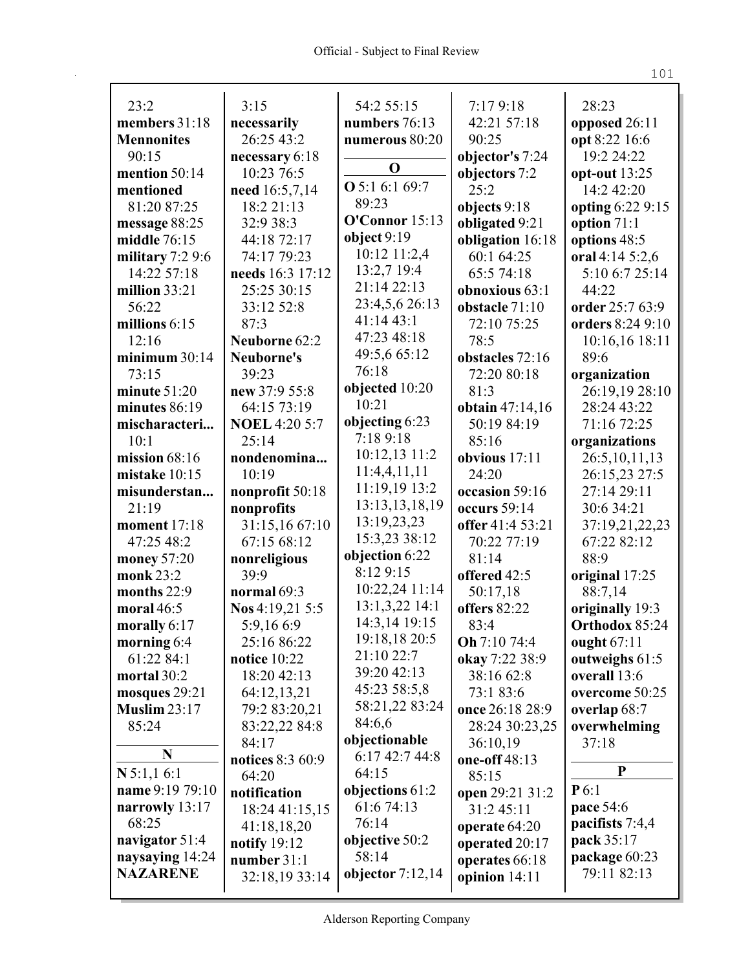| 23:2                | 3:15                 | 54:2 55:15            | 7:17 9:18        | 28:23            |
|---------------------|----------------------|-----------------------|------------------|------------------|
| members 31:18       | necessarily          | numbers 76:13         | 42:21 57:18      | opposed 26:11    |
| <b>Mennonites</b>   | 26:25 43:2           | numerous 80:20        | 90:25            | opt 8:22 16:6    |
| 90:15               | necessary 6:18       |                       | objector's 7:24  | 19:2 24:22       |
| mention 50:14       | 10:23 76:5           | $\mathbf 0$           | objectors 7:2    | opt-out 13:25    |
| mentioned           | need 16:5,7,14       | <b>O</b> 5:1 6:1 69:7 | 25:2             | 14:2 42:20       |
| 81:20 87:25         | 18:2 21:13           | 89:23                 | objects 9:18     | opting 6:22 9:15 |
| message 88:25       | 32:9 38:3            | O'Connor 15:13        | obligated 9:21   | option 71:1      |
| middle 76:15        | 44:18 72:17          | object $9:19$         | obligation 16:18 | options 48:5     |
| military $7:29:6$   | 74:17 79:23          | 10:12 11:2,4          | 60:1 64:25       | oral 4:14 5:2,6  |
| 14:22 57:18         | needs 16:3 17:12     | 13:2,7 19:4           | 65:5 74:18       | 5:10 6:7 25:14   |
| million 33:21       | 25:25 30:15          | 21:14 22:13           | obnoxious 63:1   | 44:22            |
| 56:22               | 33:12 52:8           | 23:4,5,6 26:13        | obstacle 71:10   | order 25:7 63:9  |
| millions $6:15$     | 87:3                 | 41:14 43:1            | 72:10 75:25      | orders 8:24 9:10 |
| 12:16               | Neuborne 62:2        | 47:23 48:18           | 78:5             | 10:16,16 18:11   |
| minimum 30:14       | Neuborne's           | 49:5,6 65:12          | obstacles 72:16  | 89:6             |
| 73:15               | 39:23                | 76:18                 | 72:20 80:18      | organization     |
| minute $51:20$      | new 37:9 55:8        | objected 10:20        | 81:3             | 26:19,19 28:10   |
| minutes 86:19       | 64:15 73:19          | 10:21                 | obtain 47:14,16  | 28:24 43:22      |
| mischaracteri       | <b>NOEL 4:20 5:7</b> | objecting 6:23        | 50:19 84:19      | 71:16 72:25      |
| 10:1                | 25:14                | 7:189:18              | 85:16            | organizations    |
| mission $68:16$     | nondenomina          | 10:12,13 11:2         | obvious 17:11    | 26:5, 10, 11, 13 |
| mistake 10:15       | 10:19                | 11:4,4,11,11          | 24:20            | 26:15,23 27:5    |
| misunderstan        | nonprofit 50:18      | 11:19,19 13:2         | occasion 59:16   | 27:14 29:11      |
| 21:19               | nonprofits           | 13:13,13,18,19        | occurs 59:14     | 30:6 34:21       |
| <b>moment</b> 17:18 | 31:15,16 67:10       | 13:19,23,23           | offer 41:4 53:21 | 37:19,21,22,23   |
| 47:25 48:2          | 67:15 68:12          | 15:3,23 38:12         | 70:22 77:19      | 67:22 82:12      |
| money 57:20         | nonreligious         | objection 6:22        | 81:14            | 88:9             |
| monk 23:2           | 39:9                 | 8:12 9:15             | offered 42:5     | original 17:25   |
| months $22:9$       | normal 69:3          | 10:22,24 11:14        | 50:17,18         | 88:7,14          |
| moral $46:5$        | Nos 4:19,21 5:5      | 13:1,3,22 14:1        | offers 82:22     | originally 19:3  |
| morally $6:17$      | 5:9,166:9            | 14:3,14 19:15         | 83:4             | Orthodox 85:24   |
| morning 6:4         | 25:16 86:22          | 19:18,18 20:5         | Oh 7:10 74:4     | ought 67:11      |
| 61:22 84:1          | notice $10:22$       | 21:10 22:7            | okay 7:22 38:9   | outweighs 61:5   |
| mortal 30:2         | 18:20 42:13          | 39:20 42:13           | 38:16 62:8       | overall 13:6     |
| mosques 29:21       | 64:12,13,21          | 45:23 58:5,8          | 73:1 83:6        | overcome 50:25   |
| <b>Muslim 23:17</b> | 79:2 83:20,21        | 58:21,22 83:24        | once 26:18 28:9  | overlap 68:7     |
| 85:24               | 83:22,22 84:8        | 84:6,6                | 28:24 30:23,25   | overwhelming     |
|                     | 84:17                | objectionable         | 36:10,19         | 37:18            |
| N                   | notices 8:3 60:9     | 6:17 42:7 44:8        | one-off 48:13    |                  |
| $N$ 5:1,1 6:1       | 64:20                | 64:15                 | 85:15            | P                |
| name 9:19 79:10     | notification         | objections 61:2       | open 29:21 31:2  | P6:1             |
| narrowly 13:17      | 18:24 41:15,15       | 61:6 74:13            | 31:2 45:11       | pace 54:6        |
| 68:25               | 41:18,18,20          | 76:14                 | operate 64:20    | pacifists 7:4,4  |
| navigator 51:4      | notify $19:12$       | objective 50:2        | operated 20:17   | pack 35:17       |
| naysaying 14:24     | number 31:1          | 58:14                 | operates 66:18   | package 60:23    |
| <b>NAZARENE</b>     | 32:18,19 33:14       | objector $7:12,14$    | opinion $14:11$  | 79:11 82:13      |
|                     |                      |                       |                  |                  |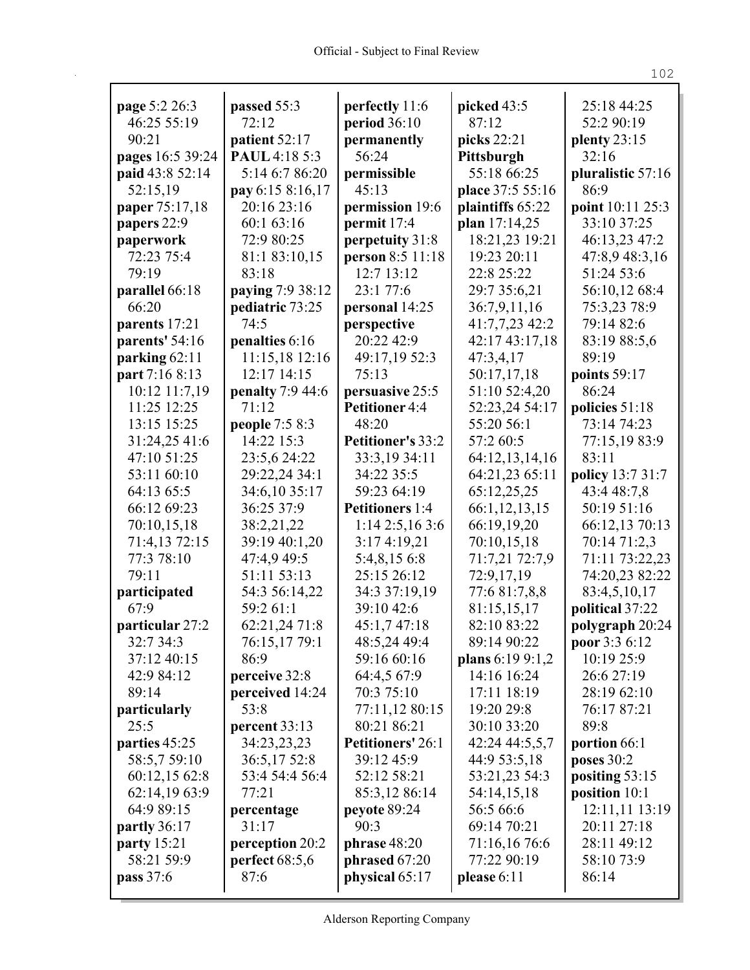| page 5:2 26:3      | passed 55:3             | perfectly 11:6           | picked 43:5      | 25:18 44:25       |
|--------------------|-------------------------|--------------------------|------------------|-------------------|
| 46:25 55:19        | 72:12                   | period $36:10$           | 87:12            | 52:2 90:19        |
| 90:21              | patient 52:17           | permanently              | picks 22:21      | plenty 23:15      |
| pages 16:5 39:24   | PAUL 4:18 5:3           | 56:24                    | Pittsburgh       | 32:16             |
| paid 43:8 52:14    | 5:14 6:7 86:20          | permissible              | 55:18 66:25      | pluralistic 57:16 |
| 52:15,19           | pay 6:15 8:16,17        | 45:13                    | place 37:5 55:16 | 86:9              |
| paper 75:17,18     | 20:16 23:16             | permission 19:6          | plaintiffs 65:22 | point 10:11 25:3  |
| papers 22:9        | 60:1 63:16              | permit 17:4              | plan 17:14,25    | 33:10 37:25       |
| paperwork          | 72:9 80:25              | perpetuity 31:8          | 18:21,23 19:21   | 46:13,23 47:2     |
| 72:23 75:4         | 81:1 83:10,15           | person 8:5 11:18         | 19:23 20:11      | 47:8,9 48:3,16    |
| 79:19              | 83:18                   | 12:7 13:12               | 22:8 25:22       | 51:24 53:6        |
| parallel 66:18     | paying 7:9 38:12        | 23:1 77:6                | 29:7 35:6,21     | 56:10,12 68:4     |
| 66:20              | pediatric 73:25         | personal 14:25           | 36:7,9,11,16     | 75:3,23 78:9      |
| parents 17:21      | 74:5                    | perspective              | 41:7,7,23 42:2   | 79:14 82:6        |
| parents' 54:16     | penalties 6:16          | 20:22 42:9               | 42:17 43:17,18   | 83:19 88:5,6      |
| parking 62:11      | 11:15,18 12:16          | 49:17,19 52:3            | 47:3,4,17        | 89:19             |
| part 7:16 8:13     | 12:17 14:15             | 75:13                    | 50:17,17,18      | points 59:17      |
| 10:12 11:7,19      | <b>penalty</b> 7:9 44:6 | persuasive 25:5          | 51:10 52:4,20    | 86:24             |
| 11:25 12:25        | 71:12                   | Petitioner 4:4           | 52:23,24 54:17   | policies 51:18    |
| 13:15 15:25        | people 7:5 8:3          | 48:20                    | 55:20 56:1       | 73:14 74:23       |
| 31:24,25 41:6      | 14:22 15:3              | <b>Petitioner's 33:2</b> | 57:2 60:5        | 77:15,19 83:9     |
| 47:10 51:25        | 23:5,6 24:22            | 33:3,19 34:11            | 64:12,13,14,16   | 83:11             |
| 53:11 60:10        | 29:22,24 34:1           | 34:22 35:5               | 64:21,23 65:11   | policy 13:7 31:7  |
| 64:13 65:5         | 34:6,10 35:17           | 59:23 64:19              | 65:12,25,25      | 43:4 48:7,8       |
| 66:12 69:23        | 36:25 37:9              | <b>Petitioners</b> 1:4   | 66:1,12,13,15    | 50:19 51:16       |
| 70:10,15,18        | 38:2,21,22              | $1:14$ 2:5,16 3:6        | 66:19,19,20      | 66:12,13 70:13    |
| 71:4,13 72:15      | 39:19 40:1,20           | 3:17 4:19,21             | 70:10,15,18      | 70:14 71:2,3      |
| 77:3 78:10         | 47:4,9 49:5             | 5:4,8,15 6:8             | 71:7,21 72:7,9   | 71:11 73:22,23    |
| 79:11              | 51:11 53:13             | 25:15 26:12              | 72:9,17,19       | 74:20,23 82:22    |
| participated       | 54:3 56:14,22           | 34:3 37:19,19            | 77:6 81:7,8,8    | 83:4,5,10,17      |
| 67:9               | 59:2 61:1               | 39:10 42:6               | 81:15,15,17      | political 37:22   |
| particular 27:2    | 62:21,24 71:8           | 45:1,7 47:18             | 82:10 83:22      | polygraph 20:24   |
| 32:7 34:3          | 76:15,17 79:1           | 48:5,24 49:4             | 89:14 90:22      | poor 3:3 6:12     |
| 37:12 40:15        | 86:9                    | 59:16 60:16              | plans 6:19 9:1,2 | 10:19 25:9        |
| 42:9 84:12         | perceive 32:8           | 64:4,5 67:9              | 14:16 16:24      | 26:6 27:19        |
| 89:14              | perceived 14:24         | 70:3 75:10               | 17:11 18:19      | 28:19 62:10       |
| particularly       | 53:8                    | 77:11,12 80:15           | 19:20 29:8       | 76:17 87:21       |
| 25:5               | percent 33:13           | 80:21 86:21              | 30:10 33:20      | 89:8              |
| parties 45:25      | 34:23,23,23             | <b>Petitioners' 26:1</b> | 42:24 44:5,5,7   | portion 66:1      |
| 58:5,7 59:10       | 36:5,17 52:8            | 39:12 45:9               | 44:9 53:5,18     | poses 30:2        |
| 60:12,15 62:8      | 53:4 54:4 56:4          | 52:12 58:21              | 53:21,23 54:3    | positing 53:15    |
| 62:14,19 63:9      | 77:21                   | 85:3,12 86:14            | 54:14,15,18      | position 10:1     |
| 64:9 89:15         | percentage              | peyote 89:24             | 56:5 66:6        | 12:11,11 13:19    |
| partly 36:17       | 31:17                   | 90:3                     | 69:14 70:21      | 20:11 27:18       |
| <b>party</b> 15:21 | perception 20:2         | phrase $48:20$           | 71:16,16 76:6    | 28:11 49:12       |
| 58:21 59:9         | perfect $68:5,6$        | phrased $67:20$          | 77:22 90:19      | 58:10 73:9        |
| pass 37:6          | 87:6                    | physical 65:17           | please $6:11$    | 86:14             |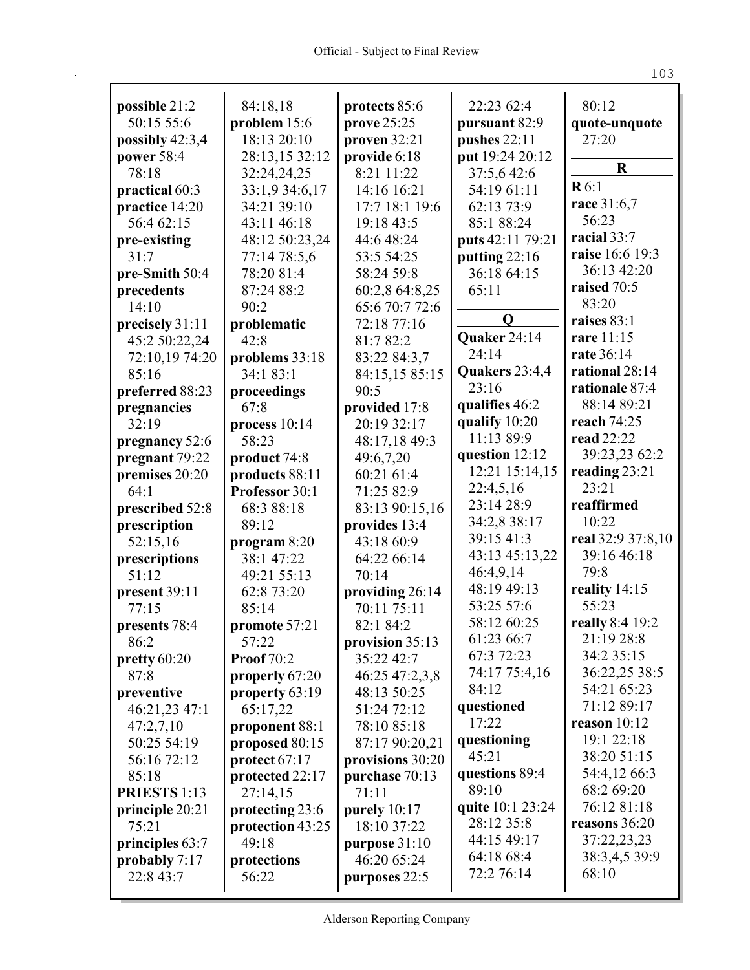| possible 21:2       | 84:18,18          | protects 85:6     | 22:23 62:4       | 80:12                |
|---------------------|-------------------|-------------------|------------------|----------------------|
| 50:15 55:6          | problem 15:6      | prove 25:25       | pursuant 82:9    | quote-unquote        |
| possibly $42:3,4$   | 18:13 20:10       | proven 32:21      | pushes $22:11$   | 27:20                |
| power 58:4          | 28:13,15 32:12    | provide 6:18      | put 19:24 20:12  | $\mathbf R$          |
| 78:18               | 32:24,24,25       | 8:21 11:22        | 37:5,642:6       | R6:1                 |
| practical 60:3      | 33:1,9 34:6,17    | 14:16 16:21       | 54:19 61:11      |                      |
| practice 14:20      | 34:21 39:10       | 17:7 18:1 19:6    | 62:13 73:9       | race 31:6,7<br>56:23 |
| 56:4 62:15          | 43:11 46:18       | 19:18 43:5        | 85:1 88:24       |                      |
| pre-existing        | 48:12 50:23,24    | 44:6 48:24        | puts 42:11 79:21 | racial 33:7          |
| 31:7                | 77:14 78:5,6      | 53:5 54:25        | putting 22:16    | raise 16:6 19:3      |
| pre-Smith 50:4      | 78:20 81:4        | 58:24 59:8        | 36:18 64:15      | 36:13 42:20          |
| precedents          | 87:24 88:2        | 60:2,8 64:8,25    | 65:11            | raised 70:5          |
| 14:10               | 90:2              | 65:6 70:7 72:6    |                  | 83:20                |
| precisely 31:11     | problematic       | 72:18 77:16       | $\mathbf Q$      | raises 83:1          |
| 45:2 50:22,24       | 42:8              | 81:7 82:2         | Quaker 24:14     | rare 11:15           |
| 72:10,19 74:20      | problems 33:18    | 83:22 84:3,7      | 24:14            | rate 36:14           |
| 85:16               | 34:1 83:1         | 84:15,15 85:15    | Quakers 23:4,4   | rational 28:14       |
| preferred 88:23     | proceedings       | 90:5              | 23:16            | rationale 87:4       |
| pregnancies         | 67:8              | provided 17:8     | qualifies 46:2   | 88:14 89:21          |
| 32:19               | process 10:14     | 20:19 32:17       | qualify 10:20    | reach 74:25          |
| pregnancy 52:6      | 58:23             | 48:17,18 49:3     | 11:13 89:9       | read 22:22           |
| pregnant 79:22      | product 74:8      | 49:6,7,20         | question 12:12   | 39:23,23 62:2        |
| premises 20:20      | products 88:11    | 60:21 61:4        | 12:21 15:14,15   | reading $23:21$      |
| 64:1                | Professor 30:1    | 71:25 82:9        | 22:4,5,16        | 23:21                |
| prescribed 52:8     | 68:3 88:18        | 83:13 90:15,16    | 23:14 28:9       | reaffirmed           |
| prescription        | 89:12             | provides 13:4     | 34:2,8 38:17     | 10:22                |
| 52:15,16            | program $8:20$    | 43:18 60:9        | 39:15 41:3       | real 32:9 37:8,10    |
| prescriptions       | 38:1 47:22        | 64:22 66:14       | 43:13 45:13,22   | 39:16 46:18          |
| 51:12               | 49:21 55:13       | 70:14             | 46:4,9,14        | 79:8                 |
| present 39:11       | 62:8 73:20        | providing 26:14   | 48:19 49:13      | reality 14:15        |
| 77:15               | 85:14             | 70:11 75:11       | 53:25 57:6       | 55:23                |
| presents 78:4       | promote 57:21     | 82:1 84:2         | 58:12 60:25      | really 8:4 19:2      |
| 86:2                | 57:22             | provision $35:13$ | 61:23 66:7       | 21:19 28:8           |
| pretty 60:20        | <b>Proof</b> 70:2 | 35:22 42:7        | 67:3 72:23       | 34:2 35:15           |
| 87:8                | properly 67:20    | 46:25 47:2,3,8    | 74:17 75:4,16    | 36:22,25 38:5        |
| preventive          | property 63:19    | 48:13 50:25       | 84:12            | 54:21 65:23          |
| 46:21,23 47:1       | 65:17,22          | 51:24 72:12       | questioned       | 71:12 89:17          |
| 47:2,7,10           | proponent 88:1    | 78:10 85:18       | 17:22            | reason $10:12$       |
| 50:25 54:19         | proposed 80:15    | 87:17 90:20,21    | questioning      | 19:1 22:18           |
| 56:16 72:12         | protect 67:17     | provisions 30:20  | 45:21            | 38:20 51:15          |
| 85:18               | protected 22:17   | purchase 70:13    | questions 89:4   | 54:4,12 66:3         |
| <b>PRIESTS 1:13</b> | 27:14,15          | 71:11             | 89:10            | 68:2 69:20           |
| principle 20:21     | protecting 23:6   | purely 10:17      | quite 10:1 23:24 | 76:12 81:18          |
| 75:21               | protection 43:25  | 18:10 37:22       | 28:12 35:8       | reasons 36:20        |
| principles 63:7     | 49:18             | purpose 31:10     | 44:15 49:17      | 37:22,23,23          |
| probably 7:17       | protections       | 46:20 65:24       | 64:18 68:4       | 38:3,4,5 39:9        |
| 22:8 43:7           | 56:22             | purposes 22:5     | 72:2 76:14       | 68:10                |
|                     |                   |                   |                  |                      |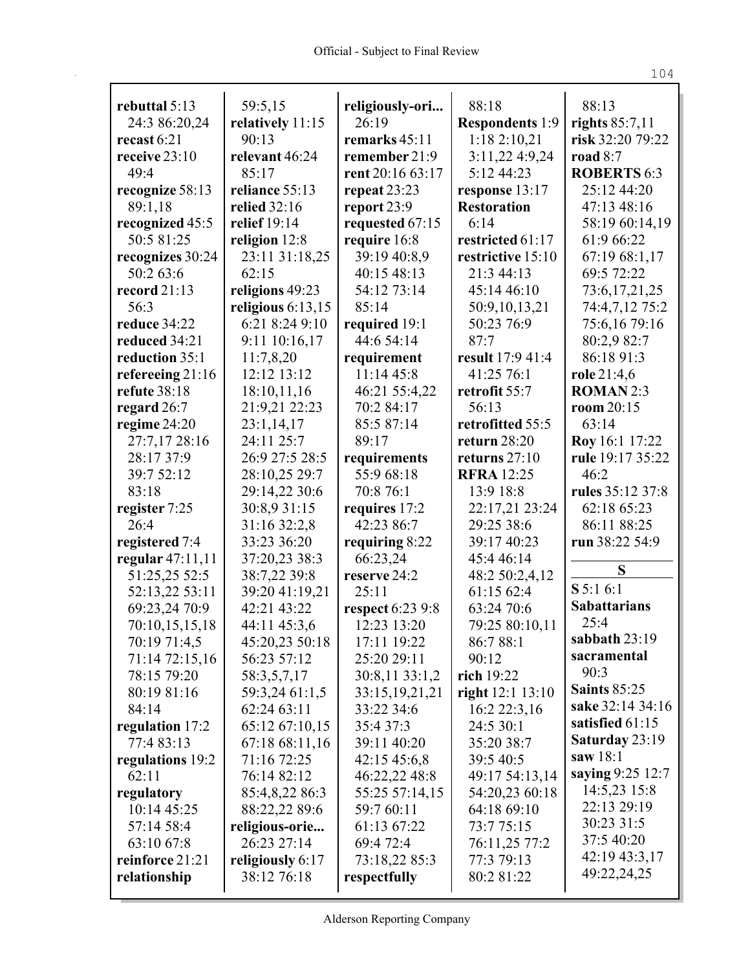| rebuttal 5:13                 | 59:5,15                         | religiously-ori           | 88:18                            | 88:13                             |
|-------------------------------|---------------------------------|---------------------------|----------------------------------|-----------------------------------|
| 24:3 86:20,24                 | relatively 11:15                | 26:19                     | <b>Respondents</b> 1:9           | rights $85:7,11$                  |
| recast $6:21$                 | 90:13                           | remarks 45:11             | 1:18 2:10,21                     | risk 32:20 79:22                  |
| receive $23:10$               | relevant 46:24                  | remember 21:9             | 3:11,22 4:9,24                   | road $8:7$                        |
| 49:4                          | 85:17                           | rent 20:16 63:17          | 5:12 44:23                       | <b>ROBERTS 6:3</b>                |
| recognize 58:13               | reliance 55:13                  | repeat $23:23$            | response 13:17                   | 25:12 44:20                       |
| 89:1,18                       | <b>relied</b> 32:16             | report $23:9$             | <b>Restoration</b>               | 47:13 48:16                       |
| recognized 45:5               | relief 19:14                    | requested 67:15           | 6:14                             | 58:19 60:14,19                    |
| 50:5 81:25                    | religion 12:8                   | require 16:8              | restricted 61:17                 | 61:9 66:22                        |
| recognizes 30:24              | 23:11 31:18,25                  | 39:19 40:8,9              | restrictive 15:10                | 67:19 68:1,17                     |
| 50:2 63:6                     | 62:15                           | 40:15 48:13               | 21:3 44:13                       | 69:5 72:22                        |
| record $21:13$                | religions 49:23                 | 54:12 73:14               | 45:14 46:10                      | 73:6, 17, 21, 25                  |
| 56:3                          | religious $6:13,15$             | 85:14                     | 50:9,10,13,21                    | 74:4,7,12 75:2                    |
| reduce 34:22                  | 6:21 8:24 9:10                  | required 19:1             | 50:23 76:9                       | 75:6,16 79:16                     |
| reduced 34:21                 | 9:11 10:16,17                   | 44:6 54:14                | 87:7                             | 80:2,9 82:7                       |
| reduction 35:1                | 11:7,8,20                       | requirement               | result 17:9 41:4                 | 86:18 91:3                        |
| refereeing 21:16              | 12:12 13:12                     | 11:14 45:8                | 41:25 76:1                       | role 21:4,6                       |
| refute 38:18                  | 18:10,11,16                     | 46:21 55:4,22             | retrofit 55:7                    | <b>ROMAN2:3</b>                   |
| regard $26:7$                 | 21:9,21 22:23                   | 70:2 84:17                | 56:13                            | room 20:15                        |
| regime 24:20<br>27:7,17 28:16 | 23:1,14,17<br>24:11 25:7        | 85:5 87:14<br>89:17       | retrofitted 55:5<br>return 28:20 | 63:14<br>Roy 16:1 17:22           |
| 28:17 37:9                    | 26:9 27:5 28:5                  | requirements              | returns $27:10$                  | rule 19:17 35:22                  |
| 39:7 52:12                    | 28:10,25 29:7                   | 55:9 68:18                | <b>RFRA</b> 12:25                | 46:2                              |
| 83:18                         | 29:14,22 30:6                   | 70:8 76:1                 | 13:9 18:8                        | rules 35:12 37:8                  |
| register 7:25                 | 30:8,9 31:15                    | requires 17:2             | 22:17,21 23:24                   | 62:18 65:23                       |
| 26:4                          | 31:16 32:2,8                    | 42:23 86:7                | 29:25 38:6                       | 86:11 88:25                       |
| registered 7:4                | 33:23 36:20                     | requiring $8:22$          | 39:17 40:23                      | run 38:22 54:9                    |
| regular $47:11,11$            | 37:20,23 38:3                   | 66:23,24                  | 45:4 46:14                       |                                   |
| 51:25,25 52:5                 | 38:7,22 39:8                    | reserve 24:2              | 48:2 50:2,4,12                   | S                                 |
| 52:13,22 53:11                | 39:20 41:19,21                  | 25:11                     | 61:15 62:4                       | S 5:1 6:1                         |
| 69:23,24 70:9                 | 42:21 43:22                     | <b>respect</b> 6:23 9:8   | 63:24 70:6                       | <b>Sabattarians</b>               |
| 70:10,15,15,18                | 44:11 45:3,6                    | 12:23 13:20               | 79:25 80:10,11                   | 25:4                              |
| 70:19 71:4,5                  | 45:20,23 50:18                  | 17:11 19:22               | 86:788:1                         | sabbath 23:19                     |
| 71:14 72:15,16                | 56:23 57:12                     | 25:20 29:11               | 90:12                            | sacramental                       |
| 78:15 79:20                   | 58:3,5,7,17                     | 30:8,11 33:1,2            | rich $19:22$                     | 90:3                              |
| 80:19 81:16                   | 59:3,24 61:1,5                  | 33:15, 19, 21, 21         | right 12:1 13:10                 | <b>Saints 85:25</b>               |
| 84:14                         | 62:24 63:11                     | 33:22 34:6                | 16:2 22:3,16                     | sake 32:14 34:16                  |
| regulation 17:2               | 65:12 67:10,15                  | 35:4 37:3                 | 24:5 30:1                        | satisfied 61:15<br>Saturday 23:19 |
| 77:4 83:13                    | 67:18 68:11,16                  | 39:11 40:20               | 35:20 38:7                       | saw $18:1$                        |
| regulations 19:2              | 71:16 72:25                     | 42:15 45:6,8              | 39:5 40:5                        | saying 9:25 12:7                  |
| 62:11                         | 76:14 82:12                     | 46:22,22 48:8             | 49:17 54:13,14                   | 14:5,23 15:8                      |
| regulatory                    | 85:4,8,22 86:3                  | 55:25 57:14,15            | 54:20,23 60:18                   | 22:13 29:19                       |
| 10:14 45:25<br>57:14 58:4     | 88:22,22 89:6<br>religious-orie | 59:7 60:11<br>61:13 67:22 | 64:18 69:10<br>73:775:15         | 30:23 31:5                        |
| 63:10 67:8                    | 26:23 27:14                     | 69:4 72:4                 | 76:11,25 77:2                    | 37:5 40:20                        |
| reinforce 21:21               | religiously 6:17                | 73:18,22 85:3             | 77:3 79:13                       | 42:19 43:3,17                     |
| relationship                  | 38:12 76:18                     | respectfully              | 80:2 81:22                       | 49:22,24,25                       |
|                               |                                 |                           |                                  |                                   |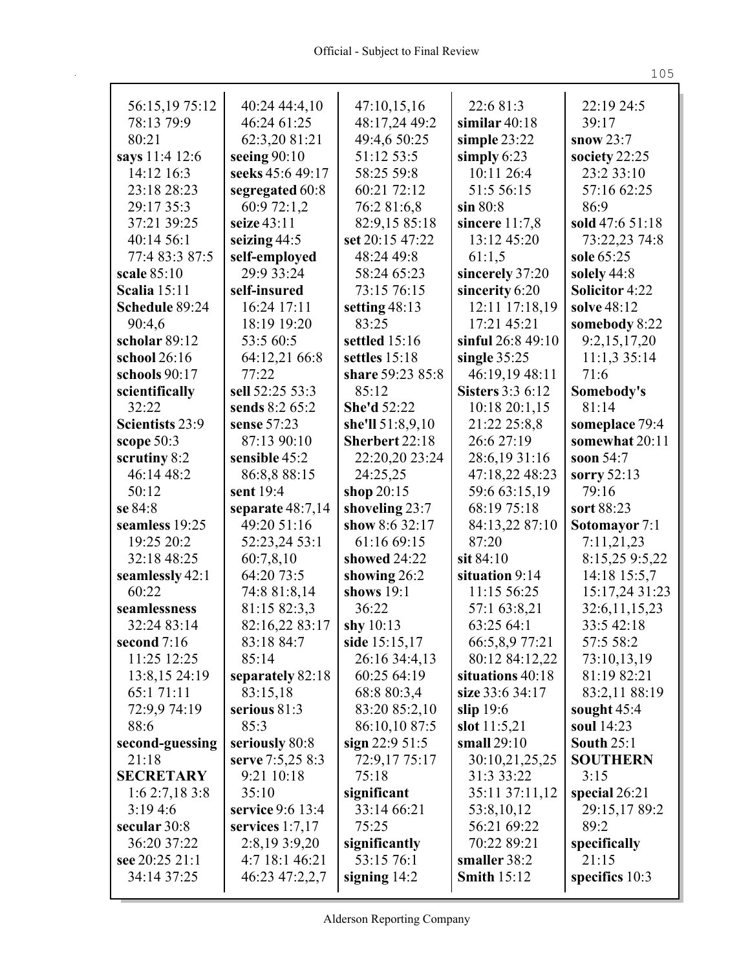| 56:15,19 75:12      | 40:24 44:4,10                   | 47:10,15,16                      | 22:6 81:3                    | 22:19 24:5            |
|---------------------|---------------------------------|----------------------------------|------------------------------|-----------------------|
| 78:13 79:9          | 46:24 61:25                     | 48:17,24 49:2                    | similar $40:18$              | 39:17                 |
| 80:21               | 62:3,20 81:21                   | 49:4,6 50:25                     | simple $23:22$               | snow $23:7$           |
| says 11:4 12:6      | seeing $90:10$                  | 51:12 53:5                       | simply $6:23$                | society 22:25         |
| 14:12 16:3          | seeks 45:6 49:17                | 58:25 59:8                       | 10:11 26:4                   | 23:2 33:10            |
| 23:18 28:23         | segregated 60:8                 | 60:21 72:12                      | 51:5 56:15                   | 57:16 62:25           |
| 29:17 35:3          | 60:9 72:1,2                     | 76:2 81:6,8                      | $\sin 80:8$                  | 86:9                  |
| 37:21 39:25         | seize 43:11                     | 82:9,15 85:18                    | sincere $11:7,8$             | sold 47:6 51:18       |
| 40:14 56:1          | seizing $44:5$                  | set 20:15 47:22                  | 13:12 45:20                  | 73:22,23 74:8         |
| 77:4 83:3 87:5      | self-employed                   | 48:24 49:8                       | 61:1,5                       | sole 65:25            |
| scale 85:10         | 29:9 33:24                      | 58:24 65:23                      | sincerely 37:20              | solely 44:8           |
| <b>Scalia</b> 15:11 | self-insured                    | 73:15 76:15                      | sincerity 6:20               | <b>Solicitor 4:22</b> |
| Schedule 89:24      | 16:24 17:11                     | setting 48:13                    | 12:11 17:18,19               | solve 48:12           |
| 90:4,6              | 18:19 19:20                     | 83:25                            | 17:21 45:21                  | somebody 8:22         |
| scholar 89:12       | 53:5 60:5                       | settled 15:16                    | sinful 26:8 49:10            | 9:2,15,17,20          |
| school 26:16        | 64:12,21 66:8                   | settles 15:18                    | single $35:25$               | 11:1,335:14           |
| schools 90:17       | 77:22                           | share 59:23 85:8                 | 46:19,19 48:11               | 71:6                  |
| scientifically      | sell 52:25 53:3                 | 85:12                            | <b>Sisters</b> 3:3 6:12      | Somebody's            |
| 32:22               | sends 8:2 65:2                  | <b>She'd 52:22</b>               | 10:1820:1,15                 | 81:14                 |
| Scientists 23:9     | sense 57:23                     | she'll 51:8,9,10                 | 21:22 25:8,8                 | someplace 79:4        |
| scope $50:3$        | 87:13 90:10                     | Sherbert 22:18                   | 26:6 27:19                   | somewhat 20:11        |
| scrutiny 8:2        | sensible 45:2                   | 22:20,20 23:24                   | 28:6,19 31:16                | soon $54:7$           |
| 46:14 48:2          |                                 | 24:25,25                         | 47:18,22 48:23               | sorry 52:13           |
| 50:12               | 86:8,8 88:15<br>sent 19:4       |                                  |                              | 79:16                 |
| se 84:8             |                                 | shop 20:15                       | 59:6 63:15,19<br>68:19 75:18 | sort 88:23            |
| seamless 19:25      | separate 48:7,14<br>49:20 51:16 | shoveling 23:7<br>show 8:6 32:17 |                              |                       |
| 19:25 20:2          |                                 | 61:16 69:15                      | 84:13,22 87:10<br>87:20      | Sotomayor 7:1         |
|                     | 52:23,24 53:1                   |                                  |                              | 7:11,21,23            |
| 32:18 48:25         | 60:7,8,10                       | showed 24:22                     | sit $84:10$                  | 8:15,25 9:5,22        |
| seamlessly 42:1     | 64:20 73:5                      | showing 26:2                     | situation 9:14               | 14:18 15:5,7          |
| 60:22               | 74:8 81:8,14                    | shows 19:1                       | 11:15 56:25                  | 15:17,24 31:23        |
| seamlessness        | 81:15 82:3,3                    | 36:22                            | 57:1 63:8,21                 | 32:6,11,15,23         |
| 32:24 83:14         | 82:16,22 83:17                  | shy $10:13$                      | 63:25 64:1                   | 33:5 42:18            |
| second 7:16         | 83:18 84:7                      | side 15:15,17                    | 66:5,8,9 77:21               | 57:5 58:2             |
| 11:25 12:25         | 85:14                           | 26:16 34:4,13                    | 80:12 84:12,22               | 73:10,13,19           |
| 13:8,15 24:19       | separately 82:18                | 60:25 64:19                      | situations 40:18             | 81:19 82:21           |
| 65:1 71:11          | 83:15,18                        | 68:8 80:3,4                      | size 33:6 34:17              | 83:2,11 88:19         |
| 72:9,9 74:19        | serious 81:3                    | 83:20 85:2,10                    | slip $19:6$                  | sought $45:4$         |
| 88:6                | 85:3                            | 86:10,10 87:5                    | slot $11:5,21$               | soul 14:23            |
| second-guessing     | seriously 80:8                  | sign $22:951:5$                  | small $29:10$                | <b>South 25:1</b>     |
| 21:18               | serve 7:5,25 8:3                | 72:9,17 75:17                    | 30:10,21,25,25               | <b>SOUTHERN</b>       |
| <b>SECRETARY</b>    | 9:21 10:18                      | 75:18                            | 31:3 33:22                   | 3:15                  |
| 1:6 2:7,18 3:8      | 35:10                           | significant                      | 35:11 37:11,12               | special $26:21$       |
| 3:194:6             | service 9:6 13:4                | 33:14 66:21                      | 53:8,10,12                   | 29:15,17 89:2         |
| secular 30:8        | services $1:7,17$               | 75:25                            | 56:21 69:22                  | 89:2                  |
| 36:20 37:22         | 2:8,19 3:9,20                   | significantly                    | 70:22 89:21                  | specifically          |
| see 20:25 21:1      | 4:7 18:1 46:21                  | 53:15 76:1                       | smaller 38:2                 | 21:15                 |
| 34:14 37:25         | 46:23 47:2,2,7                  | signing $14:2$                   | <b>Smith 15:12</b>           | specifics $10:3$      |
|                     |                                 |                                  |                              |                       |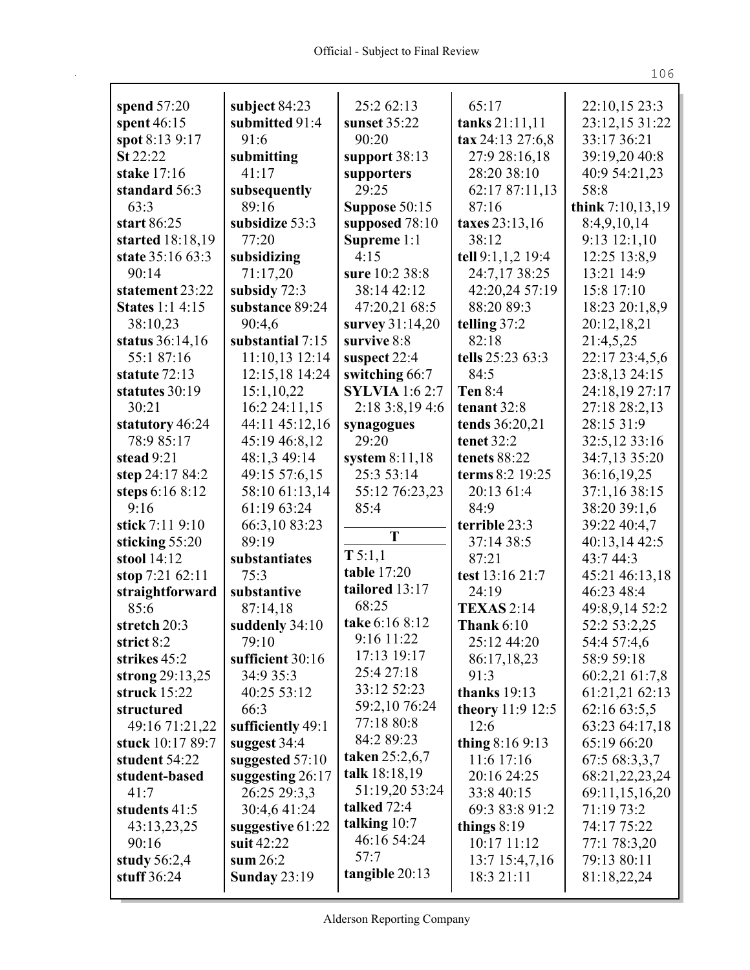|                        |                                 | 25:2 62:13            | 65:17              | 22:10,15 23:3    |
|------------------------|---------------------------------|-----------------------|--------------------|------------------|
| spend 57:20            | subject 84:23<br>submitted 91:4 | sunset 35:22          |                    | 23:12,15 31:22   |
| spent 46:15            | 91:6                            | 90:20                 | tanks 21:11,11     | 33:17 36:21      |
| spot 8:13 9:17         |                                 |                       | tax 24:13 27:6,8   |                  |
| St 22:22               | submitting                      | support $38:13$       | 27:9 28:16,18      | 39:19,20 40:8    |
| stake 17:16            | 41:17                           | supporters            | 28:20 38:10        | 40:9 54:21,23    |
| standard 56:3          | subsequently                    | 29:25                 | 62:17 87:11,13     | 58:8             |
| 63:3                   | 89:16                           | Suppose 50:15         | 87:16              | think 7:10,13,19 |
| start 86:25            | subsidize 53:3                  | supposed 78:10        | taxes 23:13,16     | 8:4,9,10,14      |
| started 18:18,19       | 77:20                           | Supreme 1:1           | 38:12              | 9:13 12:1,10     |
| state 35:16 63:3       | subsidizing                     | 4:15                  | tell 9:1,1,2 19:4  | 12:25 13:8,9     |
| 90:14                  | 71:17,20                        | sure 10:2 38:8        | 24:7,17 38:25      | 13:21 14:9       |
| statement 23:22        | subsidy 72:3                    | 38:14 42:12           | 42:20,24 57:19     | 15:8 17:10       |
| <b>States</b> 1:1 4:15 | substance 89:24                 | 47:20,21 68:5         | 88:20 89:3         | 18:23 20:1,8,9   |
| 38:10,23               | 90:4,6                          | survey 31:14,20       | telling $37:2$     | 20:12,18,21      |
| status 36:14,16        | substantial 7:15                | survive 8:8           | 82:18              | 21:4,5,25        |
| 55:1 87:16             | 11:10,13 12:14                  | suspect 22:4          | tells 25:23 63:3   | 22:17 23:4,5,6   |
| statute 72:13          | 12:15,18 14:24                  | switching 66:7        | 84:5               | 23:8,13 24:15    |
| statutes 30:19         | 15:1,10,22                      | <b>SYLVIA</b> 1:6 2:7 | <b>Ten 8:4</b>     | 24:18,19 27:17   |
| 30:21                  | 16:2 24:11,15                   | 2:18 3:8,19 4:6       | tenant 32:8        | 27:18 28:2,13    |
| statutory 46:24        | 44:11 45:12,16                  | synagogues            | tends 36:20,21     | 28:15 31:9       |
| 78:9 85:17             | 45:19 46:8,12                   | 29:20                 | tenet 32:2         | 32:5,12 33:16    |
| stead 9:21             | 48:1,3 49:14                    | system $8:11,18$      | tenets 88:22       | 34:7,13 35:20    |
| step 24:17 84:2        | 49:15 57:6,15                   | 25:3 53:14            | terms 8:2 19:25    | 36:16,19,25      |
| steps 6:16 8:12        | 58:10 61:13,14                  | 55:12 76:23,23        | 20:13 61:4         | 37:1,16 38:15    |
| 9:16                   | 61:19 63:24                     | 85:4                  | 84:9               | 38:20 39:1,6     |
| stick 7:11 9:10        | 66:3,10 83:23                   |                       | terrible 23:3      | 39:22 40:4,7     |
| sticking 55:20         | 89:19                           | T                     | 37:14 38:5         | 40:13,14 42:5    |
| stool 14:12            | substantiates                   | T 5:1,1               | 87:21              | 43:7 44:3        |
| stop 7:21 62:11        | 75:3                            | table 17:20           | test 13:16 21:7    | 45:21 46:13,18   |
| straightforward        | substantive                     | tailored 13:17        | 24:19              | 46:23 48:4       |
| 85:6                   | 87:14,18                        | 68:25                 | <b>TEXAS</b> 2:14  | 49:8,9,14 52:2   |
| stretch 20:3           | suddenly 34:10                  | take 6:16 8:12        | <b>Thank 6:10</b>  | 52:2 53:2,25     |
| strict 8:2             | 79:10                           | 9:16 11:22            | 25:12 44:20        | 54:4 57:4,6      |
| strikes 45:2           | sufficient 30:16                | 17:13 19:17           | 86:17,18,23        | 58:9 59:18       |
| strong $29:13,25$      | 34:9 35:3                       | 25:4 27:18            | 91:3               | 60:2,21 61:7,8   |
| struck $15:22$         | 40:25 53:12                     | 33:12 52:23           | thanks $19:13$     | 61:21,21 62:13   |
| structured             | 66:3                            | 59:2,10 76:24         | theory $11:9 12:5$ | 62:16 63:5,5     |
| 49:16 71:21,22         | sufficiently 49:1               | 77:18 80:8            | 12:6               | 63:23 64:17,18   |
| stuck 10:17 89:7       | suggest $34:4$                  | 84:2 89:23            | thing $8:169:13$   | 65:19 66:20      |
| student 54:22          | suggested $57:10$               | taken $25:2,6,7$      | 11:6 17:16         | 67:5 68:3,3,7    |
| student-based          | suggesting 26:17                | talk 18:18,19         | 20:16 24:25        | 68:21,22,23,24   |
| 41:7                   | 26:25 29:3,3                    | 51:19,20 53:24        | 33:8 40:15         | 69:11,15,16,20   |
| students 41:5          | 30:4,6 41:24                    | talked 72:4           | 69:3 83:8 91:2     | 71:19 73:2       |
| 43:13,23,25            | suggestive $61:22$              | talking 10:7          | things $8:19$      | 74:17 75:22      |
| 90:16                  | suit 42:22                      | 46:16 54:24           | 10:17 11:12        | 77:1 78:3,20     |
| study $56:2,4$         | sum $26:2$                      | 57:7                  | $13:7$ 15:4,7,16   | 79:13 80:11      |
| stuff $36:24$          | <b>Sunday 23:19</b>             | tangible $20:13$      | 18:3 21:11         | 81:18,22,24      |
|                        |                                 |                       |                    |                  |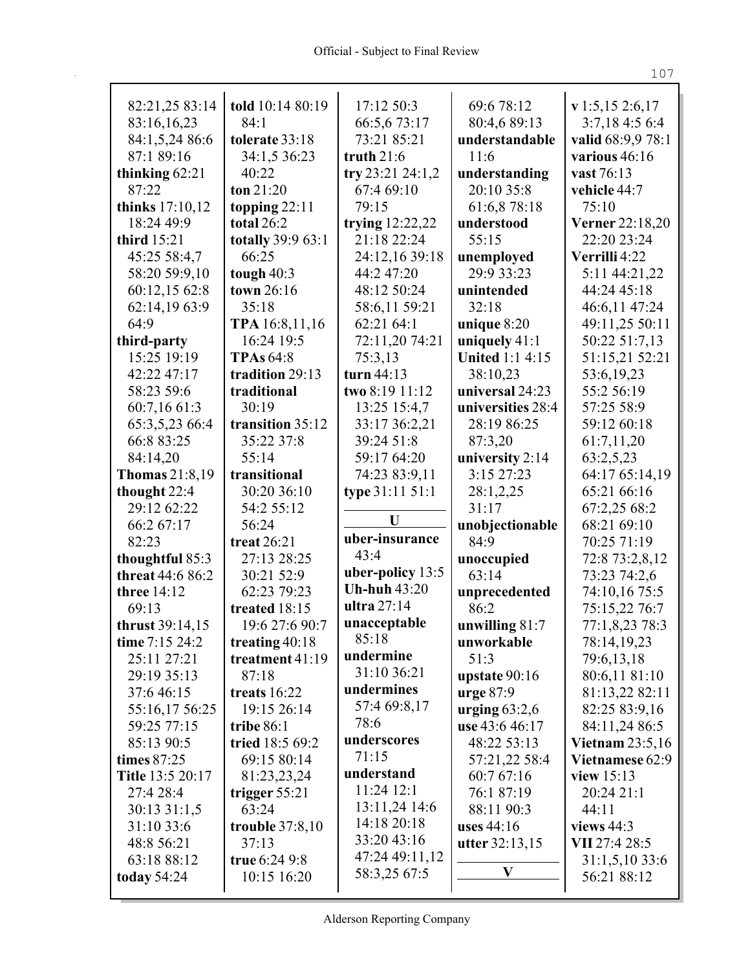| 82:21,25 83:14        | told 10:14 80:19       | 17:12 50:3          | 69:6 78:12             | v 1:5, 15 2:6, 17      |
|-----------------------|------------------------|---------------------|------------------------|------------------------|
| 83:16,16,23           | 84:1                   | 66:5,673:17         | 80:4,6 89:13           | 3:7,18 4:5 6:4         |
| 84:1,5,24 86:6        | tolerate 33:18         | 73:21 85:21         | understandable         | valid 68:9,9 78:1      |
| 87:1 89:16            | 34:1,5 36:23           | truth $21:6$        | 11:6                   | various 46:16          |
| thinking 62:21        | 40:22                  | try 23:21 24:1,2    | understanding          | vast 76:13             |
| 87:22                 | ton $21:20$            | 67:4 69:10          | 20:10 35:8             | vehicle 44:7           |
| thinks 17:10,12       | topping $22:11$        | 79:15               | 61:6,8 78:18           | 75:10                  |
| 18:24 49:9            | total 26:2             | trying $12:22,22$   | understood             | Verner 22:18,20        |
| third 15:21           | totally 39:9 63:1      | 21:18 22:24         | 55:15                  | 22:20 23:24            |
| 45:25 58:4,7          | 66:25                  | 24:12,16 39:18      | unemployed             | Verrilli 4:22          |
| 58:20 59:9,10         | tough $40:3$           | 44:2 47:20          | 29:9 33:23             | 5:11 44:21,22          |
| 60:12,15 62:8         | town 26:16             | 48:12 50:24         | unintended             | 44:24 45:18            |
| 62:14,19 63:9         | 35:18                  | 58:6,11 59:21       | 32:18                  | 46:6,11 47:24          |
| 64:9                  | TPA 16:8,11,16         | 62:21 64:1          | unique 8:20            | 49:11,25 50:11         |
| third-party           | 16:24 19:5             | 72:11,20 74:21      | uniquely $41:1$        | 50:22 51:7,13          |
| 15:25 19:19           | <b>TPAs 64:8</b>       | 75:3,13             | <b>United 1:1 4:15</b> | 51:15,21 52:21         |
| 42:22 47:17           | tradition 29:13        | turn 44:13          | 38:10,23               | 53:6,19,23             |
| 58:23 59:6            | traditional            | two 8:19 11:12      | universal 24:23        | 55:2 56:19             |
| 60:7,16 61:3          | 30:19                  | 13:25 15:4,7        | universities 28:4      | 57:25 58:9             |
| 65:3,5,23 66:4        | transition 35:12       | 33:17 36:2,21       | 28:19 86:25            | 59:12 60:18            |
| 66:8 83:25            | 35:22 37:8             | 39:24 51:8          | 87:3,20                | 61:7,11,20             |
| 84:14,20              | 55:14                  | 59:17 64:20         | university 2:14        | 63:2,5,23              |
| <b>Thomas</b> 21:8,19 | transitional           | 74:23 83:9,11       | 3:15 27:23             | 64:17 65:14,19         |
| thought 22:4          | 30:20 36:10            | type 31:11 51:1     | 28:1,2,25              | 65:21 66:16            |
| 29:12 62:22           | 54:2 55:12             |                     | 31:17                  | 67:2,25 68:2           |
| 66:2 67:17            | 56:24                  | U                   | unobjectionable        | 68:21 69:10            |
| 82:23                 | treat 26:21            | uber-insurance      | 84:9                   | 70:25 71:19            |
| thoughtful 85:3       | 27:13 28:25            | 43:4                | unoccupied             | 72:8 73:2,8,12         |
| threat 44:6 86:2      | 30:21 52:9             | uber-policy $13:5$  | 63:14                  | 73:23 74:2,6           |
| three 14:12           | 62:23 79:23            | <b>Uh-huh 43:20</b> | unprecedented          | 74:10,16 75:5          |
| 69:13                 | treated 18:15          | ultra 27:14         | 86:2                   | 75:15,22 76:7          |
| thrust 39:14,15       | 19:6 27:6 90:7         | unacceptable        | unwilling $81:7$       | 77:1,8,23 78:3         |
| time $7:15\,24:2$     | treating $40:18$       | 85:18               | unworkable             | 78:14,19,23            |
| 25:11 27:21           | treatment 41:19        | undermine           | 51:3                   | 79:6,13,18             |
| 29:19 35:13           | 87:18                  | 31:10 36:21         | upstate $90:16$        | 80:6,11 81:10          |
| 37:646:15             | treats 16:22           | undermines          | $ urge 87:9$           | 81:13,22 82:11         |
| 55:16,17 56:25        | 19:15 26:14            | 57:4 69:8,17        | urging $63:2,6$        | 82:25 83:9,16          |
| 59:25 77:15           | tribe $86:1$           | 78:6                | use 43:6 46:17         | 84:11,24 86:5          |
| 85:13 90:5            | tried 18:5 69:2        | underscores         | 48:22 53:13            | <b>Vietnam 23:5,16</b> |
| times $87:25$         | 69:15 80:14            | 71:15               | 57:21,22 58:4          | Vietnamese 62:9        |
| Title 13:5 20:17      | 81:23,23,24            | understand          | 60:7 67:16             | view $15:13$           |
| 27:4 28:4             | trigger $55:21$        | 11:24 12:1          | 76:1 87:19             | 20:24 21:1             |
| 30:13 31:1,5          | 63:24                  | 13:11,24 14:6       | 88:11 90:3             | 44:11                  |
| 31:10 33:6            | <b>trouble</b> 37:8,10 | 14:18 20:18         | uses 44:16             | views $44:3$           |
| 48:8 56:21            | 37:13                  | 33:20 43:16         | utter 32:13,15         | VII 27:4 28:5          |
| 63:18 88:12           | true 6:24 9:8          | 47:24 49:11,12      |                        | 31:1,5,1033:6          |
| <b>today 54:24</b>    | 10:15 16:20            | 58:3,25 67:5        | V                      | 56:21 88:12            |
|                       |                        |                     |                        |                        |